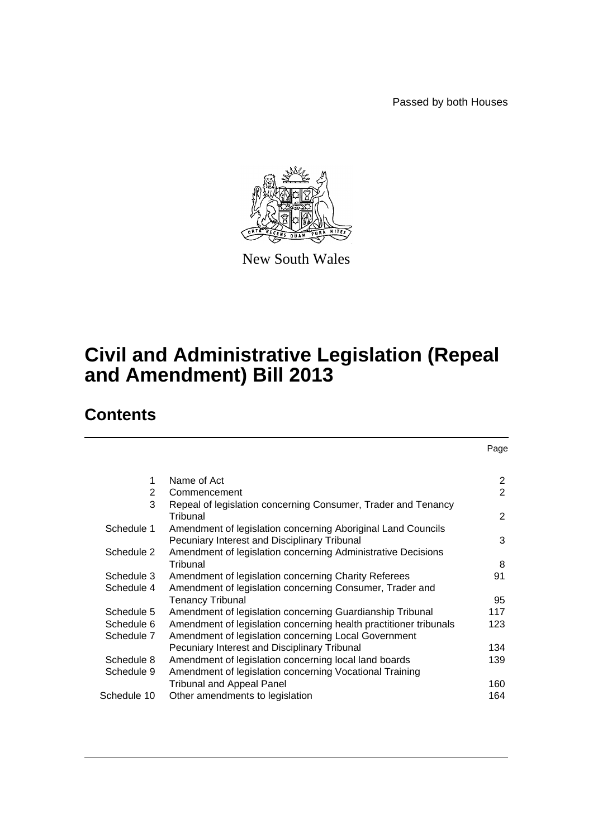Passed by both Houses

Page



New South Wales

# **Civil and Administrative Legislation (Repeal and Amendment) Bill 2013**

# **Contents**

| 1              | Name of Act                                                       | $\overline{2}$ |
|----------------|-------------------------------------------------------------------|----------------|
| $\overline{2}$ | Commencement                                                      | $\overline{2}$ |
| 3              | Repeal of legislation concerning Consumer, Trader and Tenancy     |                |
|                | Tribunal                                                          | $\overline{2}$ |
| Schedule 1     | Amendment of legislation concerning Aboriginal Land Councils      |                |
|                | Pecuniary Interest and Disciplinary Tribunal                      | 3              |
| Schedule 2     | Amendment of legislation concerning Administrative Decisions      |                |
|                | Tribunal                                                          | 8              |
| Schedule 3     | Amendment of legislation concerning Charity Referees              | 91             |
| Schedule 4     | Amendment of legislation concerning Consumer, Trader and          |                |
|                | <b>Tenancy Tribunal</b>                                           | 95             |
| Schedule 5     | Amendment of legislation concerning Guardianship Tribunal         | 117            |
| Schedule 6     | Amendment of legislation concerning health practitioner tribunals | 123            |
| Schedule 7     | Amendment of legislation concerning Local Government              |                |
|                | Pecuniary Interest and Disciplinary Tribunal                      | 134            |
| Schedule 8     | Amendment of legislation concerning local land boards             | 139            |
| Schedule 9     | Amendment of legislation concerning Vocational Training           |                |
|                | <b>Tribunal and Appeal Panel</b>                                  | 160            |
| Schedule 10    | Other amendments to legislation                                   | 164            |
|                |                                                                   |                |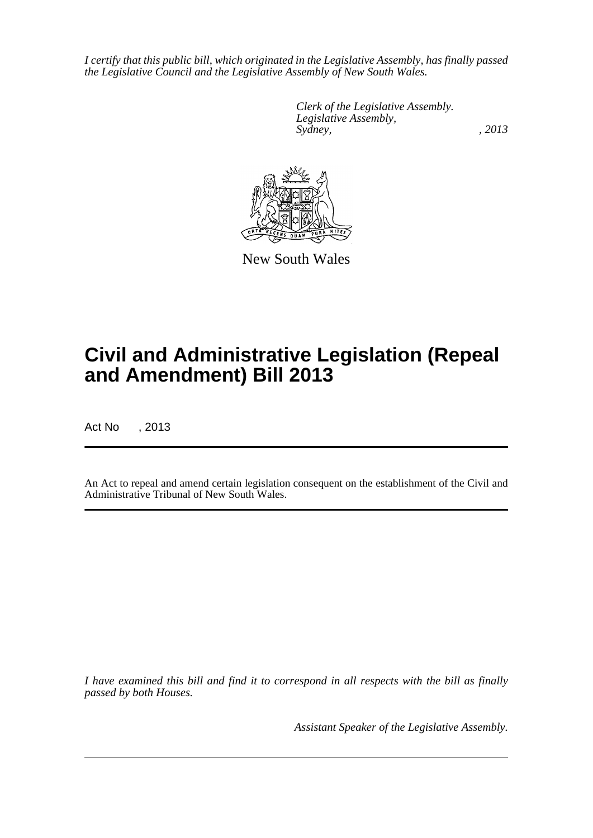*I certify that this public bill, which originated in the Legislative Assembly, has finally passed the Legislative Council and the Legislative Assembly of New South Wales.*

> *Clerk of the Legislative Assembly. Legislative Assembly, Sydney, , 2013*



New South Wales

# **Civil and Administrative Legislation (Repeal and Amendment) Bill 2013**

Act No , 2013

An Act to repeal and amend certain legislation consequent on the establishment of the Civil and Administrative Tribunal of New South Wales.

*I have examined this bill and find it to correspond in all respects with the bill as finally passed by both Houses.*

*Assistant Speaker of the Legislative Assembly.*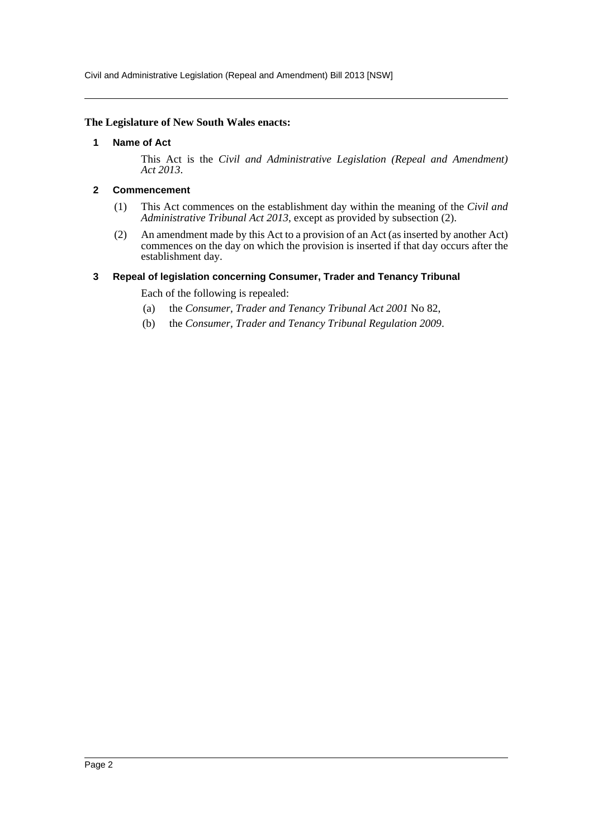Civil and Administrative Legislation (Repeal and Amendment) Bill 2013 [NSW]

#### <span id="page-2-0"></span>**The Legislature of New South Wales enacts:**

#### **1 Name of Act**

This Act is the *Civil and Administrative Legislation (Repeal and Amendment) Act 2013*.

### <span id="page-2-1"></span>**2 Commencement**

- (1) This Act commences on the establishment day within the meaning of the *Civil and Administrative Tribunal Act 2013*, except as provided by subsection (2).
- (2) An amendment made by this Act to a provision of an Act (as inserted by another Act) commences on the day on which the provision is inserted if that day occurs after the establishment day.

#### <span id="page-2-2"></span>**3 Repeal of legislation concerning Consumer, Trader and Tenancy Tribunal**

Each of the following is repealed:

- (a) the *Consumer, Trader and Tenancy Tribunal Act 2001* No 82,
- (b) the *Consumer, Trader and Tenancy Tribunal Regulation 2009*.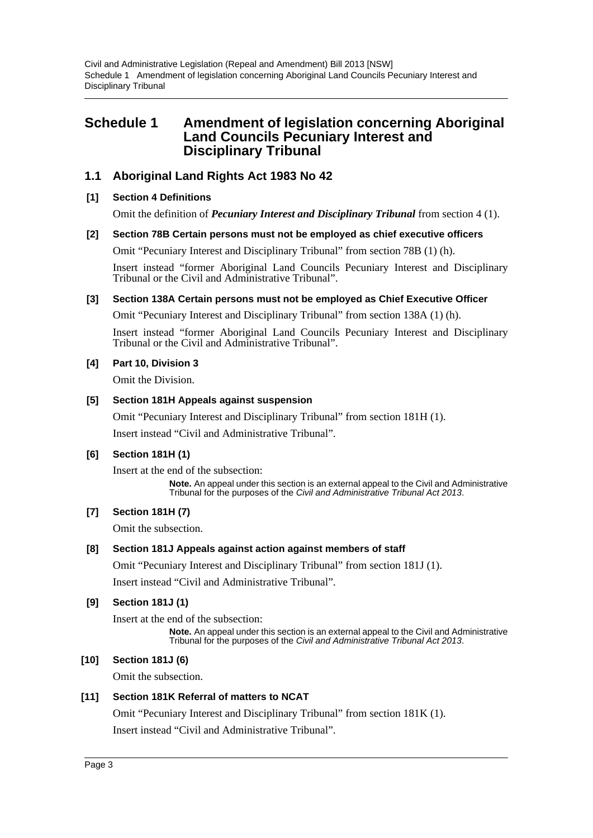# <span id="page-3-0"></span>**Schedule 1 Amendment of legislation concerning Aboriginal Land Councils Pecuniary Interest and Disciplinary Tribunal**

# **1.1 Aboriginal Land Rights Act 1983 No 42**

# **[1] Section 4 Definitions**

Omit the definition of *Pecuniary Interest and Disciplinary Tribunal* from section 4 (1).

### **[2] Section 78B Certain persons must not be employed as chief executive officers**

Omit "Pecuniary Interest and Disciplinary Tribunal" from section 78B (1) (h).

Insert instead "former Aboriginal Land Councils Pecuniary Interest and Disciplinary Tribunal or the Civil and Administrative Tribunal".

### **[3] Section 138A Certain persons must not be employed as Chief Executive Officer**

Omit "Pecuniary Interest and Disciplinary Tribunal" from section 138A (1) (h).

Insert instead "former Aboriginal Land Councils Pecuniary Interest and Disciplinary Tribunal or the Civil and Administrative Tribunal".

### **[4] Part 10, Division 3**

Omit the Division.

### **[5] Section 181H Appeals against suspension**

Omit "Pecuniary Interest and Disciplinary Tribunal" from section 181H (1).

Insert instead "Civil and Administrative Tribunal".

# **[6] Section 181H (1)**

Insert at the end of the subsection:

**Note.** An appeal under this section is an external appeal to the Civil and Administrative Tribunal for the purposes of the *Civil and Administrative Tribunal Act 2013*.

# **[7] Section 181H (7)**

Omit the subsection.

# **[8] Section 181J Appeals against action against members of staff**

Omit "Pecuniary Interest and Disciplinary Tribunal" from section 181J (1).

Insert instead "Civil and Administrative Tribunal".

# **[9] Section 181J (1)**

Insert at the end of the subsection:

**Note.** An appeal under this section is an external appeal to the Civil and Administrative Tribunal for the purposes of the *Civil and Administrative Tribunal Act 2013*.

# **[10] Section 181J (6)**

Omit the subsection.

# **[11] Section 181K Referral of matters to NCAT**

Omit "Pecuniary Interest and Disciplinary Tribunal" from section 181K (1).

Insert instead "Civil and Administrative Tribunal".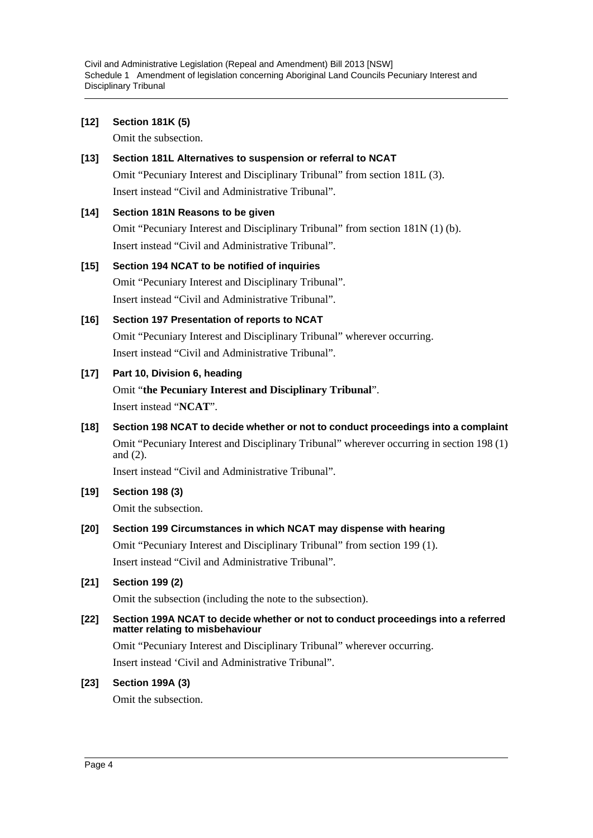Civil and Administrative Legislation (Repeal and Amendment) Bill 2013 [NSW] Schedule 1 Amendment of legislation concerning Aboriginal Land Councils Pecuniary Interest and Disciplinary Tribunal

# **[12] Section 181K (5)**

Omit the subsection.

**[13] Section 181L Alternatives to suspension or referral to NCAT** Omit "Pecuniary Interest and Disciplinary Tribunal" from section 181L (3). Insert instead "Civil and Administrative Tribunal".

```
[14] Section 181N Reasons to be given
Omit "Pecuniary Interest and Disciplinary Tribunal" from section 181N (1) (b).
Insert instead "Civil and Administrative Tribunal".
```
# **[15] Section 194 NCAT to be notified of inquiries** Omit "Pecuniary Interest and Disciplinary Tribunal". Insert instead "Civil and Administrative Tribunal".

**[16] Section 197 Presentation of reports to NCAT** Omit "Pecuniary Interest and Disciplinary Tribunal" wherever occurring. Insert instead "Civil and Administrative Tribunal".

# **[17] Part 10, Division 6, heading**

Omit "**the Pecuniary Interest and Disciplinary Tribunal**". Insert instead "**NCAT**".

**[18] Section 198 NCAT to decide whether or not to conduct proceedings into a complaint** Omit "Pecuniary Interest and Disciplinary Tribunal" wherever occurring in section 198 (1) and (2).

Insert instead "Civil and Administrative Tribunal".

- **[19] Section 198 (3)** Omit the subsection.
- **[20] Section 199 Circumstances in which NCAT may dispense with hearing** Omit "Pecuniary Interest and Disciplinary Tribunal" from section 199 (1). Insert instead "Civil and Administrative Tribunal".
- **[21] Section 199 (2)**

Omit the subsection (including the note to the subsection).

**[22] Section 199A NCAT to decide whether or not to conduct proceedings into a referred matter relating to misbehaviour**

Omit "Pecuniary Interest and Disciplinary Tribunal" wherever occurring.

Insert instead 'Civil and Administrative Tribunal".

# **[23] Section 199A (3)**

Omit the subsection.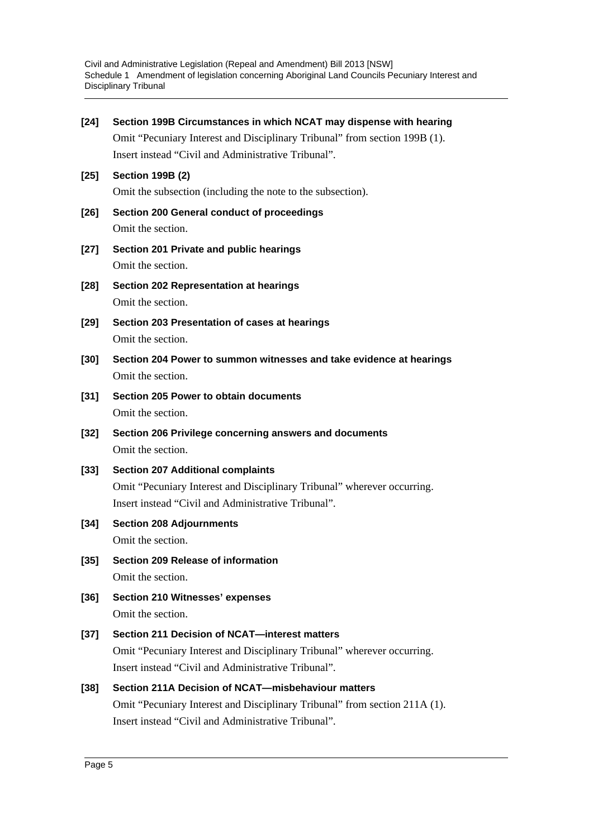Civil and Administrative Legislation (Repeal and Amendment) Bill 2013 [NSW] Schedule 1 Amendment of legislation concerning Aboriginal Land Councils Pecuniary Interest and Disciplinary Tribunal

| $[24]$ | Section 199B Circumstances in which NCAT may dispense with hearing         |
|--------|----------------------------------------------------------------------------|
|        | Omit "Pecuniary Interest and Disciplinary Tribunal" from section 199B (1). |
|        | Insert instead "Civil and Administrative Tribunal".                        |
| $[25]$ | <b>Section 199B (2)</b>                                                    |
|        | Omit the subsection (including the note to the subsection).                |
| $[26]$ | Section 200 General conduct of proceedings                                 |
|        | Omit the section.                                                          |
| $[27]$ | Section 201 Private and public hearings                                    |
|        | Omit the section.                                                          |
| $[28]$ | <b>Section 202 Representation at hearings</b>                              |
|        | Omit the section.                                                          |
| $[29]$ | Section 203 Presentation of cases at hearings                              |
|        | Omit the section.                                                          |
| $[30]$ | Section 204 Power to summon witnesses and take evidence at hearings        |
|        | Omit the section.                                                          |
| $[31]$ | Section 205 Power to obtain documents                                      |
|        | Omit the section.                                                          |
|        |                                                                            |
| $[32]$ | Section 206 Privilege concerning answers and documents                     |
|        | Omit the section.                                                          |
| $[33]$ | <b>Section 207 Additional complaints</b>                                   |
|        | Omit "Pecuniary Interest and Disciplinary Tribunal" wherever occurring.    |
|        | Insert instead "Civil and Administrative Tribunal".                        |
| $[34]$ | <b>Section 208 Adjournments</b>                                            |
|        | Omit the section.                                                          |
| $[35]$ | Section 209 Release of information                                         |
|        | Omit the section.                                                          |
| $[36]$ | <b>Section 210 Witnesses' expenses</b><br>Omit the section.                |
|        | Section 211 Decision of NCAT-interest matters                              |
| $[37]$ | Omit "Pecuniary Interest and Disciplinary Tribunal" wherever occurring.    |
|        | Insert instead "Civil and Administrative Tribunal".                        |
| $[38]$ | Section 211A Decision of NCAT-misbehaviour matters                         |
|        | Omit "Pecuniary Interest and Disciplinary Tribunal" from section 211A (1). |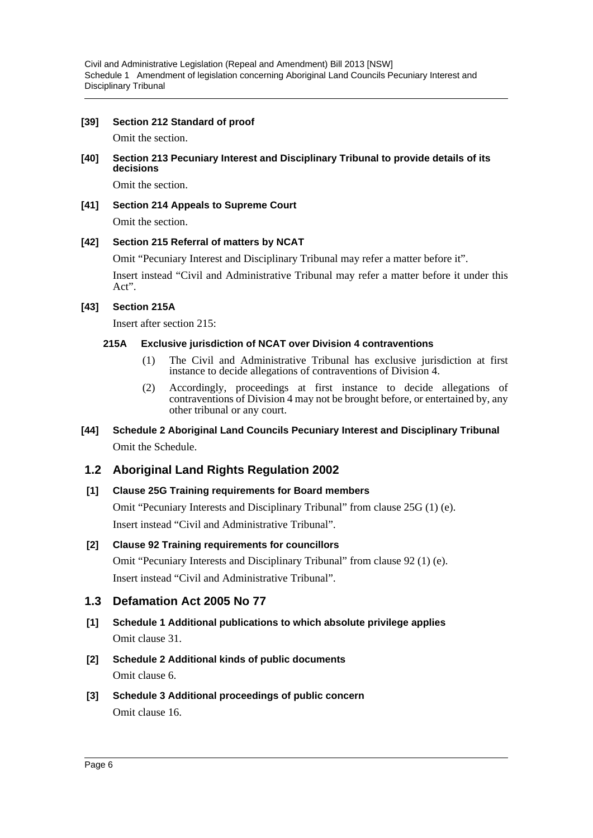Civil and Administrative Legislation (Repeal and Amendment) Bill 2013 [NSW] Schedule 1 Amendment of legislation concerning Aboriginal Land Councils Pecuniary Interest and Disciplinary Tribunal

### **[39] Section 212 Standard of proof**

Omit the section.

### **[40] Section 213 Pecuniary Interest and Disciplinary Tribunal to provide details of its decisions**

Omit the section.

### **[41] Section 214 Appeals to Supreme Court** Omit the section.

# **[42] Section 215 Referral of matters by NCAT**

Omit "Pecuniary Interest and Disciplinary Tribunal may refer a matter before it".

Insert instead "Civil and Administrative Tribunal may refer a matter before it under this Act".

### **[43] Section 215A**

Insert after section 215:

### **215A Exclusive jurisdiction of NCAT over Division 4 contraventions**

- (1) The Civil and Administrative Tribunal has exclusive jurisdiction at first instance to decide allegations of contraventions of Division 4.
- (2) Accordingly, proceedings at first instance to decide allegations of contraventions of Division 4 may not be brought before, or entertained by, any other tribunal or any court.

# **[44] Schedule 2 Aboriginal Land Councils Pecuniary Interest and Disciplinary Tribunal** Omit the Schedule.

# **1.2 Aboriginal Land Rights Regulation 2002**

### **[1] Clause 25G Training requirements for Board members**

Omit "Pecuniary Interests and Disciplinary Tribunal" from clause 25G (1) (e). Insert instead "Civil and Administrative Tribunal".

# **[2] Clause 92 Training requirements for councillors**

Omit "Pecuniary Interests and Disciplinary Tribunal" from clause 92 (1) (e). Insert instead "Civil and Administrative Tribunal".

# **1.3 Defamation Act 2005 No 77**

- **[1] Schedule 1 Additional publications to which absolute privilege applies** Omit clause 31.
- **[2] Schedule 2 Additional kinds of public documents** Omit clause 6.
- **[3] Schedule 3 Additional proceedings of public concern** Omit clause 16.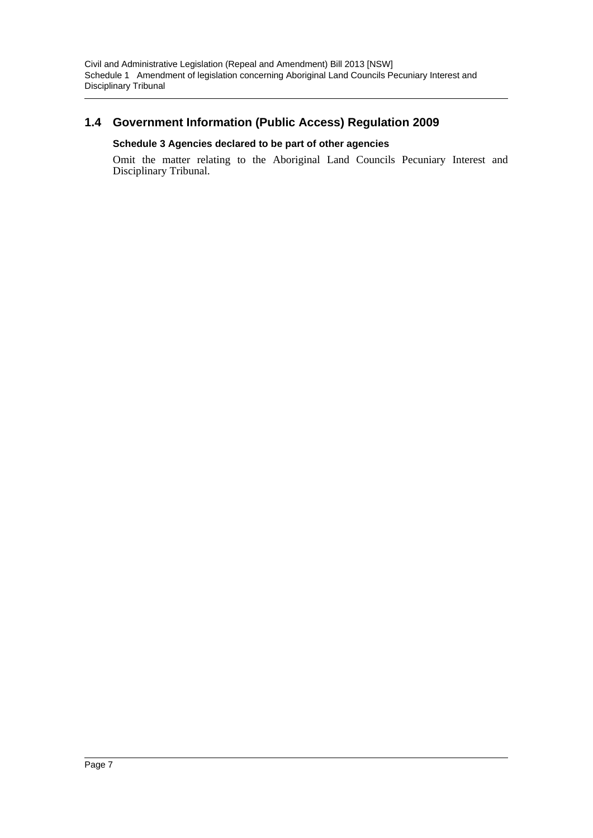# **1.4 Government Information (Public Access) Regulation 2009**

# **Schedule 3 Agencies declared to be part of other agencies**

Omit the matter relating to the Aboriginal Land Councils Pecuniary Interest and Disciplinary Tribunal.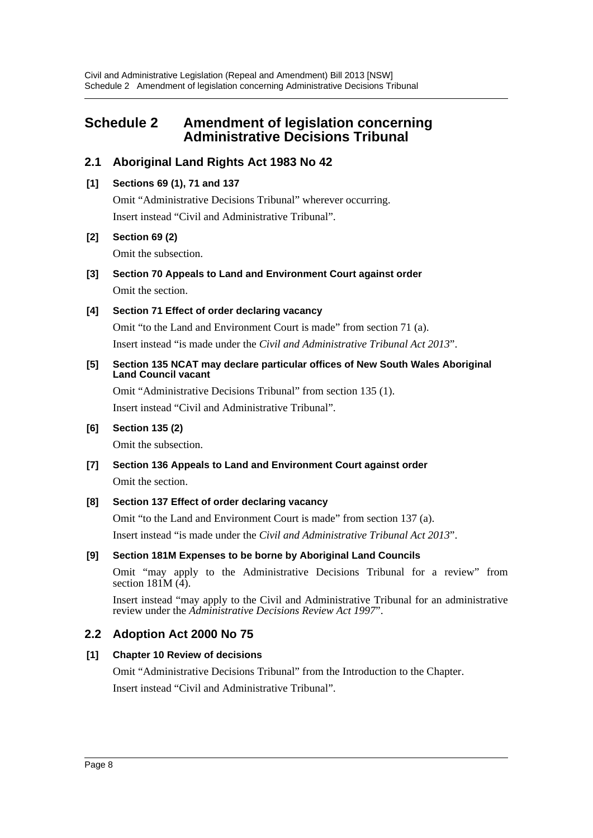# <span id="page-8-0"></span>**Schedule 2 Amendment of legislation concerning Administrative Decisions Tribunal**

# **2.1 Aboriginal Land Rights Act 1983 No 42**

# **[1] Sections 69 (1), 71 and 137**

Omit "Administrative Decisions Tribunal" wherever occurring. Insert instead "Civil and Administrative Tribunal".

# **[2] Section 69 (2)**

Omit the subsection.

**[3] Section 70 Appeals to Land and Environment Court against order** Omit the section.

# **[4] Section 71 Effect of order declaring vacancy**

Omit "to the Land and Environment Court is made" from section 71 (a). Insert instead "is made under the *Civil and Administrative Tribunal Act 2013*".

### **[5] Section 135 NCAT may declare particular offices of New South Wales Aboriginal Land Council vacant**

Omit "Administrative Decisions Tribunal" from section 135 (1). Insert instead "Civil and Administrative Tribunal".

# **[6] Section 135 (2)**

Omit the subsection.

**[7] Section 136 Appeals to Land and Environment Court against order**

Omit the section.

# **[8] Section 137 Effect of order declaring vacancy**

Omit "to the Land and Environment Court is made" from section 137 (a).

Insert instead "is made under the *Civil and Administrative Tribunal Act 2013*".

# **[9] Section 181M Expenses to be borne by Aboriginal Land Councils**

Omit "may apply to the Administrative Decisions Tribunal for a review" from section  $181M(\hat{4})$ .

Insert instead "may apply to the Civil and Administrative Tribunal for an administrative review under the *Administrative Decisions Review Act 1997*".

# **2.2 Adoption Act 2000 No 75**

# **[1] Chapter 10 Review of decisions**

Omit "Administrative Decisions Tribunal" from the Introduction to the Chapter.

Insert instead "Civil and Administrative Tribunal".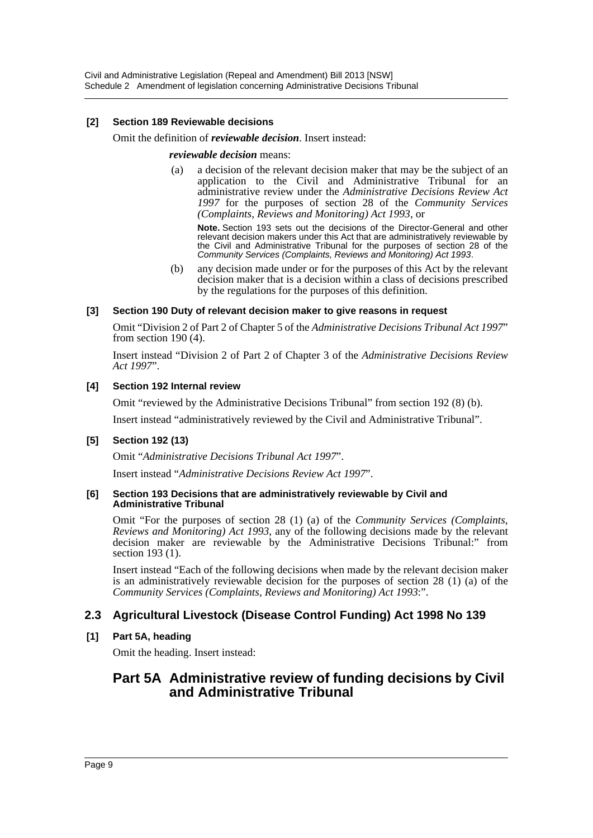### **[2] Section 189 Reviewable decisions**

#### Omit the definition of *reviewable decision*. Insert instead:

#### *reviewable decision* means:

(a) a decision of the relevant decision maker that may be the subject of an application to the Civil and Administrative Tribunal for an administrative review under the *Administrative Decisions Review Act 1997* for the purposes of section 28 of the *Community Services (Complaints, Reviews and Monitoring) Act 1993*, or

**Note.** Section 193 sets out the decisions of the Director-General and other relevant decision makers under this Act that are administratively reviewable by the Civil and Administrative Tribunal for the purposes of section 28 of the *Community Services (Complaints, Reviews and Monitoring) Act 1993*.

(b) any decision made under or for the purposes of this Act by the relevant decision maker that is a decision within a class of decisions prescribed by the regulations for the purposes of this definition.

### **[3] Section 190 Duty of relevant decision maker to give reasons in request**

Omit "Division 2 of Part 2 of Chapter 5 of the *Administrative Decisions Tribunal Act 1997*" from section 190 (4).

Insert instead "Division 2 of Part 2 of Chapter 3 of the *Administrative Decisions Review Act 1997*".

### **[4] Section 192 Internal review**

Omit "reviewed by the Administrative Decisions Tribunal" from section 192 (8) (b).

Insert instead "administratively reviewed by the Civil and Administrative Tribunal".

### **[5] Section 192 (13)**

Omit "*Administrative Decisions Tribunal Act 1997*".

Insert instead "*Administrative Decisions Review Act 1997*".

#### **[6] Section 193 Decisions that are administratively reviewable by Civil and Administrative Tribunal**

Omit "For the purposes of section 28 (1) (a) of the *Community Services (Complaints, Reviews and Monitoring) Act 1993*, any of the following decisions made by the relevant decision maker are reviewable by the Administrative Decisions Tribunal:" from section 193 (1).

Insert instead "Each of the following decisions when made by the relevant decision maker is an administratively reviewable decision for the purposes of section 28 (1) (a) of the *Community Services (Complaints, Reviews and Monitoring) Act 1993*:".

# **2.3 Agricultural Livestock (Disease Control Funding) Act 1998 No 139**

### **[1] Part 5A, heading**

Omit the heading. Insert instead:

# **Part 5A Administrative review of funding decisions by Civil and Administrative Tribunal**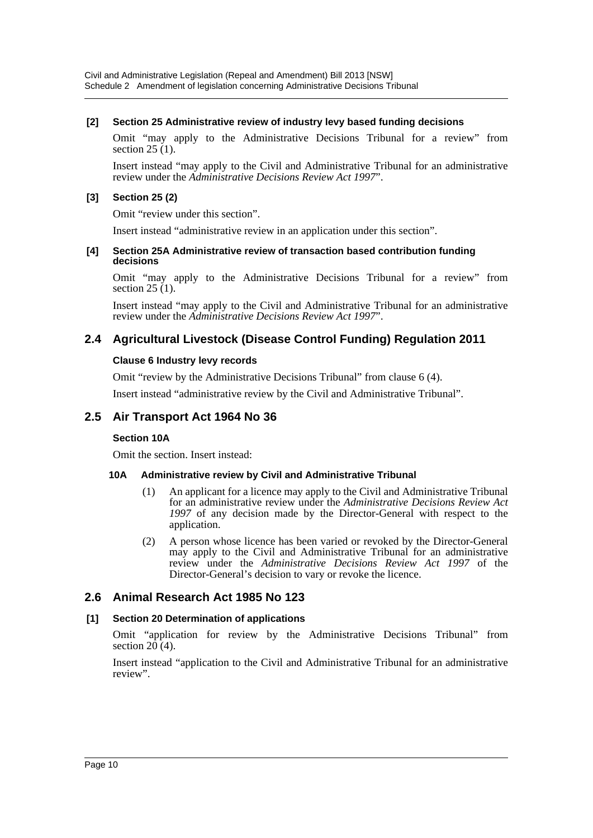### **[2] Section 25 Administrative review of industry levy based funding decisions**

Omit "may apply to the Administrative Decisions Tribunal for a review" from section  $25(1)$ .

Insert instead "may apply to the Civil and Administrative Tribunal for an administrative review under the *Administrative Decisions Review Act 1997*".

# **[3] Section 25 (2)**

Omit "review under this section".

Insert instead "administrative review in an application under this section".

#### **[4] Section 25A Administrative review of transaction based contribution funding decisions**

Omit "may apply to the Administrative Decisions Tribunal for a review" from section  $25(1)$ .

Insert instead "may apply to the Civil and Administrative Tribunal for an administrative review under the *Administrative Decisions Review Act 1997*".

# **2.4 Agricultural Livestock (Disease Control Funding) Regulation 2011**

### **Clause 6 Industry levy records**

Omit "review by the Administrative Decisions Tribunal" from clause 6 (4).

Insert instead "administrative review by the Civil and Administrative Tribunal".

# **2.5 Air Transport Act 1964 No 36**

# **Section 10A**

Omit the section. Insert instead:

# **10A Administrative review by Civil and Administrative Tribunal**

- (1) An applicant for a licence may apply to the Civil and Administrative Tribunal for an administrative review under the *Administrative Decisions Review Act 1997* of any decision made by the Director-General with respect to the application.
- (2) A person whose licence has been varied or revoked by the Director-General may apply to the Civil and Administrative Tribunal for an administrative review under the *Administrative Decisions Review Act 1997* of the Director-General's decision to vary or revoke the licence.

# **2.6 Animal Research Act 1985 No 123**

# **[1] Section 20 Determination of applications**

Omit "application for review by the Administrative Decisions Tribunal" from section  $20(4)$ .

Insert instead "application to the Civil and Administrative Tribunal for an administrative review".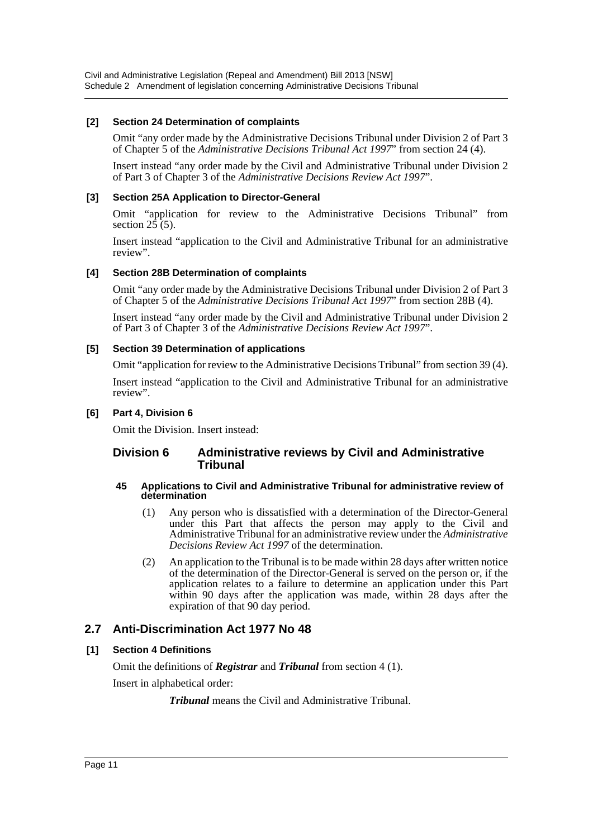### **[2] Section 24 Determination of complaints**

Omit "any order made by the Administrative Decisions Tribunal under Division 2 of Part 3 of Chapter 5 of the *Administrative Decisions Tribunal Act 1997*" from section 24 (4).

Insert instead "any order made by the Civil and Administrative Tribunal under Division 2 of Part 3 of Chapter 3 of the *Administrative Decisions Review Act 1997*".

### **[3] Section 25A Application to Director-General**

Omit "application for review to the Administrative Decisions Tribunal" from section  $2\overline{5}$  (5).

Insert instead "application to the Civil and Administrative Tribunal for an administrative review".

### **[4] Section 28B Determination of complaints**

Omit "any order made by the Administrative Decisions Tribunal under Division 2 of Part 3 of Chapter 5 of the *Administrative Decisions Tribunal Act 1997*" from section 28B (4).

Insert instead "any order made by the Civil and Administrative Tribunal under Division 2 of Part 3 of Chapter 3 of the *Administrative Decisions Review Act 1997*".

### **[5] Section 39 Determination of applications**

Omit "application for review to the Administrative Decisions Tribunal" from section 39 (4).

Insert instead "application to the Civil and Administrative Tribunal for an administrative review".

### **[6] Part 4, Division 6**

Omit the Division. Insert instead:

# **Division 6 Administrative reviews by Civil and Administrative Tribunal**

#### **45 Applications to Civil and Administrative Tribunal for administrative review of determination**

- (1) Any person who is dissatisfied with a determination of the Director-General under this Part that affects the person may apply to the Civil and Administrative Tribunal for an administrative review under the *Administrative Decisions Review Act 1997* of the determination.
- (2) An application to the Tribunal is to be made within 28 days after written notice of the determination of the Director-General is served on the person or, if the application relates to a failure to determine an application under this Part within 90 days after the application was made, within 28 days after the expiration of that 90 day period.

# **2.7 Anti-Discrimination Act 1977 No 48**

# **[1] Section 4 Definitions**

Omit the definitions of *Registrar* and *Tribunal* from section 4 (1).

Insert in alphabetical order:

*Tribunal* means the Civil and Administrative Tribunal.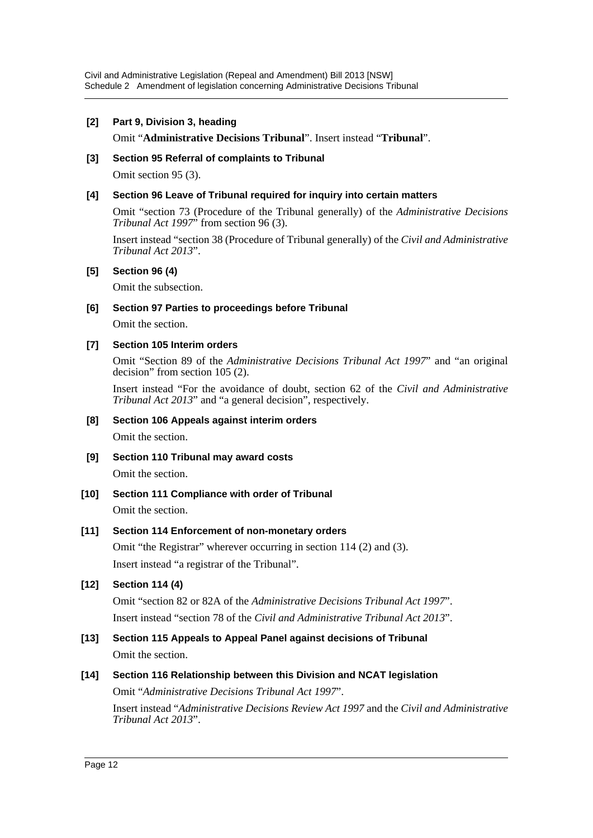### **[2] Part 9, Division 3, heading**

### Omit "**Administrative Decisions Tribunal**". Insert instead "**Tribunal**".

### **[3] Section 95 Referral of complaints to Tribunal**

Omit section 95 (3).

### **[4] Section 96 Leave of Tribunal required for inquiry into certain matters**

Omit "section 73 (Procedure of the Tribunal generally) of the *Administrative Decisions Tribunal Act 1997*" from section 96 (3).

Insert instead "section 38 (Procedure of Tribunal generally) of the *Civil and Administrative Tribunal Act 2013*".

### **[5] Section 96 (4)**

Omit the subsection.

### **[6] Section 97 Parties to proceedings before Tribunal**

Omit the section.

### **[7] Section 105 Interim orders**

Omit "Section 89 of the *Administrative Decisions Tribunal Act 1997*" and "an original decision" from section 105 (2).

Insert instead "For the avoidance of doubt, section 62 of the *Civil and Administrative Tribunal Act 2013*" and "a general decision", respectively.

### **[8] Section 106 Appeals against interim orders**

Omit the section.

**[9] Section 110 Tribunal may award costs**

Omit the section.

**[10] Section 111 Compliance with order of Tribunal** Omit the section.

### **[11] Section 114 Enforcement of non-monetary orders**

Omit "the Registrar" wherever occurring in section 114 (2) and (3). Insert instead "a registrar of the Tribunal".

# **[12] Section 114 (4)**

Omit "section 82 or 82A of the *Administrative Decisions Tribunal Act 1997*". Insert instead "section 78 of the *Civil and Administrative Tribunal Act 2013*".

**[13] Section 115 Appeals to Appeal Panel against decisions of Tribunal** Omit the section.

# **[14] Section 116 Relationship between this Division and NCAT legislation**

Omit "*Administrative Decisions Tribunal Act 1997*".

Insert instead "*Administrative Decisions Review Act 1997* and the *Civil and Administrative Tribunal Act 2013*".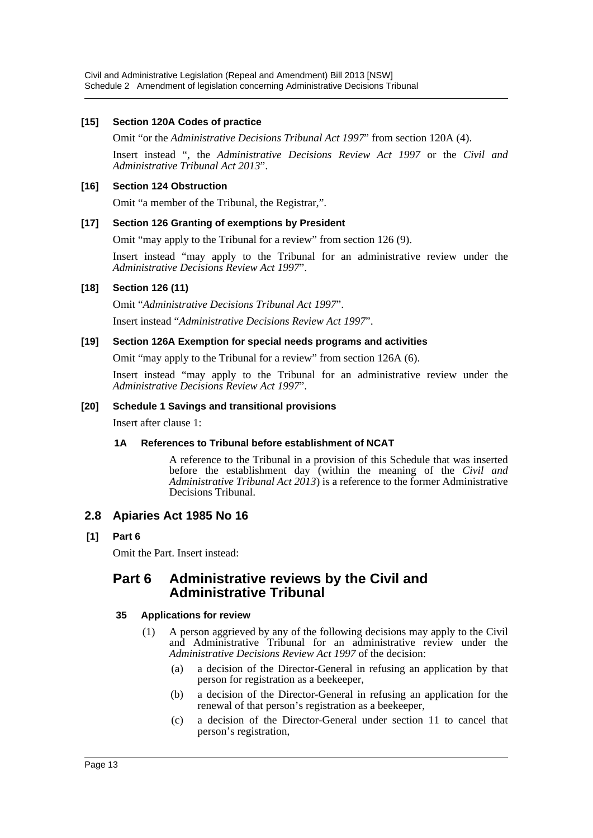### **[15] Section 120A Codes of practice**

Omit "or the *Administrative Decisions Tribunal Act 1997*" from section 120A (4).

Insert instead ", the *Administrative Decisions Review Act 1997* or the *Civil and Administrative Tribunal Act 2013*".

### **[16] Section 124 Obstruction**

Omit "a member of the Tribunal, the Registrar,".

### **[17] Section 126 Granting of exemptions by President**

Omit "may apply to the Tribunal for a review" from section 126 (9).

Insert instead "may apply to the Tribunal for an administrative review under the *Administrative Decisions Review Act 1997*".

### **[18] Section 126 (11)**

Omit "*Administrative Decisions Tribunal Act 1997*".

Insert instead "*Administrative Decisions Review Act 1997*".

### **[19] Section 126A Exemption for special needs programs and activities**

Omit "may apply to the Tribunal for a review" from section 126A (6).

Insert instead "may apply to the Tribunal for an administrative review under the *Administrative Decisions Review Act 1997*".

### **[20] Schedule 1 Savings and transitional provisions**

Insert after clause 1:

# **1A References to Tribunal before establishment of NCAT**

A reference to the Tribunal in a provision of this Schedule that was inserted before the establishment day (within the meaning of the *Civil and Administrative Tribunal Act 2013*) is a reference to the former Administrative Decisions Tribunal.

# **2.8 Apiaries Act 1985 No 16**

**[1] Part 6**

Omit the Part. Insert instead:

# **Part 6 Administrative reviews by the Civil and Administrative Tribunal**

# **35 Applications for review**

- (1) A person aggrieved by any of the following decisions may apply to the Civil and Administrative Tribunal for an administrative review under the *Administrative Decisions Review Act 1997* of the decision:
	- (a) a decision of the Director-General in refusing an application by that person for registration as a beekeeper,
	- (b) a decision of the Director-General in refusing an application for the renewal of that person's registration as a beekeeper,
	- (c) a decision of the Director-General under section 11 to cancel that person's registration,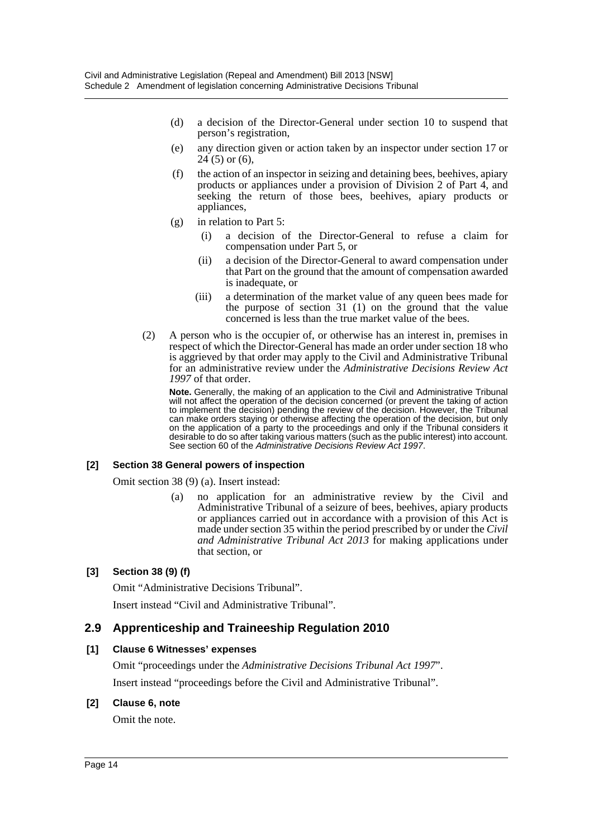- (d) a decision of the Director-General under section 10 to suspend that person's registration,
- (e) any direction given or action taken by an inspector under section 17 or  $24(5)$  or  $(6)$ ,
- (f) the action of an inspector in seizing and detaining bees, beehives, apiary products or appliances under a provision of Division 2 of Part 4, and seeking the return of those bees, beehives, apiary products or appliances,
- (g) in relation to Part 5:
	- (i) a decision of the Director-General to refuse a claim for compensation under Part 5, or
	- (ii) a decision of the Director-General to award compensation under that Part on the ground that the amount of compensation awarded is inadequate, or
	- (iii) a determination of the market value of any queen bees made for the purpose of section 31 (1) on the ground that the value concerned is less than the true market value of the bees.
- (2) A person who is the occupier of, or otherwise has an interest in, premises in respect of which the Director-General has made an order under section 18 who is aggrieved by that order may apply to the Civil and Administrative Tribunal for an administrative review under the *Administrative Decisions Review Act 1997* of that order.

**Note.** Generally, the making of an application to the Civil and Administrative Tribunal will not affect the operation of the decision concerned (or prevent the taking of action to implement the decision) pending the review of the decision. However, the Tribunal can make orders staying or otherwise affecting the operation of the decision, but only on the application of a party to the proceedings and only if the Tribunal considers it desirable to do so after taking various matters (such as the public interest) into account. See section 60 of the *Administrative Decisions Review Act 1997*.

# **[2] Section 38 General powers of inspection**

Omit section 38 (9) (a). Insert instead:

(a) no application for an administrative review by the Civil and Administrative Tribunal of a seizure of bees, beehives, apiary products or appliances carried out in accordance with a provision of this Act is made under section 35 within the period prescribed by or under the *Civil and Administrative Tribunal Act 2013* for making applications under that section, or

# **[3] Section 38 (9) (f)**

Omit "Administrative Decisions Tribunal".

Insert instead "Civil and Administrative Tribunal".

# **2.9 Apprenticeship and Traineeship Regulation 2010**

### **[1] Clause 6 Witnesses' expenses**

Omit "proceedings under the *Administrative Decisions Tribunal Act 1997*". Insert instead "proceedings before the Civil and Administrative Tribunal".

### **[2] Clause 6, note**

Omit the note.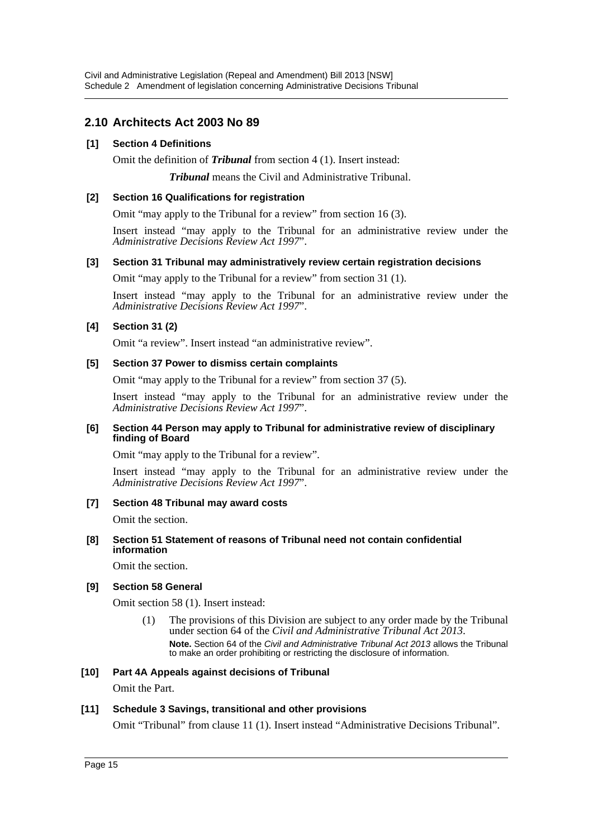# **2.10 Architects Act 2003 No 89**

### **[1] Section 4 Definitions**

Omit the definition of *Tribunal* from section 4 (1). Insert instead:

*Tribunal* means the Civil and Administrative Tribunal.

#### **[2] Section 16 Qualifications for registration**

Omit "may apply to the Tribunal for a review" from section 16 (3).

Insert instead "may apply to the Tribunal for an administrative review under the *Administrative Decisions Review Act 1997*".

#### **[3] Section 31 Tribunal may administratively review certain registration decisions**

Omit "may apply to the Tribunal for a review" from section 31 (1).

Insert instead "may apply to the Tribunal for an administrative review under the *Administrative Decisions Review Act 1997*".

### **[4] Section 31 (2)**

Omit "a review". Insert instead "an administrative review".

#### **[5] Section 37 Power to dismiss certain complaints**

Omit "may apply to the Tribunal for a review" from section 37 (5).

Insert instead "may apply to the Tribunal for an administrative review under the *Administrative Decisions Review Act 1997*".

#### **[6] Section 44 Person may apply to Tribunal for administrative review of disciplinary finding of Board**

Omit "may apply to the Tribunal for a review".

Insert instead "may apply to the Tribunal for an administrative review under the *Administrative Decisions Review Act 1997*".

### **[7] Section 48 Tribunal may award costs**

Omit the section.

#### **[8] Section 51 Statement of reasons of Tribunal need not contain confidential information**

Omit the section.

### **[9] Section 58 General**

Omit section 58 (1). Insert instead:

(1) The provisions of this Division are subject to any order made by the Tribunal under section 64 of the *Civil and Administrative Tribunal Act 2013*. **Note.** Section 64 of the *Civil and Administrative Tribunal Act 2013* allows the Tribunal to make an order prohibiting or restricting the disclosure of information.

### **[10] Part 4A Appeals against decisions of Tribunal**

Omit the Part.

### **[11] Schedule 3 Savings, transitional and other provisions**

Omit "Tribunal" from clause 11 (1). Insert instead "Administrative Decisions Tribunal".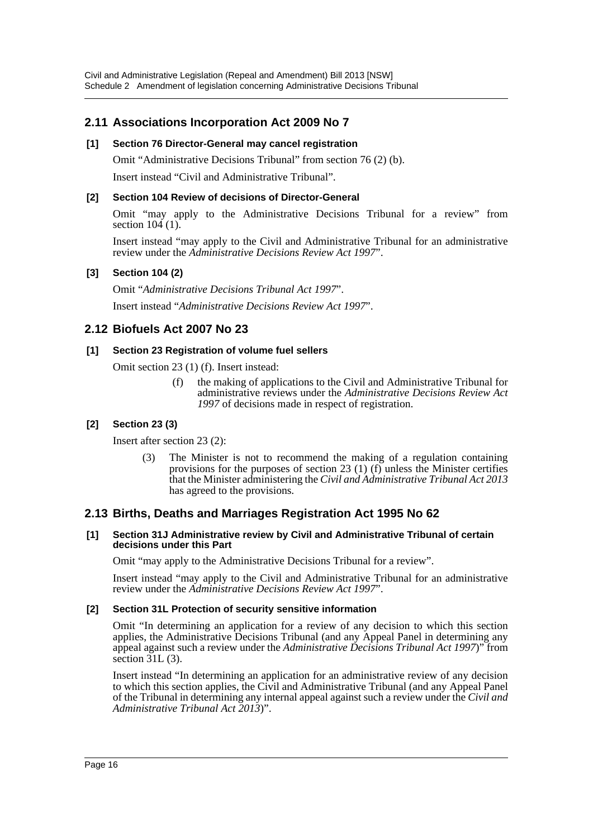# **2.11 Associations Incorporation Act 2009 No 7**

# **[1] Section 76 Director-General may cancel registration**

Omit "Administrative Decisions Tribunal" from section 76 (2) (b).

Insert instead "Civil and Administrative Tribunal".

# **[2] Section 104 Review of decisions of Director-General**

Omit "may apply to the Administrative Decisions Tribunal for a review" from section  $104(1)$ .

Insert instead "may apply to the Civil and Administrative Tribunal for an administrative review under the *Administrative Decisions Review Act 1997*".

# **[3] Section 104 (2)**

Omit "*Administrative Decisions Tribunal Act 1997*". Insert instead "*Administrative Decisions Review Act 1997*".

# **2.12 Biofuels Act 2007 No 23**

# **[1] Section 23 Registration of volume fuel sellers**

Omit section 23 (1) (f). Insert instead:

(f) the making of applications to the Civil and Administrative Tribunal for administrative reviews under the *Administrative Decisions Review Act 1997* of decisions made in respect of registration.

# **[2] Section 23 (3)**

Insert after section 23 (2):

The Minister is not to recommend the making of a regulation containing provisions for the purposes of section 23 (1) (f) unless the Minister certifies that the Minister administering the *Civil and Administrative Tribunal Act 2013* has agreed to the provisions.

# **2.13 Births, Deaths and Marriages Registration Act 1995 No 62**

### **[1] Section 31J Administrative review by Civil and Administrative Tribunal of certain decisions under this Part**

Omit "may apply to the Administrative Decisions Tribunal for a review".

Insert instead "may apply to the Civil and Administrative Tribunal for an administrative review under the *Administrative Decisions Review Act 1997*".

# **[2] Section 31L Protection of security sensitive information**

Omit "In determining an application for a review of any decision to which this section applies, the Administrative Decisions Tribunal (and any Appeal Panel in determining any appeal against such a review under the *Administrative Decisions Tribunal Act 1997*)" from section  $31L(3)$ .

Insert instead "In determining an application for an administrative review of any decision to which this section applies, the Civil and Administrative Tribunal (and any Appeal Panel of the Tribunal in determining any internal appeal against such a review under the *Civil and Administrative Tribunal Act 2013*)".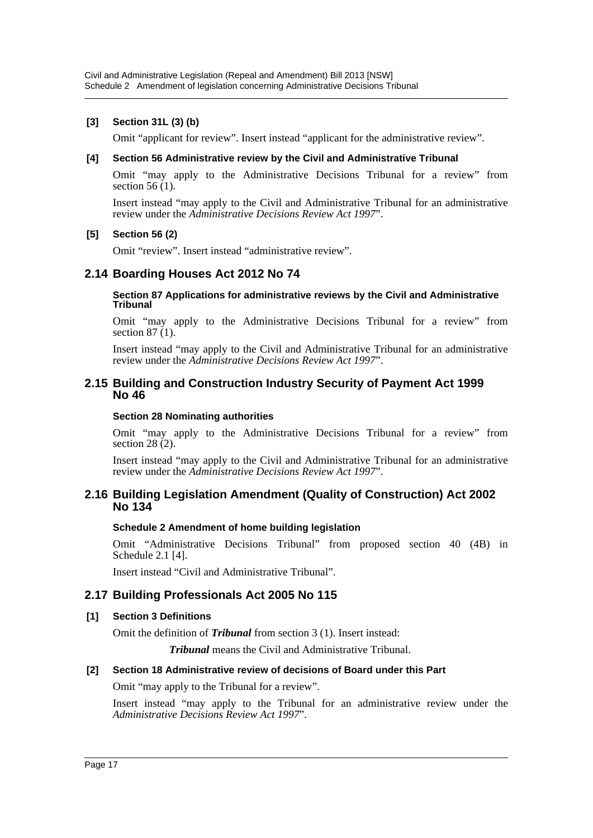### **[3] Section 31L (3) (b)**

Omit "applicant for review". Insert instead "applicant for the administrative review".

#### **[4] Section 56 Administrative review by the Civil and Administrative Tribunal**

Omit "may apply to the Administrative Decisions Tribunal for a review" from section  $56(1)$ .

Insert instead "may apply to the Civil and Administrative Tribunal for an administrative review under the *Administrative Decisions Review Act 1997*".

### **[5] Section 56 (2)**

Omit "review". Insert instead "administrative review".

# **2.14 Boarding Houses Act 2012 No 74**

**Section 87 Applications for administrative reviews by the Civil and Administrative Tribunal**

Omit "may apply to the Administrative Decisions Tribunal for a review" from section  $87(1)$ .

Insert instead "may apply to the Civil and Administrative Tribunal for an administrative review under the *Administrative Decisions Review Act 1997*".

### **2.15 Building and Construction Industry Security of Payment Act 1999 No 46**

#### **Section 28 Nominating authorities**

Omit "may apply to the Administrative Decisions Tribunal for a review" from section  $28(2)$ .

Insert instead "may apply to the Civil and Administrative Tribunal for an administrative review under the *Administrative Decisions Review Act 1997*".

### **2.16 Building Legislation Amendment (Quality of Construction) Act 2002 No 134**

### **Schedule 2 Amendment of home building legislation**

Omit "Administrative Decisions Tribunal" from proposed section 40 (4B) in Schedule 2.1 [4].

Insert instead "Civil and Administrative Tribunal".

### **2.17 Building Professionals Act 2005 No 115**

### **[1] Section 3 Definitions**

Omit the definition of *Tribunal* from section 3 (1). Insert instead:

*Tribunal* means the Civil and Administrative Tribunal.

### **[2] Section 18 Administrative review of decisions of Board under this Part**

Omit "may apply to the Tribunal for a review".

Insert instead "may apply to the Tribunal for an administrative review under the *Administrative Decisions Review Act 1997*".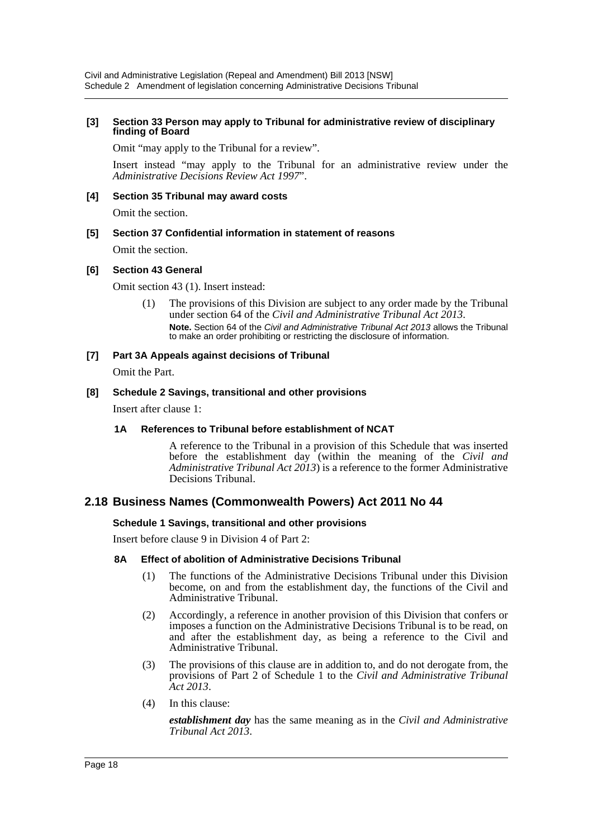#### **[3] Section 33 Person may apply to Tribunal for administrative review of disciplinary finding of Board**

Omit "may apply to the Tribunal for a review".

Insert instead "may apply to the Tribunal for an administrative review under the *Administrative Decisions Review Act 1997*".

### **[4] Section 35 Tribunal may award costs**

Omit the section.

# **[5] Section 37 Confidential information in statement of reasons**

Omit the section.

### **[6] Section 43 General**

Omit section 43 (1). Insert instead:

(1) The provisions of this Division are subject to any order made by the Tribunal under section 64 of the *Civil and Administrative Tribunal Act 2013*. **Note.** Section 64 of the *Civil and Administrative Tribunal Act 2013* allows the Tribunal to make an order prohibiting or restricting the disclosure of information.

### **[7] Part 3A Appeals against decisions of Tribunal**

Omit the Part.

### **[8] Schedule 2 Savings, transitional and other provisions**

Insert after clause 1:

### **1A References to Tribunal before establishment of NCAT**

A reference to the Tribunal in a provision of this Schedule that was inserted before the establishment day (within the meaning of the *Civil and Administrative Tribunal Act 2013*) is a reference to the former Administrative Decisions Tribunal.

# **2.18 Business Names (Commonwealth Powers) Act 2011 No 44**

### **Schedule 1 Savings, transitional and other provisions**

Insert before clause 9 in Division 4 of Part 2:

### **8A Effect of abolition of Administrative Decisions Tribunal**

- (1) The functions of the Administrative Decisions Tribunal under this Division become, on and from the establishment day, the functions of the Civil and Administrative Tribunal.
- (2) Accordingly, a reference in another provision of this Division that confers or imposes a function on the Administrative Decisions Tribunal is to be read, on and after the establishment day, as being a reference to the Civil and Administrative Tribunal.
- (3) The provisions of this clause are in addition to, and do not derogate from, the provisions of Part 2 of Schedule 1 to the *Civil and Administrative Tribunal Act 2013*.
- (4) In this clause:

*establishment day* has the same meaning as in the *Civil and Administrative Tribunal Act 2013*.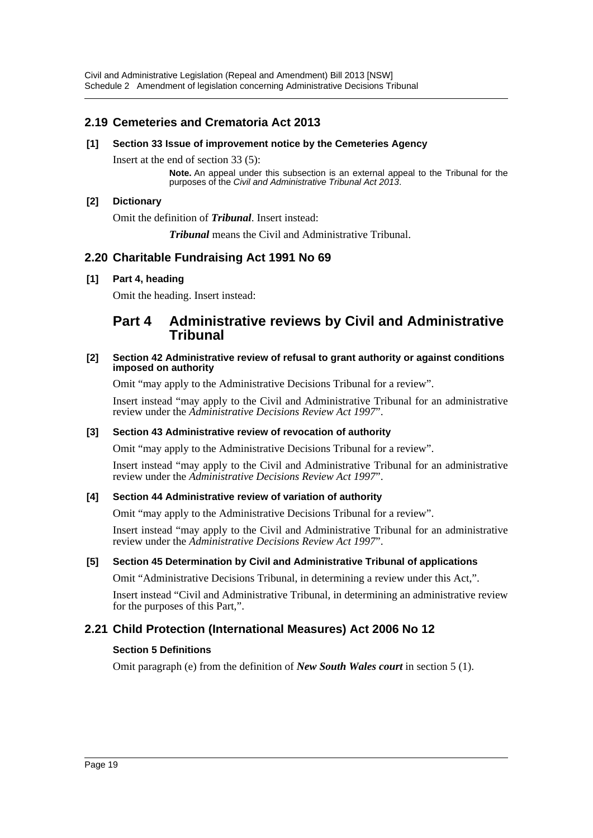Civil and Administrative Legislation (Repeal and Amendment) Bill 2013 [NSW] Schedule 2 Amendment of legislation concerning Administrative Decisions Tribunal

# **2.19 Cemeteries and Crematoria Act 2013**

### **[1] Section 33 Issue of improvement notice by the Cemeteries Agency**

Insert at the end of section 33 (5):

**Note.** An appeal under this subsection is an external appeal to the Tribunal for the purposes of the *Civil and Administrative Tribunal Act 2013*.

### **[2] Dictionary**

Omit the definition of *Tribunal*. Insert instead:

*Tribunal* means the Civil and Administrative Tribunal.

# **2.20 Charitable Fundraising Act 1991 No 69**

### **[1] Part 4, heading**

Omit the heading. Insert instead:

# **Part 4 Administrative reviews by Civil and Administrative Tribunal**

#### **[2] Section 42 Administrative review of refusal to grant authority or against conditions imposed on authority**

Omit "may apply to the Administrative Decisions Tribunal for a review".

Insert instead "may apply to the Civil and Administrative Tribunal for an administrative review under the *Administrative Decisions Review Act 1997*".

### **[3] Section 43 Administrative review of revocation of authority**

Omit "may apply to the Administrative Decisions Tribunal for a review".

Insert instead "may apply to the Civil and Administrative Tribunal for an administrative review under the *Administrative Decisions Review Act 1997*".

### **[4] Section 44 Administrative review of variation of authority**

Omit "may apply to the Administrative Decisions Tribunal for a review".

Insert instead "may apply to the Civil and Administrative Tribunal for an administrative review under the *Administrative Decisions Review Act 1997*".

### **[5] Section 45 Determination by Civil and Administrative Tribunal of applications**

Omit "Administrative Decisions Tribunal, in determining a review under this Act,".

Insert instead "Civil and Administrative Tribunal, in determining an administrative review for the purposes of this Part,".

# **2.21 Child Protection (International Measures) Act 2006 No 12**

### **Section 5 Definitions**

Omit paragraph (e) from the definition of *New South Wales court* in section 5 (1).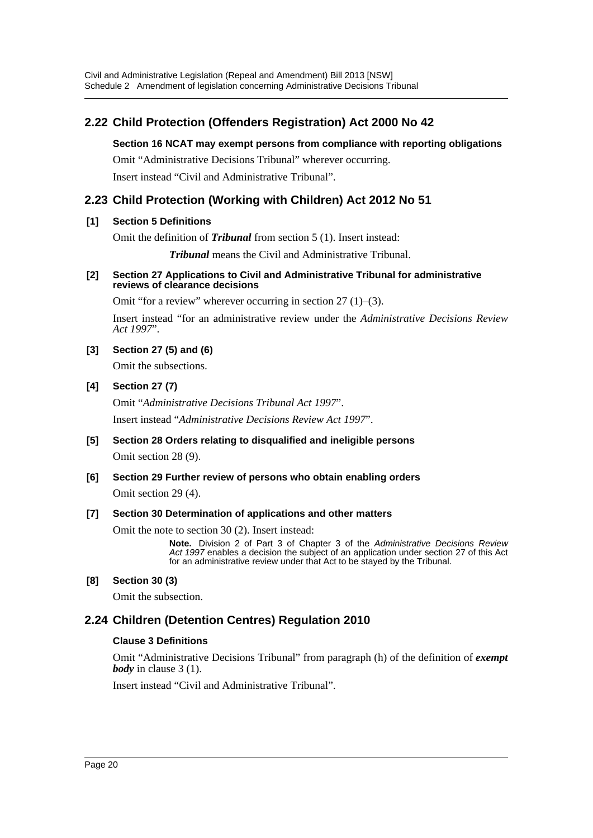# **2.22 Child Protection (Offenders Registration) Act 2000 No 42**

### **Section 16 NCAT may exempt persons from compliance with reporting obligations**

Omit "Administrative Decisions Tribunal" wherever occurring. Insert instead "Civil and Administrative Tribunal".

# **2.23 Child Protection (Working with Children) Act 2012 No 51**

# **[1] Section 5 Definitions**

Omit the definition of *Tribunal* from section 5 (1). Insert instead:

*Tribunal* means the Civil and Administrative Tribunal.

### **[2] Section 27 Applications to Civil and Administrative Tribunal for administrative reviews of clearance decisions**

Omit "for a review" wherever occurring in section 27 (1)–(3).

Insert instead "for an administrative review under the *Administrative Decisions Review Act 1997*".

# **[3] Section 27 (5) and (6)**

Omit the subsections.

### **[4] Section 27 (7)**

Omit "*Administrative Decisions Tribunal Act 1997*". Insert instead "*Administrative Decisions Review Act 1997*".

**[5] Section 28 Orders relating to disqualified and ineligible persons** Omit section 28 (9).

# **[6] Section 29 Further review of persons who obtain enabling orders** Omit section 29 (4).

# **[7] Section 30 Determination of applications and other matters**

Omit the note to section 30 (2). Insert instead:

**Note.** Division 2 of Part 3 of Chapter 3 of the *Administrative Decisions Review Act 1997* enables a decision the subject of an application under section 27 of this Act for an administrative review under that Act to be stayed by the Tribunal.

# **[8] Section 30 (3)**

Omit the subsection.

# **2.24 Children (Detention Centres) Regulation 2010**

# **Clause 3 Definitions**

Omit "Administrative Decisions Tribunal" from paragraph (h) of the definition of *exempt body* in clause 3 (1).

Insert instead "Civil and Administrative Tribunal".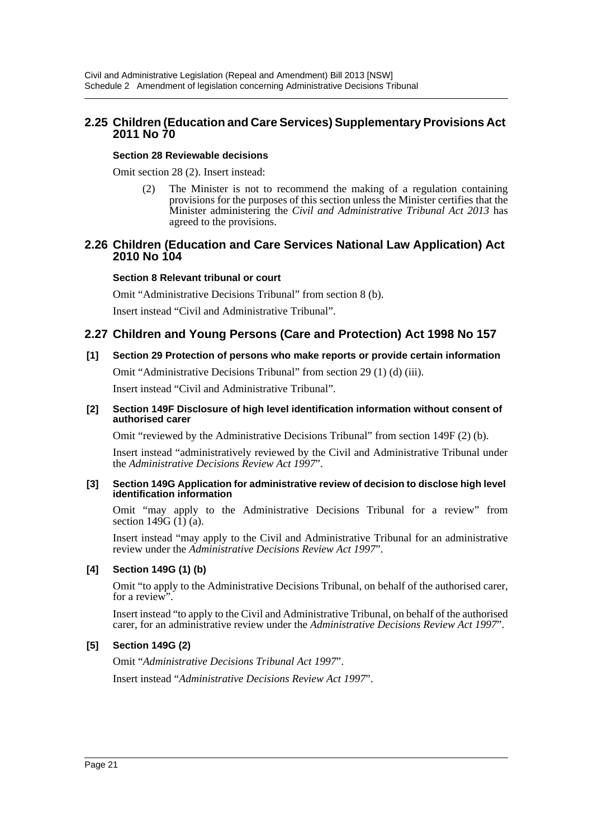# **2.25 Children (Education and Care Services) Supplementary Provisions Act 2011 No 70**

### **Section 28 Reviewable decisions**

Omit section 28 (2). Insert instead:

(2) The Minister is not to recommend the making of a regulation containing provisions for the purposes of this section unless the Minister certifies that the Minister administering the *Civil and Administrative Tribunal Act 2013* has agreed to the provisions.

# **2.26 Children (Education and Care Services National Law Application) Act 2010 No 104**

### **Section 8 Relevant tribunal or court**

Omit "Administrative Decisions Tribunal" from section 8 (b).

Insert instead "Civil and Administrative Tribunal".

# **2.27 Children and Young Persons (Care and Protection) Act 1998 No 157**

# **[1] Section 29 Protection of persons who make reports or provide certain information**

Omit "Administrative Decisions Tribunal" from section 29 (1) (d) (iii).

Insert instead "Civil and Administrative Tribunal".

#### **[2] Section 149F Disclosure of high level identification information without consent of authorised carer**

Omit "reviewed by the Administrative Decisions Tribunal" from section 149F (2) (b).

Insert instead "administratively reviewed by the Civil and Administrative Tribunal under the *Administrative Decisions Review Act 1997*".

#### **[3] Section 149G Application for administrative review of decision to disclose high level identification information**

Omit "may apply to the Administrative Decisions Tribunal for a review" from section  $149G$  (1) (a).

Insert instead "may apply to the Civil and Administrative Tribunal for an administrative review under the *Administrative Decisions Review Act 1997*".

### **[4] Section 149G (1) (b)**

Omit "to apply to the Administrative Decisions Tribunal, on behalf of the authorised carer, for a review".

Insert instead "to apply to the Civil and Administrative Tribunal, on behalf of the authorised carer, for an administrative review under the *Administrative Decisions Review Act 1997*".

# **[5] Section 149G (2)**

Omit "*Administrative Decisions Tribunal Act 1997*". Insert instead "*Administrative Decisions Review Act 1997*".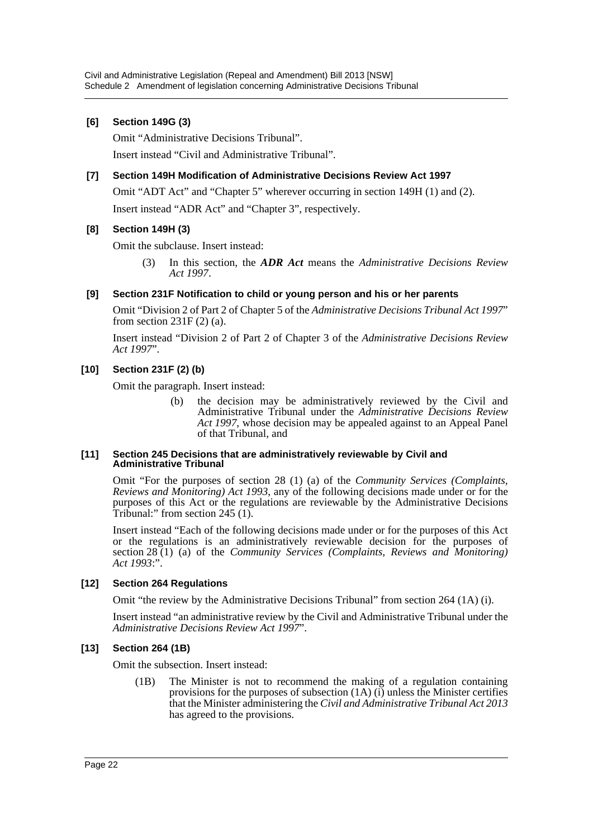### **[6] Section 149G (3)**

Omit "Administrative Decisions Tribunal".

Insert instead "Civil and Administrative Tribunal".

### **[7] Section 149H Modification of Administrative Decisions Review Act 1997**

Omit "ADT Act" and "Chapter 5" wherever occurring in section 149H (1) and (2).

Insert instead "ADR Act" and "Chapter 3", respectively.

### **[8] Section 149H (3)**

Omit the subclause. Insert instead:

(3) In this section, the *ADR Act* means the *Administrative Decisions Review Act 1997*.

### **[9] Section 231F Notification to child or young person and his or her parents**

Omit "Division 2 of Part 2 of Chapter 5 of the *Administrative Decisions Tribunal Act 1997*" from section 231F (2) (a).

Insert instead "Division 2 of Part 2 of Chapter 3 of the *Administrative Decisions Review Act 1997*".

### **[10] Section 231F (2) (b)**

Omit the paragraph. Insert instead:

(b) the decision may be administratively reviewed by the Civil and Administrative Tribunal under the *Administrative Decisions Review Act 1997*, whose decision may be appealed against to an Appeal Panel of that Tribunal, and

#### **[11] Section 245 Decisions that are administratively reviewable by Civil and Administrative Tribunal**

Omit "For the purposes of section 28 (1) (a) of the *Community Services (Complaints, Reviews and Monitoring) Act 1993*, any of the following decisions made under or for the purposes of this Act or the regulations are reviewable by the Administrative Decisions Tribunal:" from section 245 (1).

Insert instead "Each of the following decisions made under or for the purposes of this Act or the regulations is an administratively reviewable decision for the purposes of section 28 (1) (a) of the *Community Services (Complaints, Reviews and Monitoring) Act 1993*:".

### **[12] Section 264 Regulations**

Omit "the review by the Administrative Decisions Tribunal" from section 264 (1A) (i).

Insert instead "an administrative review by the Civil and Administrative Tribunal under the *Administrative Decisions Review Act 1997*".

### **[13] Section 264 (1B)**

Omit the subsection. Insert instead:

(1B) The Minister is not to recommend the making of a regulation containing provisions for the purposes of subsection  $(1A)$  (i) unless the Minister certifies that the Minister administering the *Civil and Administrative Tribunal Act 2013* has agreed to the provisions.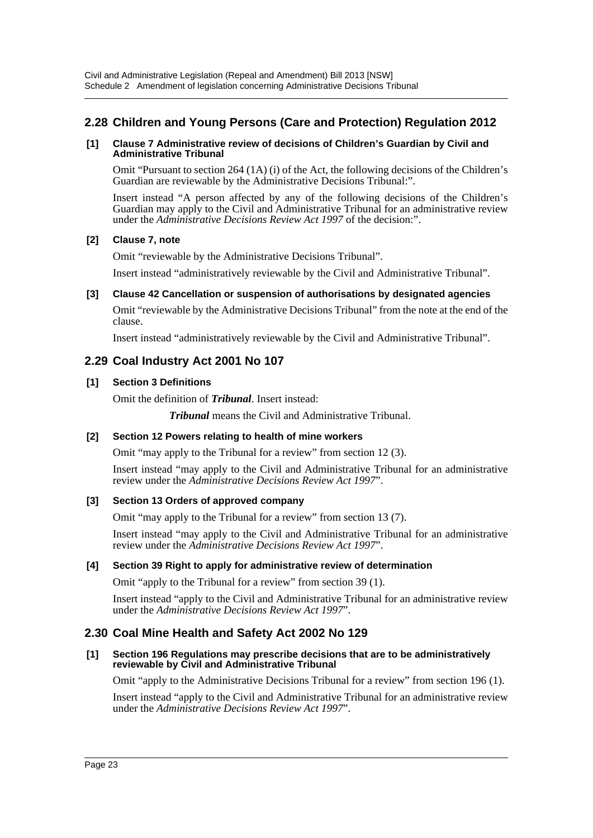# **2.28 Children and Young Persons (Care and Protection) Regulation 2012**

#### **[1] Clause 7 Administrative review of decisions of Children's Guardian by Civil and Administrative Tribunal**

Omit "Pursuant to section 264 (1A) (i) of the Act, the following decisions of the Children's Guardian are reviewable by the Administrative Decisions Tribunal:".

Insert instead "A person affected by any of the following decisions of the Children's Guardian may apply to the Civil and Administrative Tribunal for an administrative review under the *Administrative Decisions Review Act 1997* of the decision:".

### **[2] Clause 7, note**

Omit "reviewable by the Administrative Decisions Tribunal".

Insert instead "administratively reviewable by the Civil and Administrative Tribunal".

### **[3] Clause 42 Cancellation or suspension of authorisations by designated agencies**

Omit "reviewable by the Administrative Decisions Tribunal" from the note at the end of the clause.

Insert instead "administratively reviewable by the Civil and Administrative Tribunal".

# **2.29 Coal Industry Act 2001 No 107**

### **[1] Section 3 Definitions**

Omit the definition of *Tribunal*. Insert instead:

*Tribunal* means the Civil and Administrative Tribunal.

### **[2] Section 12 Powers relating to health of mine workers**

Omit "may apply to the Tribunal for a review" from section 12 (3).

Insert instead "may apply to the Civil and Administrative Tribunal for an administrative review under the *Administrative Decisions Review Act 1997*".

### **[3] Section 13 Orders of approved company**

Omit "may apply to the Tribunal for a review" from section 13 (7).

Insert instead "may apply to the Civil and Administrative Tribunal for an administrative review under the *Administrative Decisions Review Act 1997*".

### **[4] Section 39 Right to apply for administrative review of determination**

Omit "apply to the Tribunal for a review" from section 39 (1).

Insert instead "apply to the Civil and Administrative Tribunal for an administrative review under the *Administrative Decisions Review Act 1997*".

# **2.30 Coal Mine Health and Safety Act 2002 No 129**

#### **[1] Section 196 Regulations may prescribe decisions that are to be administratively reviewable by Civil and Administrative Tribunal**

Omit "apply to the Administrative Decisions Tribunal for a review" from section 196 (1).

Insert instead "apply to the Civil and Administrative Tribunal for an administrative review under the *Administrative Decisions Review Act 1997*".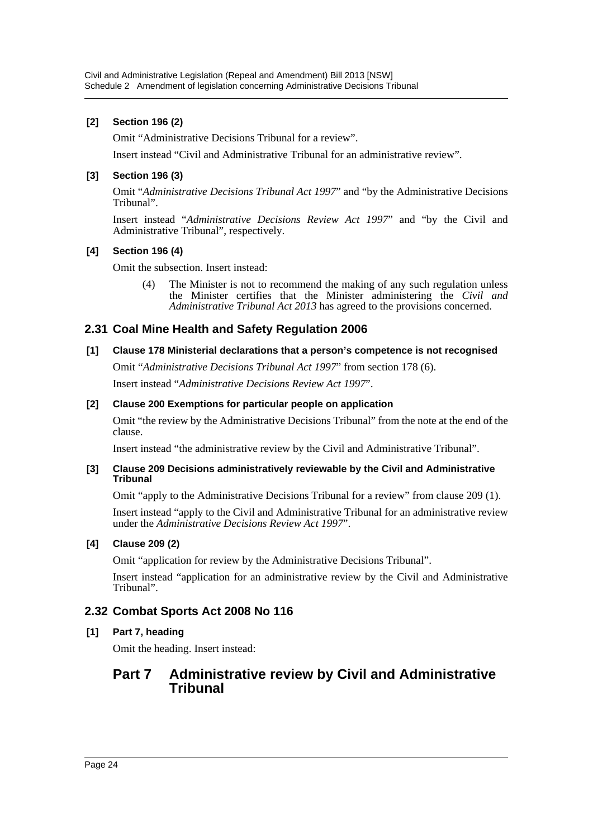# **[2] Section 196 (2)**

Omit "Administrative Decisions Tribunal for a review".

Insert instead "Civil and Administrative Tribunal for an administrative review".

# **[3] Section 196 (3)**

Omit "*Administrative Decisions Tribunal Act 1997*" and "by the Administrative Decisions Tribunal".

Insert instead "*Administrative Decisions Review Act 1997*" and "by the Civil and Administrative Tribunal", respectively.

# **[4] Section 196 (4)**

Omit the subsection. Insert instead:

(4) The Minister is not to recommend the making of any such regulation unless the Minister certifies that the Minister administering the *Civil and Administrative Tribunal Act 2013* has agreed to the provisions concerned.

# **2.31 Coal Mine Health and Safety Regulation 2006**

# **[1] Clause 178 Ministerial declarations that a person's competence is not recognised**

Omit "*Administrative Decisions Tribunal Act 1997*" from section 178 (6). Insert instead "*Administrative Decisions Review Act 1997*".

# **[2] Clause 200 Exemptions for particular people on application**

Omit "the review by the Administrative Decisions Tribunal" from the note at the end of the clause.

Insert instead "the administrative review by the Civil and Administrative Tribunal".

### **[3] Clause 209 Decisions administratively reviewable by the Civil and Administrative Tribunal**

Omit "apply to the Administrative Decisions Tribunal for a review" from clause 209 (1).

Insert instead "apply to the Civil and Administrative Tribunal for an administrative review under the *Administrative Decisions Review Act 1997*".

# **[4] Clause 209 (2)**

Omit "application for review by the Administrative Decisions Tribunal".

Insert instead "application for an administrative review by the Civil and Administrative Tribunal".

# **2.32 Combat Sports Act 2008 No 116**

# **[1] Part 7, heading**

Omit the heading. Insert instead:

# **Part 7 Administrative review by Civil and Administrative Tribunal**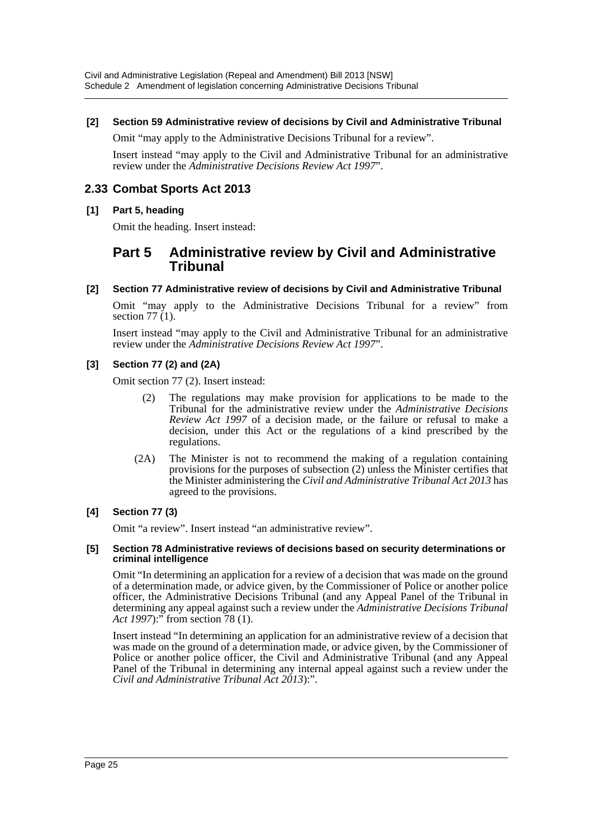### **[2] Section 59 Administrative review of decisions by Civil and Administrative Tribunal**

Omit "may apply to the Administrative Decisions Tribunal for a review".

Insert instead "may apply to the Civil and Administrative Tribunal for an administrative review under the *Administrative Decisions Review Act 1997*".

# **2.33 Combat Sports Act 2013**

### **[1] Part 5, heading**

Omit the heading. Insert instead:

# **Part 5 Administrative review by Civil and Administrative Tribunal**

### **[2] Section 77 Administrative review of decisions by Civil and Administrative Tribunal**

Omit "may apply to the Administrative Decisions Tribunal for a review" from section  $77(1)$ .

Insert instead "may apply to the Civil and Administrative Tribunal for an administrative review under the *Administrative Decisions Review Act 1997*".

### **[3] Section 77 (2) and (2A)**

Omit section 77 (2). Insert instead:

- (2) The regulations may make provision for applications to be made to the Tribunal for the administrative review under the *Administrative Decisions Review Act 1997* of a decision made, or the failure or refusal to make a decision, under this Act or the regulations of a kind prescribed by the regulations.
- (2A) The Minister is not to recommend the making of a regulation containing provisions for the purposes of subsection (2) unless the Minister certifies that the Minister administering the *Civil and Administrative Tribunal Act 2013* has agreed to the provisions.

### **[4] Section 77 (3)**

Omit "a review". Insert instead "an administrative review".

#### **[5] Section 78 Administrative reviews of decisions based on security determinations or criminal intelligence**

Omit "In determining an application for a review of a decision that was made on the ground of a determination made, or advice given, by the Commissioner of Police or another police officer, the Administrative Decisions Tribunal (and any Appeal Panel of the Tribunal in determining any appeal against such a review under the *Administrative Decisions Tribunal Act 1997*):" from section 78 (1).

Insert instead "In determining an application for an administrative review of a decision that was made on the ground of a determination made, or advice given, by the Commissioner of Police or another police officer, the Civil and Administrative Tribunal (and any Appeal Panel of the Tribunal in determining any internal appeal against such a review under the *Civil and Administrative Tribunal Act 2013*):".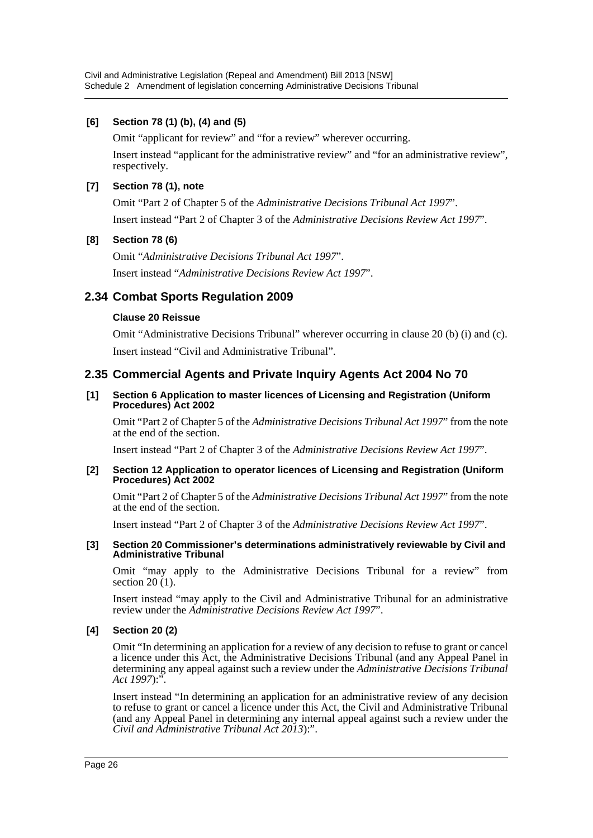# **[6] Section 78 (1) (b), (4) and (5)**

Omit "applicant for review" and "for a review" wherever occurring.

Insert instead "applicant for the administrative review" and "for an administrative review", respectively.

# **[7] Section 78 (1), note**

Omit "Part 2 of Chapter 5 of the *Administrative Decisions Tribunal Act 1997*". Insert instead "Part 2 of Chapter 3 of the *Administrative Decisions Review Act 1997*".

# **[8] Section 78 (6)**

Omit "*Administrative Decisions Tribunal Act 1997*". Insert instead "*Administrative Decisions Review Act 1997*".

# **2.34 Combat Sports Regulation 2009**

# **Clause 20 Reissue**

Omit "Administrative Decisions Tribunal" wherever occurring in clause 20 (b) (i) and (c). Insert instead "Civil and Administrative Tribunal".

# **2.35 Commercial Agents and Private Inquiry Agents Act 2004 No 70**

### **[1] Section 6 Application to master licences of Licensing and Registration (Uniform Procedures) Act 2002**

Omit "Part 2 of Chapter 5 of the *Administrative Decisions Tribunal Act 1997*" from the note at the end of the section.

Insert instead "Part 2 of Chapter 3 of the *Administrative Decisions Review Act 1997*".

### **[2] Section 12 Application to operator licences of Licensing and Registration (Uniform Procedures) Act 2002**

Omit "Part 2 of Chapter 5 of the *Administrative Decisions Tribunal Act 1997*" from the note at the end of the section.

Insert instead "Part 2 of Chapter 3 of the *Administrative Decisions Review Act 1997*".

#### **[3] Section 20 Commissioner's determinations administratively reviewable by Civil and Administrative Tribunal**

Omit "may apply to the Administrative Decisions Tribunal for a review" from section  $20(1)$ .

Insert instead "may apply to the Civil and Administrative Tribunal for an administrative review under the *Administrative Decisions Review Act 1997*".

# **[4] Section 20 (2)**

Omit "In determining an application for a review of any decision to refuse to grant or cancel a licence under this Act, the Administrative Decisions Tribunal (and any Appeal Panel in determining any appeal against such a review under the *Administrative Decisions Tribunal Act 1997*):".

Insert instead "In determining an application for an administrative review of any decision to refuse to grant or cancel a licence under this Act, the Civil and Administrative Tribunal (and any Appeal Panel in determining any internal appeal against such a review under the *Civil and Administrative Tribunal Act 2013*):".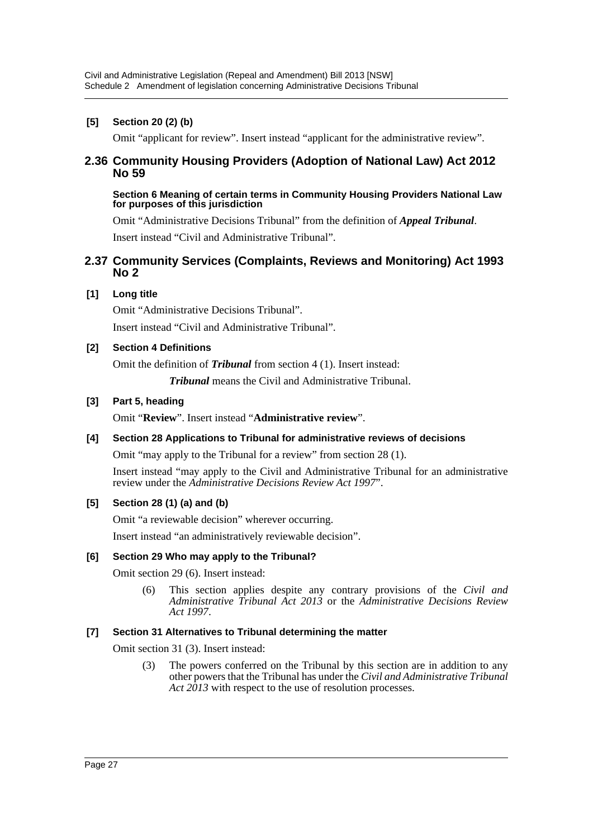# **[5] Section 20 (2) (b)**

Omit "applicant for review". Insert instead "applicant for the administrative review".

# **2.36 Community Housing Providers (Adoption of National Law) Act 2012 No 59**

#### **Section 6 Meaning of certain terms in Community Housing Providers National Law for purposes of this jurisdiction**

Omit "Administrative Decisions Tribunal" from the definition of *Appeal Tribunal*. Insert instead "Civil and Administrative Tribunal".

# **2.37 Community Services (Complaints, Reviews and Monitoring) Act 1993 No 2**

# **[1] Long title**

Omit "Administrative Decisions Tribunal". Insert instead "Civil and Administrative Tribunal".

### **[2] Section 4 Definitions**

Omit the definition of *Tribunal* from section 4 (1). Insert instead:

*Tribunal* means the Civil and Administrative Tribunal.

### **[3] Part 5, heading**

Omit "**Review**". Insert instead "**Administrative review**".

# **[4] Section 28 Applications to Tribunal for administrative reviews of decisions**

Omit "may apply to the Tribunal for a review" from section 28 (1).

Insert instead "may apply to the Civil and Administrative Tribunal for an administrative review under the *Administrative Decisions Review Act 1997*".

# **[5] Section 28 (1) (a) and (b)**

Omit "a reviewable decision" wherever occurring.

Insert instead "an administratively reviewable decision".

# **[6] Section 29 Who may apply to the Tribunal?**

Omit section 29 (6). Insert instead:

(6) This section applies despite any contrary provisions of the *Civil and Administrative Tribunal Act 2013* or the *Administrative Decisions Review Act 1997*.

### **[7] Section 31 Alternatives to Tribunal determining the matter**

Omit section 31 (3). Insert instead:

(3) The powers conferred on the Tribunal by this section are in addition to any other powers that the Tribunal has under the *Civil and Administrative Tribunal* Act 2013 with respect to the use of resolution processes.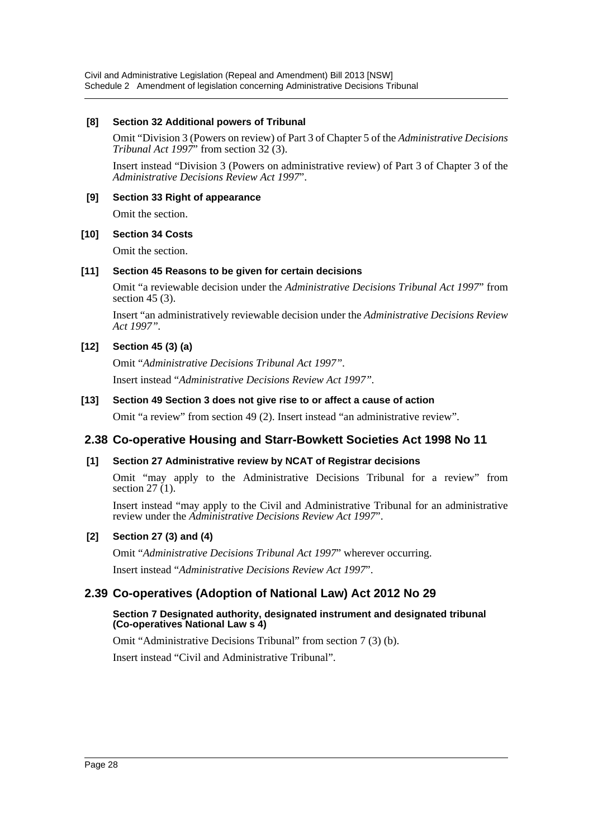Civil and Administrative Legislation (Repeal and Amendment) Bill 2013 [NSW] Schedule 2 Amendment of legislation concerning Administrative Decisions Tribunal

### **[8] Section 32 Additional powers of Tribunal**

Omit "Division 3 (Powers on review) of Part 3 of Chapter 5 of the *Administrative Decisions Tribunal Act 1997*" from section 32 (3).

Insert instead "Division 3 (Powers on administrative review) of Part 3 of Chapter 3 of the *Administrative Decisions Review Act 1997*".

### **[9] Section 33 Right of appearance**

Omit the section.

### **[10] Section 34 Costs**

Omit the section.

### **[11] Section 45 Reasons to be given for certain decisions**

Omit "a reviewable decision under the *Administrative Decisions Tribunal Act 1997*" from section 45 (3).

Insert "an administratively reviewable decision under the *Administrative Decisions Review Act 1997".*

# **[12] Section 45 (3) (a)**

Omit "*Administrative Decisions Tribunal Act 1997".* Insert instead "*Administrative Decisions Review Act 1997".*

# **[13] Section 49 Section 3 does not give rise to or affect a cause of action**

Omit "a review" from section 49 (2). Insert instead "an administrative review".

# **2.38 Co-operative Housing and Starr-Bowkett Societies Act 1998 No 11**

# **[1] Section 27 Administrative review by NCAT of Registrar decisions**

Omit "may apply to the Administrative Decisions Tribunal for a review" from section  $27(1)$ .

Insert instead "may apply to the Civil and Administrative Tribunal for an administrative review under the *Administrative Decisions Review Act 1997*".

# **[2] Section 27 (3) and (4)**

Omit "*Administrative Decisions Tribunal Act 1997*" wherever occurring.

Insert instead "*Administrative Decisions Review Act 1997*".

# **2.39 Co-operatives (Adoption of National Law) Act 2012 No 29**

### **Section 7 Designated authority, designated instrument and designated tribunal (Co-operatives National Law s 4)**

Omit "Administrative Decisions Tribunal" from section 7 (3) (b).

Insert instead "Civil and Administrative Tribunal".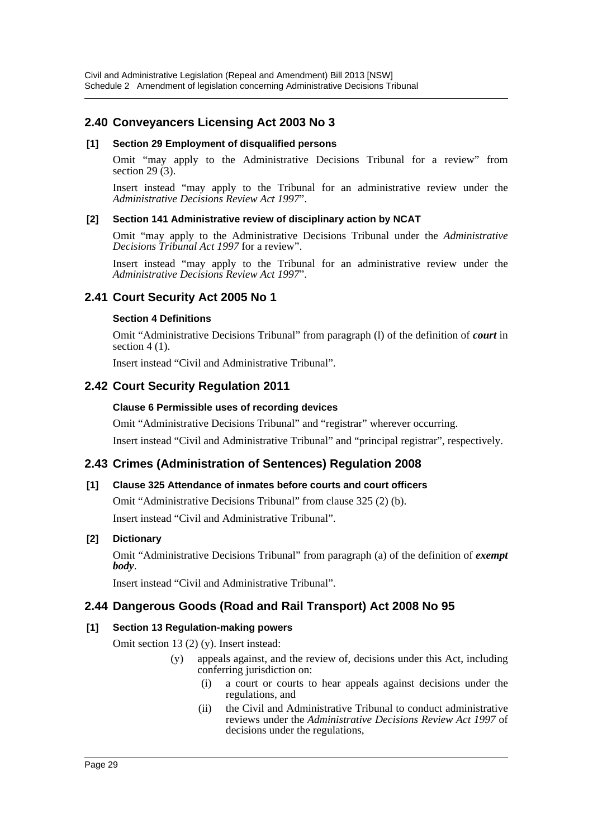# **2.40 Conveyancers Licensing Act 2003 No 3**

### **[1] Section 29 Employment of disqualified persons**

Omit "may apply to the Administrative Decisions Tribunal for a review" from section 29 $(3)$ .

Insert instead "may apply to the Tribunal for an administrative review under the *Administrative Decisions Review Act 1997*".

### **[2] Section 141 Administrative review of disciplinary action by NCAT**

Omit "may apply to the Administrative Decisions Tribunal under the *Administrative Decisions Tribunal Act 1997* for a review".

Insert instead "may apply to the Tribunal for an administrative review under the *Administrative Decisions Review Act 1997*".

# **2.41 Court Security Act 2005 No 1**

### **Section 4 Definitions**

Omit "Administrative Decisions Tribunal" from paragraph (l) of the definition of *court* in section  $4(1)$ .

Insert instead "Civil and Administrative Tribunal".

# **2.42 Court Security Regulation 2011**

### **Clause 6 Permissible uses of recording devices**

Omit "Administrative Decisions Tribunal" and "registrar" wherever occurring. Insert instead "Civil and Administrative Tribunal" and "principal registrar", respectively.

# **2.43 Crimes (Administration of Sentences) Regulation 2008**

# **[1] Clause 325 Attendance of inmates before courts and court officers**

Omit "Administrative Decisions Tribunal" from clause 325 (2) (b). Insert instead "Civil and Administrative Tribunal".

# **[2] Dictionary**

Omit "Administrative Decisions Tribunal" from paragraph (a) of the definition of *exempt body*.

Insert instead "Civil and Administrative Tribunal".

# **2.44 Dangerous Goods (Road and Rail Transport) Act 2008 No 95**

# **[1] Section 13 Regulation-making powers**

Omit section 13 (2) (y). Insert instead:

- (y) appeals against, and the review of, decisions under this Act, including conferring jurisdiction on:
	- (i) a court or courts to hear appeals against decisions under the regulations, and
	- (ii) the Civil and Administrative Tribunal to conduct administrative reviews under the *Administrative Decisions Review Act 1997* of decisions under the regulations,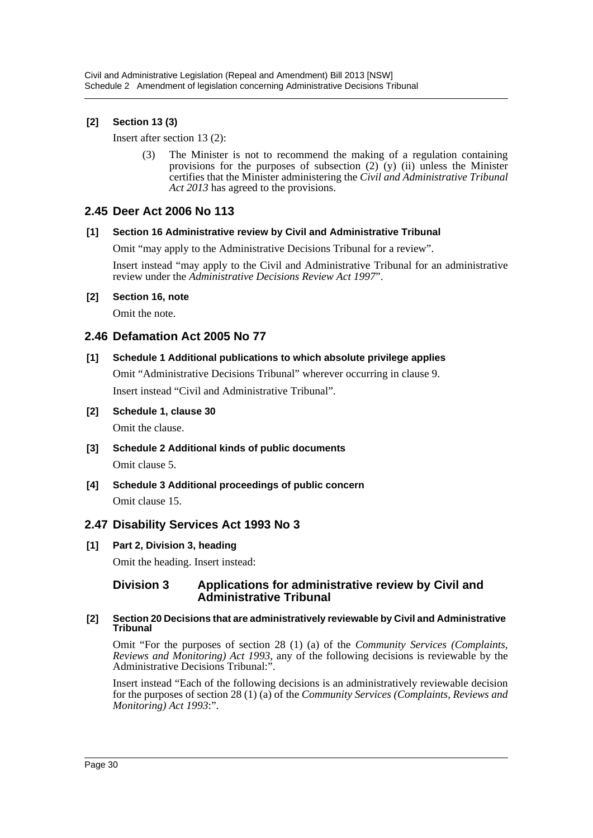# **[2] Section 13 (3)**

Insert after section 13 (2):

(3) The Minister is not to recommend the making of a regulation containing provisions for the purposes of subsection  $(2)$   $(y)$   $(ii)$  unless the Minister certifies that the Minister administering the *Civil and Administrative Tribunal Act 2013* has agreed to the provisions.

# **2.45 Deer Act 2006 No 113**

### **[1] Section 16 Administrative review by Civil and Administrative Tribunal**

Omit "may apply to the Administrative Decisions Tribunal for a review".

Insert instead "may apply to the Civil and Administrative Tribunal for an administrative review under the *Administrative Decisions Review Act 1997*".

# **[2] Section 16, note**

Omit the note.

# **2.46 Defamation Act 2005 No 77**

### **[1] Schedule 1 Additional publications to which absolute privilege applies**

Omit "Administrative Decisions Tribunal" wherever occurring in clause 9. Insert instead "Civil and Administrative Tribunal".

**[2] Schedule 1, clause 30**

Omit the clause.

- **[3] Schedule 2 Additional kinds of public documents** Omit clause 5.
- **[4] Schedule 3 Additional proceedings of public concern** Omit clause 15.

# **2.47 Disability Services Act 1993 No 3**

# **[1] Part 2, Division 3, heading**

Omit the heading. Insert instead:

# **Division 3 Applications for administrative review by Civil and Administrative Tribunal**

#### **[2] Section 20 Decisions that are administratively reviewable by Civil and Administrative Tribunal**

Omit "For the purposes of section 28 (1) (a) of the *Community Services (Complaints, Reviews and Monitoring) Act 1993*, any of the following decisions is reviewable by the Administrative Decisions Tribunal:".

Insert instead "Each of the following decisions is an administratively reviewable decision for the purposes of section 28 (1) (a) of the *Community Services (Complaints, Reviews and Monitoring) Act 1993*:".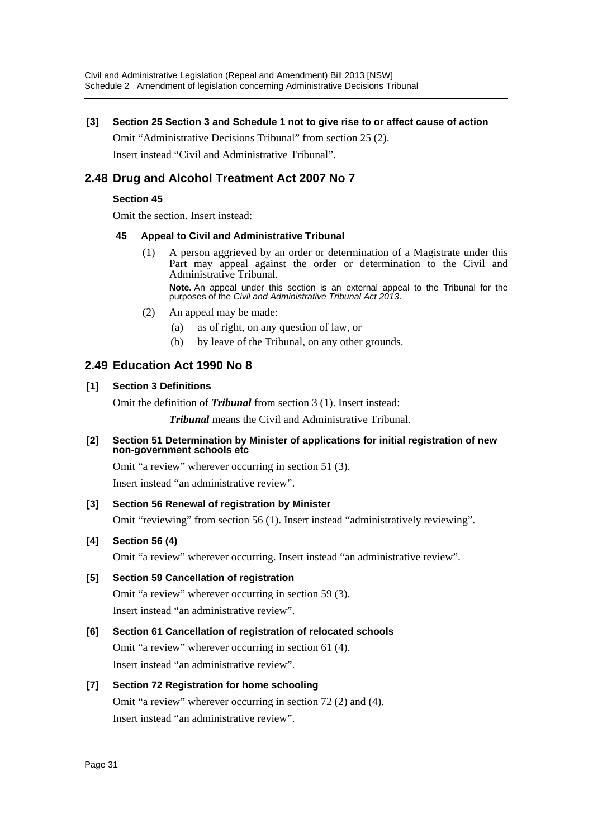# **[3] Section 25 Section 3 and Schedule 1 not to give rise to or affect cause of action**

Omit "Administrative Decisions Tribunal" from section 25 (2). Insert instead "Civil and Administrative Tribunal".

# **2.48 Drug and Alcohol Treatment Act 2007 No 7**

# **Section 45**

Omit the section. Insert instead:

### **45 Appeal to Civil and Administrative Tribunal**

(1) A person aggrieved by an order or determination of a Magistrate under this Part may appeal against the order or determination to the Civil and Administrative Tribunal.

**Note.** An appeal under this section is an external appeal to the Tribunal for the purposes of the *Civil and Administrative Tribunal Act 2013*.

- (2) An appeal may be made:
	- (a) as of right, on any question of law, or
	- (b) by leave of the Tribunal, on any other grounds.

# **2.49 Education Act 1990 No 8**

# **[1] Section 3 Definitions**

Omit the definition of *Tribunal* from section 3 (1). Insert instead:

*Tribunal* means the Civil and Administrative Tribunal.

### **[2] Section 51 Determination by Minister of applications for initial registration of new non-government schools etc**

Omit "a review" wherever occurring in section 51 (3).

Insert instead "an administrative review".

# **[3] Section 56 Renewal of registration by Minister**

Omit "reviewing" from section 56 (1). Insert instead "administratively reviewing".

# **[4] Section 56 (4)**

Omit "a review" wherever occurring. Insert instead "an administrative review".

# **[5] Section 59 Cancellation of registration**

Omit "a review" wherever occurring in section 59 (3). Insert instead "an administrative review".

# **[6] Section 61 Cancellation of registration of relocated schools**

Omit "a review" wherever occurring in section 61 (4). Insert instead "an administrative review".

# **[7] Section 72 Registration for home schooling**

Omit "a review" wherever occurring in section 72 (2) and (4). Insert instead "an administrative review".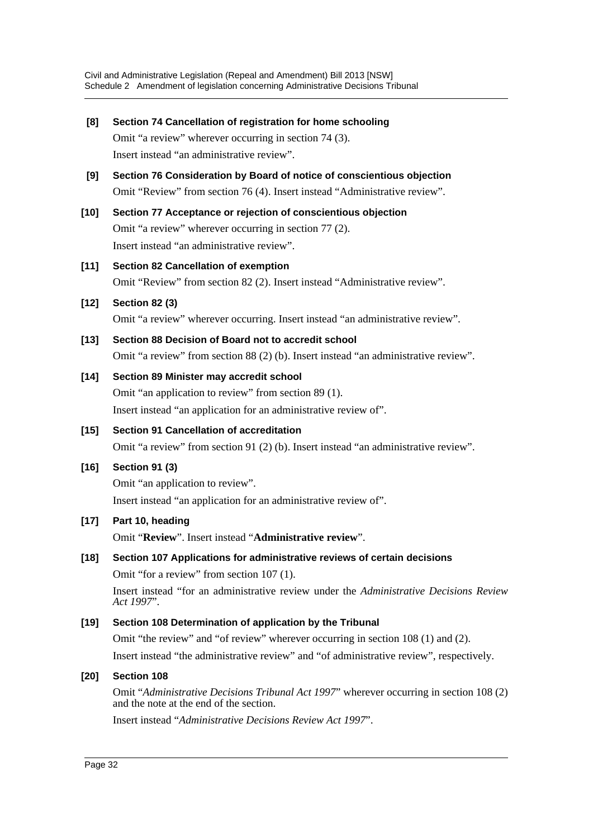| [8]    | Section 74 Cancellation of registration for home schooling<br>Omit "a review" wherever occurring in section 74 (3).                                  |
|--------|------------------------------------------------------------------------------------------------------------------------------------------------------|
|        | Insert instead "an administrative review".                                                                                                           |
| [9]    | Section 76 Consideration by Board of notice of conscientious objection<br>Omit "Review" from section 76 (4). Insert instead "Administrative review". |
| $[10]$ | Section 77 Acceptance or rejection of conscientious objection                                                                                        |
|        | Omit "a review" wherever occurring in section 77 (2).                                                                                                |
|        | Insert instead "an administrative review".                                                                                                           |
| $[11]$ | <b>Section 82 Cancellation of exemption</b>                                                                                                          |
|        | Omit "Review" from section 82 (2). Insert instead "Administrative review".                                                                           |
| $[12]$ | <b>Section 82 (3)</b>                                                                                                                                |
|        | Omit "a review" wherever occurring. Insert instead "an administrative review".                                                                       |
| $[13]$ | Section 88 Decision of Board not to accredit school                                                                                                  |
|        | Omit "a review" from section 88 (2) (b). Insert instead "an administrative review".                                                                  |
| $[14]$ | Section 89 Minister may accredit school                                                                                                              |
|        | Omit "an application to review" from section 89 (1).                                                                                                 |
|        | Insert instead "an application for an administrative review of".                                                                                     |
| $[15]$ | <b>Section 91 Cancellation of accreditation</b>                                                                                                      |
|        | Omit "a review" from section 91 (2) (b). Insert instead "an administrative review".                                                                  |
| $[16]$ | <b>Section 91 (3)</b>                                                                                                                                |
|        | Omit "an application to review".                                                                                                                     |
|        | Insert instead "an application for an administrative review of".                                                                                     |
| $[17]$ | Part 10, heading                                                                                                                                     |
|        | Omit "Review". Insert instead "Administrative review".                                                                                               |
| $[18]$ | Section 107 Applications for administrative reviews of certain decisions                                                                             |
|        | Omit "for a review" from section 107 (1).                                                                                                            |
|        | Insert instead "for an administrative review under the Administrative Decisions Review<br>Act 1997".                                                 |
| $[19]$ | Section 108 Determination of application by the Tribunal                                                                                             |
|        | Omit "the review" and "of review" wherever occurring in section 108 (1) and (2).                                                                     |
|        | Insert instead "the administrative review" and "of administrative review", respectively.                                                             |
| $[20]$ | <b>Section 108</b>                                                                                                                                   |
|        | Omit "Administrative Decisions Tribunal Act 1997" wherever occurring in section 108 (2)<br>and the note at the end of the section.                   |

Insert instead "*Administrative Decisions Review Act 1997*".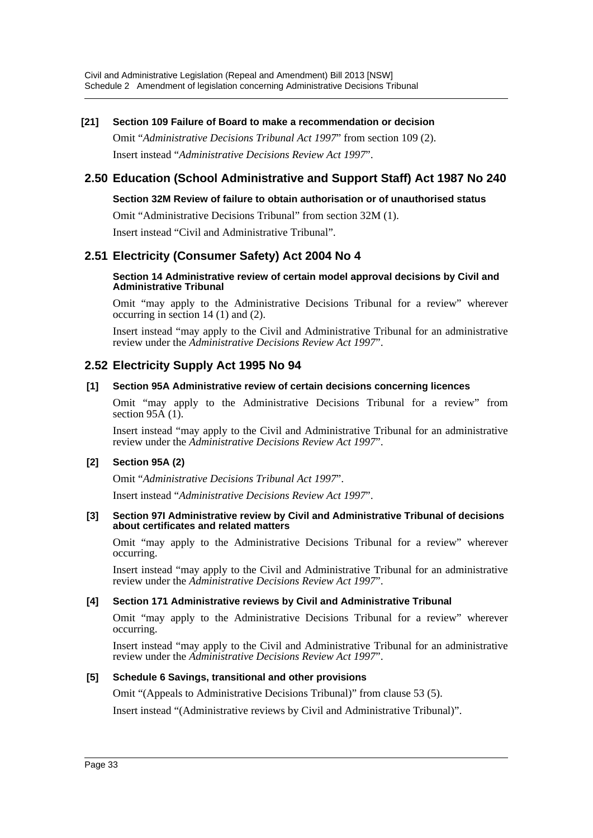### **[21] Section 109 Failure of Board to make a recommendation or decision**

Omit "*Administrative Decisions Tribunal Act 1997*" from section 109 (2). Insert instead "*Administrative Decisions Review Act 1997*".

# **2.50 Education (School Administrative and Support Staff) Act 1987 No 240**

### **Section 32M Review of failure to obtain authorisation or of unauthorised status**

Omit "Administrative Decisions Tribunal" from section 32M (1).

Insert instead "Civil and Administrative Tribunal".

# **2.51 Electricity (Consumer Safety) Act 2004 No 4**

#### **Section 14 Administrative review of certain model approval decisions by Civil and Administrative Tribunal**

Omit "may apply to the Administrative Decisions Tribunal for a review" wherever occurring in section 14 (1) and (2).

Insert instead "may apply to the Civil and Administrative Tribunal for an administrative review under the *Administrative Decisions Review Act 1997*".

# **2.52 Electricity Supply Act 1995 No 94**

### **[1] Section 95A Administrative review of certain decisions concerning licences**

Omit "may apply to the Administrative Decisions Tribunal for a review" from section  $95\overline{A}$  (1).

Insert instead "may apply to the Civil and Administrative Tribunal for an administrative review under the *Administrative Decisions Review Act 1997*".

### **[2] Section 95A (2)**

Omit "*Administrative Decisions Tribunal Act 1997*".

Insert instead "*Administrative Decisions Review Act 1997*".

#### **[3] Section 97I Administrative review by Civil and Administrative Tribunal of decisions about certificates and related matters**

Omit "may apply to the Administrative Decisions Tribunal for a review" wherever occurring.

Insert instead "may apply to the Civil and Administrative Tribunal for an administrative review under the *Administrative Decisions Review Act 1997*".

### **[4] Section 171 Administrative reviews by Civil and Administrative Tribunal**

Omit "may apply to the Administrative Decisions Tribunal for a review" wherever occurring.

Insert instead "may apply to the Civil and Administrative Tribunal for an administrative review under the *Administrative Decisions Review Act 1997*".

### **[5] Schedule 6 Savings, transitional and other provisions**

Omit "(Appeals to Administrative Decisions Tribunal)" from clause 53 (5).

Insert instead "(Administrative reviews by Civil and Administrative Tribunal)".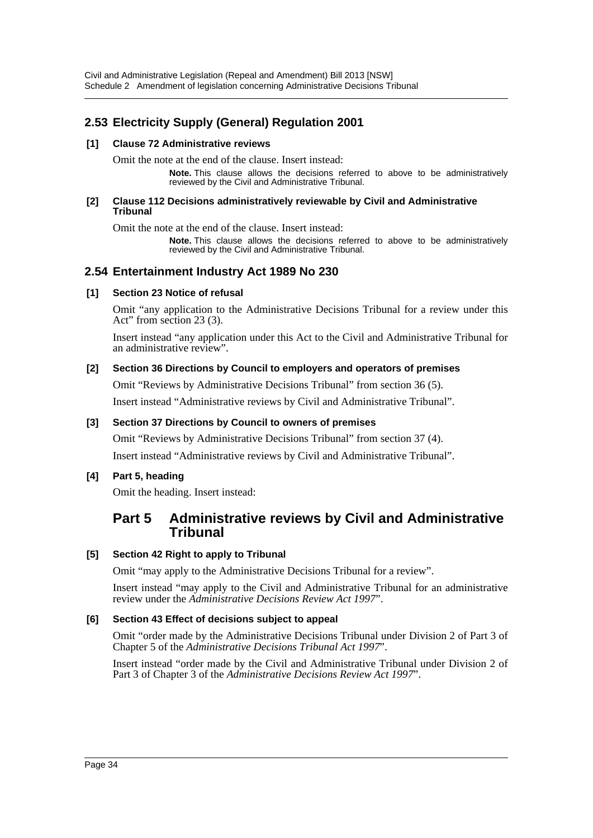# **2.53 Electricity Supply (General) Regulation 2001**

### **[1] Clause 72 Administrative reviews**

Omit the note at the end of the clause. Insert instead:

**Note.** This clause allows the decisions referred to above to be administratively reviewed by the Civil and Administrative Tribunal.

#### **[2] Clause 112 Decisions administratively reviewable by Civil and Administrative Tribunal**

Omit the note at the end of the clause. Insert instead:

**Note.** This clause allows the decisions referred to above to be administratively reviewed by the Civil and Administrative Tribunal.

# **2.54 Entertainment Industry Act 1989 No 230**

### **[1] Section 23 Notice of refusal**

Omit "any application to the Administrative Decisions Tribunal for a review under this Act" from section 23 (3).

Insert instead "any application under this Act to the Civil and Administrative Tribunal for an administrative review".

### **[2] Section 36 Directions by Council to employers and operators of premises**

Omit "Reviews by Administrative Decisions Tribunal" from section 36 (5). Insert instead "Administrative reviews by Civil and Administrative Tribunal".

# **[3] Section 37 Directions by Council to owners of premises**

Omit "Reviews by Administrative Decisions Tribunal" from section 37 (4). Insert instead "Administrative reviews by Civil and Administrative Tribunal".

# **[4] Part 5, heading**

Omit the heading. Insert instead:

# **Part 5 Administrative reviews by Civil and Administrative Tribunal**

# **[5] Section 42 Right to apply to Tribunal**

Omit "may apply to the Administrative Decisions Tribunal for a review".

Insert instead "may apply to the Civil and Administrative Tribunal for an administrative review under the *Administrative Decisions Review Act 1997*".

# **[6] Section 43 Effect of decisions subject to appeal**

Omit "order made by the Administrative Decisions Tribunal under Division 2 of Part 3 of Chapter 5 of the *Administrative Decisions Tribunal Act 1997*".

Insert instead "order made by the Civil and Administrative Tribunal under Division 2 of Part 3 of Chapter 3 of the *Administrative Decisions Review Act 1997*".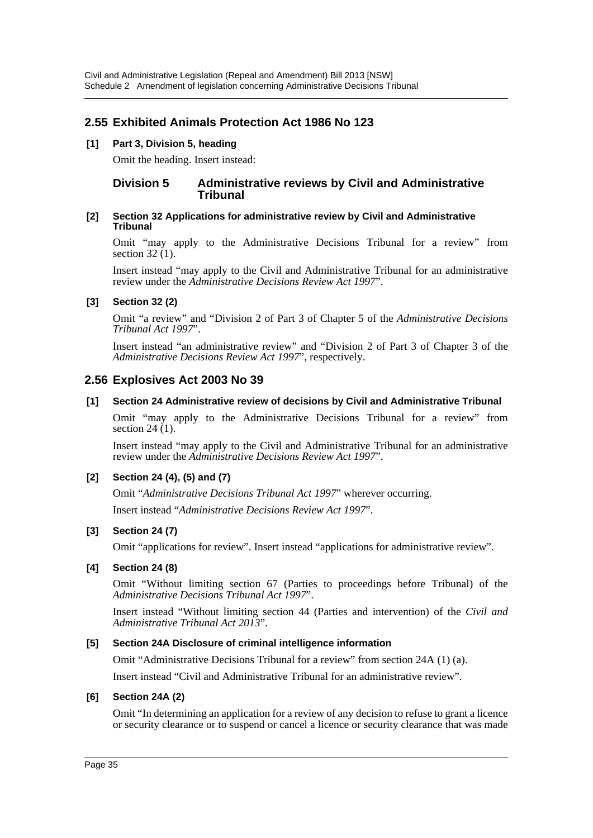# **2.55 Exhibited Animals Protection Act 1986 No 123**

# **[1] Part 3, Division 5, heading**

Omit the heading. Insert instead:

# **Division 5 Administrative reviews by Civil and Administrative Tribunal**

#### **[2] Section 32 Applications for administrative review by Civil and Administrative Tribunal**

Omit "may apply to the Administrative Decisions Tribunal for a review" from section 32 (1).

Insert instead "may apply to the Civil and Administrative Tribunal for an administrative review under the *Administrative Decisions Review Act 1997*".

### **[3] Section 32 (2)**

Omit "a review" and "Division 2 of Part 3 of Chapter 5 of the *Administrative Decisions Tribunal Act 1997*".

Insert instead "an administrative review" and "Division 2 of Part 3 of Chapter 3 of the *Administrative Decisions Review Act 1997*", respectively.

# **2.56 Explosives Act 2003 No 39**

### **[1] Section 24 Administrative review of decisions by Civil and Administrative Tribunal**

Omit "may apply to the Administrative Decisions Tribunal for a review" from section 24 $(1)$ .

Insert instead "may apply to the Civil and Administrative Tribunal for an administrative review under the *Administrative Decisions Review Act 1997*".

# **[2] Section 24 (4), (5) and (7)**

Omit "*Administrative Decisions Tribunal Act 1997*" wherever occurring.

Insert instead "*Administrative Decisions Review Act 1997*".

### **[3] Section 24 (7)**

Omit "applications for review". Insert instead "applications for administrative review".

### **[4] Section 24 (8)**

Omit "Without limiting section 67 (Parties to proceedings before Tribunal) of the *Administrative Decisions Tribunal Act 1997*".

Insert instead "Without limiting section 44 (Parties and intervention) of the *Civil and Administrative Tribunal Act 2013*".

### **[5] Section 24A Disclosure of criminal intelligence information**

Omit "Administrative Decisions Tribunal for a review" from section 24A (1) (a).

Insert instead "Civil and Administrative Tribunal for an administrative review".

### **[6] Section 24A (2)**

Omit "In determining an application for a review of any decision to refuse to grant a licence or security clearance or to suspend or cancel a licence or security clearance that was made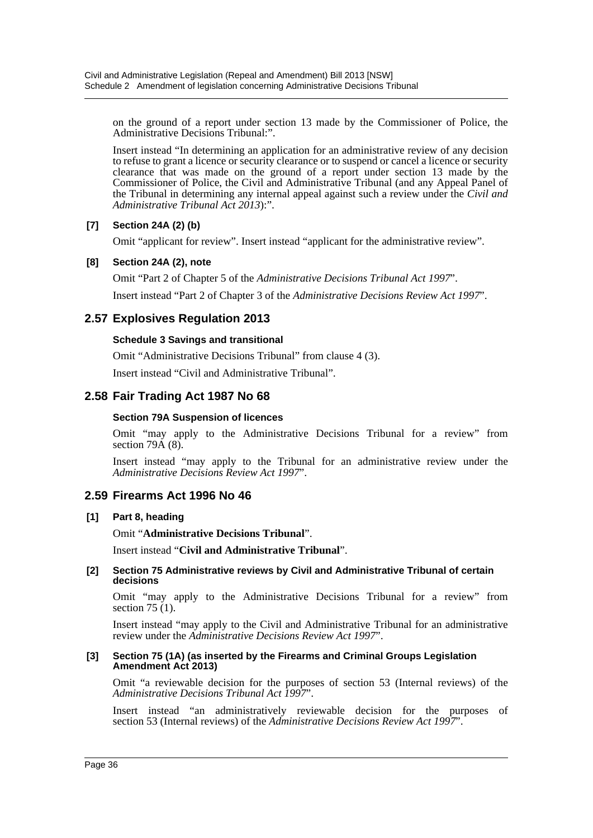on the ground of a report under section 13 made by the Commissioner of Police, the Administrative Decisions Tribunal:".

Insert instead "In determining an application for an administrative review of any decision to refuse to grant a licence or security clearance or to suspend or cancel a licence or security clearance that was made on the ground of a report under section 13 made by the Commissioner of Police, the Civil and Administrative Tribunal (and any Appeal Panel of the Tribunal in determining any internal appeal against such a review under the *Civil and Administrative Tribunal Act 2013*):".

## **[7] Section 24A (2) (b)**

Omit "applicant for review". Insert instead "applicant for the administrative review".

## **[8] Section 24A (2), note**

Omit "Part 2 of Chapter 5 of the *Administrative Decisions Tribunal Act 1997*". Insert instead "Part 2 of Chapter 3 of the *Administrative Decisions Review Act 1997*".

## **2.57 Explosives Regulation 2013**

### **Schedule 3 Savings and transitional**

Omit "Administrative Decisions Tribunal" from clause 4 (3).

Insert instead "Civil and Administrative Tribunal".

## **2.58 Fair Trading Act 1987 No 68**

#### **Section 79A Suspension of licences**

Omit "may apply to the Administrative Decisions Tribunal for a review" from section  $79\text{\AA}$  (8).

Insert instead "may apply to the Tribunal for an administrative review under the *Administrative Decisions Review Act 1997*".

## **2.59 Firearms Act 1996 No 46**

#### **[1] Part 8, heading**

Omit "**Administrative Decisions Tribunal**".

Insert instead "**Civil and Administrative Tribunal**".

#### **[2] Section 75 Administrative reviews by Civil and Administrative Tribunal of certain decisions**

Omit "may apply to the Administrative Decisions Tribunal for a review" from section 75 (1).

Insert instead "may apply to the Civil and Administrative Tribunal for an administrative review under the *Administrative Decisions Review Act 1997*".

#### **[3] Section 75 (1A) (as inserted by the Firearms and Criminal Groups Legislation Amendment Act 2013)**

Omit "a reviewable decision for the purposes of section 53 (Internal reviews) of the *Administrative Decisions Tribunal Act 1997*".

Insert instead "an administratively reviewable decision for the purposes of section 53 (Internal reviews) of the *Administrative Decisions Review Act 1997*".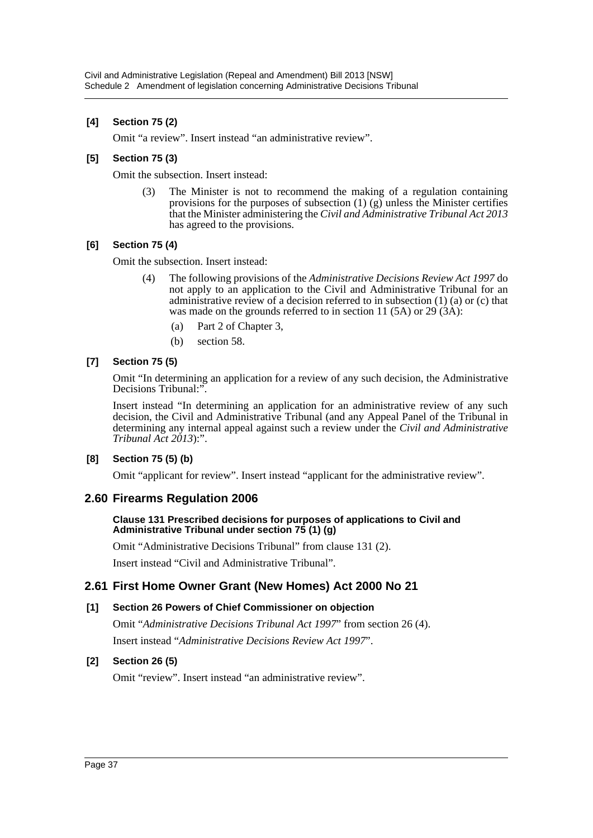### **[4] Section 75 (2)**

Omit "a review". Insert instead "an administrative review".

### **[5] Section 75 (3)**

Omit the subsection. Insert instead:

(3) The Minister is not to recommend the making of a regulation containing provisions for the purposes of subsection  $(1)$  (g) unless the Minister certifies that the Minister administering the *Civil and Administrative Tribunal Act 2013* has agreed to the provisions.

### **[6] Section 75 (4)**

Omit the subsection. Insert instead:

- (4) The following provisions of the *Administrative Decisions Review Act 1997* do not apply to an application to the Civil and Administrative Tribunal for an administrative review of a decision referred to in subsection  $(1)$   $(a)$  or  $(c)$  that was made on the grounds referred to in section 11 (5A) or 29  $(A)$ :
	- (a) Part 2 of Chapter 3,
	- (b) section 58.

### **[7] Section 75 (5)**

Omit "In determining an application for a review of any such decision, the Administrative Decisions Tribunal:".

Insert instead "In determining an application for an administrative review of any such decision, the Civil and Administrative Tribunal (and any Appeal Panel of the Tribunal in determining any internal appeal against such a review under the *Civil and Administrative Tribunal Act 2013*):".

## **[8] Section 75 (5) (b)**

Omit "applicant for review". Insert instead "applicant for the administrative review".

## **2.60 Firearms Regulation 2006**

#### **Clause 131 Prescribed decisions for purposes of applications to Civil and Administrative Tribunal under section 75 (1) (g)**

Omit "Administrative Decisions Tribunal" from clause 131 (2).

Insert instead "Civil and Administrative Tribunal".

## **2.61 First Home Owner Grant (New Homes) Act 2000 No 21**

#### **[1] Section 26 Powers of Chief Commissioner on objection**

Omit "*Administrative Decisions Tribunal Act 1997*" from section 26 (4). Insert instead "*Administrative Decisions Review Act 1997*".

## **[2] Section 26 (5)**

Omit "review". Insert instead "an administrative review".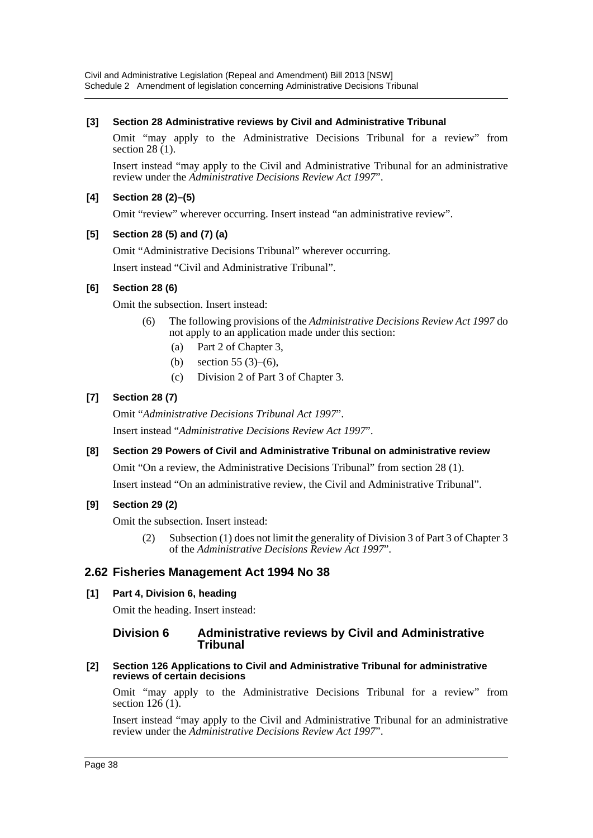## **[3] Section 28 Administrative reviews by Civil and Administrative Tribunal**

Omit "may apply to the Administrative Decisions Tribunal for a review" from section  $28(1)$ .

Insert instead "may apply to the Civil and Administrative Tribunal for an administrative review under the *Administrative Decisions Review Act 1997*".

## **[4] Section 28 (2)–(5)**

Omit "review" wherever occurring. Insert instead "an administrative review".

### **[5] Section 28 (5) and (7) (a)**

Omit "Administrative Decisions Tribunal" wherever occurring.

Insert instead "Civil and Administrative Tribunal".

### **[6] Section 28 (6)**

Omit the subsection. Insert instead:

- (6) The following provisions of the *Administrative Decisions Review Act 1997* do not apply to an application made under this section:
	- (a) Part 2 of Chapter 3,
	- (b) section 55 (3)–(6),
	- (c) Division 2 of Part 3 of Chapter 3.

### **[7] Section 28 (7)**

Omit "*Administrative Decisions Tribunal Act 1997*".

Insert instead "*Administrative Decisions Review Act 1997*".

## **[8] Section 29 Powers of Civil and Administrative Tribunal on administrative review**

Omit "On a review, the Administrative Decisions Tribunal" from section 28 (1).

Insert instead "On an administrative review, the Civil and Administrative Tribunal".

## **[9] Section 29 (2)**

Omit the subsection. Insert instead:

(2) Subsection (1) does not limit the generality of Division 3 of Part 3 of Chapter 3 of the *Administrative Decisions Review Act 1997*".

## **2.62 Fisheries Management Act 1994 No 38**

#### **[1] Part 4, Division 6, heading**

Omit the heading. Insert instead:

### **Division 6 Administrative reviews by Civil and Administrative Tribunal**

**[2] Section 126 Applications to Civil and Administrative Tribunal for administrative reviews of certain decisions**

Omit "may apply to the Administrative Decisions Tribunal for a review" from section  $126(1)$ .

Insert instead "may apply to the Civil and Administrative Tribunal for an administrative review under the *Administrative Decisions Review Act 1997*".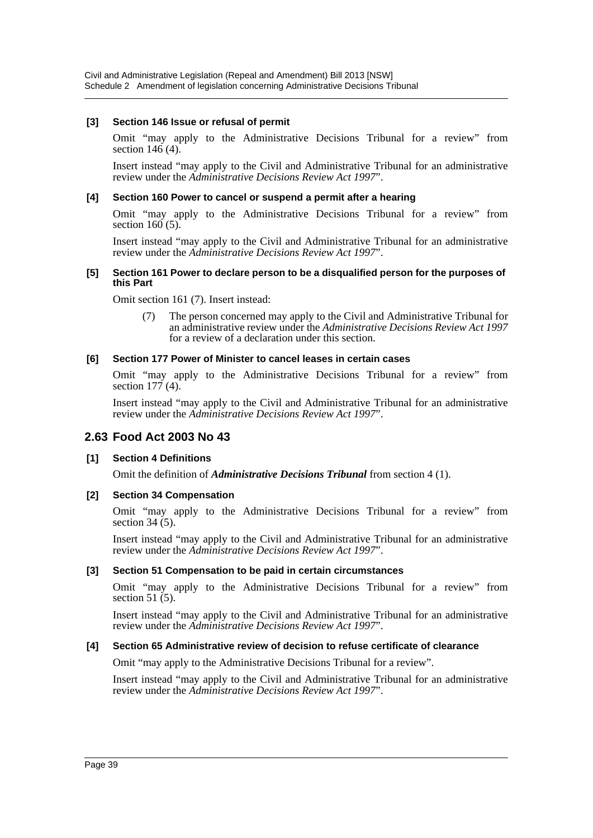#### **[3] Section 146 Issue or refusal of permit**

Omit "may apply to the Administrative Decisions Tribunal for a review" from section 146 (4).

Insert instead "may apply to the Civil and Administrative Tribunal for an administrative review under the *Administrative Decisions Review Act 1997*".

#### **[4] Section 160 Power to cancel or suspend a permit after a hearing**

Omit "may apply to the Administrative Decisions Tribunal for a review" from section  $160(5)$ .

Insert instead "may apply to the Civil and Administrative Tribunal for an administrative review under the *Administrative Decisions Review Act 1997*".

#### **[5] Section 161 Power to declare person to be a disqualified person for the purposes of this Part**

Omit section 161 (7). Insert instead:

(7) The person concerned may apply to the Civil and Administrative Tribunal for an administrative review under the *Administrative Decisions Review Act 1997* for a review of a declaration under this section.

#### **[6] Section 177 Power of Minister to cancel leases in certain cases**

Omit "may apply to the Administrative Decisions Tribunal for a review" from section  $177(4)$ .

Insert instead "may apply to the Civil and Administrative Tribunal for an administrative review under the *Administrative Decisions Review Act 1997*".

## **2.63 Food Act 2003 No 43**

#### **[1] Section 4 Definitions**

Omit the definition of *Administrative Decisions Tribunal* from section 4 (1).

#### **[2] Section 34 Compensation**

Omit "may apply to the Administrative Decisions Tribunal for a review" from section  $34(5)$ .

Insert instead "may apply to the Civil and Administrative Tribunal for an administrative review under the *Administrative Decisions Review Act 1997*".

#### **[3] Section 51 Compensation to be paid in certain circumstances**

Omit "may apply to the Administrative Decisions Tribunal for a review" from section 51 $(5)$ .

Insert instead "may apply to the Civil and Administrative Tribunal for an administrative review under the *Administrative Decisions Review Act 1997*".

#### **[4] Section 65 Administrative review of decision to refuse certificate of clearance**

Omit "may apply to the Administrative Decisions Tribunal for a review".

Insert instead "may apply to the Civil and Administrative Tribunal for an administrative review under the *Administrative Decisions Review Act 1997*".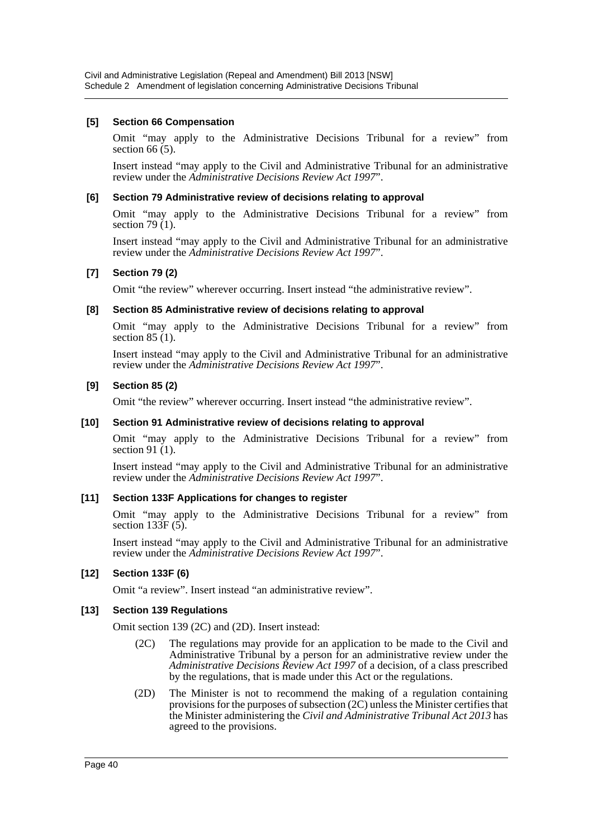#### **[5] Section 66 Compensation**

Omit "may apply to the Administrative Decisions Tribunal for a review" from section  $66(5)$ .

Insert instead "may apply to the Civil and Administrative Tribunal for an administrative review under the *Administrative Decisions Review Act 1997*".

#### **[6] Section 79 Administrative review of decisions relating to approval**

Omit "may apply to the Administrative Decisions Tribunal for a review" from section 79 $(1)$ .

Insert instead "may apply to the Civil and Administrative Tribunal for an administrative review under the *Administrative Decisions Review Act 1997*".

### **[7] Section 79 (2)**

Omit "the review" wherever occurring. Insert instead "the administrative review".

### **[8] Section 85 Administrative review of decisions relating to approval**

Omit "may apply to the Administrative Decisions Tribunal for a review" from section 85 (1).

Insert instead "may apply to the Civil and Administrative Tribunal for an administrative review under the *Administrative Decisions Review Act 1997*".

### **[9] Section 85 (2)**

Omit "the review" wherever occurring. Insert instead "the administrative review".

#### **[10] Section 91 Administrative review of decisions relating to approval**

Omit "may apply to the Administrative Decisions Tribunal for a review" from section 91 (1).

Insert instead "may apply to the Civil and Administrative Tribunal for an administrative review under the *Administrative Decisions Review Act 1997*".

#### **[11] Section 133F Applications for changes to register**

Omit "may apply to the Administrative Decisions Tribunal for a review" from section 133F (5).

Insert instead "may apply to the Civil and Administrative Tribunal for an administrative review under the *Administrative Decisions Review Act 1997*".

## **[12] Section 133F (6)**

Omit "a review". Insert instead "an administrative review".

#### **[13] Section 139 Regulations**

Omit section 139 (2C) and (2D). Insert instead:

- (2C) The regulations may provide for an application to be made to the Civil and Administrative Tribunal by a person for an administrative review under the *Administrative Decisions Review Act 1997* of a decision, of a class prescribed by the regulations, that is made under this Act or the regulations.
- (2D) The Minister is not to recommend the making of a regulation containing provisions for the purposes of subsection (2C) unless the Minister certifies that the Minister administering the *Civil and Administrative Tribunal Act 2013* has agreed to the provisions.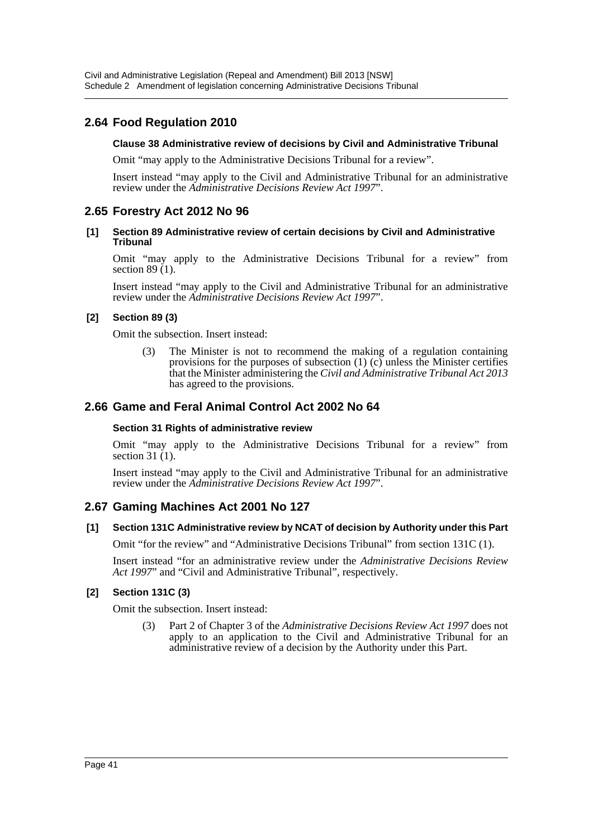## **2.64 Food Regulation 2010**

### **Clause 38 Administrative review of decisions by Civil and Administrative Tribunal**

Omit "may apply to the Administrative Decisions Tribunal for a review".

Insert instead "may apply to the Civil and Administrative Tribunal for an administrative review under the *Administrative Decisions Review Act 1997*".

## **2.65 Forestry Act 2012 No 96**

#### **[1] Section 89 Administrative review of certain decisions by Civil and Administrative Tribunal**

Omit "may apply to the Administrative Decisions Tribunal for a review" from section  $89(1)$ .

Insert instead "may apply to the Civil and Administrative Tribunal for an administrative review under the *Administrative Decisions Review Act 1997*".

### **[2] Section 89 (3)**

Omit the subsection. Insert instead:

(3) The Minister is not to recommend the making of a regulation containing provisions for the purposes of subsection (1) (c) unless the Minister certifies that the Minister administering the *Civil and Administrative Tribunal Act 2013* has agreed to the provisions.

## **2.66 Game and Feral Animal Control Act 2002 No 64**

#### **Section 31 Rights of administrative review**

Omit "may apply to the Administrative Decisions Tribunal for a review" from section  $31(1)$ .

Insert instead "may apply to the Civil and Administrative Tribunal for an administrative review under the *Administrative Decisions Review Act 1997*".

## **2.67 Gaming Machines Act 2001 No 127**

#### **[1] Section 131C Administrative review by NCAT of decision by Authority under this Part**

Omit "for the review" and "Administrative Decisions Tribunal" from section 131C (1).

Insert instead "for an administrative review under the *Administrative Decisions Review Act 1997*" and "Civil and Administrative Tribunal", respectively.

#### **[2] Section 131C (3)**

Omit the subsection. Insert instead:

(3) Part 2 of Chapter 3 of the *Administrative Decisions Review Act 1997* does not apply to an application to the Civil and Administrative Tribunal for an administrative review of a decision by the Authority under this Part.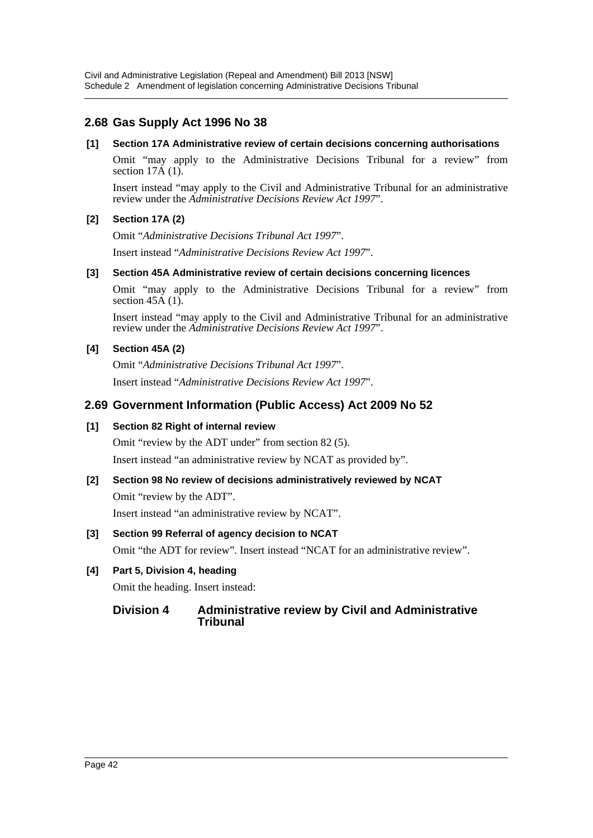## **2.68 Gas Supply Act 1996 No 38**

#### **[1] Section 17A Administrative review of certain decisions concerning authorisations**

Omit "may apply to the Administrative Decisions Tribunal for a review" from section  $17\text{\AA}$  (1).

Insert instead "may apply to the Civil and Administrative Tribunal for an administrative review under the *Administrative Decisions Review Act 1997*".

## **[2] Section 17A (2)**

Omit "*Administrative Decisions Tribunal Act 1997*".

Insert instead "*Administrative Decisions Review Act 1997*".

### **[3] Section 45A Administrative review of certain decisions concerning licences**

Omit "may apply to the Administrative Decisions Tribunal for a review" from section  $45\overline{A}$  (1).

Insert instead "may apply to the Civil and Administrative Tribunal for an administrative review under the *Administrative Decisions Review Act 1997*".

### **[4] Section 45A (2)**

Omit "*Administrative Decisions Tribunal Act 1997*". Insert instead "*Administrative Decisions Review Act 1997*".

## **2.69 Government Information (Public Access) Act 2009 No 52**

## **[1] Section 82 Right of internal review**

Omit "review by the ADT under" from section 82 (5).

Insert instead "an administrative review by NCAT as provided by".

# **[2] Section 98 No review of decisions administratively reviewed by NCAT**

Omit "review by the ADT".

Insert instead "an administrative review by NCAT".

## **[3] Section 99 Referral of agency decision to NCAT**

Omit "the ADT for review". Insert instead "NCAT for an administrative review".

## **[4] Part 5, Division 4, heading**

Omit the heading. Insert instead:

## **Division 4 Administrative review by Civil and Administrative Tribunal**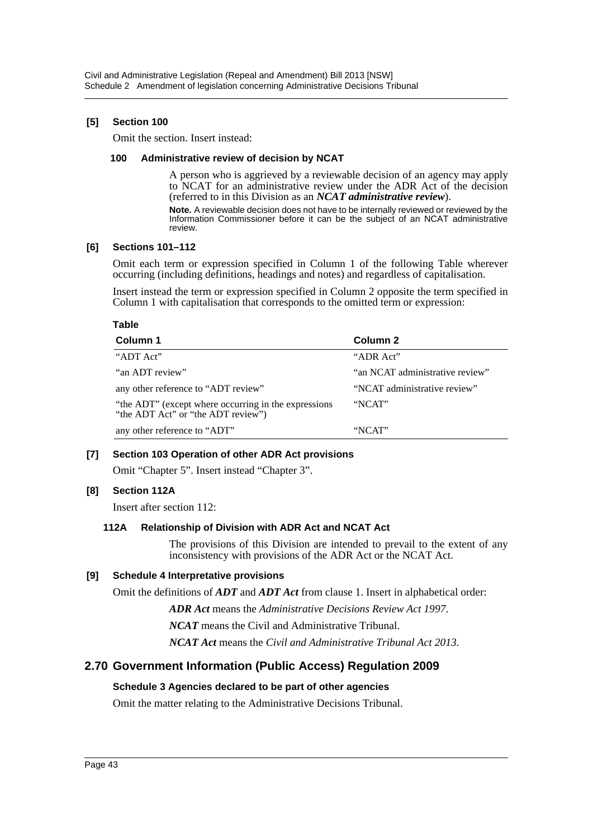### **[5] Section 100**

Omit the section. Insert instead:

#### **100 Administrative review of decision by NCAT**

A person who is aggrieved by a reviewable decision of an agency may apply to NCAT for an administrative review under the ADR Act of the decision (referred to in this Division as an *NCAT administrative review*).

**Note.** A reviewable decision does not have to be internally reviewed or reviewed by the Information Commissioner before it can be the subject of an NCAT administrative review.

#### **[6] Sections 101–112**

Omit each term or expression specified in Column 1 of the following Table wherever occurring (including definitions, headings and notes) and regardless of capitalisation.

Insert instead the term or expression specified in Column 2 opposite the term specified in Column 1 with capitalisation that corresponds to the omitted term or expression:

#### **Table**

| Column 1                                                                                   | Column 2                        |
|--------------------------------------------------------------------------------------------|---------------------------------|
| "ADT Act"                                                                                  | "ADR Act"                       |
| "an ADT review"                                                                            | "an NCAT administrative review" |
| any other reference to "ADT review"                                                        | "NCAT administrative review"    |
| "the ADT" (except where occurring in the expressions<br>"the ADT Act" or "the ADT review") | "NCAT"                          |
| any other reference to "ADT"                                                               | "NCAT"                          |

#### **[7] Section 103 Operation of other ADR Act provisions**

Omit "Chapter 5". Insert instead "Chapter 3".

## **[8] Section 112A**

Insert after section 112:

#### **112A Relationship of Division with ADR Act and NCAT Act**

The provisions of this Division are intended to prevail to the extent of any inconsistency with provisions of the ADR Act or the NCAT Act.

#### **[9] Schedule 4 Interpretative provisions**

Omit the definitions of *ADT* and *ADT Act* from clause 1. Insert in alphabetical order:

*ADR Act* means the *Administrative Decisions Review Act 1997*.

*NCAT* means the Civil and Administrative Tribunal.

*NCAT Act* means the *Civil and Administrative Tribunal Act 2013*.

## **2.70 Government Information (Public Access) Regulation 2009**

#### **Schedule 3 Agencies declared to be part of other agencies**

Omit the matter relating to the Administrative Decisions Tribunal.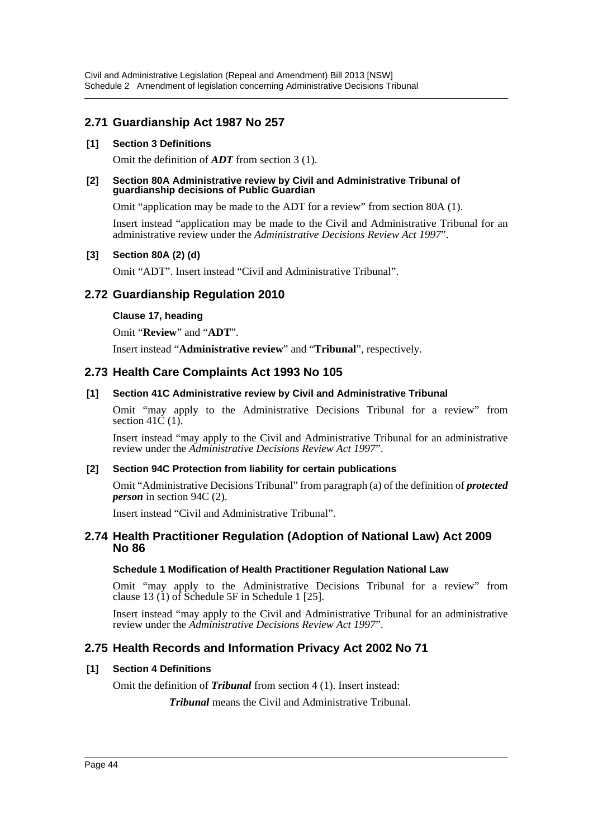## **2.71 Guardianship Act 1987 No 257**

### **[1] Section 3 Definitions**

Omit the definition of *ADT* from section 3 (1).

#### **[2] Section 80A Administrative review by Civil and Administrative Tribunal of guardianship decisions of Public Guardian**

Omit "application may be made to the ADT for a review" from section 80A (1).

Insert instead "application may be made to the Civil and Administrative Tribunal for an administrative review under the *Administrative Decisions Review Act 1997*".

### **[3] Section 80A (2) (d)**

Omit "ADT". Insert instead "Civil and Administrative Tribunal".

## **2.72 Guardianship Regulation 2010**

#### **Clause 17, heading**

Omit "**Review**" and "**ADT**".

Insert instead "**Administrative review**" and "**Tribunal**", respectively.

## **2.73 Health Care Complaints Act 1993 No 105**

### **[1] Section 41C Administrative review by Civil and Administrative Tribunal**

Omit "may apply to the Administrative Decisions Tribunal for a review" from section 41 $\dot{C}(1)$ .

Insert instead "may apply to the Civil and Administrative Tribunal for an administrative review under the *Administrative Decisions Review Act 1997*".

#### **[2] Section 94C Protection from liability for certain publications**

Omit "Administrative Decisions Tribunal" from paragraph (a) of the definition of *protected person* in section 94C (2).

Insert instead "Civil and Administrative Tribunal".

## **2.74 Health Practitioner Regulation (Adoption of National Law) Act 2009 No 86**

#### **Schedule 1 Modification of Health Practitioner Regulation National Law**

Omit "may apply to the Administrative Decisions Tribunal for a review" from clause 13 (1) of Schedule 5F in Schedule 1 [25].

Insert instead "may apply to the Civil and Administrative Tribunal for an administrative review under the *Administrative Decisions Review Act 1997*".

## **2.75 Health Records and Information Privacy Act 2002 No 71**

## **[1] Section 4 Definitions**

Omit the definition of *Tribunal* from section 4 (1). Insert instead:

*Tribunal* means the Civil and Administrative Tribunal.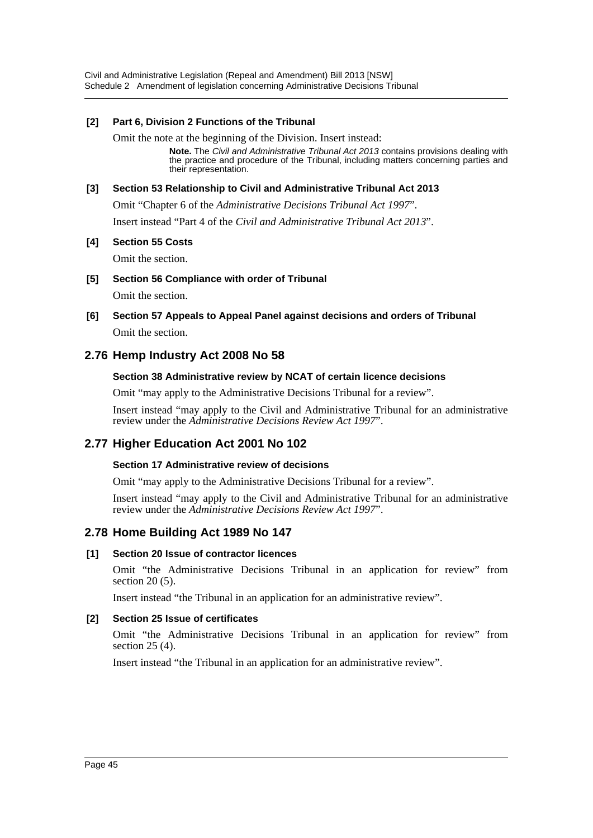Civil and Administrative Legislation (Repeal and Amendment) Bill 2013 [NSW] Schedule 2 Amendment of legislation concerning Administrative Decisions Tribunal

### **[2] Part 6, Division 2 Functions of the Tribunal**

Omit the note at the beginning of the Division. Insert instead:

**Note.** The *Civil and Administrative Tribunal Act 2013* contains provisions dealing with the practice and procedure of the Tribunal, including matters concerning parties and their representation.

### **[3] Section 53 Relationship to Civil and Administrative Tribunal Act 2013**

Omit "Chapter 6 of the *Administrative Decisions Tribunal Act 1997*".

Insert instead "Part 4 of the *Civil and Administrative Tribunal Act 2013*".

#### **[4] Section 55 Costs**

Omit the section.

**[5] Section 56 Compliance with order of Tribunal**

Omit the section.

**[6] Section 57 Appeals to Appeal Panel against decisions and orders of Tribunal** Omit the section.

## **2.76 Hemp Industry Act 2008 No 58**

#### **Section 38 Administrative review by NCAT of certain licence decisions**

Omit "may apply to the Administrative Decisions Tribunal for a review".

Insert instead "may apply to the Civil and Administrative Tribunal for an administrative review under the *Administrative Decisions Review Act 1997*".

## **2.77 Higher Education Act 2001 No 102**

#### **Section 17 Administrative review of decisions**

Omit "may apply to the Administrative Decisions Tribunal for a review".

Insert instead "may apply to the Civil and Administrative Tribunal for an administrative review under the *Administrative Decisions Review Act 1997*".

## **2.78 Home Building Act 1989 No 147**

#### **[1] Section 20 Issue of contractor licences**

Omit "the Administrative Decisions Tribunal in an application for review" from section 20 (5).

Insert instead "the Tribunal in an application for an administrative review".

#### **[2] Section 25 Issue of certificates**

Omit "the Administrative Decisions Tribunal in an application for review" from section 25 (4).

Insert instead "the Tribunal in an application for an administrative review".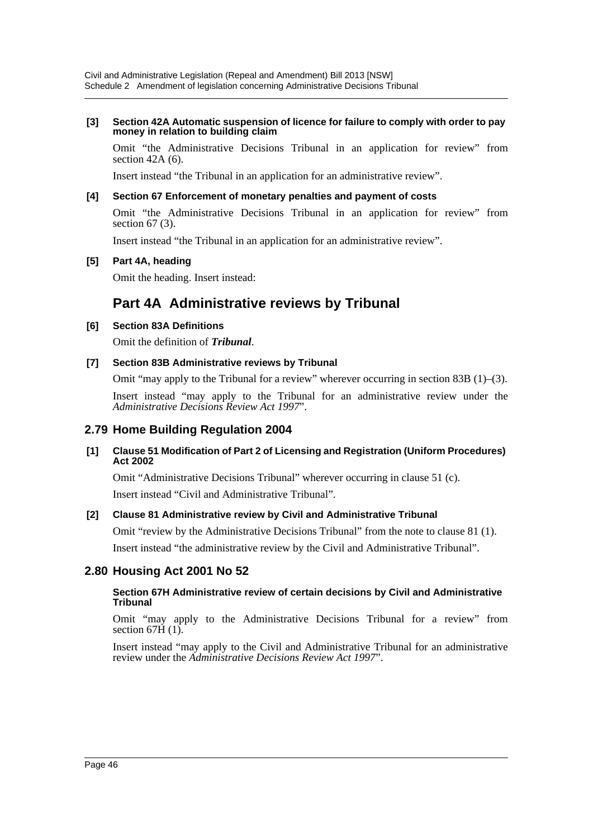#### **[3] Section 42A Automatic suspension of licence for failure to comply with order to pay money in relation to building claim**

Omit "the Administrative Decisions Tribunal in an application for review" from section 42A (6).

Insert instead "the Tribunal in an application for an administrative review".

### **[4] Section 67 Enforcement of monetary penalties and payment of costs**

Omit "the Administrative Decisions Tribunal in an application for review" from section 67 (3).

Insert instead "the Tribunal in an application for an administrative review".

### **[5] Part 4A, heading**

Omit the heading. Insert instead:

## **Part 4A Administrative reviews by Tribunal**

### **[6] Section 83A Definitions**

Omit the definition of *Tribunal*.

### **[7] Section 83B Administrative reviews by Tribunal**

Omit "may apply to the Tribunal for a review" wherever occurring in section 83B  $(1)$ – $(3)$ .

Insert instead "may apply to the Tribunal for an administrative review under the *Administrative Decisions Review Act 1997*".

## **2.79 Home Building Regulation 2004**

### **[1] Clause 51 Modification of Part 2 of Licensing and Registration (Uniform Procedures) Act 2002**

Omit "Administrative Decisions Tribunal" wherever occurring in clause 51 (c). Insert instead "Civil and Administrative Tribunal".

## **[2] Clause 81 Administrative review by Civil and Administrative Tribunal**

Omit "review by the Administrative Decisions Tribunal" from the note to clause 81 (1). Insert instead "the administrative review by the Civil and Administrative Tribunal".

## **2.80 Housing Act 2001 No 52**

#### **Section 67H Administrative review of certain decisions by Civil and Administrative Tribunal**

Omit "may apply to the Administrative Decisions Tribunal for a review" from section  $67H(1)$ .

Insert instead "may apply to the Civil and Administrative Tribunal for an administrative review under the *Administrative Decisions Review Act 1997*".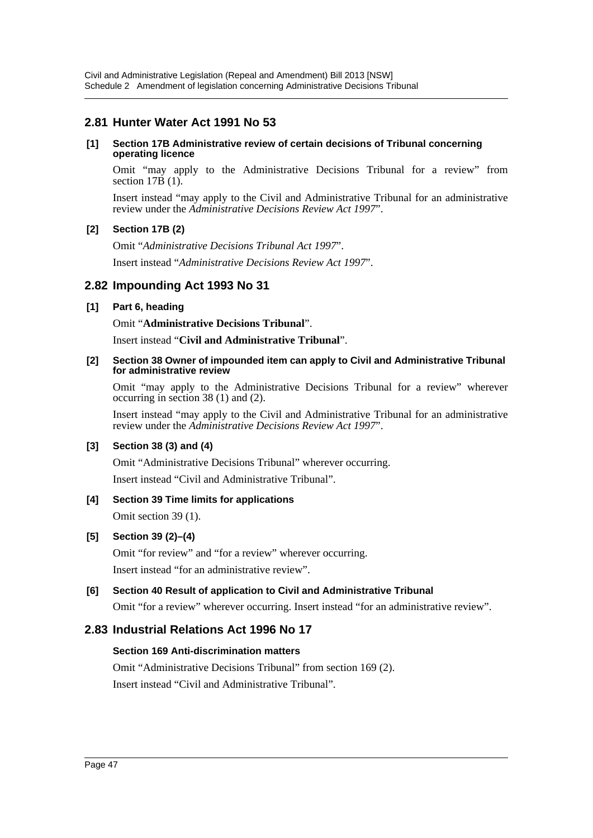## **2.81 Hunter Water Act 1991 No 53**

#### **[1] Section 17B Administrative review of certain decisions of Tribunal concerning operating licence**

Omit "may apply to the Administrative Decisions Tribunal for a review" from section  $17B(1)$ .

Insert instead "may apply to the Civil and Administrative Tribunal for an administrative review under the *Administrative Decisions Review Act 1997*".

### **[2] Section 17B (2)**

Omit "*Administrative Decisions Tribunal Act 1997*". Insert instead "*Administrative Decisions Review Act 1997*".

## **2.82 Impounding Act 1993 No 31**

### **[1] Part 6, heading**

Omit "**Administrative Decisions Tribunal**".

Insert instead "**Civil and Administrative Tribunal**".

#### **[2] Section 38 Owner of impounded item can apply to Civil and Administrative Tribunal for administrative review**

Omit "may apply to the Administrative Decisions Tribunal for a review" wherever occurring in section 38 (1) and (2).

Insert instead "may apply to the Civil and Administrative Tribunal for an administrative review under the *Administrative Decisions Review Act 1997*".

## **[3] Section 38 (3) and (4)**

Omit "Administrative Decisions Tribunal" wherever occurring.

Insert instead "Civil and Administrative Tribunal".

## **[4] Section 39 Time limits for applications**

Omit section 39 (1).

## **[5] Section 39 (2)–(4)**

Omit "for review" and "for a review" wherever occurring. Insert instead "for an administrative review".

## **[6] Section 40 Result of application to Civil and Administrative Tribunal**

Omit "for a review" wherever occurring. Insert instead "for an administrative review".

## **2.83 Industrial Relations Act 1996 No 17**

#### **Section 169 Anti-discrimination matters**

Omit "Administrative Decisions Tribunal" from section 169 (2). Insert instead "Civil and Administrative Tribunal".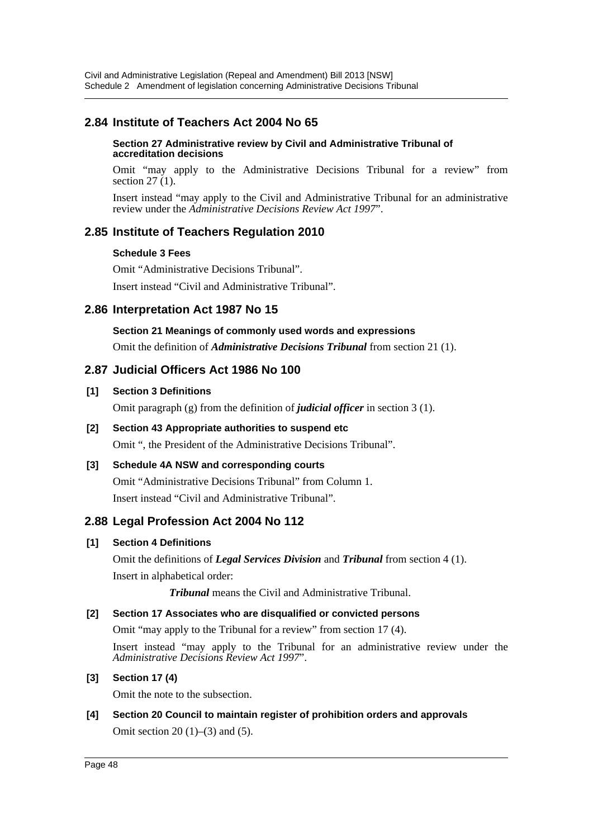## **2.84 Institute of Teachers Act 2004 No 65**

#### **Section 27 Administrative review by Civil and Administrative Tribunal of accreditation decisions**

Omit "may apply to the Administrative Decisions Tribunal for a review" from section  $27(1)$ .

Insert instead "may apply to the Civil and Administrative Tribunal for an administrative review under the *Administrative Decisions Review Act 1997*".

## **2.85 Institute of Teachers Regulation 2010**

### **Schedule 3 Fees**

Omit "Administrative Decisions Tribunal".

Insert instead "Civil and Administrative Tribunal".

## **2.86 Interpretation Act 1987 No 15**

**Section 21 Meanings of commonly used words and expressions** Omit the definition of *Administrative Decisions Tribunal* from section 21 (1).

## **2.87 Judicial Officers Act 1986 No 100**

### **[1] Section 3 Definitions**

Omit paragraph (g) from the definition of *judicial officer* in section 3 (1).

#### **[2] Section 43 Appropriate authorities to suspend etc**

Omit ", the President of the Administrative Decisions Tribunal".

## **[3] Schedule 4A NSW and corresponding courts**

Omit "Administrative Decisions Tribunal" from Column 1. Insert instead "Civil and Administrative Tribunal".

## **2.88 Legal Profession Act 2004 No 112**

## **[1] Section 4 Definitions**

Omit the definitions of *Legal Services Division* and *Tribunal* from section 4 (1). Insert in alphabetical order:

*Tribunal* means the Civil and Administrative Tribunal.

#### **[2] Section 17 Associates who are disqualified or convicted persons**

Omit "may apply to the Tribunal for a review" from section 17 (4).

Insert instead "may apply to the Tribunal for an administrative review under the *Administrative Decisions Review Act 1997*".

## **[3] Section 17 (4)**

Omit the note to the subsection.

**[4] Section 20 Council to maintain register of prohibition orders and approvals** Omit section  $20(1)–(3)$  and  $(5)$ .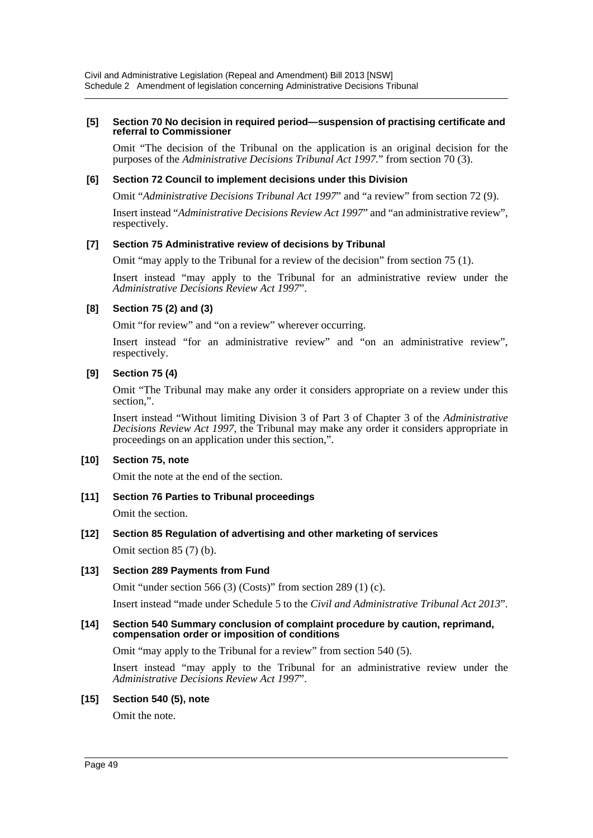#### **[5] Section 70 No decision in required period—suspension of practising certificate and referral to Commissioner**

Omit "The decision of the Tribunal on the application is an original decision for the purposes of the *Administrative Decisions Tribunal Act 1997*." from section 70 (3).

#### **[6] Section 72 Council to implement decisions under this Division**

Omit "*Administrative Decisions Tribunal Act 1997*" and "a review" from section 72 (9).

Insert instead "*Administrative Decisions Review Act 1997*" and "an administrative review", respectively.

#### **[7] Section 75 Administrative review of decisions by Tribunal**

Omit "may apply to the Tribunal for a review of the decision" from section 75 (1).

Insert instead "may apply to the Tribunal for an administrative review under the *Administrative Decisions Review Act 1997*".

### **[8] Section 75 (2) and (3)**

Omit "for review" and "on a review" wherever occurring.

Insert instead "for an administrative review" and "on an administrative review", respectively.

### **[9] Section 75 (4)**

Omit "The Tribunal may make any order it considers appropriate on a review under this section,".

Insert instead "Without limiting Division 3 of Part 3 of Chapter 3 of the *Administrative Decisions Review Act 1997*, the Tribunal may make any order it considers appropriate in proceedings on an application under this section,".

#### **[10] Section 75, note**

Omit the note at the end of the section.

### **[11] Section 76 Parties to Tribunal proceedings**

Omit the section.

#### **[12] Section 85 Regulation of advertising and other marketing of services**

Omit section 85 (7) (b).

#### **[13] Section 289 Payments from Fund**

Omit "under section 566 (3) (Costs)" from section 289 (1) (c).

Insert instead "made under Schedule 5 to the *Civil and Administrative Tribunal Act 2013*".

#### **[14] Section 540 Summary conclusion of complaint procedure by caution, reprimand, compensation order or imposition of conditions**

Omit "may apply to the Tribunal for a review" from section 540 (5).

Insert instead "may apply to the Tribunal for an administrative review under the *Administrative Decisions Review Act 1997*".

#### **[15] Section 540 (5), note**

Omit the note.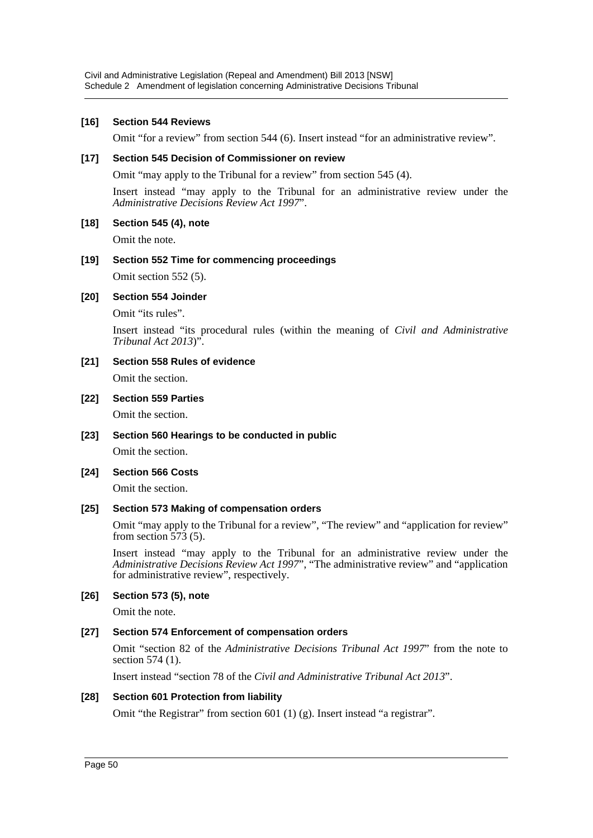#### **[16] Section 544 Reviews**

Omit "for a review" from section 544 (6). Insert instead "for an administrative review".

#### **[17] Section 545 Decision of Commissioner on review**

Omit "may apply to the Tribunal for a review" from section 545 (4).

Insert instead "may apply to the Tribunal for an administrative review under the *Administrative Decisions Review Act 1997*".

### **[18] Section 545 (4), note**

Omit the note.

## **[19] Section 552 Time for commencing proceedings**

Omit section 552 (5).

### **[20] Section 554 Joinder**

Omit "its rules".

Insert instead "its procedural rules (within the meaning of *Civil and Administrative Tribunal Act 2013*)".

**[21] Section 558 Rules of evidence** Omit the section.

## **[22] Section 559 Parties**

Omit the section.

**[23] Section 560 Hearings to be conducted in public** Omit the section.

## **[24] Section 566 Costs**

Omit the section.

#### **[25] Section 573 Making of compensation orders**

Omit "may apply to the Tribunal for a review", "The review" and "application for review" from section  $\overline{573}$  (5).

Insert instead "may apply to the Tribunal for an administrative review under the *Administrative Decisions Review Act 1997*", "The administrative review" and "application for administrative review", respectively.

## **[26] Section 573 (5), note**

Omit the note.

## **[27] Section 574 Enforcement of compensation orders**

Omit "section 82 of the *Administrative Decisions Tribunal Act 1997*" from the note to section 574 (1).

Insert instead "section 78 of the *Civil and Administrative Tribunal Act 2013*".

## **[28] Section 601 Protection from liability**

Omit "the Registrar" from section 601 (1) (g). Insert instead "a registrar".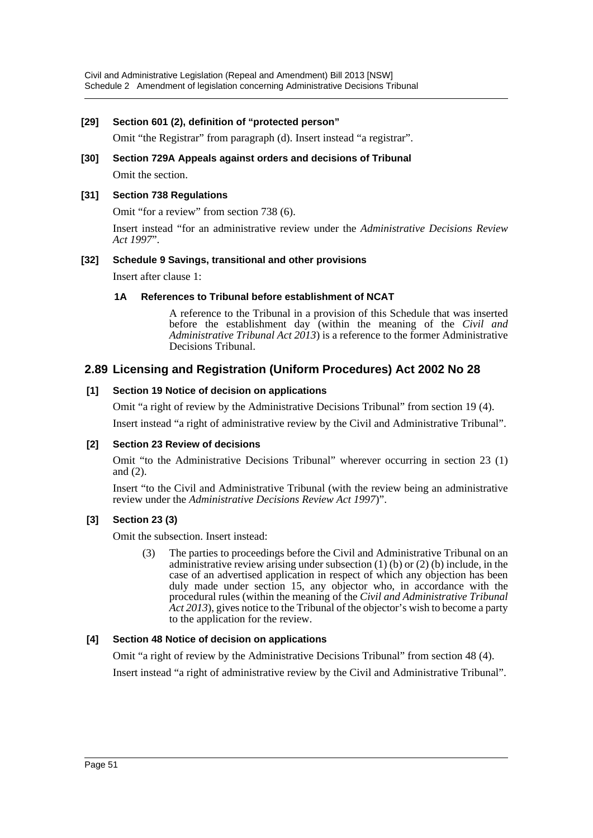### **[29] Section 601 (2), definition of "protected person"**

Omit "the Registrar" from paragraph (d). Insert instead "a registrar".

**[30] Section 729A Appeals against orders and decisions of Tribunal** Omit the section.

#### **[31] Section 738 Regulations**

Omit "for a review" from section 738 (6).

Insert instead "for an administrative review under the *Administrative Decisions Review Act 1997*".

#### **[32] Schedule 9 Savings, transitional and other provisions**

Insert after clause 1:

#### **1A References to Tribunal before establishment of NCAT**

A reference to the Tribunal in a provision of this Schedule that was inserted before the establishment day (within the meaning of the *Civil and Administrative Tribunal Act 2013*) is a reference to the former Administrative Decisions Tribunal.

## **2.89 Licensing and Registration (Uniform Procedures) Act 2002 No 28**

### **[1] Section 19 Notice of decision on applications**

Omit "a right of review by the Administrative Decisions Tribunal" from section 19 (4).

Insert instead "a right of administrative review by the Civil and Administrative Tribunal".

#### **[2] Section 23 Review of decisions**

Omit "to the Administrative Decisions Tribunal" wherever occurring in section 23 (1) and (2).

Insert "to the Civil and Administrative Tribunal (with the review being an administrative review under the *Administrative Decisions Review Act 1997*)".

#### **[3] Section 23 (3)**

Omit the subsection. Insert instead:

(3) The parties to proceedings before the Civil and Administrative Tribunal on an administrative review arising under subsection  $(1)$  (b) or  $(2)$  (b) include, in the case of an advertised application in respect of which any objection has been duly made under section 15, any objector who, in accordance with the procedural rules (within the meaning of the *Civil and Administrative Tribunal Act 2013*), gives notice to the Tribunal of the objector's wish to become a party to the application for the review.

#### **[4] Section 48 Notice of decision on applications**

Omit "a right of review by the Administrative Decisions Tribunal" from section 48 (4).

Insert instead "a right of administrative review by the Civil and Administrative Tribunal".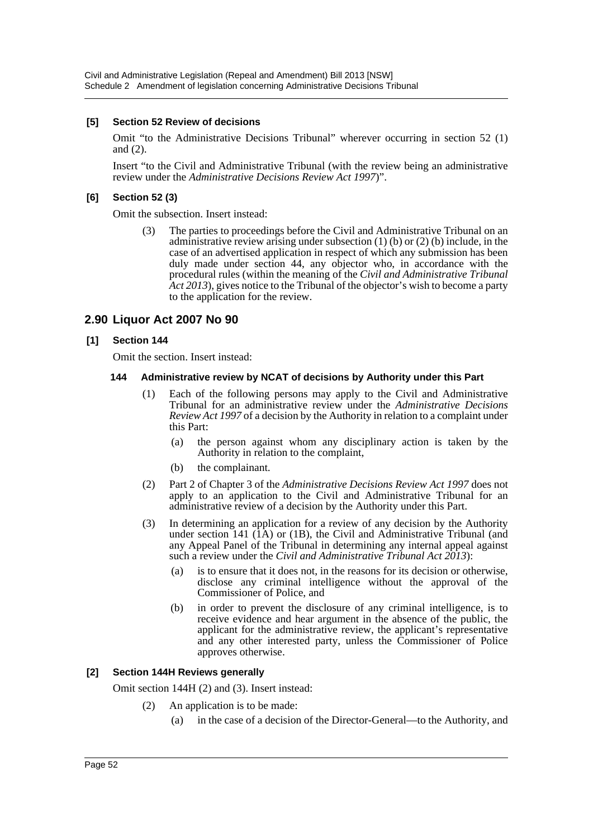### **[5] Section 52 Review of decisions**

Omit "to the Administrative Decisions Tribunal" wherever occurring in section 52 (1) and (2).

Insert "to the Civil and Administrative Tribunal (with the review being an administrative review under the *Administrative Decisions Review Act 1997*)".

### **[6] Section 52 (3)**

Omit the subsection. Insert instead:

(3) The parties to proceedings before the Civil and Administrative Tribunal on an administrative review arising under subsection  $(1)$  (b) or  $(2)$  (b) include, in the case of an advertised application in respect of which any submission has been duly made under section 44, any objector who, in accordance with the procedural rules (within the meaning of the *Civil and Administrative Tribunal Act 2013*), gives notice to the Tribunal of the objector's wish to become a party to the application for the review.

## **2.90 Liquor Act 2007 No 90**

#### **[1] Section 144**

Omit the section. Insert instead:

#### **144 Administrative review by NCAT of decisions by Authority under this Part**

- (1) Each of the following persons may apply to the Civil and Administrative Tribunal for an administrative review under the *Administrative Decisions Review Act 1997* of a decision by the Authority in relation to a complaint under this Part:
	- (a) the person against whom any disciplinary action is taken by the Authority in relation to the complaint,
	- (b) the complainant.
- (2) Part 2 of Chapter 3 of the *Administrative Decisions Review Act 1997* does not apply to an application to the Civil and Administrative Tribunal for an administrative review of a decision by the Authority under this Part.
- (3) In determining an application for a review of any decision by the Authority under section 141  $(\overline{1}A)$  or  $(1B)$ , the Civil and Administrative Tribunal (and any Appeal Panel of the Tribunal in determining any internal appeal against such a review under the *Civil and Administrative Tribunal Act 2013*):
	- (a) is to ensure that it does not, in the reasons for its decision or otherwise, disclose any criminal intelligence without the approval of the Commissioner of Police, and
	- (b) in order to prevent the disclosure of any criminal intelligence, is to receive evidence and hear argument in the absence of the public, the applicant for the administrative review, the applicant's representative and any other interested party, unless the Commissioner of Police approves otherwise.

#### **[2] Section 144H Reviews generally**

Omit section 144H (2) and (3). Insert instead:

- (2) An application is to be made:
	- (a) in the case of a decision of the Director-General—to the Authority, and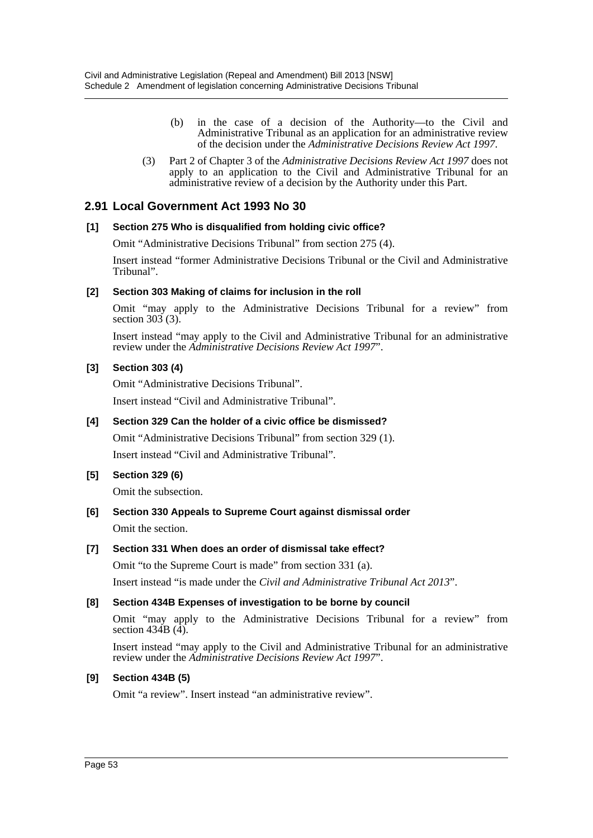- (b) in the case of a decision of the Authority—to the Civil and Administrative Tribunal as an application for an administrative review of the decision under the *Administrative Decisions Review Act 1997*.
- (3) Part 2 of Chapter 3 of the *Administrative Decisions Review Act 1997* does not apply to an application to the Civil and Administrative Tribunal for an administrative review of a decision by the Authority under this Part.

## **2.91 Local Government Act 1993 No 30**

### **[1] Section 275 Who is disqualified from holding civic office?**

Omit "Administrative Decisions Tribunal" from section 275 (4).

Insert instead "former Administrative Decisions Tribunal or the Civil and Administrative Tribunal".

### **[2] Section 303 Making of claims for inclusion in the roll**

Omit "may apply to the Administrative Decisions Tribunal for a review" from section  $303(3)$ .

Insert instead "may apply to the Civil and Administrative Tribunal for an administrative review under the *Administrative Decisions Review Act 1997*".

### **[3] Section 303 (4)**

Omit "Administrative Decisions Tribunal".

Insert instead "Civil and Administrative Tribunal".

#### **[4] Section 329 Can the holder of a civic office be dismissed?**

Omit "Administrative Decisions Tribunal" from section 329 (1). Insert instead "Civil and Administrative Tribunal".

## **[5] Section 329 (6)**

Omit the subsection.

## **[6] Section 330 Appeals to Supreme Court against dismissal order** Omit the section.

## **[7] Section 331 When does an order of dismissal take effect?**

Omit "to the Supreme Court is made" from section 331 (a).

Insert instead "is made under the *Civil and Administrative Tribunal Act 2013*".

## **[8] Section 434B Expenses of investigation to be borne by council**

Omit "may apply to the Administrative Decisions Tribunal for a review" from section  $43\overline{4}B$   $(\overline{4})$ .

Insert instead "may apply to the Civil and Administrative Tribunal for an administrative review under the *Administrative Decisions Review Act 1997*".

## **[9] Section 434B (5)**

Omit "a review". Insert instead "an administrative review".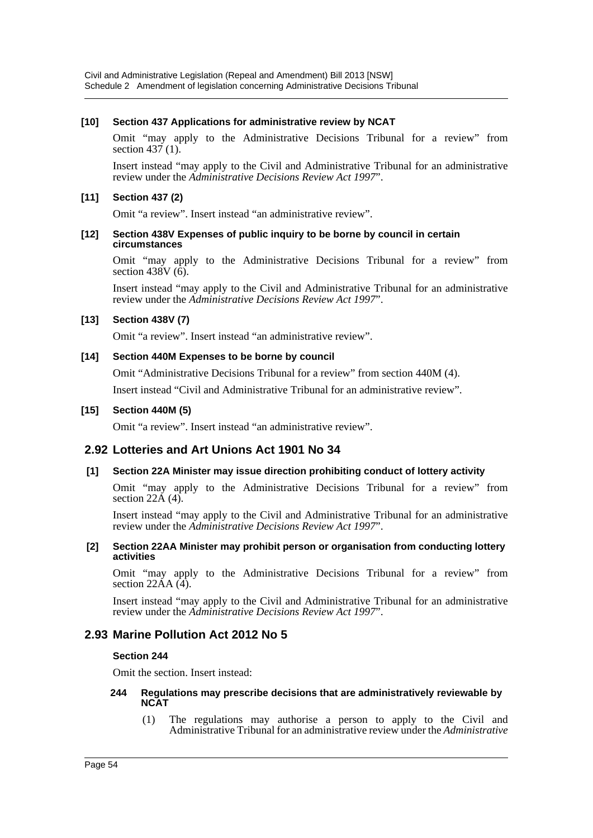### **[10] Section 437 Applications for administrative review by NCAT**

Omit "may apply to the Administrative Decisions Tribunal for a review" from section 437 (1).

Insert instead "may apply to the Civil and Administrative Tribunal for an administrative review under the *Administrative Decisions Review Act 1997*".

### **[11] Section 437 (2)**

Omit "a review". Insert instead "an administrative review".

#### **[12] Section 438V Expenses of public inquiry to be borne by council in certain circumstances**

Omit "may apply to the Administrative Decisions Tribunal for a review" from section 438V  $(\tilde{6})$ .

Insert instead "may apply to the Civil and Administrative Tribunal for an administrative review under the *Administrative Decisions Review Act 1997*".

### **[13] Section 438V (7)**

Omit "a review". Insert instead "an administrative review".

#### **[14] Section 440M Expenses to be borne by council**

Omit "Administrative Decisions Tribunal for a review" from section 440M (4). Insert instead "Civil and Administrative Tribunal for an administrative review".

### **[15] Section 440M (5)**

Omit "a review". Insert instead "an administrative review".

## **2.92 Lotteries and Art Unions Act 1901 No 34**

#### **[1] Section 22A Minister may issue direction prohibiting conduct of lottery activity**

Omit "may apply to the Administrative Decisions Tribunal for a review" from section  $22\text{\AA}$  (4).

Insert instead "may apply to the Civil and Administrative Tribunal for an administrative review under the *Administrative Decisions Review Act 1997*".

#### **[2] Section 22AA Minister may prohibit person or organisation from conducting lottery activities**

Omit "may apply to the Administrative Decisions Tribunal for a review" from section  $22\text{\AA}$   $(4)$ .

Insert instead "may apply to the Civil and Administrative Tribunal for an administrative review under the *Administrative Decisions Review Act 1997*".

## **2.93 Marine Pollution Act 2012 No 5**

#### **Section 244**

Omit the section. Insert instead:

#### **244 Regulations may prescribe decisions that are administratively reviewable by NCAT**

(1) The regulations may authorise a person to apply to the Civil and Administrative Tribunal for an administrative review under the *Administrative*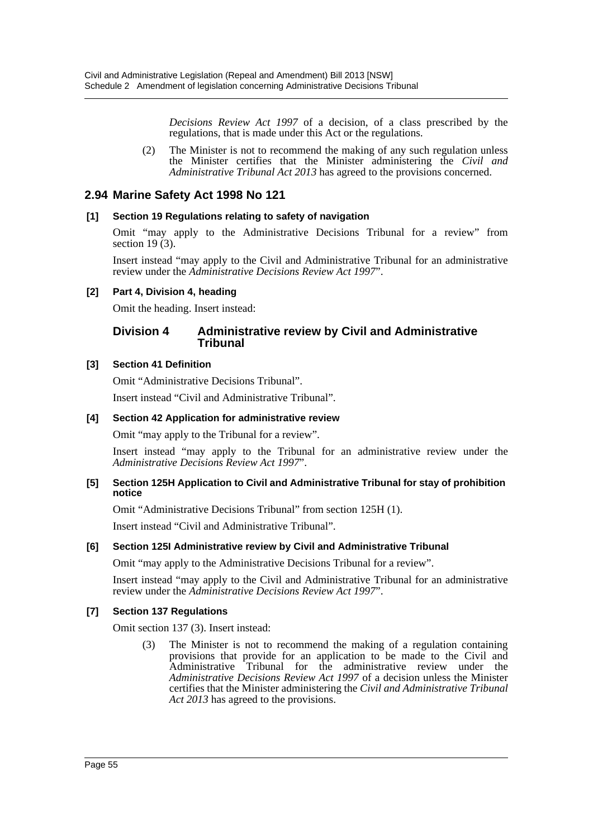*Decisions Review Act 1997* of a decision, of a class prescribed by the regulations, that is made under this Act or the regulations.

(2) The Minister is not to recommend the making of any such regulation unless the Minister certifies that the Minister administering the *Civil and Administrative Tribunal Act 2013* has agreed to the provisions concerned.

## **2.94 Marine Safety Act 1998 No 121**

## **[1] Section 19 Regulations relating to safety of navigation**

Omit "may apply to the Administrative Decisions Tribunal for a review" from section 19 $(3)$ .

Insert instead "may apply to the Civil and Administrative Tribunal for an administrative review under the *Administrative Decisions Review Act 1997*".

### **[2] Part 4, Division 4, heading**

Omit the heading. Insert instead:

### **Division 4 Administrative review by Civil and Administrative Tribunal**

### **[3] Section 41 Definition**

Omit "Administrative Decisions Tribunal".

Insert instead "Civil and Administrative Tribunal".

### **[4] Section 42 Application for administrative review**

Omit "may apply to the Tribunal for a review".

Insert instead "may apply to the Tribunal for an administrative review under the *Administrative Decisions Review Act 1997*".

#### **[5] Section 125H Application to Civil and Administrative Tribunal for stay of prohibition notice**

Omit "Administrative Decisions Tribunal" from section 125H (1).

Insert instead "Civil and Administrative Tribunal".

#### **[6] Section 125I Administrative review by Civil and Administrative Tribunal**

Omit "may apply to the Administrative Decisions Tribunal for a review".

Insert instead "may apply to the Civil and Administrative Tribunal for an administrative review under the *Administrative Decisions Review Act 1997*".

#### **[7] Section 137 Regulations**

Omit section 137 (3). Insert instead:

(3) The Minister is not to recommend the making of a regulation containing provisions that provide for an application to be made to the Civil and Administrative Tribunal for the administrative review under the *Administrative Decisions Review Act 1997* of a decision unless the Minister certifies that the Minister administering the *Civil and Administrative Tribunal Act 2013* has agreed to the provisions.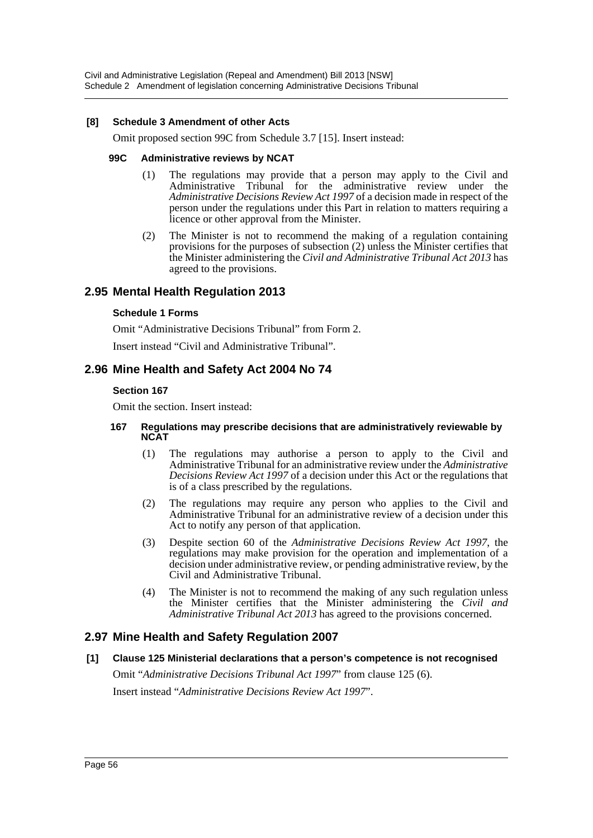#### **[8] Schedule 3 Amendment of other Acts**

Omit proposed section 99C from Schedule 3.7 [15]. Insert instead:

#### **99C Administrative reviews by NCAT**

- (1) The regulations may provide that a person may apply to the Civil and Administrative Tribunal for the administrative review under the *Administrative Decisions Review Act 1997* of a decision made in respect of the person under the regulations under this Part in relation to matters requiring a licence or other approval from the Minister.
- (2) The Minister is not to recommend the making of a regulation containing provisions for the purposes of subsection (2) unless the Minister certifies that the Minister administering the *Civil and Administrative Tribunal Act 2013* has agreed to the provisions.

## **2.95 Mental Health Regulation 2013**

#### **Schedule 1 Forms**

Omit "Administrative Decisions Tribunal" from Form 2.

Insert instead "Civil and Administrative Tribunal".

## **2.96 Mine Health and Safety Act 2004 No 74**

#### **Section 167**

Omit the section. Insert instead:

#### **167 Regulations may prescribe decisions that are administratively reviewable by NCAT**

- (1) The regulations may authorise a person to apply to the Civil and Administrative Tribunal for an administrative review under the *Administrative Decisions Review Act 1997* of a decision under this Act or the regulations that is of a class prescribed by the regulations.
- (2) The regulations may require any person who applies to the Civil and Administrative Tribunal for an administrative review of a decision under this Act to notify any person of that application.
- (3) Despite section 60 of the *Administrative Decisions Review Act 1997*, the regulations may make provision for the operation and implementation of a decision under administrative review, or pending administrative review, by the Civil and Administrative Tribunal.
- (4) The Minister is not to recommend the making of any such regulation unless the Minister certifies that the Minister administering the *Civil and Administrative Tribunal Act 2013* has agreed to the provisions concerned.

## **2.97 Mine Health and Safety Regulation 2007**

**[1] Clause 125 Ministerial declarations that a person's competence is not recognised** Omit "*Administrative Decisions Tribunal Act 1997*" from clause 125 (6).

Insert instead "*Administrative Decisions Review Act 1997*".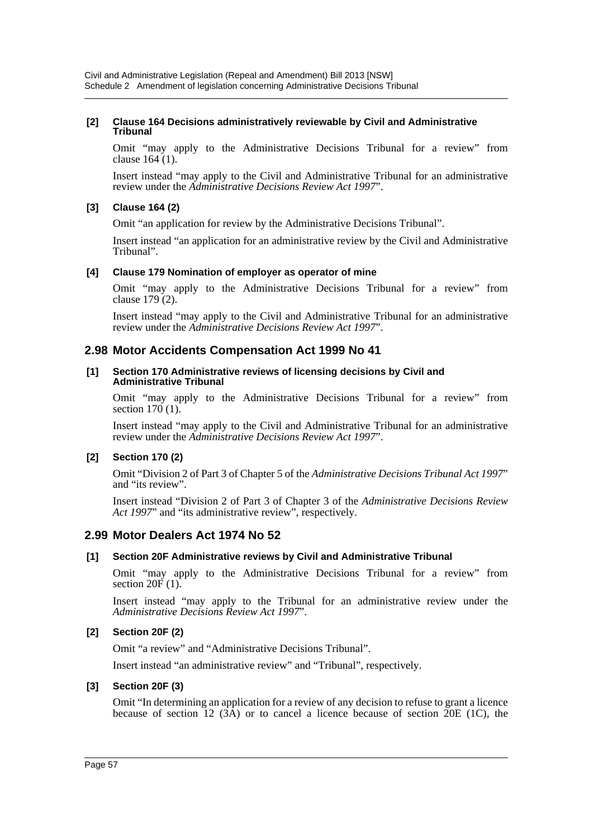#### **[2] Clause 164 Decisions administratively reviewable by Civil and Administrative Tribunal**

Omit "may apply to the Administrative Decisions Tribunal for a review" from clause 164 (1).

Insert instead "may apply to the Civil and Administrative Tribunal for an administrative review under the *Administrative Decisions Review Act 1997*".

### **[3] Clause 164 (2)**

Omit "an application for review by the Administrative Decisions Tribunal".

Insert instead "an application for an administrative review by the Civil and Administrative Tribunal".

#### **[4] Clause 179 Nomination of employer as operator of mine**

Omit "may apply to the Administrative Decisions Tribunal for a review" from clause 179 (2).

Insert instead "may apply to the Civil and Administrative Tribunal for an administrative review under the *Administrative Decisions Review Act 1997*".

## **2.98 Motor Accidents Compensation Act 1999 No 41**

#### **[1] Section 170 Administrative reviews of licensing decisions by Civil and Administrative Tribunal**

Omit "may apply to the Administrative Decisions Tribunal for a review" from section  $170(1)$ .

Insert instead "may apply to the Civil and Administrative Tribunal for an administrative review under the *Administrative Decisions Review Act 1997*".

#### **[2] Section 170 (2)**

Omit "Division 2 of Part 3 of Chapter 5 of the *Administrative Decisions Tribunal Act 1997*" and "its review".

Insert instead "Division 2 of Part 3 of Chapter 3 of the *Administrative Decisions Review Act 1997*' and "its administrative review", respectively.

## **2.99 Motor Dealers Act 1974 No 52**

#### **[1] Section 20F Administrative reviews by Civil and Administrative Tribunal**

Omit "may apply to the Administrative Decisions Tribunal for a review" from section  $20\vec{F}(1)$ .

Insert instead "may apply to the Tribunal for an administrative review under the *Administrative Decisions Review Act 1997*".

#### **[2] Section 20F (2)**

Omit "a review" and "Administrative Decisions Tribunal".

Insert instead "an administrative review" and "Tribunal", respectively.

#### **[3] Section 20F (3)**

Omit "In determining an application for a review of any decision to refuse to grant a licence because of section 12  $(3\overline{A})$  or to cancel a licence because of section 20E (1C), the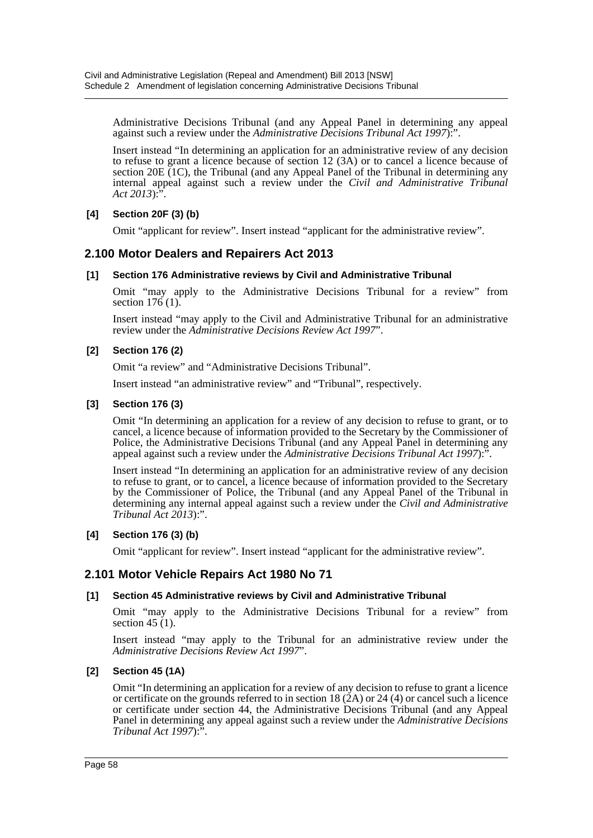Administrative Decisions Tribunal (and any Appeal Panel in determining any appeal against such a review under the *Administrative Decisions Tribunal Act 1997*):".

Insert instead "In determining an application for an administrative review of any decision to refuse to grant a licence because of section 12 (3A) or to cancel a licence because of section 20E  $(1C)$ , the Tribunal (and any Appeal Panel of the Tribunal in determining any internal appeal against such a review under the *Civil and Administrative Tribunal Act 2013*):".

## **[4] Section 20F (3) (b)**

Omit "applicant for review". Insert instead "applicant for the administrative review".

## **2.100 Motor Dealers and Repairers Act 2013**

#### **[1] Section 176 Administrative reviews by Civil and Administrative Tribunal**

Omit "may apply to the Administrative Decisions Tribunal for a review" from section  $176(1)$ .

Insert instead "may apply to the Civil and Administrative Tribunal for an administrative review under the *Administrative Decisions Review Act 1997*".

#### **[2] Section 176 (2)**

Omit "a review" and "Administrative Decisions Tribunal".

Insert instead "an administrative review" and "Tribunal", respectively.

#### **[3] Section 176 (3)**

Omit "In determining an application for a review of any decision to refuse to grant, or to cancel, a licence because of information provided to the Secretary by the Commissioner of Police, the Administrative Decisions Tribunal (and any Appeal Panel in determining any appeal against such a review under the *Administrative Decisions Tribunal Act 1997*):".

Insert instead "In determining an application for an administrative review of any decision to refuse to grant, or to cancel, a licence because of information provided to the Secretary by the Commissioner of Police, the Tribunal (and any Appeal Panel of the Tribunal in determining any internal appeal against such a review under the *Civil and Administrative Tribunal Act 2013*):".

#### **[4] Section 176 (3) (b)**

Omit "applicant for review". Insert instead "applicant for the administrative review".

## **2.101 Motor Vehicle Repairs Act 1980 No 71**

#### **[1] Section 45 Administrative reviews by Civil and Administrative Tribunal**

Omit "may apply to the Administrative Decisions Tribunal for a review" from section 45  $(1)$ .

Insert instead "may apply to the Tribunal for an administrative review under the *Administrative Decisions Review Act 1997*".

#### **[2] Section 45 (1A)**

Omit "In determining an application for a review of any decision to refuse to grant a licence or certificate on the grounds referred to in section 18  $(2A)$  or 24  $(4)$  or cancel such a licence or certificate under section 44, the Administrative Decisions Tribunal (and any Appeal Panel in determining any appeal against such a review under the *Administrative Decisions Tribunal Act 1997*):".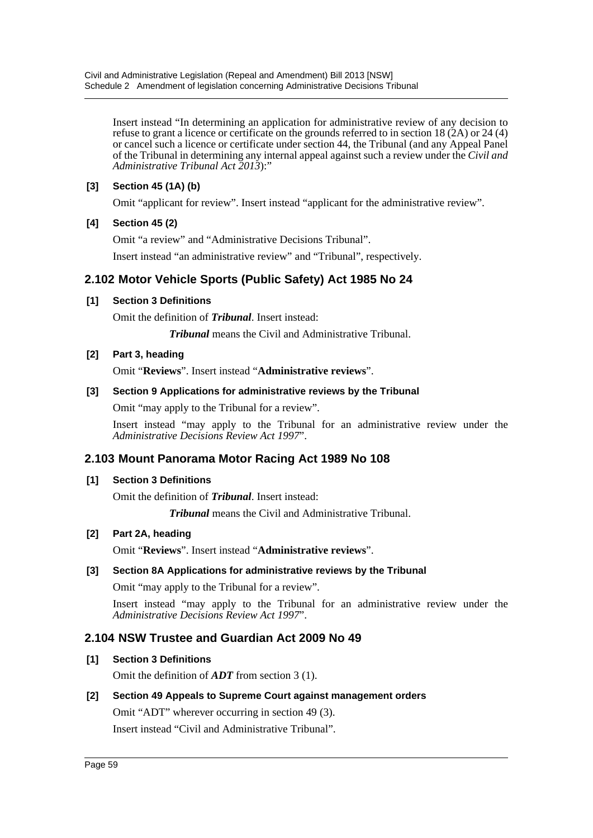Insert instead "In determining an application for administrative review of any decision to refuse to grant a licence or certificate on the grounds referred to in section 18  $(2A)$  or 24 (4) or cancel such a licence or certificate under section 44, the Tribunal (and any Appeal Panel of the Tribunal in determining any internal appeal against such a review under the *Civil and Administrative Tribunal Act 2013*):"

## **[3] Section 45 (1A) (b)**

Omit "applicant for review". Insert instead "applicant for the administrative review".

## **[4] Section 45 (2)**

Omit "a review" and "Administrative Decisions Tribunal".

Insert instead "an administrative review" and "Tribunal", respectively.

## **2.102 Motor Vehicle Sports (Public Safety) Act 1985 No 24**

## **[1] Section 3 Definitions**

Omit the definition of *Tribunal*. Insert instead:

*Tribunal* means the Civil and Administrative Tribunal.

## **[2] Part 3, heading**

Omit "**Reviews**". Insert instead "**Administrative reviews**".

## **[3] Section 9 Applications for administrative reviews by the Tribunal**

Omit "may apply to the Tribunal for a review".

Insert instead "may apply to the Tribunal for an administrative review under the *Administrative Decisions Review Act 1997*".

## **2.103 Mount Panorama Motor Racing Act 1989 No 108**

#### **[1] Section 3 Definitions**

Omit the definition of *Tribunal*. Insert instead:

*Tribunal* means the Civil and Administrative Tribunal.

## **[2] Part 2A, heading**

Omit "**Reviews**". Insert instead "**Administrative reviews**".

## **[3] Section 8A Applications for administrative reviews by the Tribunal**

Omit "may apply to the Tribunal for a review".

Insert instead "may apply to the Tribunal for an administrative review under the *Administrative Decisions Review Act 1997*".

## **2.104 NSW Trustee and Guardian Act 2009 No 49**

## **[1] Section 3 Definitions**

Omit the definition of *ADT* from section 3 (1).

## **[2] Section 49 Appeals to Supreme Court against management orders**

Omit "ADT" wherever occurring in section 49 (3).

Insert instead "Civil and Administrative Tribunal".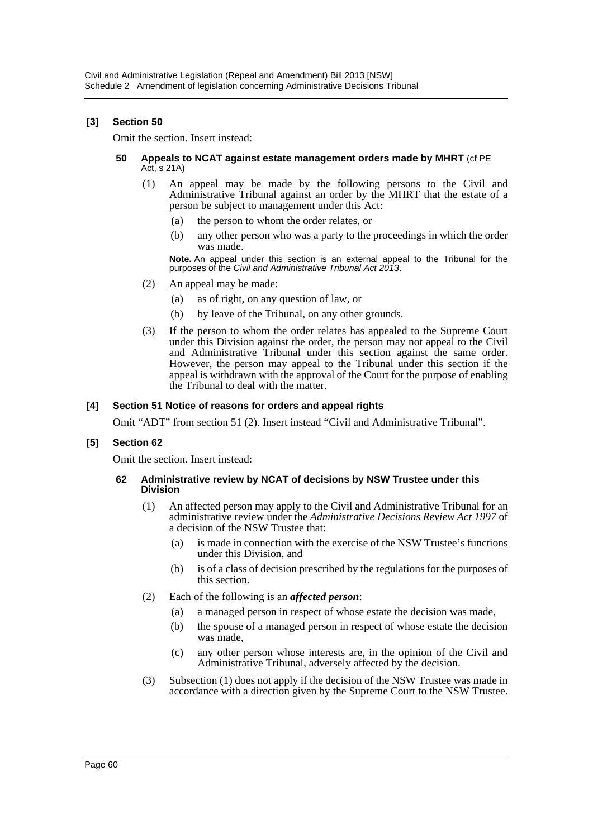### **[3] Section 50**

Omit the section. Insert instead:

#### **50 Appeals to NCAT against estate management orders made by MHRT** (cf PE Act, s 21A)

- (1) An appeal may be made by the following persons to the Civil and Administrative Tribunal against an order by the MHRT that the estate of a person be subject to management under this Act:
	- (a) the person to whom the order relates, or
	- (b) any other person who was a party to the proceedings in which the order was made.

**Note.** An appeal under this section is an external appeal to the Tribunal for the purposes of the *Civil and Administrative Tribunal Act 2013*.

- (2) An appeal may be made:
	- (a) as of right, on any question of law, or
	- (b) by leave of the Tribunal, on any other grounds.
- (3) If the person to whom the order relates has appealed to the Supreme Court under this Division against the order, the person may not appeal to the Civil and Administrative Tribunal under this section against the same order. However, the person may appeal to the Tribunal under this section if the appeal is withdrawn with the approval of the Court for the purpose of enabling the Tribunal to deal with the matter.

#### **[4] Section 51 Notice of reasons for orders and appeal rights**

Omit "ADT" from section 51 (2). Insert instead "Civil and Administrative Tribunal".

#### **[5] Section 62**

Omit the section. Insert instead:

#### **62 Administrative review by NCAT of decisions by NSW Trustee under this Division**

- (1) An affected person may apply to the Civil and Administrative Tribunal for an administrative review under the *Administrative Decisions Review Act 1997* of a decision of the NSW Trustee that:
	- (a) is made in connection with the exercise of the NSW Trustee's functions under this Division, and
	- (b) is of a class of decision prescribed by the regulations for the purposes of this section.
- (2) Each of the following is an *affected person*:
	- (a) a managed person in respect of whose estate the decision was made,
	- (b) the spouse of a managed person in respect of whose estate the decision was made,
	- (c) any other person whose interests are, in the opinion of the Civil and Administrative Tribunal, adversely affected by the decision.
- (3) Subsection (1) does not apply if the decision of the NSW Trustee was made in accordance with a direction given by the Supreme Court to the NSW Trustee.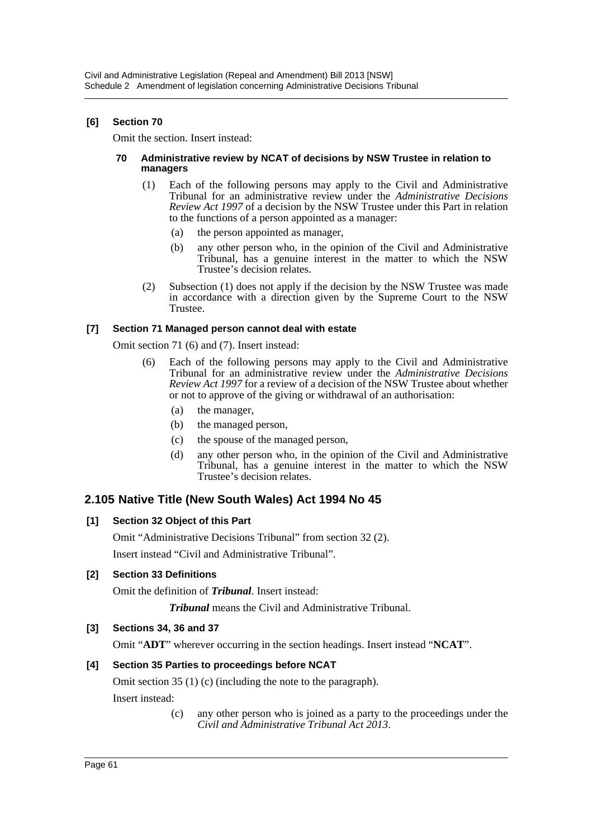## **[6] Section 70**

Omit the section. Insert instead:

#### **70 Administrative review by NCAT of decisions by NSW Trustee in relation to managers**

- (1) Each of the following persons may apply to the Civil and Administrative Tribunal for an administrative review under the *Administrative Decisions Review Act 1997* of a decision by the NSW Trustee under this Part in relation to the functions of a person appointed as a manager:
	- (a) the person appointed as manager,
	- (b) any other person who, in the opinion of the Civil and Administrative Tribunal, has a genuine interest in the matter to which the NSW Trustee's decision relates.
- (2) Subsection (1) does not apply if the decision by the NSW Trustee was made in accordance with a direction given by the Supreme Court to the NSW Trustee.

## **[7] Section 71 Managed person cannot deal with estate**

Omit section 71 (6) and (7). Insert instead:

- (6) Each of the following persons may apply to the Civil and Administrative Tribunal for an administrative review under the *Administrative Decisions Review Act 1997* for a review of a decision of the NSW Trustee about whether or not to approve of the giving or withdrawal of an authorisation:
	- (a) the manager,
	- (b) the managed person,
	- (c) the spouse of the managed person,
	- (d) any other person who, in the opinion of the Civil and Administrative Tribunal, has a genuine interest in the matter to which the NSW Trustee's decision relates.

## **2.105 Native Title (New South Wales) Act 1994 No 45**

## **[1] Section 32 Object of this Part**

Omit "Administrative Decisions Tribunal" from section 32 (2).

Insert instead "Civil and Administrative Tribunal".

## **[2] Section 33 Definitions**

Omit the definition of *Tribunal*. Insert instead:

*Tribunal* means the Civil and Administrative Tribunal.

## **[3] Sections 34, 36 and 37**

Omit "**ADT**" wherever occurring in the section headings. Insert instead "**NCAT**".

## **[4] Section 35 Parties to proceedings before NCAT**

Omit section 35 (1) (c) (including the note to the paragraph).

Insert instead:

(c) any other person who is joined as a party to the proceedings under the *Civil and Administrative Tribunal Act 2013*.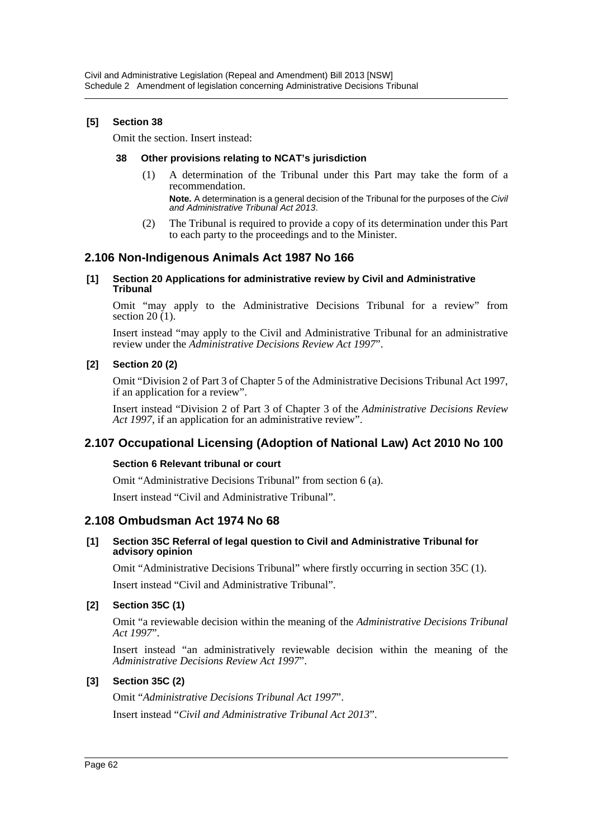### **[5] Section 38**

Omit the section. Insert instead:

#### **38 Other provisions relating to NCAT's jurisdiction**

(1) A determination of the Tribunal under this Part may take the form of a recommendation.

**Note.** A determination is a general decision of the Tribunal for the purposes of the *Civil and Administrative Tribunal Act 2013*.

(2) The Tribunal is required to provide a copy of its determination under this Part to each party to the proceedings and to the Minister.

## **2.106 Non-Indigenous Animals Act 1987 No 166**

#### **[1] Section 20 Applications for administrative review by Civil and Administrative Tribunal**

Omit "may apply to the Administrative Decisions Tribunal for a review" from section  $20(1)$ .

Insert instead "may apply to the Civil and Administrative Tribunal for an administrative review under the *Administrative Decisions Review Act 1997*".

### **[2] Section 20 (2)**

Omit "Division 2 of Part 3 of Chapter 5 of the Administrative Decisions Tribunal Act 1997, if an application for a review".

Insert instead "Division 2 of Part 3 of Chapter 3 of the *Administrative Decisions Review Act 1997*, if an application for an administrative review".

## **2.107 Occupational Licensing (Adoption of National Law) Act 2010 No 100**

#### **Section 6 Relevant tribunal or court**

Omit "Administrative Decisions Tribunal" from section 6 (a).

Insert instead "Civil and Administrative Tribunal".

#### **2.108 Ombudsman Act 1974 No 68**

#### **[1] Section 35C Referral of legal question to Civil and Administrative Tribunal for advisory opinion**

Omit "Administrative Decisions Tribunal" where firstly occurring in section 35C (1).

Insert instead "Civil and Administrative Tribunal".

#### **[2] Section 35C (1)**

Omit "a reviewable decision within the meaning of the *Administrative Decisions Tribunal Act 1997*".

Insert instead "an administratively reviewable decision within the meaning of the *Administrative Decisions Review Act 1997*".

#### **[3] Section 35C (2)**

Omit "*Administrative Decisions Tribunal Act 1997*".

Insert instead "*Civil and Administrative Tribunal Act 2013*".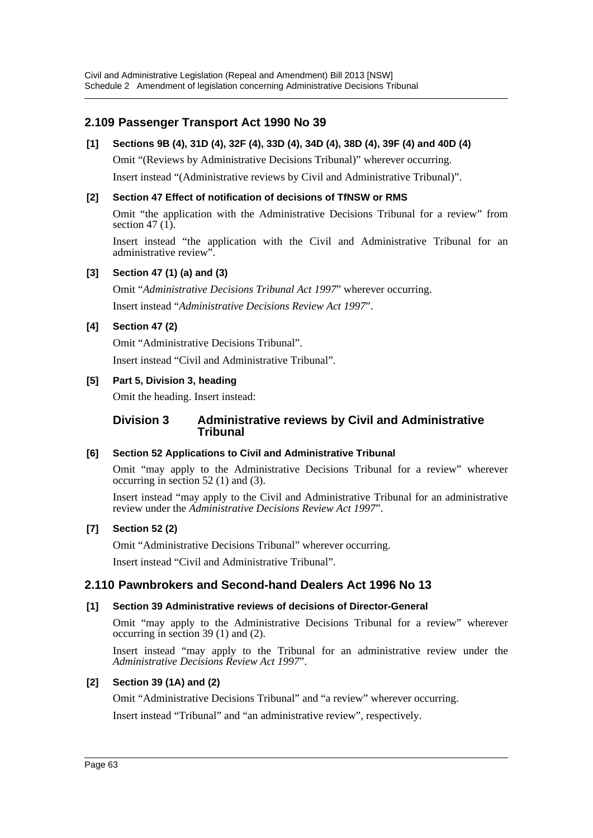## **2.109 Passenger Transport Act 1990 No 39**

## **[1] Sections 9B (4), 31D (4), 32F (4), 33D (4), 34D (4), 38D (4), 39F (4) and 40D (4)**

Omit "(Reviews by Administrative Decisions Tribunal)" wherever occurring. Insert instead "(Administrative reviews by Civil and Administrative Tribunal)".

### **[2] Section 47 Effect of notification of decisions of TfNSW or RMS**

Omit "the application with the Administrative Decisions Tribunal for a review" from section 47 $(1)$ .

Insert instead "the application with the Civil and Administrative Tribunal for an administrative review".

### **[3] Section 47 (1) (a) and (3)**

Omit "*Administrative Decisions Tribunal Act 1997*" wherever occurring. Insert instead "*Administrative Decisions Review Act 1997*".

### **[4] Section 47 (2)**

Omit "Administrative Decisions Tribunal". Insert instead "Civil and Administrative Tribunal".

### **[5] Part 5, Division 3, heading**

Omit the heading. Insert instead:

### **Division 3 Administrative reviews by Civil and Administrative Tribunal**

#### **[6] Section 52 Applications to Civil and Administrative Tribunal**

Omit "may apply to the Administrative Decisions Tribunal for a review" wherever occurring in section 52 (1) and (3).

Insert instead "may apply to the Civil and Administrative Tribunal for an administrative review under the *Administrative Decisions Review Act 1997*".

#### **[7] Section 52 (2)**

Omit "Administrative Decisions Tribunal" wherever occurring.

Insert instead "Civil and Administrative Tribunal".

## **2.110 Pawnbrokers and Second-hand Dealers Act 1996 No 13**

## **[1] Section 39 Administrative reviews of decisions of Director-General**

Omit "may apply to the Administrative Decisions Tribunal for a review" wherever occurring in section 39 (1) and (2).

Insert instead "may apply to the Tribunal for an administrative review under the *Administrative Decisions Review Act 1997*".

## **[2] Section 39 (1A) and (2)**

Omit "Administrative Decisions Tribunal" and "a review" wherever occurring.

Insert instead "Tribunal" and "an administrative review", respectively.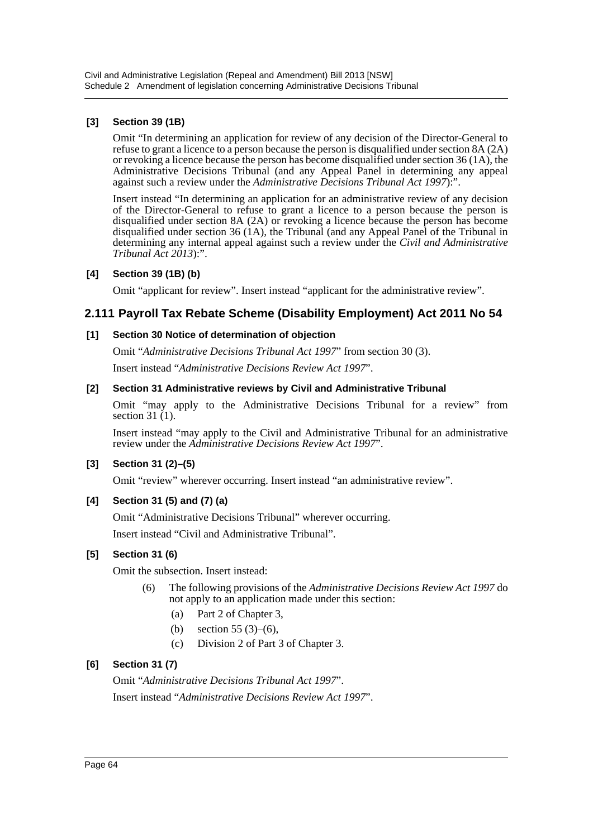## **[3] Section 39 (1B)**

Omit "In determining an application for review of any decision of the Director-General to refuse to grant a licence to a person because the person is disqualified under section 8A (2A) or revoking a licence because the person has become disqualified under section 36 (1A), the Administrative Decisions Tribunal (and any Appeal Panel in determining any appeal against such a review under the *Administrative Decisions Tribunal Act 1997*):".

Insert instead "In determining an application for an administrative review of any decision of the Director-General to refuse to grant a licence to a person because the person is disqualified under section 8A (2A) or revoking a licence because the person has become disqualified under section 36 (1A), the Tribunal (and any Appeal Panel of the Tribunal in determining any internal appeal against such a review under the *Civil and Administrative Tribunal Act 2013*):".

## **[4] Section 39 (1B) (b)**

Omit "applicant for review". Insert instead "applicant for the administrative review".

## **2.111 Payroll Tax Rebate Scheme (Disability Employment) Act 2011 No 54**

## **[1] Section 30 Notice of determination of objection**

Omit "*Administrative Decisions Tribunal Act 1997*" from section 30 (3).

Insert instead "*Administrative Decisions Review Act 1997*".

### **[2] Section 31 Administrative reviews by Civil and Administrative Tribunal**

Omit "may apply to the Administrative Decisions Tribunal for a review" from section 31 (1).

Insert instead "may apply to the Civil and Administrative Tribunal for an administrative review under the *Administrative Decisions Review Act 1997*".

## **[3] Section 31 (2)–(5)**

Omit "review" wherever occurring. Insert instead "an administrative review".

## **[4] Section 31 (5) and (7) (a)**

Omit "Administrative Decisions Tribunal" wherever occurring.

Insert instead "Civil and Administrative Tribunal".

## **[5] Section 31 (6)**

Omit the subsection. Insert instead:

- (6) The following provisions of the *Administrative Decisions Review Act 1997* do not apply to an application made under this section:
	- (a) Part 2 of Chapter 3,
	- (b) section 55 (3)–(6),
	- (c) Division 2 of Part 3 of Chapter 3.

## **[6] Section 31 (7)**

Omit "*Administrative Decisions Tribunal Act 1997*". Insert instead "*Administrative Decisions Review Act 1997*".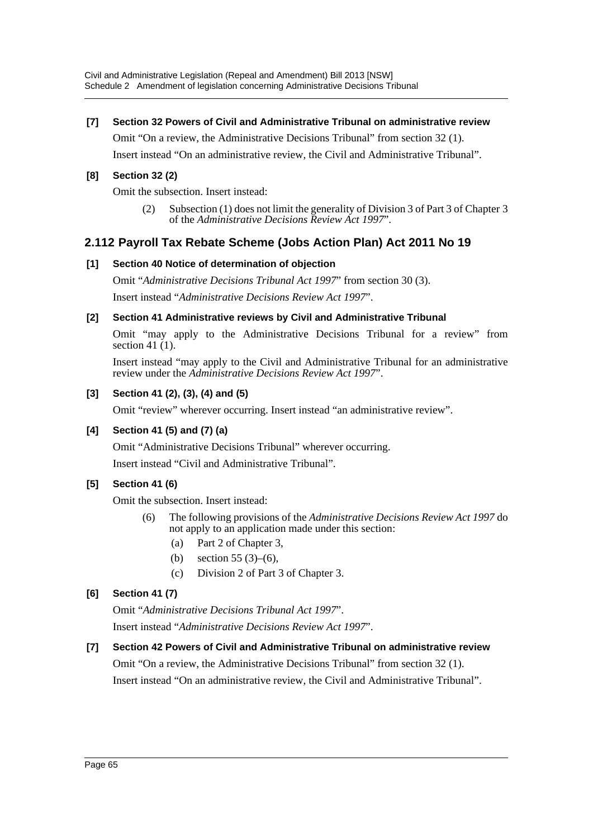## **[7] Section 32 Powers of Civil and Administrative Tribunal on administrative review**

Omit "On a review, the Administrative Decisions Tribunal" from section 32 (1).

Insert instead "On an administrative review, the Civil and Administrative Tribunal".

### **[8] Section 32 (2)**

Omit the subsection. Insert instead:

(2) Subsection (1) does not limit the generality of Division 3 of Part 3 of Chapter 3 of the *Administrative Decisions Review Act 1997*".

## **2.112 Payroll Tax Rebate Scheme (Jobs Action Plan) Act 2011 No 19**

### **[1] Section 40 Notice of determination of objection**

Omit "*Administrative Decisions Tribunal Act 1997*" from section 30 (3). Insert instead "*Administrative Decisions Review Act 1997*".

### **[2] Section 41 Administrative reviews by Civil and Administrative Tribunal**

Omit "may apply to the Administrative Decisions Tribunal for a review" from section 41 $(1)$ .

Insert instead "may apply to the Civil and Administrative Tribunal for an administrative review under the *Administrative Decisions Review Act 1997*".

## **[3] Section 41 (2), (3), (4) and (5)**

Omit "review" wherever occurring. Insert instead "an administrative review".

## **[4] Section 41 (5) and (7) (a)**

Omit "Administrative Decisions Tribunal" wherever occurring.

Insert instead "Civil and Administrative Tribunal".

## **[5] Section 41 (6)**

Omit the subsection. Insert instead:

- (6) The following provisions of the *Administrative Decisions Review Act 1997* do not apply to an application made under this section:
	- (a) Part 2 of Chapter 3,
	- (b) section 55 (3)–(6),
	- (c) Division 2 of Part 3 of Chapter 3.

## **[6] Section 41 (7)**

Omit "*Administrative Decisions Tribunal Act 1997*".

Insert instead "*Administrative Decisions Review Act 1997*".

## **[7] Section 42 Powers of Civil and Administrative Tribunal on administrative review**

Omit "On a review, the Administrative Decisions Tribunal" from section 32 (1). Insert instead "On an administrative review, the Civil and Administrative Tribunal".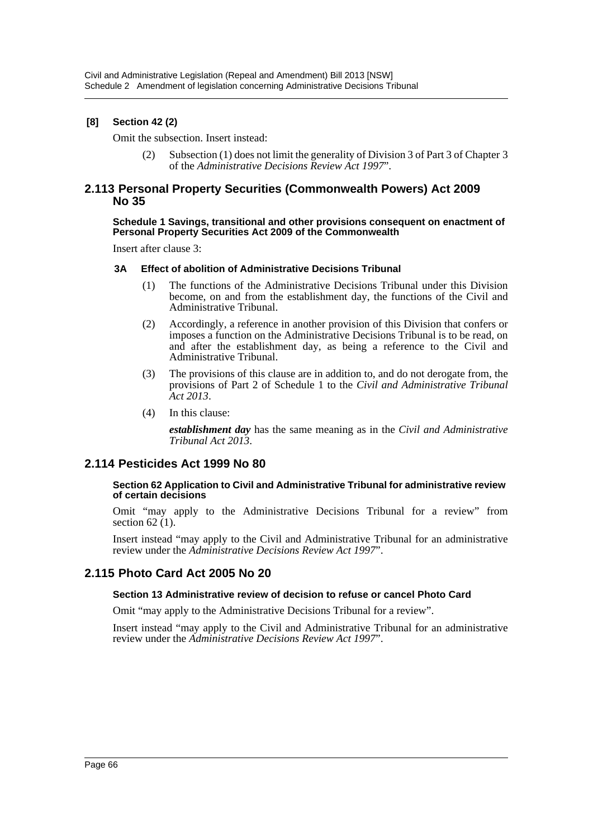### **[8] Section 42 (2)**

Omit the subsection. Insert instead:

(2) Subsection (1) does not limit the generality of Division 3 of Part 3 of Chapter 3 of the *Administrative Decisions Review Act 1997*".

### **2.113 Personal Property Securities (Commonwealth Powers) Act 2009 No 35**

#### **Schedule 1 Savings, transitional and other provisions consequent on enactment of Personal Property Securities Act 2009 of the Commonwealth**

Insert after clause 3:

#### **3A Effect of abolition of Administrative Decisions Tribunal**

- (1) The functions of the Administrative Decisions Tribunal under this Division become, on and from the establishment day, the functions of the Civil and Administrative Tribunal.
- (2) Accordingly, a reference in another provision of this Division that confers or imposes a function on the Administrative Decisions Tribunal is to be read, on and after the establishment day, as being a reference to the Civil and Administrative Tribunal.
- (3) The provisions of this clause are in addition to, and do not derogate from, the provisions of Part 2 of Schedule 1 to the *Civil and Administrative Tribunal Act 2013*.
- (4) In this clause:

*establishment day* has the same meaning as in the *Civil and Administrative Tribunal Act 2013*.

## **2.114 Pesticides Act 1999 No 80**

#### **Section 62 Application to Civil and Administrative Tribunal for administrative review of certain decisions**

Omit "may apply to the Administrative Decisions Tribunal for a review" from section  $62(1)$ .

Insert instead "may apply to the Civil and Administrative Tribunal for an administrative review under the *Administrative Decisions Review Act 1997*".

## **2.115 Photo Card Act 2005 No 20**

#### **Section 13 Administrative review of decision to refuse or cancel Photo Card**

Omit "may apply to the Administrative Decisions Tribunal for a review".

Insert instead "may apply to the Civil and Administrative Tribunal for an administrative review under the *Administrative Decisions Review Act 1997*".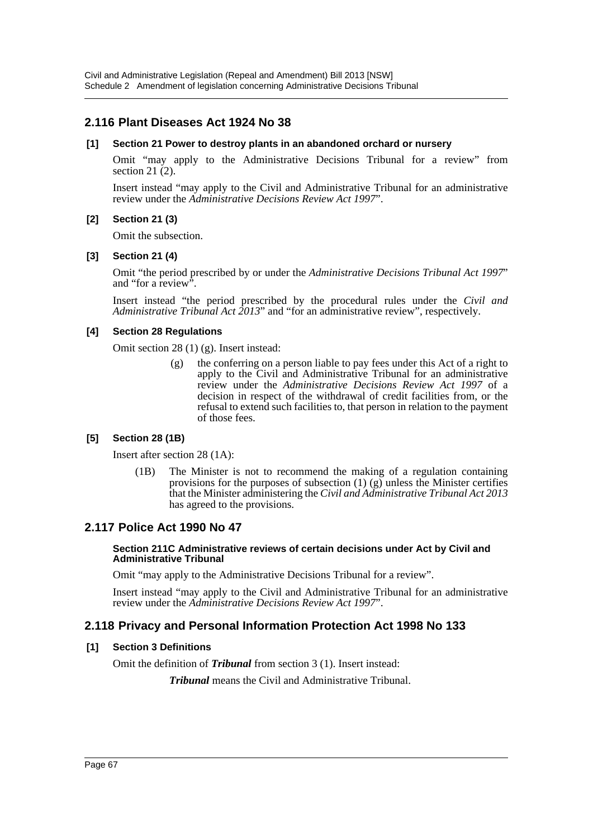## **2.116 Plant Diseases Act 1924 No 38**

#### **[1] Section 21 Power to destroy plants in an abandoned orchard or nursery**

Omit "may apply to the Administrative Decisions Tribunal for a review" from section 21 $(2)$ .

Insert instead "may apply to the Civil and Administrative Tribunal for an administrative review under the *Administrative Decisions Review Act 1997*".

### **[2] Section 21 (3)**

Omit the subsection.

### **[3] Section 21 (4)**

Omit "the period prescribed by or under the *Administrative Decisions Tribunal Act 1997*" and "for a review".

Insert instead "the period prescribed by the procedural rules under the *Civil and Administrative Tribunal Act 2013*" and "for an administrative review", respectively.

### **[4] Section 28 Regulations**

Omit section 28 (1) (g). Insert instead:

(g) the conferring on a person liable to pay fees under this Act of a right to apply to the Civil and Administrative Tribunal for an administrative review under the *Administrative Decisions Review Act 1997* of a decision in respect of the withdrawal of credit facilities from, or the refusal to extend such facilities to, that person in relation to the payment of those fees.

## **[5] Section 28 (1B)**

Insert after section 28 (1A):

(1B) The Minister is not to recommend the making of a regulation containing provisions for the purposes of subsection  $(1)$   $(g)$  unless the Minister certifies that the Minister administering the *Civil and Administrative Tribunal Act 2013* has agreed to the provisions.

## **2.117 Police Act 1990 No 47**

#### **Section 211C Administrative reviews of certain decisions under Act by Civil and Administrative Tribunal**

Omit "may apply to the Administrative Decisions Tribunal for a review".

Insert instead "may apply to the Civil and Administrative Tribunal for an administrative review under the *Administrative Decisions Review Act 1997*".

## **2.118 Privacy and Personal Information Protection Act 1998 No 133**

#### **[1] Section 3 Definitions**

Omit the definition of *Tribunal* from section 3 (1). Insert instead:

*Tribunal* means the Civil and Administrative Tribunal.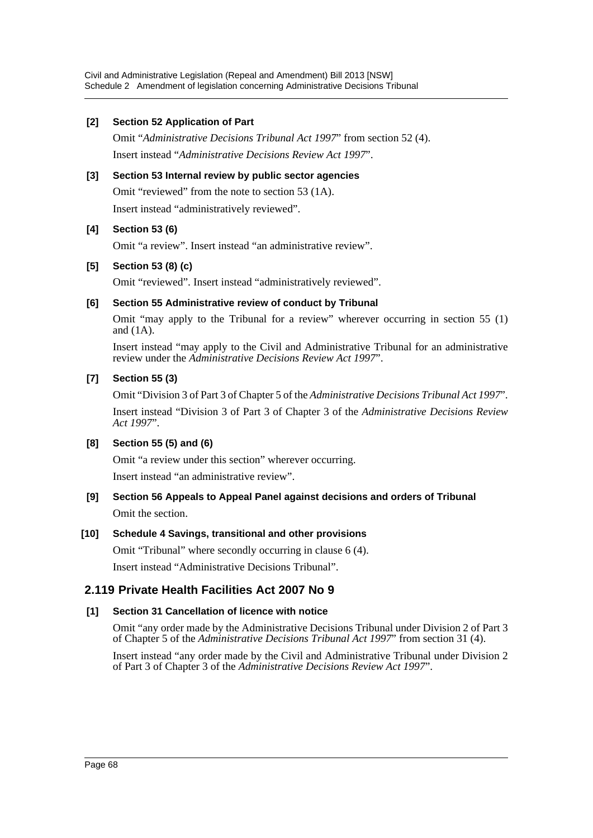## **[2] Section 52 Application of Part**

Omit "*Administrative Decisions Tribunal Act 1997*" from section 52 (4). Insert instead "*Administrative Decisions Review Act 1997*".

## **[3] Section 53 Internal review by public sector agencies**

Omit "reviewed" from the note to section 53 (1A).

Insert instead "administratively reviewed".

## **[4] Section 53 (6)**

Omit "a review". Insert instead "an administrative review".

## **[5] Section 53 (8) (c)**

Omit "reviewed". Insert instead "administratively reviewed".

## **[6] Section 55 Administrative review of conduct by Tribunal**

Omit "may apply to the Tribunal for a review" wherever occurring in section 55 (1) and (1A).

Insert instead "may apply to the Civil and Administrative Tribunal for an administrative review under the *Administrative Decisions Review Act 1997*".

### **[7] Section 55 (3)**

Omit "Division 3 of Part 3 of Chapter 5 of the *Administrative Decisions Tribunal Act 1997*".

Insert instead "Division 3 of Part 3 of Chapter 3 of the *Administrative Decisions Review Act 1997*".

## **[8] Section 55 (5) and (6)**

Omit "a review under this section" wherever occurring. Insert instead "an administrative review".

## **[9] Section 56 Appeals to Appeal Panel against decisions and orders of Tribunal** Omit the section.

#### **[10] Schedule 4 Savings, transitional and other provisions**

Omit "Tribunal" where secondly occurring in clause 6 (4). Insert instead "Administrative Decisions Tribunal".

## **2.119 Private Health Facilities Act 2007 No 9**

## **[1] Section 31 Cancellation of licence with notice**

Omit "any order made by the Administrative Decisions Tribunal under Division 2 of Part 3 of Chapter 5 of the *Administrative Decisions Tribunal Act 1997*" from section 31 (4).

Insert instead "any order made by the Civil and Administrative Tribunal under Division 2 of Part 3 of Chapter 3 of the *Administrative Decisions Review Act 1997*".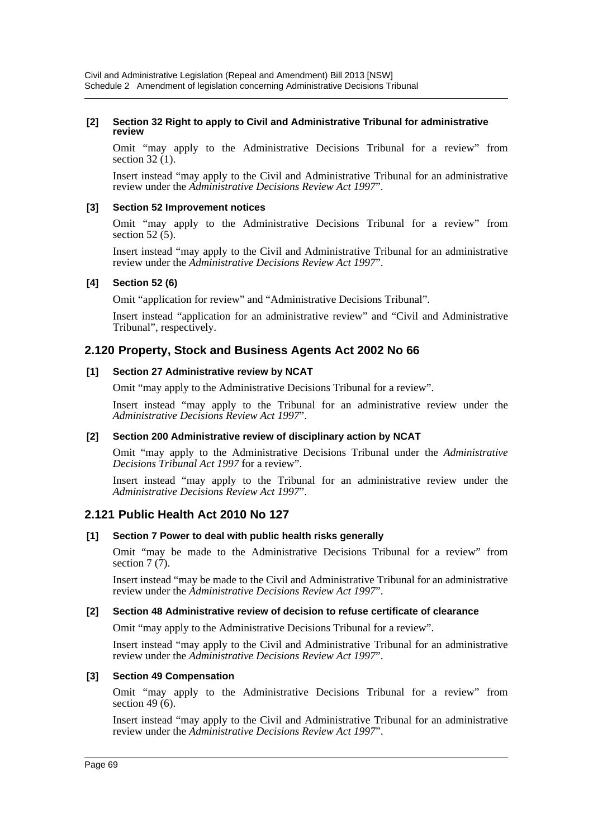#### **[2] Section 32 Right to apply to Civil and Administrative Tribunal for administrative review**

Omit "may apply to the Administrative Decisions Tribunal for a review" from section  $32(1)$ .

Insert instead "may apply to the Civil and Administrative Tribunal for an administrative review under the *Administrative Decisions Review Act 1997*".

#### **[3] Section 52 Improvement notices**

Omit "may apply to the Administrative Decisions Tribunal for a review" from section  $52(5)$ .

Insert instead "may apply to the Civil and Administrative Tribunal for an administrative review under the *Administrative Decisions Review Act 1997*".

#### **[4] Section 52 (6)**

Omit "application for review" and "Administrative Decisions Tribunal".

Insert instead "application for an administrative review" and "Civil and Administrative Tribunal", respectively.

## **2.120 Property, Stock and Business Agents Act 2002 No 66**

#### **[1] Section 27 Administrative review by NCAT**

Omit "may apply to the Administrative Decisions Tribunal for a review".

Insert instead "may apply to the Tribunal for an administrative review under the *Administrative Decisions Review Act 1997*".

#### **[2] Section 200 Administrative review of disciplinary action by NCAT**

Omit "may apply to the Administrative Decisions Tribunal under the *Administrative Decisions Tribunal Act 1997* for a review".

Insert instead "may apply to the Tribunal for an administrative review under the *Administrative Decisions Review Act 1997*".

#### **2.121 Public Health Act 2010 No 127**

#### **[1] Section 7 Power to deal with public health risks generally**

Omit "may be made to the Administrative Decisions Tribunal for a review" from section  $7(7)$ .

Insert instead "may be made to the Civil and Administrative Tribunal for an administrative review under the *Administrative Decisions Review Act 1997*".

#### **[2] Section 48 Administrative review of decision to refuse certificate of clearance**

Omit "may apply to the Administrative Decisions Tribunal for a review".

Insert instead "may apply to the Civil and Administrative Tribunal for an administrative review under the *Administrative Decisions Review Act 1997*".

#### **[3] Section 49 Compensation**

Omit "may apply to the Administrative Decisions Tribunal for a review" from section 49 $(6)$ .

Insert instead "may apply to the Civil and Administrative Tribunal for an administrative review under the *Administrative Decisions Review Act 1997*".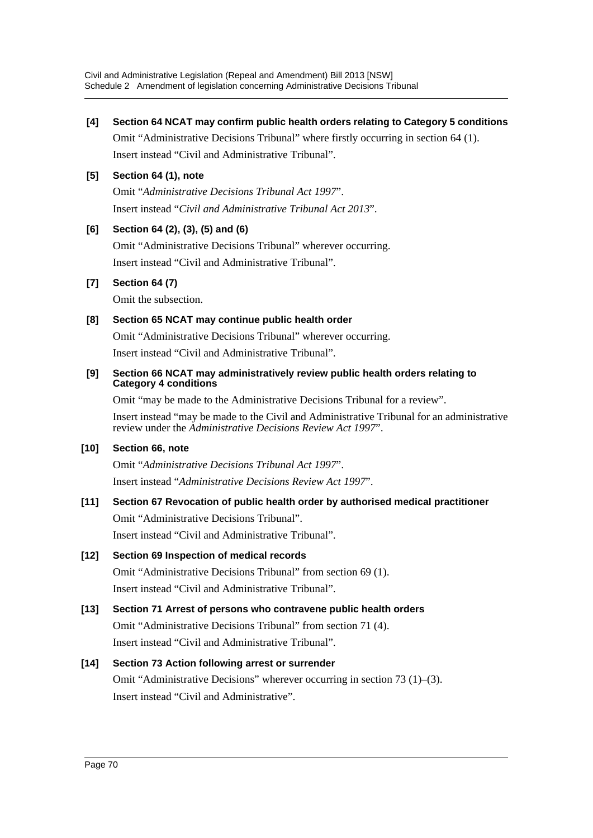## **[4] Section 64 NCAT may confirm public health orders relating to Category 5 conditions**

Omit "Administrative Decisions Tribunal" where firstly occurring in section 64 (1). Insert instead "Civil and Administrative Tribunal".

## **[5] Section 64 (1), note**

Omit "*Administrative Decisions Tribunal Act 1997*". Insert instead "*Civil and Administrative Tribunal Act 2013*".

## **[6] Section 64 (2), (3), (5) and (6)**

Omit "Administrative Decisions Tribunal" wherever occurring. Insert instead "Civil and Administrative Tribunal".

## **[7] Section 64 (7)**

Omit the subsection.

## **[8] Section 65 NCAT may continue public health order**

Omit "Administrative Decisions Tribunal" wherever occurring.

Insert instead "Civil and Administrative Tribunal".

### **[9] Section 66 NCAT may administratively review public health orders relating to Category 4 conditions**

Omit "may be made to the Administrative Decisions Tribunal for a review".

Insert instead "may be made to the Civil and Administrative Tribunal for an administrative review under the *Administrative Decisions Review Act 1997*".

## **[10] Section 66, note**

Omit "*Administrative Decisions Tribunal Act 1997*". Insert instead "*Administrative Decisions Review Act 1997*".

## **[11] Section 67 Revocation of public health order by authorised medical practitioner** Omit "Administrative Decisions Tribunal".

Insert instead "Civil and Administrative Tribunal".

## **[12] Section 69 Inspection of medical records**

Omit "Administrative Decisions Tribunal" from section 69 (1). Insert instead "Civil and Administrative Tribunal".

## **[13] Section 71 Arrest of persons who contravene public health orders**

Omit "Administrative Decisions Tribunal" from section 71 (4). Insert instead "Civil and Administrative Tribunal".

## **[14] Section 73 Action following arrest or surrender**

Omit "Administrative Decisions" wherever occurring in section 73 (1)–(3). Insert instead "Civil and Administrative".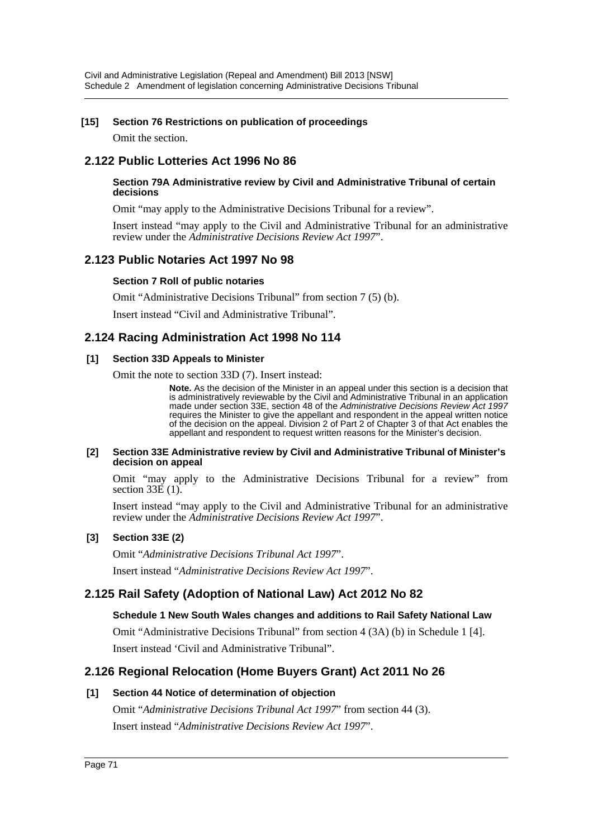### **[15] Section 76 Restrictions on publication of proceedings**

Omit the section.

## **2.122 Public Lotteries Act 1996 No 86**

#### **Section 79A Administrative review by Civil and Administrative Tribunal of certain decisions**

Omit "may apply to the Administrative Decisions Tribunal for a review".

Insert instead "may apply to the Civil and Administrative Tribunal for an administrative review under the *Administrative Decisions Review Act 1997*".

## **2.123 Public Notaries Act 1997 No 98**

#### **Section 7 Roll of public notaries**

Omit "Administrative Decisions Tribunal" from section 7 (5) (b).

Insert instead "Civil and Administrative Tribunal".

## **2.124 Racing Administration Act 1998 No 114**

#### **[1] Section 33D Appeals to Minister**

Omit the note to section 33D (7). Insert instead:

**Note.** As the decision of the Minister in an appeal under this section is a decision that is administratively reviewable by the Civil and Administrative Tribunal in an application made under section 33E, section 48 of the *Administrative Decisions Review Act 1997* requires the Minister to give the appellant and respondent in the appeal written notice of the decision on the appeal. Division 2 of Part 2 of Chapter 3 of that Act enables the appellant and respondent to request written reasons for the Minister's decision.

#### **[2] Section 33E Administrative review by Civil and Administrative Tribunal of Minister's decision on appeal**

Omit "may apply to the Administrative Decisions Tribunal for a review" from section  $33E(1)$ .

Insert instead "may apply to the Civil and Administrative Tribunal for an administrative review under the *Administrative Decisions Review Act 1997*".

#### **[3] Section 33E (2)**

Omit "*Administrative Decisions Tribunal Act 1997*". Insert instead "*Administrative Decisions Review Act 1997*".

## **2.125 Rail Safety (Adoption of National Law) Act 2012 No 82**

#### **Schedule 1 New South Wales changes and additions to Rail Safety National Law**

Omit "Administrative Decisions Tribunal" from section 4 (3A) (b) in Schedule 1 [4]. Insert instead 'Civil and Administrative Tribunal".

## **2.126 Regional Relocation (Home Buyers Grant) Act 2011 No 26**

#### **[1] Section 44 Notice of determination of objection**

Omit "*Administrative Decisions Tribunal Act 1997*" from section 44 (3). Insert instead "*Administrative Decisions Review Act 1997*".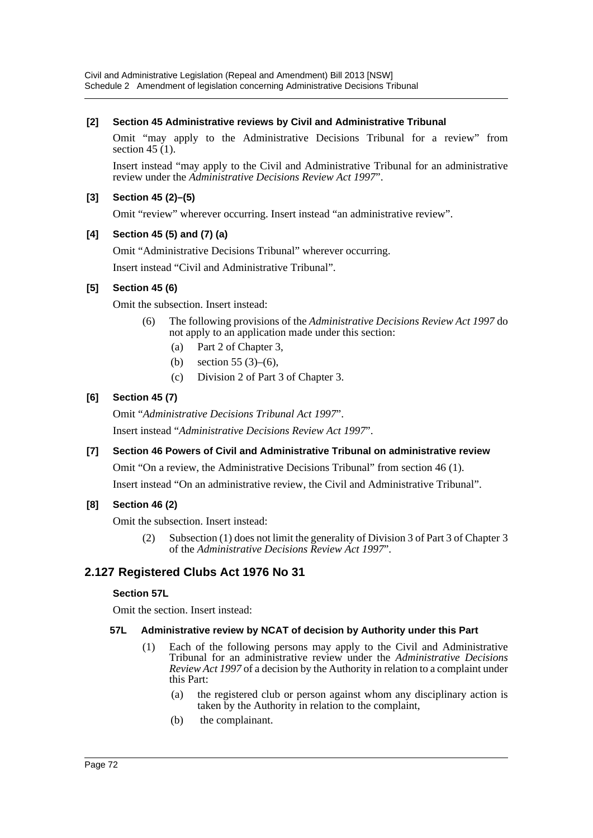## **[2] Section 45 Administrative reviews by Civil and Administrative Tribunal**

Omit "may apply to the Administrative Decisions Tribunal for a review" from section 45  $(1)$ .

Insert instead "may apply to the Civil and Administrative Tribunal for an administrative review under the *Administrative Decisions Review Act 1997*".

## **[3] Section 45 (2)–(5)**

Omit "review" wherever occurring. Insert instead "an administrative review".

## **[4] Section 45 (5) and (7) (a)**

Omit "Administrative Decisions Tribunal" wherever occurring.

Insert instead "Civil and Administrative Tribunal".

## **[5] Section 45 (6)**

Omit the subsection. Insert instead:

- (6) The following provisions of the *Administrative Decisions Review Act 1997* do not apply to an application made under this section:
	- (a) Part 2 of Chapter 3,
	- (b) section 55 (3)–(6),
	- (c) Division 2 of Part 3 of Chapter 3.

## **[6] Section 45 (7)**

Omit "*Administrative Decisions Tribunal Act 1997*".

Insert instead "*Administrative Decisions Review Act 1997*".

## **[7] Section 46 Powers of Civil and Administrative Tribunal on administrative review**

Omit "On a review, the Administrative Decisions Tribunal" from section 46 (1).

Insert instead "On an administrative review, the Civil and Administrative Tribunal".

## **[8] Section 46 (2)**

Omit the subsection. Insert instead:

(2) Subsection (1) does not limit the generality of Division 3 of Part 3 of Chapter 3 of the *Administrative Decisions Review Act 1997*".

## **2.127 Registered Clubs Act 1976 No 31**

#### **Section 57L**

Omit the section. Insert instead:

#### **57L Administrative review by NCAT of decision by Authority under this Part**

- (1) Each of the following persons may apply to the Civil and Administrative Tribunal for an administrative review under the *Administrative Decisions Review Act 1997* of a decision by the Authority in relation to a complaint under this Part:
	- (a) the registered club or person against whom any disciplinary action is taken by the Authority in relation to the complaint,
	- (b) the complainant.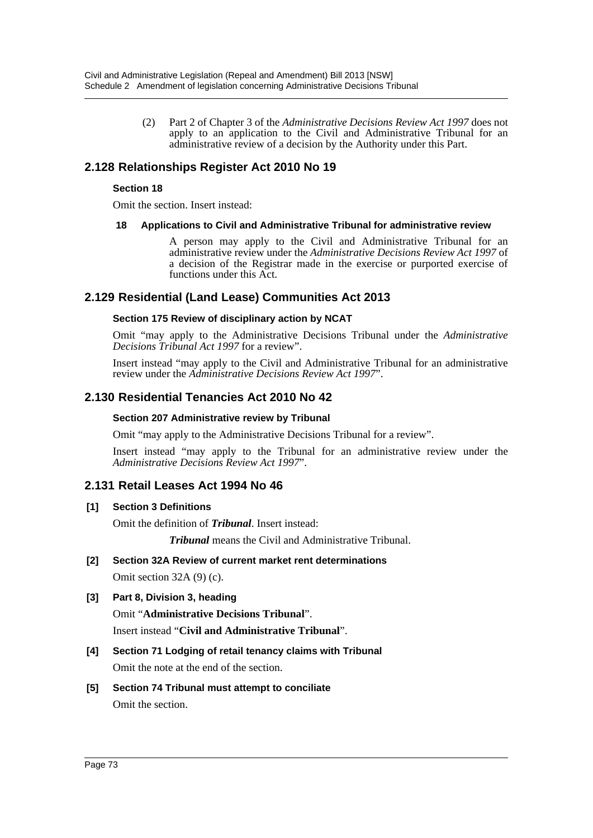(2) Part 2 of Chapter 3 of the *Administrative Decisions Review Act 1997* does not apply to an application to the Civil and Administrative Tribunal for an administrative review of a decision by the Authority under this Part.

## **2.128 Relationships Register Act 2010 No 19**

#### **Section 18**

Omit the section. Insert instead:

#### **18 Applications to Civil and Administrative Tribunal for administrative review**

A person may apply to the Civil and Administrative Tribunal for an administrative review under the *Administrative Decisions Review Act 1997* of a decision of the Registrar made in the exercise or purported exercise of functions under this Act.

## **2.129 Residential (Land Lease) Communities Act 2013**

#### **Section 175 Review of disciplinary action by NCAT**

Omit "may apply to the Administrative Decisions Tribunal under the *Administrative Decisions Tribunal Act 1997* for a review".

Insert instead "may apply to the Civil and Administrative Tribunal for an administrative review under the *Administrative Decisions Review Act 1997*".

## **2.130 Residential Tenancies Act 2010 No 42**

#### **Section 207 Administrative review by Tribunal**

Omit "may apply to the Administrative Decisions Tribunal for a review".

Insert instead "may apply to the Tribunal for an administrative review under the *Administrative Decisions Review Act 1997*".

## **2.131 Retail Leases Act 1994 No 46**

## **[1] Section 3 Definitions**

Omit the definition of *Tribunal*. Insert instead:

*Tribunal* means the Civil and Administrative Tribunal.

**[2] Section 32A Review of current market rent determinations** Omit section 32A (9) (c).

## **[3] Part 8, Division 3, heading**

Omit "**Administrative Decisions Tribunal**". Insert instead "**Civil and Administrative Tribunal**".

- **[4] Section 71 Lodging of retail tenancy claims with Tribunal** Omit the note at the end of the section.
- **[5] Section 74 Tribunal must attempt to conciliate** Omit the section.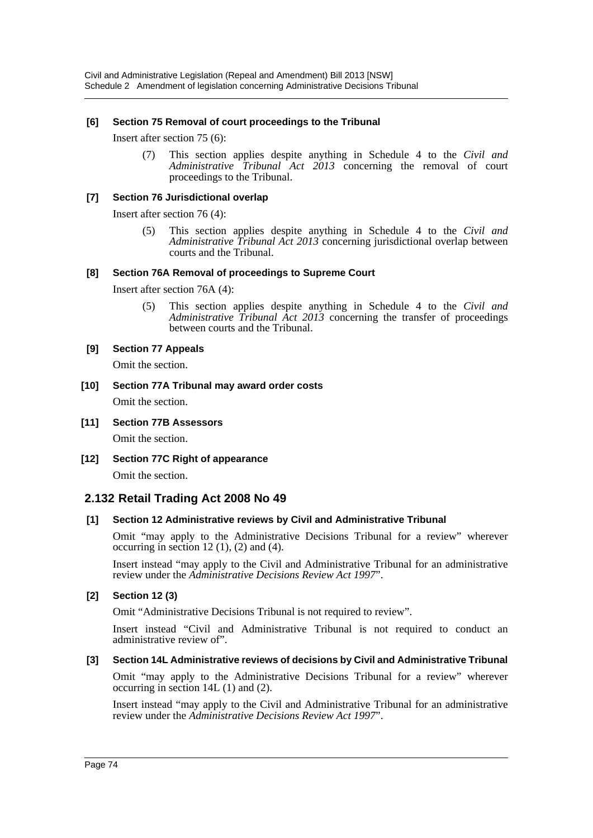#### **[6] Section 75 Removal of court proceedings to the Tribunal**

Insert after section 75 (6):

(7) This section applies despite anything in Schedule 4 to the *Civil and Administrative Tribunal Act 2013* concerning the removal of court proceedings to the Tribunal.

### **[7] Section 76 Jurisdictional overlap**

Insert after section 76 (4):

(5) This section applies despite anything in Schedule 4 to the *Civil and Administrative Tribunal Act 2013* concerning jurisdictional overlap between courts and the Tribunal.

#### **[8] Section 76A Removal of proceedings to Supreme Court**

Insert after section 76A (4):

(5) This section applies despite anything in Schedule 4 to the *Civil and Administrative Tribunal Act 2013* concerning the transfer of proceedings between courts and the Tribunal.

#### **[9] Section 77 Appeals**

Omit the section.

**[10] Section 77A Tribunal may award order costs** Omit the section.

### **[11] Section 77B Assessors**

Omit the section.

**[12] Section 77C Right of appearance** Omit the section.

## **2.132 Retail Trading Act 2008 No 49**

## **[1] Section 12 Administrative reviews by Civil and Administrative Tribunal**

Omit "may apply to the Administrative Decisions Tribunal for a review" wherever occurring in section  $12(1)$ ,  $(2)$  and  $(4)$ .

Insert instead "may apply to the Civil and Administrative Tribunal for an administrative review under the *Administrative Decisions Review Act 1997*".

## **[2] Section 12 (3)**

Omit "Administrative Decisions Tribunal is not required to review".

Insert instead "Civil and Administrative Tribunal is not required to conduct an administrative review of".

#### **[3] Section 14L Administrative reviews of decisions by Civil and Administrative Tribunal**

Omit "may apply to the Administrative Decisions Tribunal for a review" wherever occurring in section 14L (1) and (2).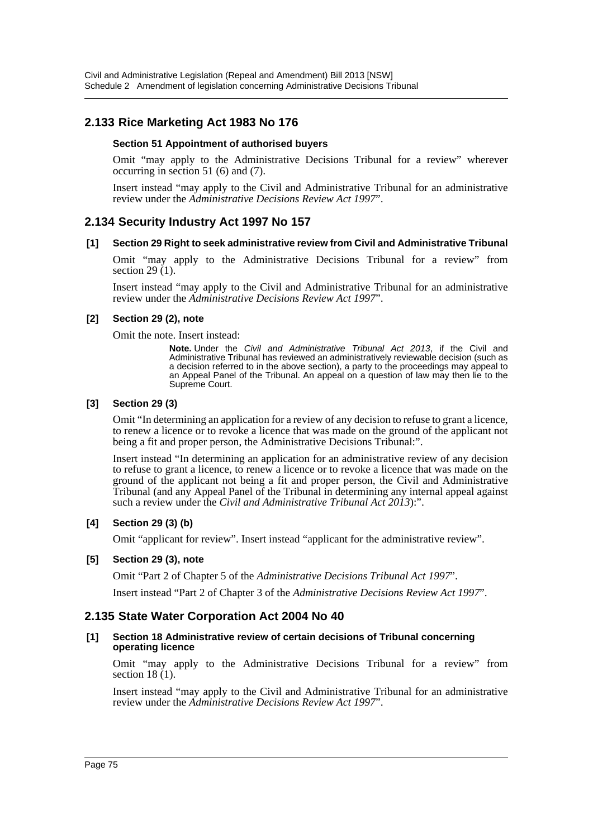## **2.133 Rice Marketing Act 1983 No 176**

#### **Section 51 Appointment of authorised buyers**

Omit "may apply to the Administrative Decisions Tribunal for a review" wherever occurring in section 51 (6) and (7).

Insert instead "may apply to the Civil and Administrative Tribunal for an administrative review under the *Administrative Decisions Review Act 1997*".

## **2.134 Security Industry Act 1997 No 157**

#### **[1] Section 29 Right to seek administrative review from Civil and Administrative Tribunal**

Omit "may apply to the Administrative Decisions Tribunal for a review" from section 29 $(1)$ .

Insert instead "may apply to the Civil and Administrative Tribunal for an administrative review under the *Administrative Decisions Review Act 1997*".

#### **[2] Section 29 (2), note**

Omit the note. Insert instead:

**Note.** Under the *Civil and Administrative Tribunal Act 2013*, if the Civil and Administrative Tribunal has reviewed an administratively reviewable decision (such as a decision referred to in the above section), a party to the proceedings may appeal to an Appeal Panel of the Tribunal. An appeal on a question of law may then lie to the Supreme Court.

### **[3] Section 29 (3)**

Omit "In determining an application for a review of any decision to refuse to grant a licence, to renew a licence or to revoke a licence that was made on the ground of the applicant not being a fit and proper person, the Administrative Decisions Tribunal:".

Insert instead "In determining an application for an administrative review of any decision to refuse to grant a licence, to renew a licence or to revoke a licence that was made on the ground of the applicant not being a fit and proper person, the Civil and Administrative Tribunal (and any Appeal Panel of the Tribunal in determining any internal appeal against such a review under the *Civil and Administrative Tribunal Act 2013*):".

#### **[4] Section 29 (3) (b)**

Omit "applicant for review". Insert instead "applicant for the administrative review".

#### **[5] Section 29 (3), note**

Omit "Part 2 of Chapter 5 of the *Administrative Decisions Tribunal Act 1997*".

Insert instead "Part 2 of Chapter 3 of the *Administrative Decisions Review Act 1997*".

## **2.135 State Water Corporation Act 2004 No 40**

#### **[1] Section 18 Administrative review of certain decisions of Tribunal concerning operating licence**

Omit "may apply to the Administrative Decisions Tribunal for a review" from section 18 (1).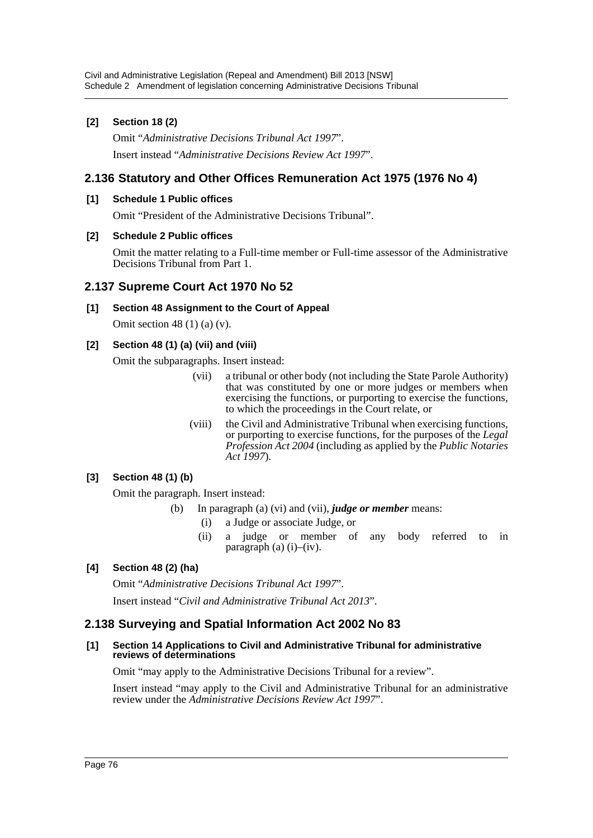## **[2] Section 18 (2)**

Omit "*Administrative Decisions Tribunal Act 1997*". Insert instead "*Administrative Decisions Review Act 1997*".

## **2.136 Statutory and Other Offices Remuneration Act 1975 (1976 No 4)**

## **[1] Schedule 1 Public offices**

Omit "President of the Administrative Decisions Tribunal".

#### **[2] Schedule 2 Public offices**

Omit the matter relating to a Full-time member or Full-time assessor of the Administrative Decisions Tribunal from Part 1.

## **2.137 Supreme Court Act 1970 No 52**

## **[1] Section 48 Assignment to the Court of Appeal**

Omit section 48 $(1)$  $(a)$  $(v)$ .

## **[2] Section 48 (1) (a) (vii) and (viii)**

Omit the subparagraphs. Insert instead:

- (vii) a tribunal or other body (not including the State Parole Authority) that was constituted by one or more judges or members when exercising the functions, or purporting to exercise the functions, to which the proceedings in the Court relate, or
- (viii) the Civil and Administrative Tribunal when exercising functions, or purporting to exercise functions, for the purposes of the *Legal Profession Act 2004* (including as applied by the *Public Notaries Act 1997*).

## **[3] Section 48 (1) (b)**

Omit the paragraph. Insert instead:

- (b) In paragraph (a) (vi) and (vii), *judge or member* means:
	- (i) a Judge or associate Judge, or
	- (ii) a judge or member of any body referred to in paragraph (a) (i)–(iv).

## **[4] Section 48 (2) (ha)**

Omit "*Administrative Decisions Tribunal Act 1997*". Insert instead "*Civil and Administrative Tribunal Act 2013*".

## **2.138 Surveying and Spatial Information Act 2002 No 83**

#### **[1] Section 14 Applications to Civil and Administrative Tribunal for administrative reviews of determinations**

Omit "may apply to the Administrative Decisions Tribunal for a review".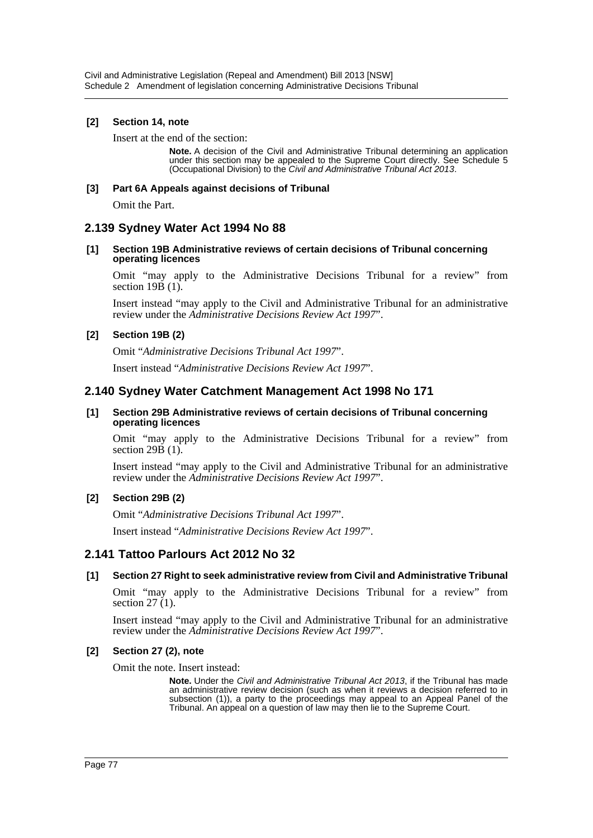#### **[2] Section 14, note**

Insert at the end of the section:

**Note.** A decision of the Civil and Administrative Tribunal determining an application under this section may be appealed to the Supreme Court directly. See Schedule 5 (Occupational Division) to the *Civil and Administrative Tribunal Act 2013*.

#### **[3] Part 6A Appeals against decisions of Tribunal**

Omit the Part.

## **2.139 Sydney Water Act 1994 No 88**

#### **[1] Section 19B Administrative reviews of certain decisions of Tribunal concerning operating licences**

Omit "may apply to the Administrative Decisions Tribunal for a review" from section 19B (1).

Insert instead "may apply to the Civil and Administrative Tribunal for an administrative review under the *Administrative Decisions Review Act 1997*".

#### **[2] Section 19B (2)**

Omit "*Administrative Decisions Tribunal Act 1997*".

Insert instead "*Administrative Decisions Review Act 1997*".

## **2.140 Sydney Water Catchment Management Act 1998 No 171**

#### **[1] Section 29B Administrative reviews of certain decisions of Tribunal concerning operating licences**

Omit "may apply to the Administrative Decisions Tribunal for a review" from section  $29B(1)$ .

Insert instead "may apply to the Civil and Administrative Tribunal for an administrative review under the *Administrative Decisions Review Act 1997*".

#### **[2] Section 29B (2)**

Omit "*Administrative Decisions Tribunal Act 1997*".

Insert instead "*Administrative Decisions Review Act 1997*".

## **2.141 Tattoo Parlours Act 2012 No 32**

#### **[1] Section 27 Right to seek administrative review from Civil and Administrative Tribunal**

Omit "may apply to the Administrative Decisions Tribunal for a review" from section  $27(1)$ .

Insert instead "may apply to the Civil and Administrative Tribunal for an administrative review under the *Administrative Decisions Review Act 1997*".

#### **[2] Section 27 (2), note**

Omit the note. Insert instead:

**Note.** Under the *Civil and Administrative Tribunal Act 2013*, if the Tribunal has made an administrative review decision (such as when it reviews a decision referred to in subsection (1)), a party to the proceedings may appeal to an Appeal Panel of the Tribunal. An appeal on a question of law may then lie to the Supreme Court.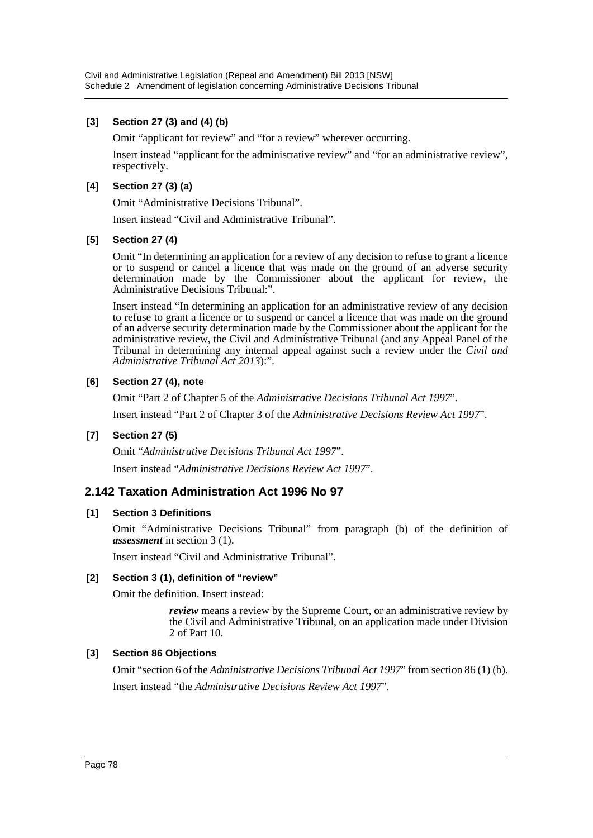### **[3] Section 27 (3) and (4) (b)**

Omit "applicant for review" and "for a review" wherever occurring.

Insert instead "applicant for the administrative review" and "for an administrative review", respectively.

#### **[4] Section 27 (3) (a)**

Omit "Administrative Decisions Tribunal".

Insert instead "Civil and Administrative Tribunal".

#### **[5] Section 27 (4)**

Omit "In determining an application for a review of any decision to refuse to grant a licence or to suspend or cancel a licence that was made on the ground of an adverse security determination made by the Commissioner about the applicant for review, the Administrative Decisions Tribunal:".

Insert instead "In determining an application for an administrative review of any decision to refuse to grant a licence or to suspend or cancel a licence that was made on the ground of an adverse security determination made by the Commissioner about the applicant for the administrative review, the Civil and Administrative Tribunal (and any Appeal Panel of the Tribunal in determining any internal appeal against such a review under the *Civil and Administrative Tribunal Act 2013*):".

#### **[6] Section 27 (4), note**

Omit "Part 2 of Chapter 5 of the *Administrative Decisions Tribunal Act 1997*".

Insert instead "Part 2 of Chapter 3 of the *Administrative Decisions Review Act 1997*".

## **[7] Section 27 (5)**

Omit "*Administrative Decisions Tribunal Act 1997*".

Insert instead "*Administrative Decisions Review Act 1997*".

## **2.142 Taxation Administration Act 1996 No 97**

#### **[1] Section 3 Definitions**

Omit "Administrative Decisions Tribunal" from paragraph (b) of the definition of *assessment* in section 3 (1).

Insert instead "Civil and Administrative Tribunal".

#### **[2] Section 3 (1), definition of "review"**

Omit the definition. Insert instead:

*review* means a review by the Supreme Court, or an administrative review by the Civil and Administrative Tribunal, on an application made under Division 2 of Part 10.

#### **[3] Section 86 Objections**

Omit "section 6 of the *Administrative Decisions Tribunal Act 1997*" from section 86 (1) (b). Insert instead "the *Administrative Decisions Review Act 1997*".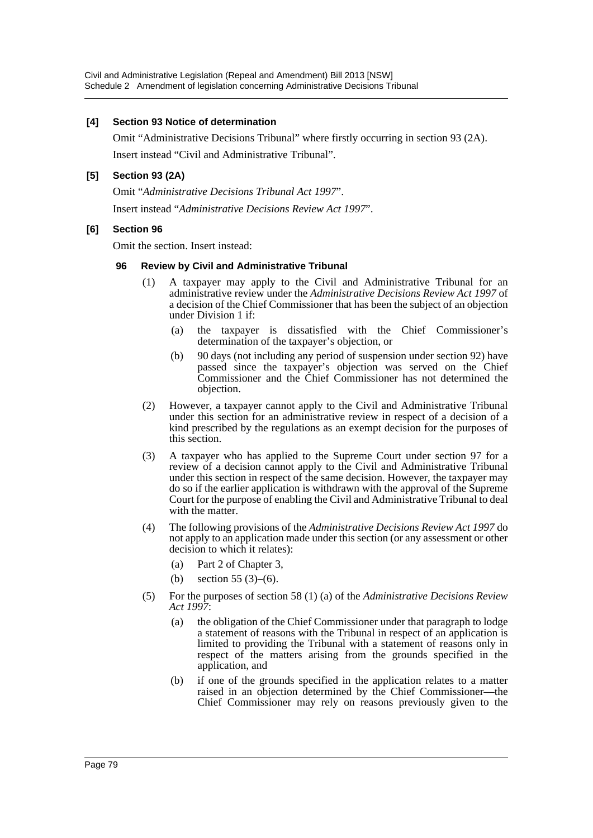#### **[4] Section 93 Notice of determination**

Omit "Administrative Decisions Tribunal" where firstly occurring in section 93 (2A). Insert instead "Civil and Administrative Tribunal".

## **[5] Section 93 (2A)**

Omit "*Administrative Decisions Tribunal Act 1997*". Insert instead "*Administrative Decisions Review Act 1997*".

#### **[6] Section 96**

Omit the section. Insert instead:

#### **96 Review by Civil and Administrative Tribunal**

- (1) A taxpayer may apply to the Civil and Administrative Tribunal for an administrative review under the *Administrative Decisions Review Act 1997* of a decision of the Chief Commissioner that has been the subject of an objection under Division 1 if:
	- (a) the taxpayer is dissatisfied with the Chief Commissioner's determination of the taxpayer's objection, or
	- (b) 90 days (not including any period of suspension under section 92) have passed since the taxpayer's objection was served on the Chief Commissioner and the Chief Commissioner has not determined the objection.
- (2) However, a taxpayer cannot apply to the Civil and Administrative Tribunal under this section for an administrative review in respect of a decision of a kind prescribed by the regulations as an exempt decision for the purposes of this section.
- (3) A taxpayer who has applied to the Supreme Court under section 97 for a review of a decision cannot apply to the Civil and Administrative Tribunal under this section in respect of the same decision. However, the taxpayer may do so if the earlier application is withdrawn with the approval of the Supreme Court for the purpose of enabling the Civil and Administrative Tribunal to deal with the matter.
- (4) The following provisions of the *Administrative Decisions Review Act 1997* do not apply to an application made under this section (or any assessment or other decision to which it relates):
	- (a) Part 2 of Chapter 3,
	- (b) section 55 (3)–(6).
- (5) For the purposes of section 58 (1) (a) of the *Administrative Decisions Review Act 1997*:
	- (a) the obligation of the Chief Commissioner under that paragraph to lodge a statement of reasons with the Tribunal in respect of an application is limited to providing the Tribunal with a statement of reasons only in respect of the matters arising from the grounds specified in the application, and
	- (b) if one of the grounds specified in the application relates to a matter raised in an objection determined by the Chief Commissioner—the Chief Commissioner may rely on reasons previously given to the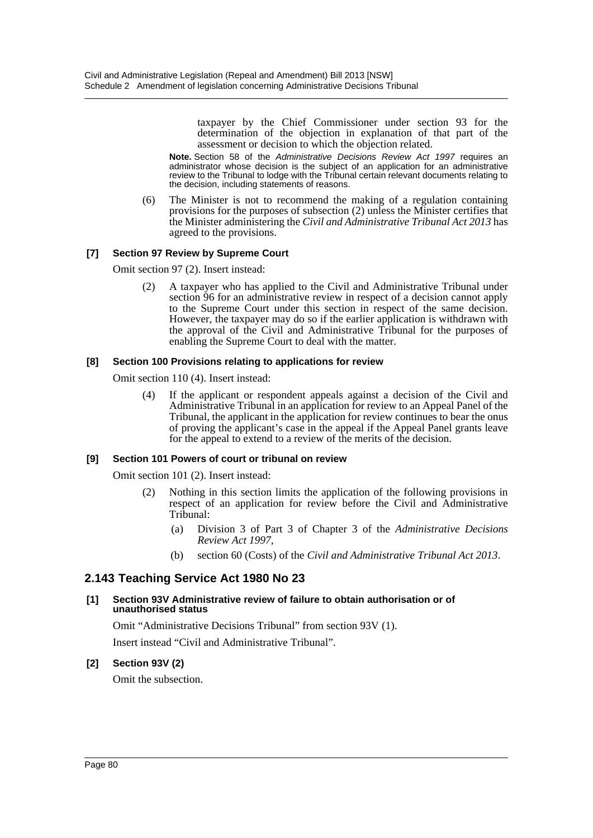taxpayer by the Chief Commissioner under section 93 for the determination of the objection in explanation of that part of the assessment or decision to which the objection related.

**Note.** Section 58 of the *Administrative Decisions Review Act 1997* requires an administrator whose decision is the subject of an application for an administrative review to the Tribunal to lodge with the Tribunal certain relevant documents relating to the decision, including statements of reasons.

(6) The Minister is not to recommend the making of a regulation containing provisions for the purposes of subsection (2) unless the Minister certifies that the Minister administering the *Civil and Administrative Tribunal Act 2013* has agreed to the provisions.

#### **[7] Section 97 Review by Supreme Court**

Omit section 97 (2). Insert instead:

(2) A taxpayer who has applied to the Civil and Administrative Tribunal under section 96 for an administrative review in respect of a decision cannot apply to the Supreme Court under this section in respect of the same decision. However, the taxpayer may do so if the earlier application is withdrawn with the approval of the Civil and Administrative Tribunal for the purposes of enabling the Supreme Court to deal with the matter.

#### **[8] Section 100 Provisions relating to applications for review**

Omit section 110 (4). Insert instead:

(4) If the applicant or respondent appeals against a decision of the Civil and Administrative Tribunal in an application for review to an Appeal Panel of the Tribunal, the applicant in the application for review continues to bear the onus of proving the applicant's case in the appeal if the Appeal Panel grants leave for the appeal to extend to a review of the merits of the decision.

#### **[9] Section 101 Powers of court or tribunal on review**

Omit section 101 (2). Insert instead:

- (2) Nothing in this section limits the application of the following provisions in respect of an application for review before the Civil and Administrative Tribunal:
	- (a) Division 3 of Part 3 of Chapter 3 of the *Administrative Decisions Review Act 1997*,
	- (b) section 60 (Costs) of the *Civil and Administrative Tribunal Act 2013*.

## **2.143 Teaching Service Act 1980 No 23**

#### **[1] Section 93V Administrative review of failure to obtain authorisation or of unauthorised status**

Omit "Administrative Decisions Tribunal" from section 93V (1). Insert instead "Civil and Administrative Tribunal".

#### **[2] Section 93V (2)**

Omit the subsection.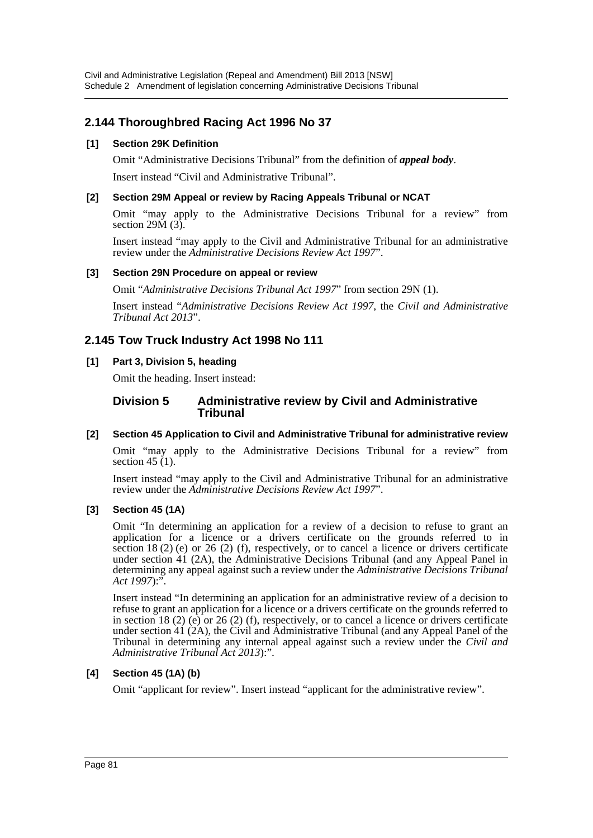## **2.144 Thoroughbred Racing Act 1996 No 37**

## **[1] Section 29K Definition**

Omit "Administrative Decisions Tribunal" from the definition of *appeal body*. Insert instead "Civil and Administrative Tribunal".

## **[2] Section 29M Appeal or review by Racing Appeals Tribunal or NCAT**

Omit "may apply to the Administrative Decisions Tribunal for a review" from section  $29\text{M}$   $(3)$ .

Insert instead "may apply to the Civil and Administrative Tribunal for an administrative review under the *Administrative Decisions Review Act 1997*".

## **[3] Section 29N Procedure on appeal or review**

Omit "*Administrative Decisions Tribunal Act 1997*" from section 29N (1).

Insert instead "*Administrative Decisions Review Act 1997*, the *Civil and Administrative Tribunal Act 2013*".

## **2.145 Tow Truck Industry Act 1998 No 111**

## **[1] Part 3, Division 5, heading**

Omit the heading. Insert instead:

#### **Division 5 Administrative review by Civil and Administrative Tribunal**

## **[2] Section 45 Application to Civil and Administrative Tribunal for administrative review**

Omit "may apply to the Administrative Decisions Tribunal for a review" from section  $45(1)$ .

Insert instead "may apply to the Civil and Administrative Tribunal for an administrative review under the *Administrative Decisions Review Act 1997*".

## **[3] Section 45 (1A)**

Omit "In determining an application for a review of a decision to refuse to grant an application for a licence or a drivers certificate on the grounds referred to in section 18 (2) (e) or 26 (2) (f), respectively, or to cancel a licence or drivers certificate under section 41 (2A), the Administrative Decisions Tribunal (and any Appeal Panel in determining any appeal against such a review under the *Administrative Decisions Tribunal Act 1997*):".

Insert instead "In determining an application for an administrative review of a decision to refuse to grant an application for a licence or a drivers certificate on the grounds referred to in section 18 (2) (e) or 26 (2) (f), respectively, or to cancel a licence or drivers certificate under section 41 (2A), the Civil and Administrative Tribunal (and any Appeal Panel of the Tribunal in determining any internal appeal against such a review under the *Civil and Administrative Tribunal Act 2013*):".

## **[4] Section 45 (1A) (b)**

Omit "applicant for review". Insert instead "applicant for the administrative review".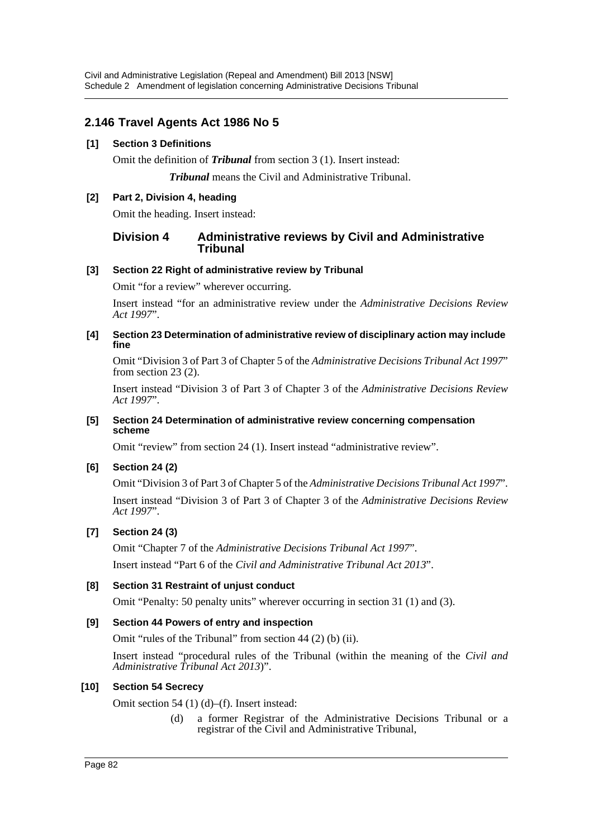## **2.146 Travel Agents Act 1986 No 5**

## **[1] Section 3 Definitions**

Omit the definition of *Tribunal* from section 3 (1). Insert instead:

*Tribunal* means the Civil and Administrative Tribunal.

## **[2] Part 2, Division 4, heading**

Omit the heading. Insert instead:

## **Division 4 Administrative reviews by Civil and Administrative Tribunal**

## **[3] Section 22 Right of administrative review by Tribunal**

Omit "for a review" wherever occurring.

Insert instead "for an administrative review under the *Administrative Decisions Review Act 1997*".

#### **[4] Section 23 Determination of administrative review of disciplinary action may include fine**

Omit "Division 3 of Part 3 of Chapter 5 of the *Administrative Decisions Tribunal Act 1997*" from section 23 (2).

Insert instead "Division 3 of Part 3 of Chapter 3 of the *Administrative Decisions Review Act 1997*".

#### **[5] Section 24 Determination of administrative review concerning compensation scheme**

Omit "review" from section 24 (1). Insert instead "administrative review".

## **[6] Section 24 (2)**

Omit "Division 3 of Part 3 of Chapter 5 of the *Administrative Decisions Tribunal Act 1997*". Insert instead "Division 3 of Part 3 of Chapter 3 of the *Administrative Decisions Review Act 1997*".

## **[7] Section 24 (3)**

Omit "Chapter 7 of the *Administrative Decisions Tribunal Act 1997*".

Insert instead "Part 6 of the *Civil and Administrative Tribunal Act 2013*".

## **[8] Section 31 Restraint of unjust conduct**

Omit "Penalty: 50 penalty units" wherever occurring in section 31 (1) and (3).

## **[9] Section 44 Powers of entry and inspection**

Omit "rules of the Tribunal" from section 44 (2) (b) (ii).

Insert instead "procedural rules of the Tribunal (within the meaning of the *Civil and Administrative Tribunal Act 2013*)".

## **[10] Section 54 Secrecy**

Omit section 54 (1) (d)–(f). Insert instead:

(d) a former Registrar of the Administrative Decisions Tribunal or a registrar of the Civil and Administrative Tribunal,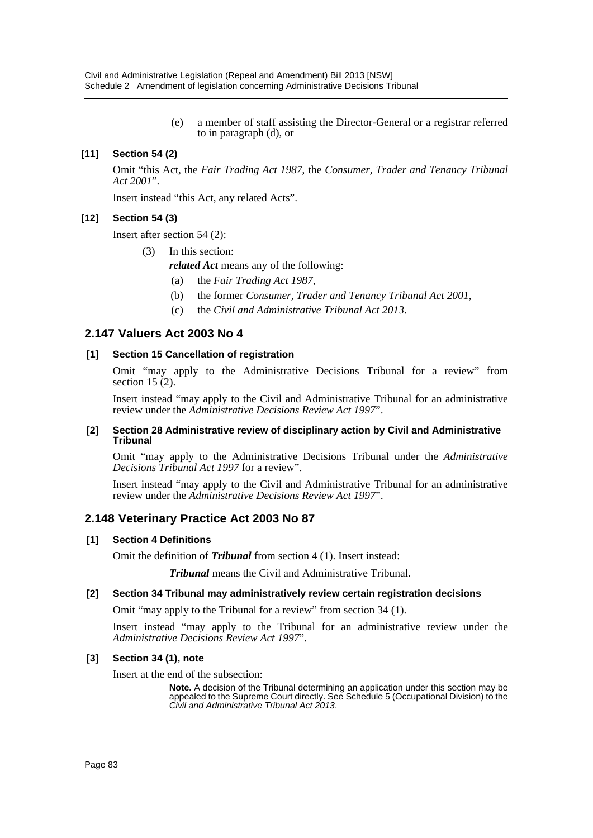(e) a member of staff assisting the Director-General or a registrar referred to in paragraph (d), or

## **[11] Section 54 (2)**

Omit "this Act, the *Fair Trading Act 1987*, the *Consumer, Trader and Tenancy Tribunal Act 2001*".

Insert instead "this Act, any related Acts".

#### **[12] Section 54 (3)**

Insert after section 54 (2):

(3) In this section:

*related Act* means any of the following:

- (a) the *Fair Trading Act 1987*,
- (b) the former *Consumer, Trader and Tenancy Tribunal Act 2001*,
- (c) the *Civil and Administrative Tribunal Act 2013*.

## **2.147 Valuers Act 2003 No 4**

#### **[1] Section 15 Cancellation of registration**

Omit "may apply to the Administrative Decisions Tribunal for a review" from section 15 $(2)$ .

Insert instead "may apply to the Civil and Administrative Tribunal for an administrative review under the *Administrative Decisions Review Act 1997*".

#### **[2] Section 28 Administrative review of disciplinary action by Civil and Administrative Tribunal**

Omit "may apply to the Administrative Decisions Tribunal under the *Administrative Decisions Tribunal Act 1997* for a review".

Insert instead "may apply to the Civil and Administrative Tribunal for an administrative review under the *Administrative Decisions Review Act 1997*".

## **2.148 Veterinary Practice Act 2003 No 87**

#### **[1] Section 4 Definitions**

Omit the definition of *Tribunal* from section 4 (1). Insert instead:

*Tribunal* means the Civil and Administrative Tribunal.

#### **[2] Section 34 Tribunal may administratively review certain registration decisions**

Omit "may apply to the Tribunal for a review" from section 34 (1).

Insert instead "may apply to the Tribunal for an administrative review under the *Administrative Decisions Review Act 1997*".

#### **[3] Section 34 (1), note**

Insert at the end of the subsection:

**Note.** A decision of the Tribunal determining an application under this section may be appealed to the Supreme Court directly. See Schedule 5 (Occupational Division) to the *Civil and Administrative Tribunal Act 2013*.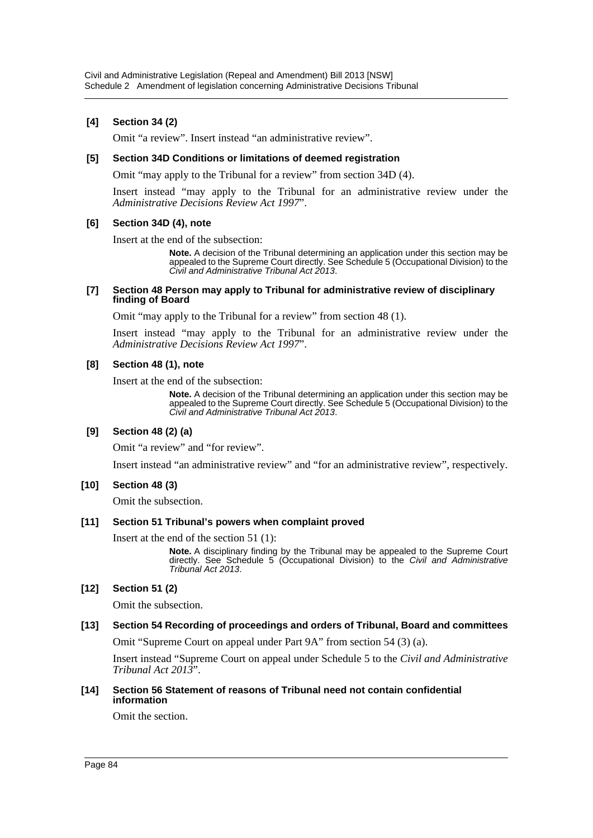### **[4] Section 34 (2)**

Omit "a review". Insert instead "an administrative review".

#### **[5] Section 34D Conditions or limitations of deemed registration**

Omit "may apply to the Tribunal for a review" from section 34D (4).

Insert instead "may apply to the Tribunal for an administrative review under the *Administrative Decisions Review Act 1997*".

#### **[6] Section 34D (4), note**

Insert at the end of the subsection:

**Note.** A decision of the Tribunal determining an application under this section may be appealed to the Supreme Court directly. See Schedule 5 (Occupational Division) to the *Civil and Administrative Tribunal Act 2013*.

#### **[7] Section 48 Person may apply to Tribunal for administrative review of disciplinary finding of Board**

Omit "may apply to the Tribunal for a review" from section 48 (1).

Insert instead "may apply to the Tribunal for an administrative review under the *Administrative Decisions Review Act 1997*".

#### **[8] Section 48 (1), note**

Insert at the end of the subsection:

**Note.** A decision of the Tribunal determining an application under this section may be appealed to the Supreme Court directly. See Schedule 5 (Occupational Division) to the *Civil and Administrative Tribunal Act 2013*.

#### **[9] Section 48 (2) (a)**

Omit "a review" and "for review".

Insert instead "an administrative review" and "for an administrative review", respectively.

#### **[10] Section 48 (3)**

Omit the subsection.

#### **[11] Section 51 Tribunal's powers when complaint proved**

Insert at the end of the section 51 (1):

**Note.** A disciplinary finding by the Tribunal may be appealed to the Supreme Court directly. See Schedule 5 (Occupational Division) to the *Civil and Administrative Tribunal Act 2013*.

#### **[12] Section 51 (2)**

Omit the subsection.

#### **[13] Section 54 Recording of proceedings and orders of Tribunal, Board and committees**

Omit "Supreme Court on appeal under Part 9A" from section 54 (3) (a).

Insert instead "Supreme Court on appeal under Schedule 5 to the *Civil and Administrative Tribunal Act 2013*".

#### **[14] Section 56 Statement of reasons of Tribunal need not contain confidential information**

Omit the section.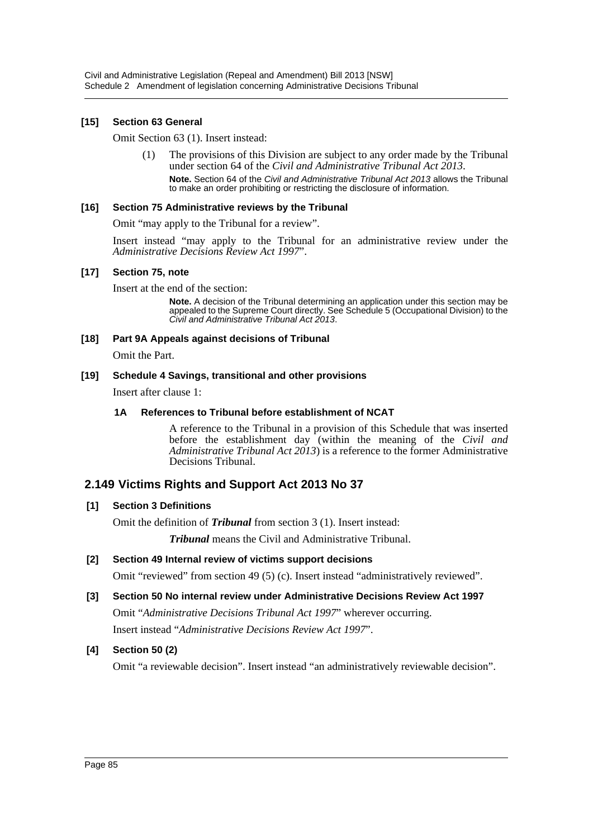#### **[15] Section 63 General**

Omit Section 63 (1). Insert instead:

(1) The provisions of this Division are subject to any order made by the Tribunal under section 64 of the *Civil and Administrative Tribunal Act 2013*. **Note.** Section 64 of the *Civil and Administrative Tribunal Act 2013* allows the Tribunal to make an order prohibiting or restricting the disclosure of information.

#### **[16] Section 75 Administrative reviews by the Tribunal**

Omit "may apply to the Tribunal for a review".

Insert instead "may apply to the Tribunal for an administrative review under the *Administrative Decisions Review Act 1997*".

#### **[17] Section 75, note**

Insert at the end of the section:

**Note.** A decision of the Tribunal determining an application under this section may be appealed to the Supreme Court directly. See Schedule 5 (Occupational Division) to the *Civil and Administrative Tribunal Act 2013*.

#### **[18] Part 9A Appeals against decisions of Tribunal**

Omit the Part.

#### **[19] Schedule 4 Savings, transitional and other provisions**

Insert after clause 1:

#### **1A References to Tribunal before establishment of NCAT**

A reference to the Tribunal in a provision of this Schedule that was inserted before the establishment day (within the meaning of the *Civil and Administrative Tribunal Act 2013*) is a reference to the former Administrative Decisions Tribunal.

## **2.149 Victims Rights and Support Act 2013 No 37**

#### **[1] Section 3 Definitions**

Omit the definition of *Tribunal* from section 3 (1). Insert instead:

*Tribunal* means the Civil and Administrative Tribunal.

## **[2] Section 49 Internal review of victims support decisions**

Omit "reviewed" from section 49 (5) (c). Insert instead "administratively reviewed".

**[3] Section 50 No internal review under Administrative Decisions Review Act 1997** Omit "*Administrative Decisions Tribunal Act 1997*" wherever occurring. Insert instead "*Administrative Decisions Review Act 1997*".

#### **[4] Section 50 (2)**

Omit "a reviewable decision". Insert instead "an administratively reviewable decision".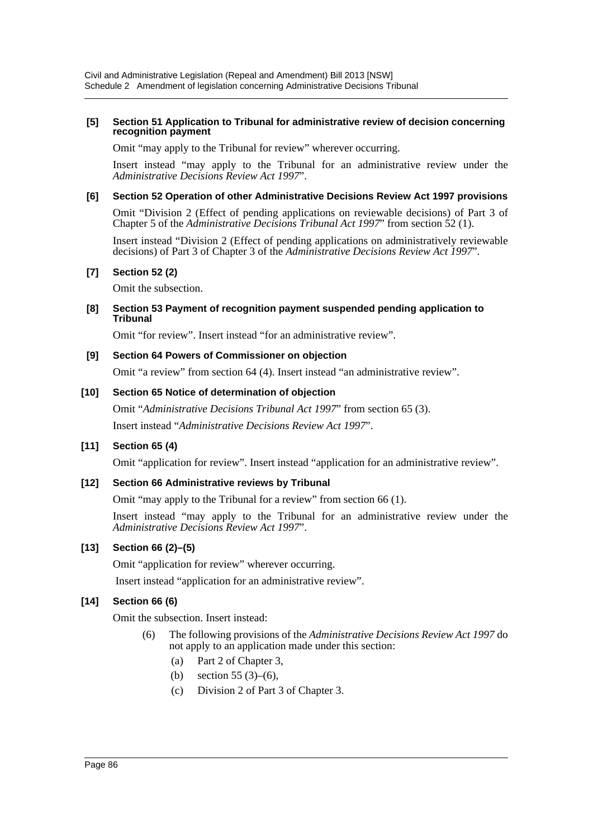#### **[5] Section 51 Application to Tribunal for administrative review of decision concerning recognition payment**

Omit "may apply to the Tribunal for review" wherever occurring.

Insert instead "may apply to the Tribunal for an administrative review under the *Administrative Decisions Review Act 1997*".

#### **[6] Section 52 Operation of other Administrative Decisions Review Act 1997 provisions**

Omit "Division 2 (Effect of pending applications on reviewable decisions) of Part 3 of Chapter 5 of the *Administrative Decisions Tribunal Act 1997*" from section 52 (1).

Insert instead "Division 2 (Effect of pending applications on administratively reviewable decisions) of Part 3 of Chapter 3 of the *Administrative Decisions Review Act 1997*".

#### **[7] Section 52 (2)**

Omit the subsection.

**[8] Section 53 Payment of recognition payment suspended pending application to Tribunal**

Omit "for review". Insert instead "for an administrative review".

## **[9] Section 64 Powers of Commissioner on objection**

Omit "a review" from section 64 (4). Insert instead "an administrative review".

#### **[10] Section 65 Notice of determination of objection**

Omit "*Administrative Decisions Tribunal Act 1997*" from section 65 (3). Insert instead "*Administrative Decisions Review Act 1997*".

## **[11] Section 65 (4)**

Omit "application for review". Insert instead "application for an administrative review".

#### **[12] Section 66 Administrative reviews by Tribunal**

Omit "may apply to the Tribunal for a review" from section 66 (1).

Insert instead "may apply to the Tribunal for an administrative review under the *Administrative Decisions Review Act 1997*".

## **[13] Section 66 (2)–(5)**

Omit "application for review" wherever occurring.

Insert instead "application for an administrative review".

## **[14] Section 66 (6)**

Omit the subsection. Insert instead:

- (6) The following provisions of the *Administrative Decisions Review Act 1997* do not apply to an application made under this section:
	- (a) Part 2 of Chapter 3,
	- (b) section 55 (3)–(6),
	- (c) Division 2 of Part 3 of Chapter 3.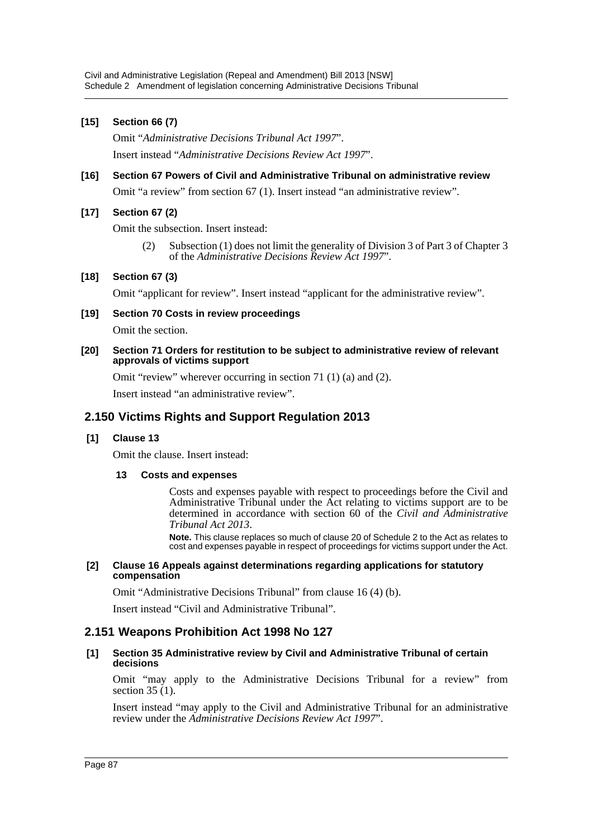#### **[15] Section 66 (7)**

Omit "*Administrative Decisions Tribunal Act 1997*". Insert instead "*Administrative Decisions Review Act 1997*".

# **[16] Section 67 Powers of Civil and Administrative Tribunal on administrative review**

Omit "a review" from section 67 (1). Insert instead "an administrative review".

## **[17] Section 67 (2)**

Omit the subsection. Insert instead:

(2) Subsection (1) does not limit the generality of Division 3 of Part 3 of Chapter 3 of the *Administrative Decisions Review Act 1997*".

#### **[18] Section 67 (3)**

Omit "applicant for review". Insert instead "applicant for the administrative review".

#### **[19] Section 70 Costs in review proceedings**

Omit the section.

**[20] Section 71 Orders for restitution to be subject to administrative review of relevant approvals of victims support**

Omit "review" wherever occurring in section 71 (1) (a) and (2).

Insert instead "an administrative review".

## **2.150 Victims Rights and Support Regulation 2013**

#### **[1] Clause 13**

Omit the clause. Insert instead:

#### **13 Costs and expenses**

Costs and expenses payable with respect to proceedings before the Civil and Administrative Tribunal under the Act relating to victims support are to be determined in accordance with section 60 of the *Civil and Administrative Tribunal Act 2013*.

**Note.** This clause replaces so much of clause 20 of Schedule 2 to the Act as relates to cost and expenses payable in respect of proceedings for victims support under the Act.

#### **[2] Clause 16 Appeals against determinations regarding applications for statutory compensation**

Omit "Administrative Decisions Tribunal" from clause 16 (4) (b).

Insert instead "Civil and Administrative Tribunal".

## **2.151 Weapons Prohibition Act 1998 No 127**

#### **[1] Section 35 Administrative review by Civil and Administrative Tribunal of certain decisions**

Omit "may apply to the Administrative Decisions Tribunal for a review" from section  $35(1)$ .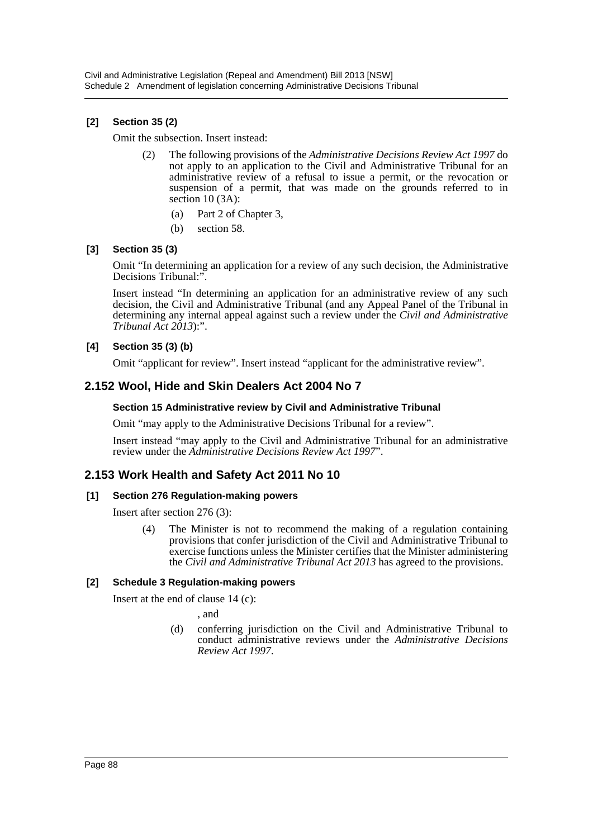## **[2] Section 35 (2)**

Omit the subsection. Insert instead:

- (2) The following provisions of the *Administrative Decisions Review Act 1997* do not apply to an application to the Civil and Administrative Tribunal for an administrative review of a refusal to issue a permit, or the revocation or suspension of a permit, that was made on the grounds referred to in section 10 (3A):
	- (a) Part 2 of Chapter 3,
	- (b) section 58.

#### **[3] Section 35 (3)**

Omit "In determining an application for a review of any such decision, the Administrative Decisions Tribunal:".

Insert instead "In determining an application for an administrative review of any such decision, the Civil and Administrative Tribunal (and any Appeal Panel of the Tribunal in determining any internal appeal against such a review under the *Civil and Administrative Tribunal Act 2013*):".

## **[4] Section 35 (3) (b)**

Omit "applicant for review". Insert instead "applicant for the administrative review".

## **2.152 Wool, Hide and Skin Dealers Act 2004 No 7**

#### **Section 15 Administrative review by Civil and Administrative Tribunal**

Omit "may apply to the Administrative Decisions Tribunal for a review".

Insert instead "may apply to the Civil and Administrative Tribunal for an administrative review under the *Administrative Decisions Review Act 1997*".

## **2.153 Work Health and Safety Act 2011 No 10**

#### **[1] Section 276 Regulation-making powers**

Insert after section 276 (3):

(4) The Minister is not to recommend the making of a regulation containing provisions that confer jurisdiction of the Civil and Administrative Tribunal to exercise functions unless the Minister certifies that the Minister administering the *Civil and Administrative Tribunal Act 2013* has agreed to the provisions.

#### **[2] Schedule 3 Regulation-making powers**

Insert at the end of clause 14 (c):

, and

(d) conferring jurisdiction on the Civil and Administrative Tribunal to conduct administrative reviews under the *Administrative Decisions Review Act 1997*.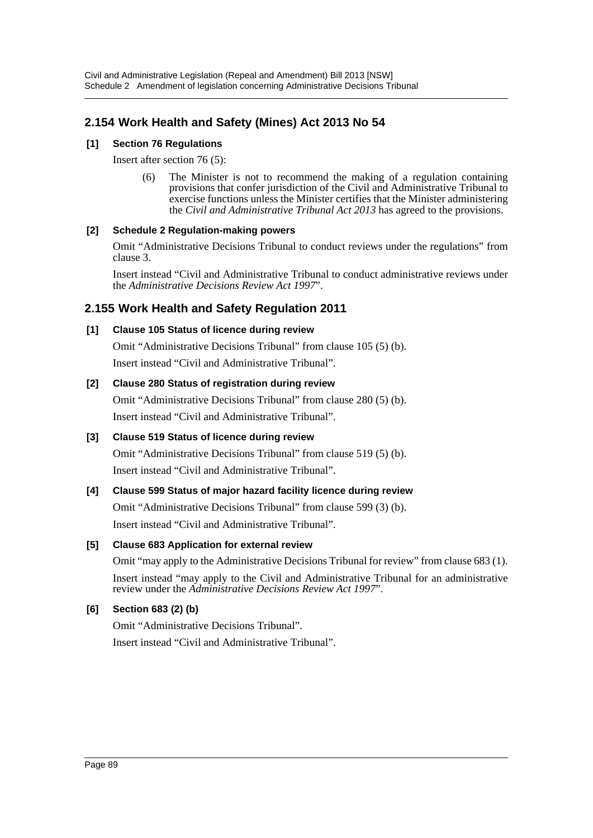## **2.154 Work Health and Safety (Mines) Act 2013 No 54**

## **[1] Section 76 Regulations**

Insert after section 76 (5):

(6) The Minister is not to recommend the making of a regulation containing provisions that confer jurisdiction of the Civil and Administrative Tribunal to exercise functions unless the Minister certifies that the Minister administering the *Civil and Administrative Tribunal Act 2013* has agreed to the provisions.

## **[2] Schedule 2 Regulation-making powers**

Omit "Administrative Decisions Tribunal to conduct reviews under the regulations" from clause 3.

Insert instead "Civil and Administrative Tribunal to conduct administrative reviews under the *Administrative Decisions Review Act 1997*".

## **2.155 Work Health and Safety Regulation 2011**

## **[1] Clause 105 Status of licence during review**

Omit "Administrative Decisions Tribunal" from clause 105 (5) (b). Insert instead "Civil and Administrative Tribunal".

## **[2] Clause 280 Status of registration during review**

Omit "Administrative Decisions Tribunal" from clause 280 (5) (b). Insert instead "Civil and Administrative Tribunal".

## **[3] Clause 519 Status of licence during review**

Omit "Administrative Decisions Tribunal" from clause 519 (5) (b). Insert instead "Civil and Administrative Tribunal".

## **[4] Clause 599 Status of major hazard facility licence during review**

Omit "Administrative Decisions Tribunal" from clause 599 (3) (b). Insert instead "Civil and Administrative Tribunal".

## **[5] Clause 683 Application for external review**

Omit "may apply to the Administrative Decisions Tribunal for review" from clause 683 (1).

Insert instead "may apply to the Civil and Administrative Tribunal for an administrative review under the *Administrative Decisions Review Act 1997*".

## **[6] Section 683 (2) (b)**

Omit "Administrative Decisions Tribunal". Insert instead "Civil and Administrative Tribunal".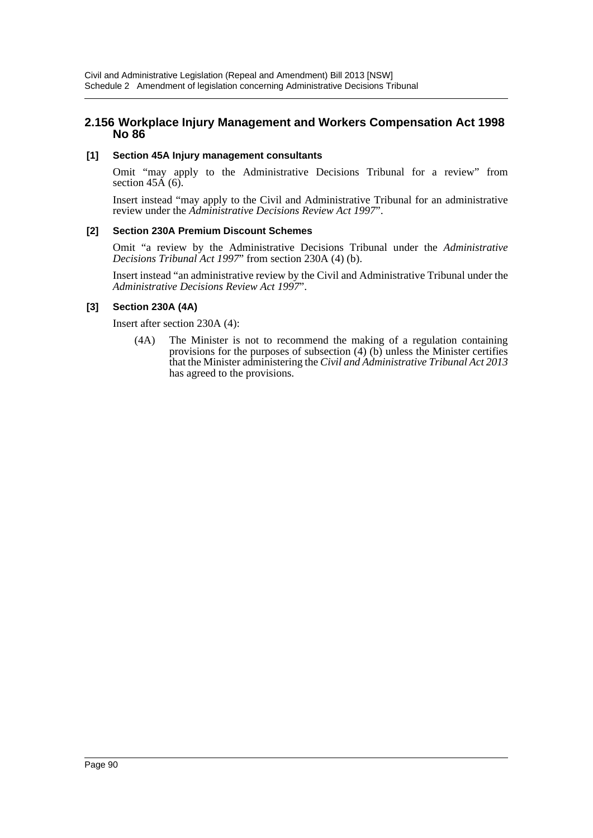## **2.156 Workplace Injury Management and Workers Compensation Act 1998 No 86**

### **[1] Section 45A Injury management consultants**

Omit "may apply to the Administrative Decisions Tribunal for a review" from section  $45\text{\AA}$  (6).

Insert instead "may apply to the Civil and Administrative Tribunal for an administrative review under the *Administrative Decisions Review Act 1997*".

#### **[2] Section 230A Premium Discount Schemes**

Omit "a review by the Administrative Decisions Tribunal under the *Administrative Decisions Tribunal Act 1997*" from section 230A (4) (b).

Insert instead "an administrative review by the Civil and Administrative Tribunal under the *Administrative Decisions Review Act 1997*".

## **[3] Section 230A (4A)**

Insert after section 230A (4):

(4A) The Minister is not to recommend the making of a regulation containing provisions for the purposes of subsection (4) (b) unless the Minister certifies that the Minister administering the *Civil and Administrative Tribunal Act 2013* has agreed to the provisions.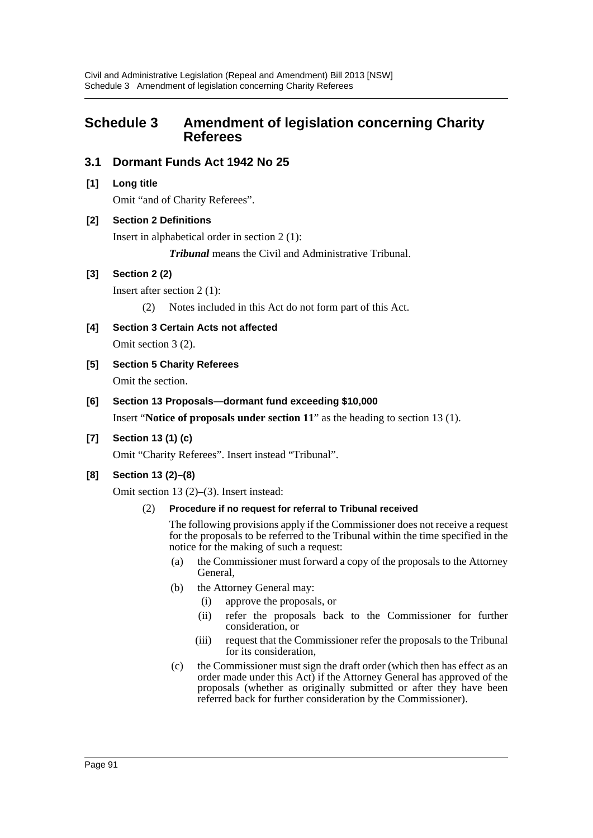# **Schedule 3 Amendment of legislation concerning Charity Referees**

## **3.1 Dormant Funds Act 1942 No 25**

**[1] Long title**

Omit "and of Charity Referees".

#### **[2] Section 2 Definitions**

Insert in alphabetical order in section 2 (1):

*Tribunal* means the Civil and Administrative Tribunal.

#### **[3] Section 2 (2)**

Insert after section 2 (1):

- (2) Notes included in this Act do not form part of this Act.
- **[4] Section 3 Certain Acts not affected**

Omit section 3 (2).

- **[5] Section 5 Charity Referees** Omit the section.
- **[6] Section 13 Proposals—dormant fund exceeding \$10,000**

Insert "**Notice of proposals under section 11**" as the heading to section 13 (1).

## **[7] Section 13 (1) (c)**

Omit "Charity Referees". Insert instead "Tribunal".

## **[8] Section 13 (2)–(8)**

Omit section 13 (2)–(3). Insert instead:

#### (2) **Procedure if no request for referral to Tribunal received**

The following provisions apply if the Commissioner does not receive a request for the proposals to be referred to the Tribunal within the time specified in the notice for the making of such a request:

- (a) the Commissioner must forward a copy of the proposals to the Attorney General,
- (b) the Attorney General may:
	- (i) approve the proposals, or
	- (ii) refer the proposals back to the Commissioner for further consideration, or
	- (iii) request that the Commissioner refer the proposals to the Tribunal for its consideration,
- (c) the Commissioner must sign the draft order (which then has effect as an order made under this Act) if the Attorney General has approved of the proposals (whether as originally submitted or after they have been referred back for further consideration by the Commissioner).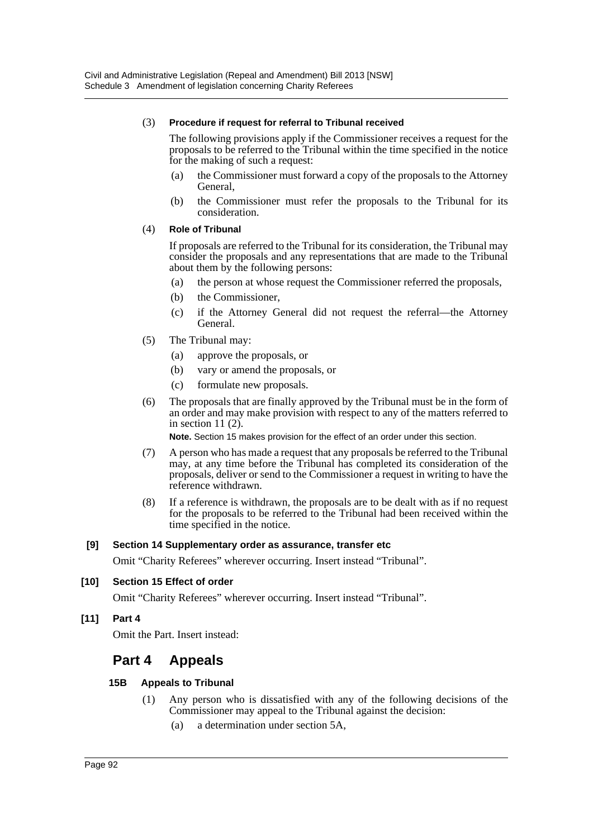#### (3) **Procedure if request for referral to Tribunal received**

The following provisions apply if the Commissioner receives a request for the proposals to be referred to the Tribunal within the time specified in the notice for the making of such a request:

- (a) the Commissioner must forward a copy of the proposals to the Attorney General,
- (b) the Commissioner must refer the proposals to the Tribunal for its consideration.

#### (4) **Role of Tribunal**

If proposals are referred to the Tribunal for its consideration, the Tribunal may consider the proposals and any representations that are made to the Tribunal about them by the following persons:

- (a) the person at whose request the Commissioner referred the proposals,
- (b) the Commissioner,
- (c) if the Attorney General did not request the referral—the Attorney General.
- (5) The Tribunal may:
	- (a) approve the proposals, or
	- (b) vary or amend the proposals, or
	- (c) formulate new proposals.
- (6) The proposals that are finally approved by the Tribunal must be in the form of an order and may make provision with respect to any of the matters referred to in section 11 $(2)$ .

**Note.** Section 15 makes provision for the effect of an order under this section.

- (7) A person who has made a request that any proposals be referred to the Tribunal may, at any time before the Tribunal has completed its consideration of the proposals, deliver or send to the Commissioner a request in writing to have the reference withdrawn.
- (8) If a reference is withdrawn, the proposals are to be dealt with as if no request for the proposals to be referred to the Tribunal had been received within the time specified in the notice.

#### **[9] Section 14 Supplementary order as assurance, transfer etc**

Omit "Charity Referees" wherever occurring. Insert instead "Tribunal".

#### **[10] Section 15 Effect of order**

Omit "Charity Referees" wherever occurring. Insert instead "Tribunal".

#### **[11] Part 4**

Omit the Part. Insert instead:

## **Part 4 Appeals**

#### **15B Appeals to Tribunal**

- (1) Any person who is dissatisfied with any of the following decisions of the Commissioner may appeal to the Tribunal against the decision:
	- (a) a determination under section 5A,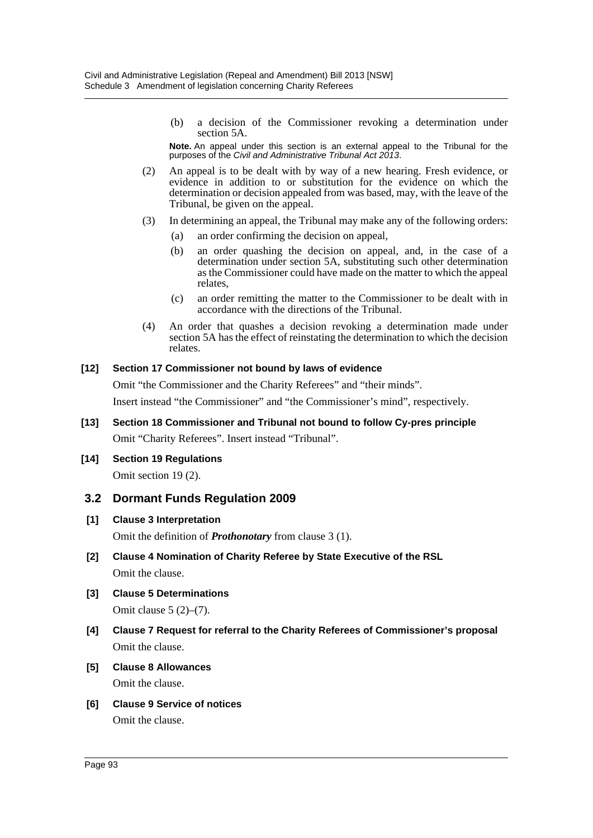(b) a decision of the Commissioner revoking a determination under section 5A.

**Note.** An appeal under this section is an external appeal to the Tribunal for the purposes of the *Civil and Administrative Tribunal Act 2013*.

- (2) An appeal is to be dealt with by way of a new hearing. Fresh evidence, or evidence in addition to or substitution for the evidence on which the determination or decision appealed from was based, may, with the leave of the Tribunal, be given on the appeal.
- (3) In determining an appeal, the Tribunal may make any of the following orders:
	- (a) an order confirming the decision on appeal,
	- (b) an order quashing the decision on appeal, and, in the case of a determination under section 5A, substituting such other determination as the Commissioner could have made on the matter to which the appeal relates,
	- (c) an order remitting the matter to the Commissioner to be dealt with in accordance with the directions of the Tribunal.
- (4) An order that quashes a decision revoking a determination made under section 5A has the effect of reinstating the determination to which the decision relates.

#### **[12] Section 17 Commissioner not bound by laws of evidence**

Omit "the Commissioner and the Charity Referees" and "their minds".

Insert instead "the Commissioner" and "the Commissioner's mind", respectively.

- **[13] Section 18 Commissioner and Tribunal not bound to follow Cy-pres principle** Omit "Charity Referees". Insert instead "Tribunal".
- **[14] Section 19 Regulations** Omit section 19 (2).

## **3.2 Dormant Funds Regulation 2009**

#### **[1] Clause 3 Interpretation**

Omit the definition of *Prothonotary* from clause 3 (1).

- **[2] Clause 4 Nomination of Charity Referee by State Executive of the RSL** Omit the clause.
- **[3] Clause 5 Determinations**

Omit clause 5 (2)–(7).

- **[4] Clause 7 Request for referral to the Charity Referees of Commissioner's proposal** Omit the clause.
- **[5] Clause 8 Allowances**

Omit the clause.

**[6] Clause 9 Service of notices** Omit the clause.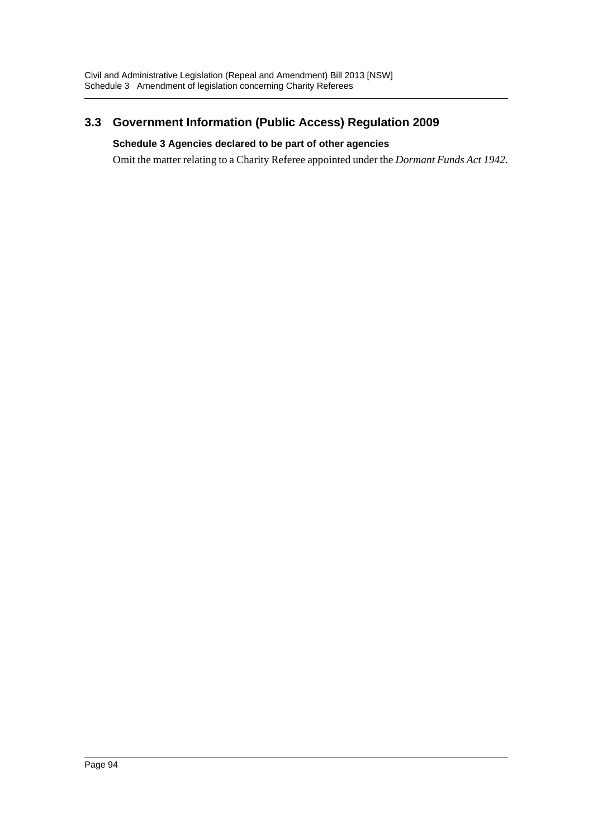# **3.3 Government Information (Public Access) Regulation 2009**

## **Schedule 3 Agencies declared to be part of other agencies**

Omit the matter relating to a Charity Referee appointed under the *Dormant Funds Act 1942*.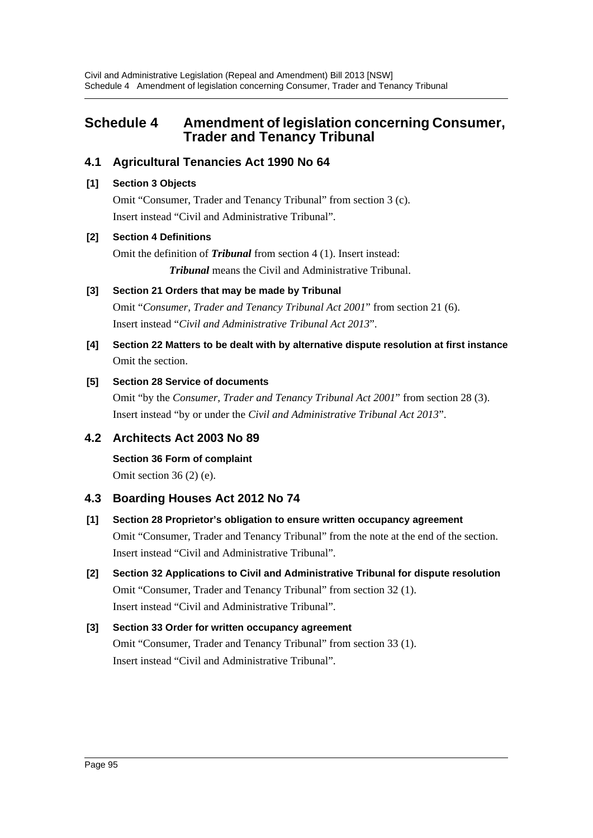# **Schedule 4 Amendment of legislation concerning Consumer, Trader and Tenancy Tribunal**

## **4.1 Agricultural Tenancies Act 1990 No 64**

## **[1] Section 3 Objects**

Omit "Consumer, Trader and Tenancy Tribunal" from section 3 (c). Insert instead "Civil and Administrative Tribunal".

## **[2] Section 4 Definitions**

Omit the definition of *Tribunal* from section 4 (1). Insert instead: *Tribunal* means the Civil and Administrative Tribunal.

## **[3] Section 21 Orders that may be made by Tribunal**

Omit "*Consumer, Trader and Tenancy Tribunal Act 2001*" from section 21 (6). Insert instead "*Civil and Administrative Tribunal Act 2013*".

**[4] Section 22 Matters to be dealt with by alternative dispute resolution at first instance** Omit the section.

## **[5] Section 28 Service of documents**

Omit "by the *Consumer, Trader and Tenancy Tribunal Act 2001*" from section 28 (3). Insert instead "by or under the *Civil and Administrative Tribunal Act 2013*".

## **4.2 Architects Act 2003 No 89**

**Section 36 Form of complaint** Omit section 36 (2) (e).

## **4.3 Boarding Houses Act 2012 No 74**

# **[1] Section 28 Proprietor's obligation to ensure written occupancy agreement**

Omit "Consumer, Trader and Tenancy Tribunal" from the note at the end of the section. Insert instead "Civil and Administrative Tribunal".

**[2] Section 32 Applications to Civil and Administrative Tribunal for dispute resolution** Omit "Consumer, Trader and Tenancy Tribunal" from section 32 (1). Insert instead "Civil and Administrative Tribunal".

## **[3] Section 33 Order for written occupancy agreement** Omit "Consumer, Trader and Tenancy Tribunal" from section 33 (1). Insert instead "Civil and Administrative Tribunal".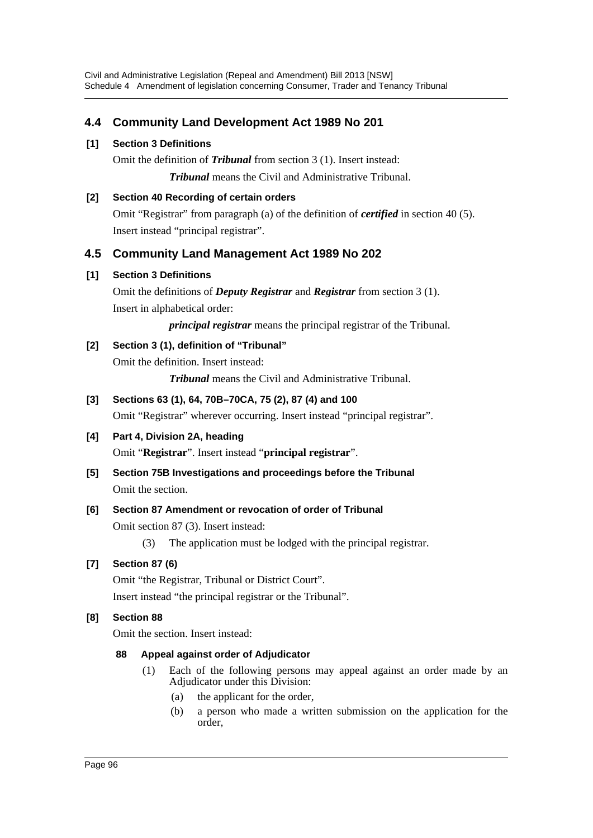## **4.4 Community Land Development Act 1989 No 201**

## **[1] Section 3 Definitions**

Omit the definition of *Tribunal* from section 3 (1). Insert instead: *Tribunal* means the Civil and Administrative Tribunal.

## **[2] Section 40 Recording of certain orders**

Omit "Registrar" from paragraph (a) of the definition of *certified* in section 40 (5). Insert instead "principal registrar".

## **4.5 Community Land Management Act 1989 No 202**

## **[1] Section 3 Definitions**

Omit the definitions of *Deputy Registrar* and *Registrar* from section 3 (1). Insert in alphabetical order:

*principal registrar* means the principal registrar of the Tribunal.

## **[2] Section 3 (1), definition of "Tribunal"**

Omit the definition. Insert instead:

*Tribunal* means the Civil and Administrative Tribunal.

## **[3] Sections 63 (1), 64, 70B–70CA, 75 (2), 87 (4) and 100**

Omit "Registrar" wherever occurring. Insert instead "principal registrar".

# **[4] Part 4, Division 2A, heading**

Omit "**Registrar**". Insert instead "**principal registrar**".

**[5] Section 75B Investigations and proceedings before the Tribunal** Omit the section.

## **[6] Section 87 Amendment or revocation of order of Tribunal**

Omit section 87 (3). Insert instead:

(3) The application must be lodged with the principal registrar.

## **[7] Section 87 (6)**

Omit "the Registrar, Tribunal or District Court".

Insert instead "the principal registrar or the Tribunal".

## **[8] Section 88**

Omit the section. Insert instead:

## **88 Appeal against order of Adjudicator**

- (1) Each of the following persons may appeal against an order made by an Adjudicator under this Division:
	- (a) the applicant for the order,
	- (b) a person who made a written submission on the application for the order,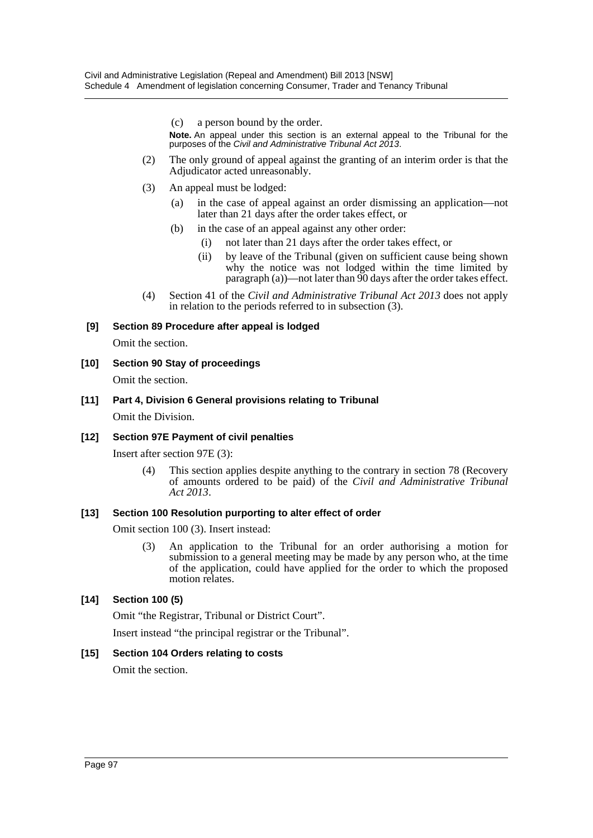(c) a person bound by the order.

**Note.** An appeal under this section is an external appeal to the Tribunal for the purposes of the *Civil and Administrative Tribunal Act 2013*.

- (2) The only ground of appeal against the granting of an interim order is that the Adjudicator acted unreasonably.
- (3) An appeal must be lodged:
	- (a) in the case of appeal against an order dismissing an application—not later than 21 days after the order takes effect, or
	- (b) in the case of an appeal against any other order:
		- (i) not later than 21 days after the order takes effect, or
		- (ii) by leave of the Tribunal (given on sufficient cause being shown why the notice was not lodged within the time limited by paragraph (a))—not later than 90 days after the order takes effect.
- (4) Section 41 of the *Civil and Administrative Tribunal Act 2013* does not apply in relation to the periods referred to in subsection (3).

#### **[9] Section 89 Procedure after appeal is lodged**

Omit the section.

- **[10] Section 90 Stay of proceedings** Omit the section.
- **[11] Part 4, Division 6 General provisions relating to Tribunal** Omit the Division.

#### **[12] Section 97E Payment of civil penalties**

Insert after section 97E (3):

(4) This section applies despite anything to the contrary in section 78 (Recovery of amounts ordered to be paid) of the *Civil and Administrative Tribunal Act 2013*.

#### **[13] Section 100 Resolution purporting to alter effect of order**

Omit section 100 (3). Insert instead:

(3) An application to the Tribunal for an order authorising a motion for submission to a general meeting may be made by any person who, at the time of the application, could have applied for the order to which the proposed motion relates.

#### **[14] Section 100 (5)**

Omit "the Registrar, Tribunal or District Court".

Insert instead "the principal registrar or the Tribunal".

#### **[15] Section 104 Orders relating to costs**

Omit the section.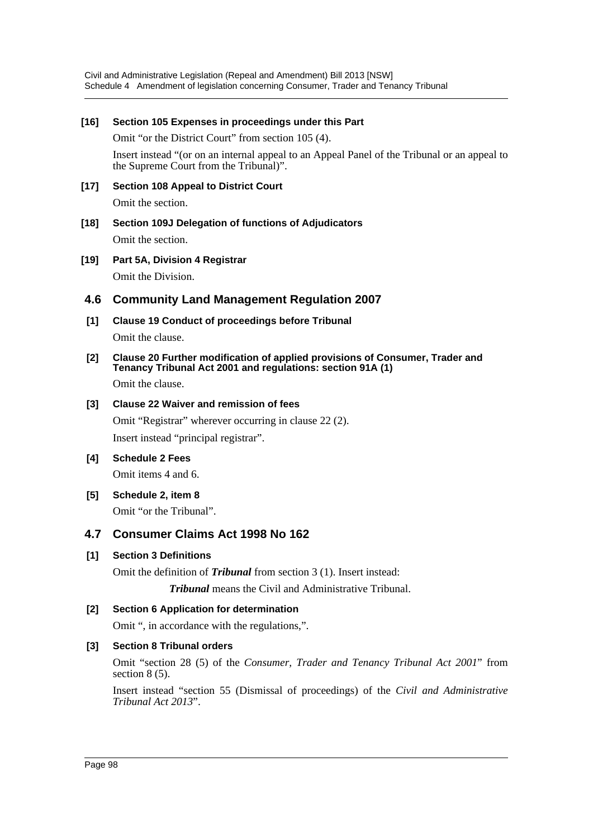Civil and Administrative Legislation (Repeal and Amendment) Bill 2013 [NSW] Schedule 4 Amendment of legislation concerning Consumer, Trader and Tenancy Tribunal

#### **[16] Section 105 Expenses in proceedings under this Part**

Omit "or the District Court" from section 105 (4).

Insert instead "(or on an internal appeal to an Appeal Panel of the Tribunal or an appeal to the Supreme Court from the Tribunal)".

### **[17] Section 108 Appeal to District Court**

Omit the section.

- **[18] Section 109J Delegation of functions of Adjudicators** Omit the section.
- **[19] Part 5A, Division 4 Registrar** Omit the Division.

#### **4.6 Community Land Management Regulation 2007**

**[1] Clause 19 Conduct of proceedings before Tribunal**

Omit the clause.

**[2] Clause 20 Further modification of applied provisions of Consumer, Trader and Tenancy Tribunal Act 2001 and regulations: section 91A (1)**

Omit the clause.

#### **[3] Clause 22 Waiver and remission of fees**

Omit "Registrar" wherever occurring in clause 22 (2). Insert instead "principal registrar".

#### **[4] Schedule 2 Fees**

Omit items 4 and 6.

**[5] Schedule 2, item 8** Omit "or the Tribunal".

## **4.7 Consumer Claims Act 1998 No 162**

#### **[1] Section 3 Definitions**

Omit the definition of *Tribunal* from section 3 (1). Insert instead:

*Tribunal* means the Civil and Administrative Tribunal.

#### **[2] Section 6 Application for determination**

Omit ", in accordance with the regulations,".

#### **[3] Section 8 Tribunal orders**

Omit "section 28 (5) of the *Consumer, Trader and Tenancy Tribunal Act 2001*" from section 8 (5).

Insert instead "section 55 (Dismissal of proceedings) of the *Civil and Administrative Tribunal Act 2013*".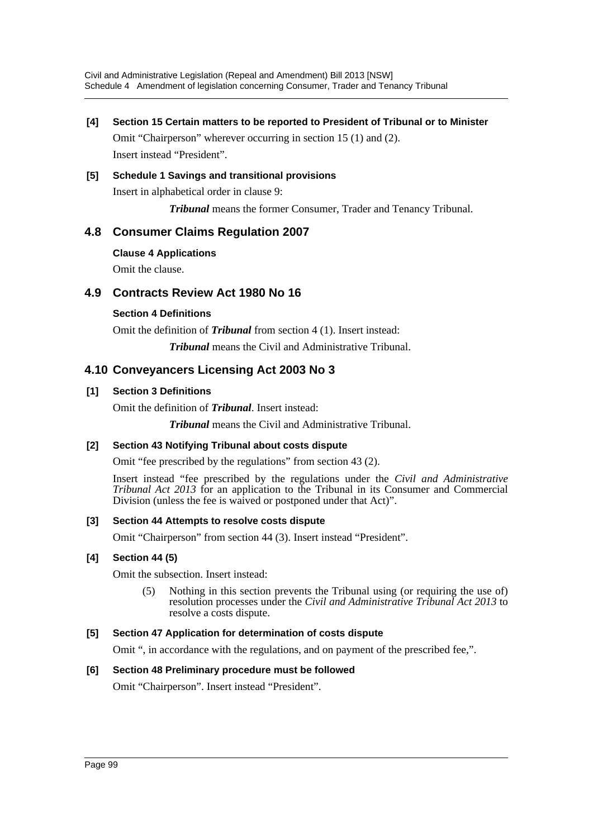**[4] Section 15 Certain matters to be reported to President of Tribunal or to Minister** Omit "Chairperson" wherever occurring in section 15 (1) and (2).

Insert instead "President".

## **[5] Schedule 1 Savings and transitional provisions**

Insert in alphabetical order in clause 9:

*Tribunal* means the former Consumer, Trader and Tenancy Tribunal.

## **4.8 Consumer Claims Regulation 2007**

#### **Clause 4 Applications**

Omit the clause.

## **4.9 Contracts Review Act 1980 No 16**

#### **Section 4 Definitions**

Omit the definition of *Tribunal* from section 4 (1). Insert instead:

*Tribunal* means the Civil and Administrative Tribunal.

## **4.10 Conveyancers Licensing Act 2003 No 3**

#### **[1] Section 3 Definitions**

Omit the definition of *Tribunal*. Insert instead:

*Tribunal* means the Civil and Administrative Tribunal.

#### **[2] Section 43 Notifying Tribunal about costs dispute**

Omit "fee prescribed by the regulations" from section 43 (2).

Insert instead "fee prescribed by the regulations under the *Civil and Administrative Tribunal Act 2013* for an application to the Tribunal in its Consumer and Commercial Division (unless the fee is waived or postponed under that Act)".

#### **[3] Section 44 Attempts to resolve costs dispute**

Omit "Chairperson" from section 44 (3). Insert instead "President".

## **[4] Section 44 (5)**

Omit the subsection. Insert instead:

(5) Nothing in this section prevents the Tribunal using (or requiring the use of) resolution processes under the *Civil and Administrative Tribunal Act 2013* to resolve a costs dispute.

## **[5] Section 47 Application for determination of costs dispute**

Omit ", in accordance with the regulations, and on payment of the prescribed fee,".

#### **[6] Section 48 Preliminary procedure must be followed**

Omit "Chairperson". Insert instead "President".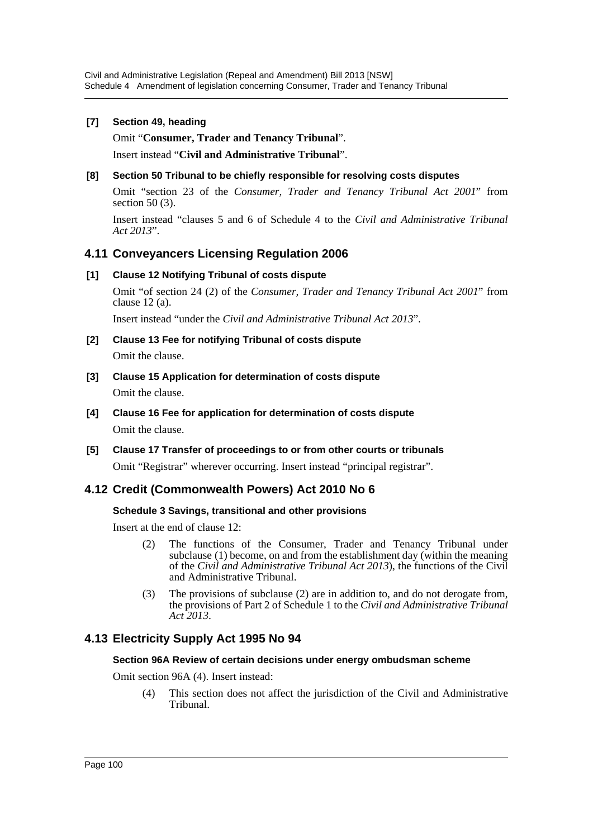### **[7] Section 49, heading**

Omit "**Consumer, Trader and Tenancy Tribunal**".

Insert instead "**Civil and Administrative Tribunal**".

**[8] Section 50 Tribunal to be chiefly responsible for resolving costs disputes**

Omit "section 23 of the *Consumer, Trader and Tenancy Tribunal Act 2001*" from section 50 (3).

Insert instead "clauses 5 and 6 of Schedule 4 to the *Civil and Administrative Tribunal Act 2013*".

## **4.11 Conveyancers Licensing Regulation 2006**

#### **[1] Clause 12 Notifying Tribunal of costs dispute**

Omit "of section 24 (2) of the *Consumer, Trader and Tenancy Tribunal Act 2001*" from clause 12 (a).

Insert instead "under the *Civil and Administrative Tribunal Act 2013*".

- **[2] Clause 13 Fee for notifying Tribunal of costs dispute** Omit the clause.
- **[3] Clause 15 Application for determination of costs dispute** Omit the clause.
- **[4] Clause 16 Fee for application for determination of costs dispute** Omit the clause.
- **[5] Clause 17 Transfer of proceedings to or from other courts or tribunals**

Omit "Registrar" wherever occurring. Insert instead "principal registrar".

## **4.12 Credit (Commonwealth Powers) Act 2010 No 6**

#### **Schedule 3 Savings, transitional and other provisions**

Insert at the end of clause 12:

- (2) The functions of the Consumer, Trader and Tenancy Tribunal under subclause (1) become, on and from the establishment day (within the meaning of the *Civil and Administrative Tribunal Act 2013*), the functions of the Civil and Administrative Tribunal.
- (3) The provisions of subclause (2) are in addition to, and do not derogate from, the provisions of Part 2 of Schedule 1 to the *Civil and Administrative Tribunal Act 2013*.

## **4.13 Electricity Supply Act 1995 No 94**

## **Section 96A Review of certain decisions under energy ombudsman scheme**

Omit section 96A (4). Insert instead:

(4) This section does not affect the jurisdiction of the Civil and Administrative Tribunal.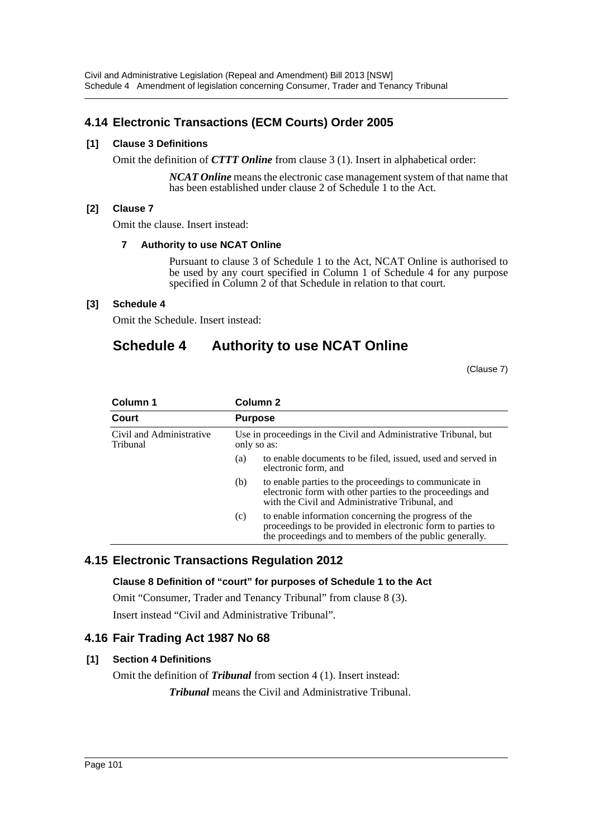## **4.14 Electronic Transactions (ECM Courts) Order 2005**

### **[1] Clause 3 Definitions**

Omit the definition of *CTTT Online* from clause 3 (1). Insert in alphabetical order:

*NCAT Online* means the electronic case management system of that name that has been established under clause 2 of Schedule 1 to the Act.

#### **[2] Clause 7**

Omit the clause. Insert instead:

#### **7 Authority to use NCAT Online**

Pursuant to clause 3 of Schedule 1 to the Act, NCAT Online is authorised to be used by any court specified in Column 1 of Schedule 4 for any purpose specified in Column 2 of that Schedule in relation to that court.

#### **[3] Schedule 4**

Omit the Schedule. Insert instead:

# **Schedule 4 Authority to use NCAT Online**

(Clause 7)

| Column 1                             | Column 2                                                                        |                                                                                                                                                                                |
|--------------------------------------|---------------------------------------------------------------------------------|--------------------------------------------------------------------------------------------------------------------------------------------------------------------------------|
| Court                                | <b>Purpose</b>                                                                  |                                                                                                                                                                                |
| Civil and Administrative<br>Tribunal | Use in proceedings in the Civil and Administrative Tribunal, but<br>only so as: |                                                                                                                                                                                |
|                                      | (a)                                                                             | to enable documents to be filed, issued, used and served in<br>electronic form, and                                                                                            |
|                                      | (b)                                                                             | to enable parties to the proceedings to communicate in<br>electronic form with other parties to the proceedings and<br>with the Civil and Administrative Tribunal, and         |
|                                      | (c)                                                                             | to enable information concerning the progress of the<br>proceedings to be provided in electronic form to parties to<br>the proceedings and to members of the public generally. |

## **4.15 Electronic Transactions Regulation 2012**

**Clause 8 Definition of "court" for purposes of Schedule 1 to the Act**

Omit "Consumer, Trader and Tenancy Tribunal" from clause 8 (3). Insert instead "Civil and Administrative Tribunal".

## **4.16 Fair Trading Act 1987 No 68**

#### **[1] Section 4 Definitions**

Omit the definition of *Tribunal* from section 4 (1). Insert instead:

*Tribunal* means the Civil and Administrative Tribunal.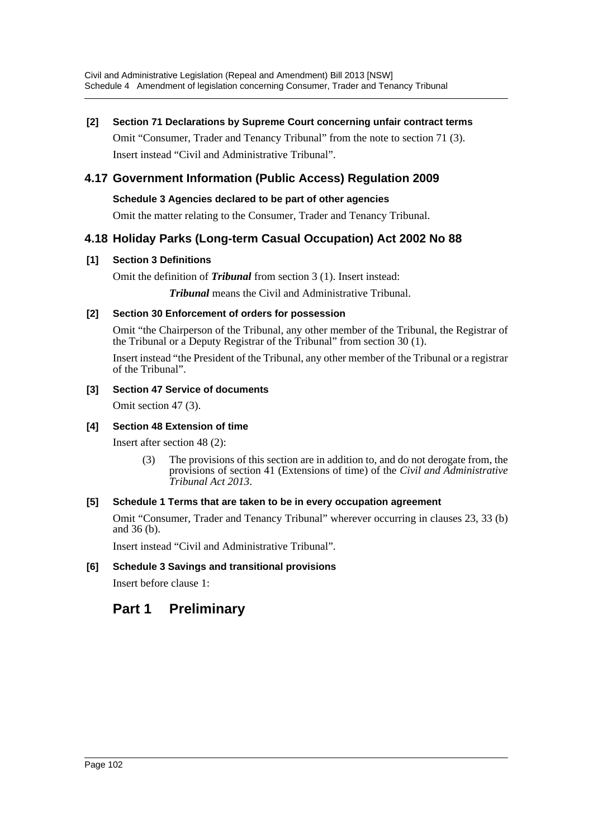# **[2] Section 71 Declarations by Supreme Court concerning unfair contract terms**

Omit "Consumer, Trader and Tenancy Tribunal" from the note to section 71 (3). Insert instead "Civil and Administrative Tribunal".

# **4.17 Government Information (Public Access) Regulation 2009**

## **Schedule 3 Agencies declared to be part of other agencies**

Omit the matter relating to the Consumer, Trader and Tenancy Tribunal.

## **4.18 Holiday Parks (Long-term Casual Occupation) Act 2002 No 88**

## **[1] Section 3 Definitions**

Omit the definition of *Tribunal* from section 3 (1). Insert instead:

*Tribunal* means the Civil and Administrative Tribunal.

## **[2] Section 30 Enforcement of orders for possession**

Omit "the Chairperson of the Tribunal, any other member of the Tribunal, the Registrar of the Tribunal or a Deputy Registrar of the Tribunal" from section  $30(1)$ .

Insert instead "the President of the Tribunal, any other member of the Tribunal or a registrar of the Tribunal".

## **[3] Section 47 Service of documents**

Omit section 47 (3).

## **[4] Section 48 Extension of time**

Insert after section 48 (2):

(3) The provisions of this section are in addition to, and do not derogate from, the provisions of section 41 (Extensions of time) of the *Civil and Administrative Tribunal Act 2013*.

## **[5] Schedule 1 Terms that are taken to be in every occupation agreement**

Omit "Consumer, Trader and Tenancy Tribunal" wherever occurring in clauses 23, 33 (b) and 36 (b).

Insert instead "Civil and Administrative Tribunal".

## **[6] Schedule 3 Savings and transitional provisions**

Insert before clause 1:

# **Part 1 Preliminary**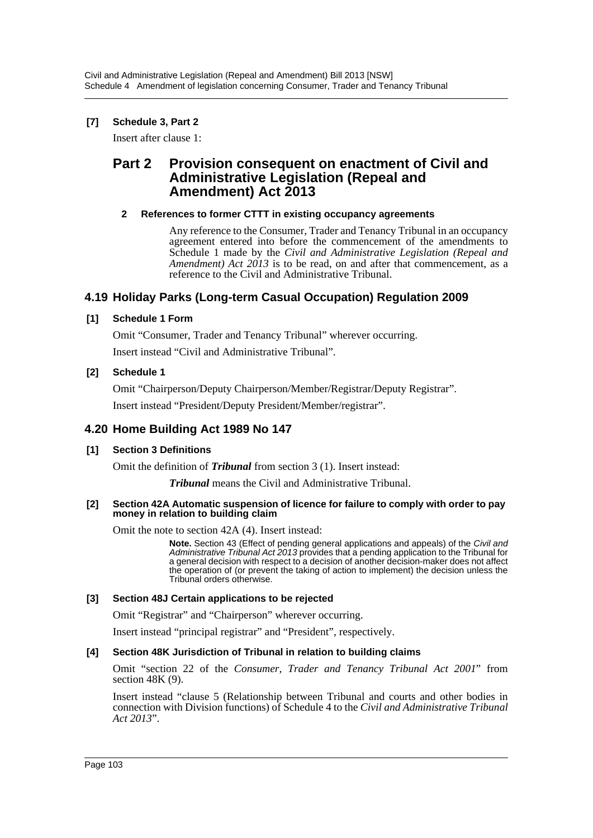## **[7] Schedule 3, Part 2**

Insert after clause 1:

## **Part 2 Provision consequent on enactment of Civil and Administrative Legislation (Repeal and Amendment) Act 2013**

### **2 References to former CTTT in existing occupancy agreements**

Any reference to the Consumer, Trader and Tenancy Tribunal in an occupancy agreement entered into before the commencement of the amendments to Schedule 1 made by the *Civil and Administrative Legislation (Repeal and Amendment) Act 2013* is to be read, on and after that commencement, as a reference to the Civil and Administrative Tribunal.

## **4.19 Holiday Parks (Long-term Casual Occupation) Regulation 2009**

### **[1] Schedule 1 Form**

Omit "Consumer, Trader and Tenancy Tribunal" wherever occurring. Insert instead "Civil and Administrative Tribunal".

#### **[2] Schedule 1**

Omit "Chairperson/Deputy Chairperson/Member/Registrar/Deputy Registrar".

Insert instead "President/Deputy President/Member/registrar".

## **4.20 Home Building Act 1989 No 147**

## **[1] Section 3 Definitions**

Omit the definition of *Tribunal* from section 3 (1). Insert instead:

*Tribunal* means the Civil and Administrative Tribunal.

#### **[2] Section 42A Automatic suspension of licence for failure to comply with order to pay money in relation to building claim**

Omit the note to section 42A (4). Insert instead:

**Note.** Section 43 (Effect of pending general applications and appeals) of the *Civil and Administrative Tribunal Act 2013* provides that a pending application to the Tribunal for a general decision with respect to a decision of another decision-maker does not affect the operation of (or prevent the taking of action to implement) the decision unless the Tribunal orders otherwise.

#### **[3] Section 48J Certain applications to be rejected**

Omit "Registrar" and "Chairperson" wherever occurring.

Insert instead "principal registrar" and "President", respectively.

#### **[4] Section 48K Jurisdiction of Tribunal in relation to building claims**

Omit "section 22 of the *Consumer, Trader and Tenancy Tribunal Act 2001*" from section 48K (9).

Insert instead "clause 5 (Relationship between Tribunal and courts and other bodies in connection with Division functions) of Schedule 4 to the *Civil and Administrative Tribunal Act 2013*".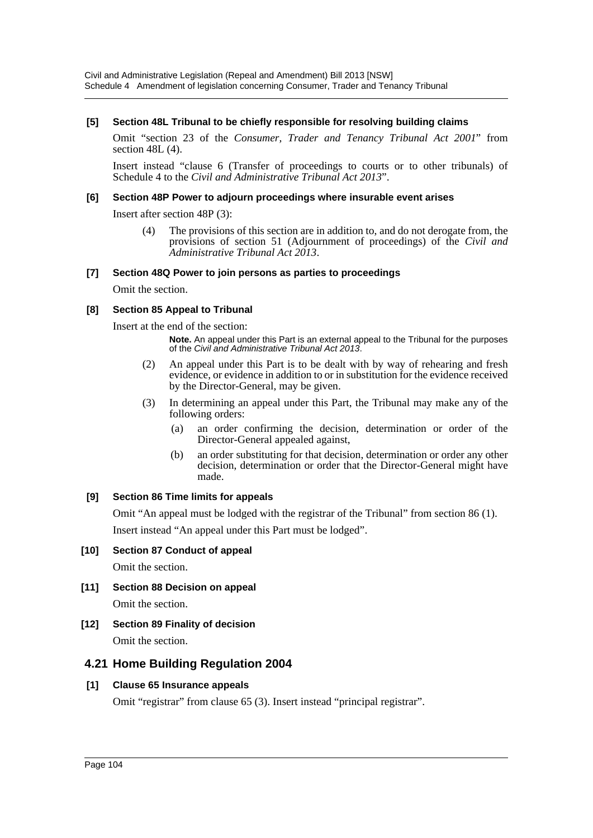#### **[5] Section 48L Tribunal to be chiefly responsible for resolving building claims**

Omit "section 23 of the *Consumer, Trader and Tenancy Tribunal Act 2001*" from section 48L (4).

Insert instead "clause 6 (Transfer of proceedings to courts or to other tribunals) of Schedule 4 to the *Civil and Administrative Tribunal Act 2013*".

#### **[6] Section 48P Power to adjourn proceedings where insurable event arises**

Insert after section 48P (3):

(4) The provisions of this section are in addition to, and do not derogate from, the provisions of section 51 (Adjournment of proceedings) of the *Civil and Administrative Tribunal Act 2013*.

#### **[7] Section 48Q Power to join persons as parties to proceedings**

Omit the section.

#### **[8] Section 85 Appeal to Tribunal**

Insert at the end of the section:

**Note.** An appeal under this Part is an external appeal to the Tribunal for the purposes of the *Civil and Administrative Tribunal Act 2013*.

- (2) An appeal under this Part is to be dealt with by way of rehearing and fresh evidence, or evidence in addition to or in substitution for the evidence received by the Director-General, may be given.
- (3) In determining an appeal under this Part, the Tribunal may make any of the following orders:
	- (a) an order confirming the decision, determination or order of the Director-General appealed against,
	- (b) an order substituting for that decision, determination or order any other decision, determination or order that the Director-General might have made.

#### **[9] Section 86 Time limits for appeals**

Omit "An appeal must be lodged with the registrar of the Tribunal" from section 86 (1). Insert instead "An appeal under this Part must be lodged".

#### **[10] Section 87 Conduct of appeal**

Omit the section.

- **[11] Section 88 Decision on appeal** Omit the section.
- **[12] Section 89 Finality of decision** Omit the section.

## **4.21 Home Building Regulation 2004**

## **[1] Clause 65 Insurance appeals**

Omit "registrar" from clause 65 (3). Insert instead "principal registrar".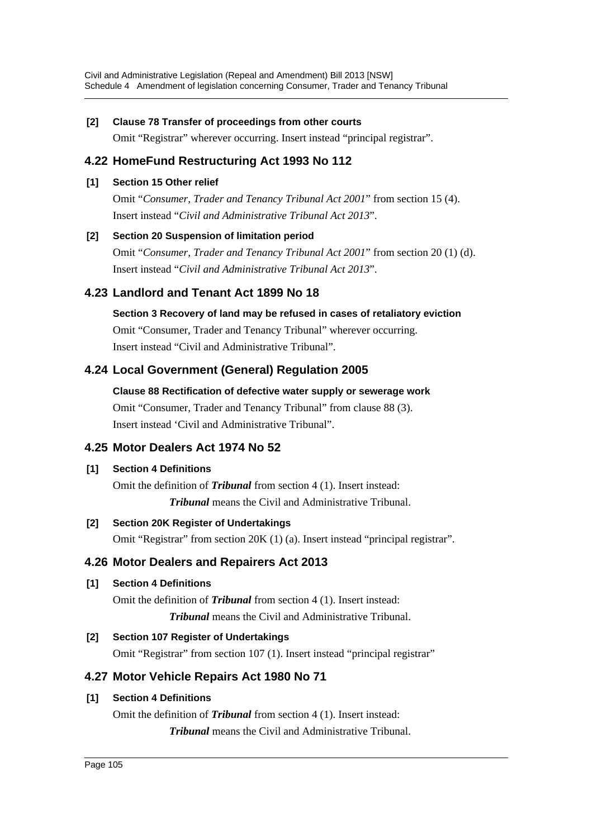## **[2] Clause 78 Transfer of proceedings from other courts**

Omit "Registrar" wherever occurring. Insert instead "principal registrar".

## **4.22 HomeFund Restructuring Act 1993 No 112**

### **[1] Section 15 Other relief**

Omit "*Consumer, Trader and Tenancy Tribunal Act 2001*" from section 15 (4). Insert instead "*Civil and Administrative Tribunal Act 2013*".

## **[2] Section 20 Suspension of limitation period**

Omit "*Consumer, Trader and Tenancy Tribunal Act 2001*" from section 20 (1) (d). Insert instead "*Civil and Administrative Tribunal Act 2013*".

## **4.23 Landlord and Tenant Act 1899 No 18**

**Section 3 Recovery of land may be refused in cases of retaliatory eviction** Omit "Consumer, Trader and Tenancy Tribunal" wherever occurring. Insert instead "Civil and Administrative Tribunal".

## **4.24 Local Government (General) Regulation 2005**

**Clause 88 Rectification of defective water supply or sewerage work** Omit "Consumer, Trader and Tenancy Tribunal" from clause 88 (3). Insert instead 'Civil and Administrative Tribunal".

## **4.25 Motor Dealers Act 1974 No 52**

## **[1] Section 4 Definitions**

Omit the definition of *Tribunal* from section 4 (1). Insert instead: *Tribunal* means the Civil and Administrative Tribunal.

## **[2] Section 20K Register of Undertakings**

Omit "Registrar" from section 20K (1) (a). Insert instead "principal registrar".

## **4.26 Motor Dealers and Repairers Act 2013**

## **[1] Section 4 Definitions**

Omit the definition of *Tribunal* from section 4 (1). Insert instead: *Tribunal* means the Civil and Administrative Tribunal.

## **[2] Section 107 Register of Undertakings**

Omit "Registrar" from section 107 (1). Insert instead "principal registrar"

## **4.27 Motor Vehicle Repairs Act 1980 No 71**

## **[1] Section 4 Definitions**

Omit the definition of *Tribunal* from section 4 (1). Insert instead: *Tribunal* means the Civil and Administrative Tribunal.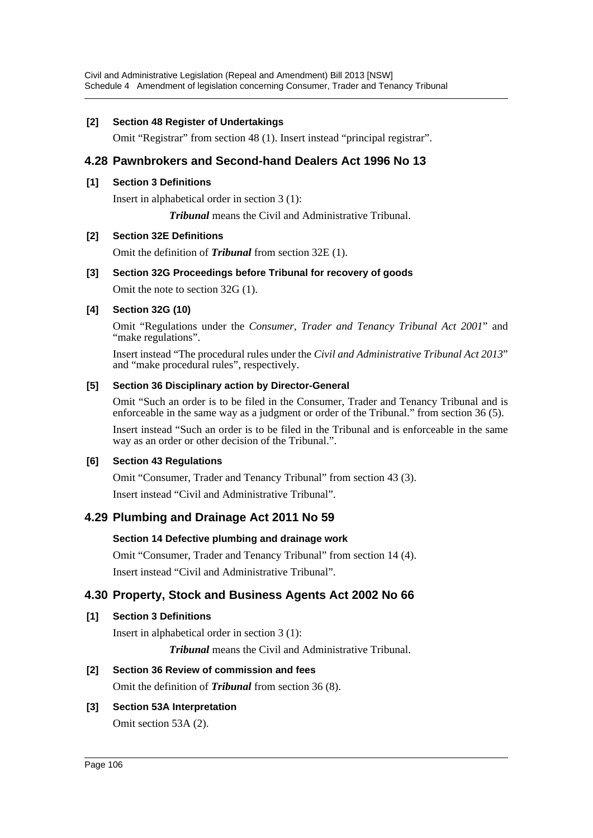#### **[2] Section 48 Register of Undertakings**

Omit "Registrar" from section 48 (1). Insert instead "principal registrar".

## **4.28 Pawnbrokers and Second-hand Dealers Act 1996 No 13**

#### **[1] Section 3 Definitions**

Insert in alphabetical order in section 3 (1):

*Tribunal* means the Civil and Administrative Tribunal.

#### **[2] Section 32E Definitions**

Omit the definition of *Tribunal* from section 32E (1).

#### **[3] Section 32G Proceedings before Tribunal for recovery of goods**

Omit the note to section 32G (1).

#### **[4] Section 32G (10)**

Omit "Regulations under the *Consumer, Trader and Tenancy Tribunal Act 2001*" and "make regulations".

Insert instead "The procedural rules under the *Civil and Administrative Tribunal Act 2013*" and "make procedural rules", respectively.

#### **[5] Section 36 Disciplinary action by Director-General**

Omit "Such an order is to be filed in the Consumer, Trader and Tenancy Tribunal and is enforceable in the same way as a judgment or order of the Tribunal." from section 36 (5).

Insert instead "Such an order is to be filed in the Tribunal and is enforceable in the same way as an order or other decision of the Tribunal.".

#### **[6] Section 43 Regulations**

Omit "Consumer, Trader and Tenancy Tribunal" from section 43 (3). Insert instead "Civil and Administrative Tribunal".

## **4.29 Plumbing and Drainage Act 2011 No 59**

## **Section 14 Defective plumbing and drainage work**

Omit "Consumer, Trader and Tenancy Tribunal" from section 14 (4). Insert instead "Civil and Administrative Tribunal".

## **4.30 Property, Stock and Business Agents Act 2002 No 66**

## **[1] Section 3 Definitions**

Insert in alphabetical order in section 3 (1):

*Tribunal* means the Civil and Administrative Tribunal.

## **[2] Section 36 Review of commission and fees**

Omit the definition of *Tribunal* from section 36 (8).

## **[3] Section 53A Interpretation**

Omit section 53A (2).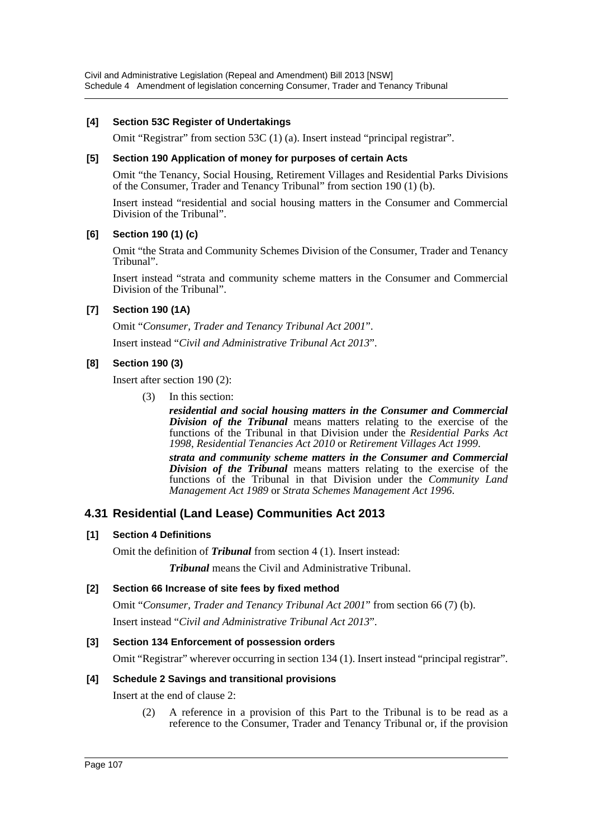#### **[4] Section 53C Register of Undertakings**

Omit "Registrar" from section 53C (1) (a). Insert instead "principal registrar".

#### **[5] Section 190 Application of money for purposes of certain Acts**

Omit "the Tenancy, Social Housing, Retirement Villages and Residential Parks Divisions of the Consumer, Trader and Tenancy Tribunal" from section 190 (1) (b).

Insert instead "residential and social housing matters in the Consumer and Commercial Division of the Tribunal".

#### **[6] Section 190 (1) (c)**

Omit "the Strata and Community Schemes Division of the Consumer, Trader and Tenancy Tribunal".

Insert instead "strata and community scheme matters in the Consumer and Commercial Division of the Tribunal".

#### **[7] Section 190 (1A)**

Omit "*Consumer, Trader and Tenancy Tribunal Act 2001*".

Insert instead "*Civil and Administrative Tribunal Act 2013*".

#### **[8] Section 190 (3)**

Insert after section 190 (2):

(3) In this section:

*residential and social housing matters in the Consumer and Commercial Division of the Tribunal* means matters relating to the exercise of the functions of the Tribunal in that Division under the *Residential Parks Act 1998*, *Residential Tenancies Act 2010* or *Retirement Villages Act 1999*.

*strata and community scheme matters in the Consumer and Commercial Division of the Tribunal* means matters relating to the exercise of the functions of the Tribunal in that Division under the *Community Land Management Act 1989* or *Strata Schemes Management Act 1996*.

## **4.31 Residential (Land Lease) Communities Act 2013**

#### **[1] Section 4 Definitions**

Omit the definition of *Tribunal* from section 4 (1). Insert instead:

*Tribunal* means the Civil and Administrative Tribunal.

#### **[2] Section 66 Increase of site fees by fixed method**

Omit "*Consumer, Trader and Tenancy Tribunal Act 2001*" from section 66 (7) (b). Insert instead "*Civil and Administrative Tribunal Act 2013*".

#### **[3] Section 134 Enforcement of possession orders**

Omit "Registrar" wherever occurring in section 134 (1). Insert instead "principal registrar".

#### **[4] Schedule 2 Savings and transitional provisions**

Insert at the end of clause 2:

(2) A reference in a provision of this Part to the Tribunal is to be read as a reference to the Consumer, Trader and Tenancy Tribunal or, if the provision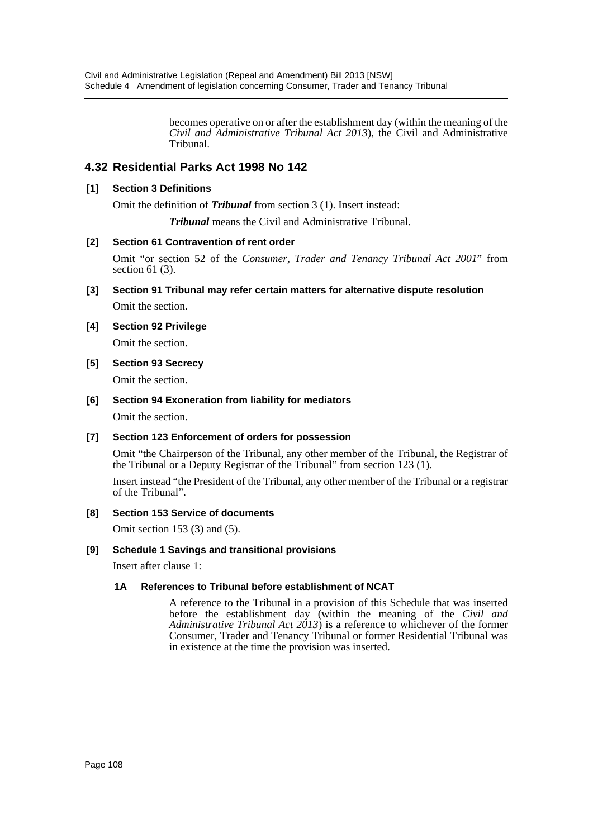becomes operative on or after the establishment day (within the meaning of the *Civil and Administrative Tribunal Act 2013*), the Civil and Administrative Tribunal.

# **4.32 Residential Parks Act 1998 No 142**

### **[1] Section 3 Definitions**

Omit the definition of *Tribunal* from section 3 (1). Insert instead:

*Tribunal* means the Civil and Administrative Tribunal.

### **[2] Section 61 Contravention of rent order**

Omit "or section 52 of the *Consumer, Trader and Tenancy Tribunal Act 2001*" from section 61 (3).

**[3] Section 91 Tribunal may refer certain matters for alternative dispute resolution**

Omit the section.

### **[4] Section 92 Privilege**

Omit the section.

**[5] Section 93 Secrecy**

Omit the section.

### **[6] Section 94 Exoneration from liability for mediators**

Omit the section.

#### **[7] Section 123 Enforcement of orders for possession**

Omit "the Chairperson of the Tribunal, any other member of the Tribunal, the Registrar of the Tribunal or a Deputy Registrar of the Tribunal" from section 123 (1).

Insert instead "the President of the Tribunal, any other member of the Tribunal or a registrar of the Tribunal".

#### **[8] Section 153 Service of documents**

Omit section 153 (3) and (5).

#### **[9] Schedule 1 Savings and transitional provisions**

Insert after clause 1:

#### **1A References to Tribunal before establishment of NCAT**

A reference to the Tribunal in a provision of this Schedule that was inserted before the establishment day (within the meaning of the *Civil and Administrative Tribunal Act 2013*) is a reference to whichever of the former Consumer, Trader and Tenancy Tribunal or former Residential Tribunal was in existence at the time the provision was inserted.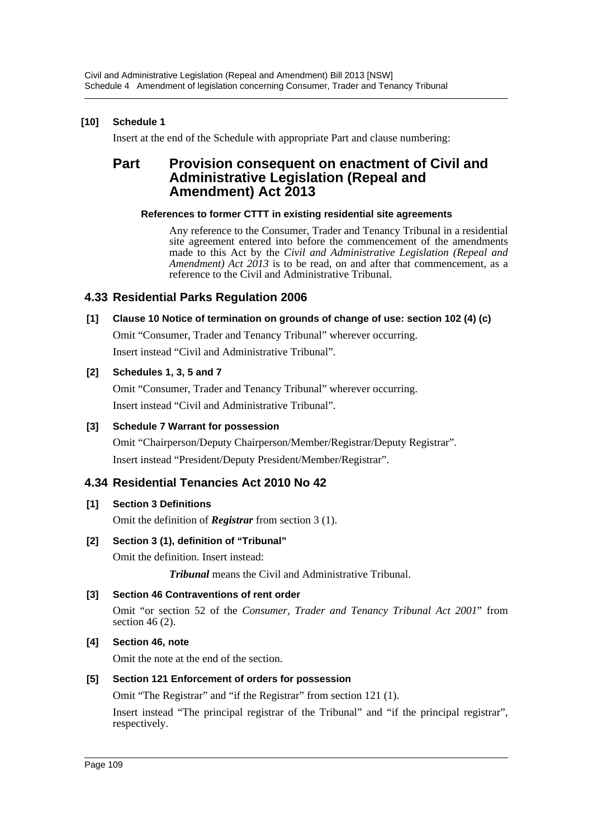# **[10] Schedule 1**

Insert at the end of the Schedule with appropriate Part and clause numbering:

# **Part Provision consequent on enactment of Civil and Administrative Legislation (Repeal and Amendment) Act 2013**

### **References to former CTTT in existing residential site agreements**

Any reference to the Consumer, Trader and Tenancy Tribunal in a residential site agreement entered into before the commencement of the amendments made to this Act by the *Civil and Administrative Legislation (Repeal and Amendment) Act 2013* is to be read, on and after that commencement, as a reference to the Civil and Administrative Tribunal.

# **4.33 Residential Parks Regulation 2006**

### **[1] Clause 10 Notice of termination on grounds of change of use: section 102 (4) (c)**

Omit "Consumer, Trader and Tenancy Tribunal" wherever occurring. Insert instead "Civil and Administrative Tribunal".

### **[2] Schedules 1, 3, 5 and 7**

Omit "Consumer, Trader and Tenancy Tribunal" wherever occurring. Insert instead "Civil and Administrative Tribunal".

### **[3] Schedule 7 Warrant for possession**

Omit "Chairperson/Deputy Chairperson/Member/Registrar/Deputy Registrar". Insert instead "President/Deputy President/Member/Registrar".

# **4.34 Residential Tenancies Act 2010 No 42**

### **[1] Section 3 Definitions**

Omit the definition of *Registrar* from section 3 (1).

### **[2] Section 3 (1), definition of "Tribunal"**

Omit the definition. Insert instead:

*Tribunal* means the Civil and Administrative Tribunal.

### **[3] Section 46 Contraventions of rent order**

Omit "or section 52 of the *Consumer, Trader and Tenancy Tribunal Act 2001*" from section 46 (2).

### **[4] Section 46, note**

Omit the note at the end of the section.

### **[5] Section 121 Enforcement of orders for possession**

Omit "The Registrar" and "if the Registrar" from section 121 (1).

Insert instead "The principal registrar of the Tribunal" and "if the principal registrar", respectively.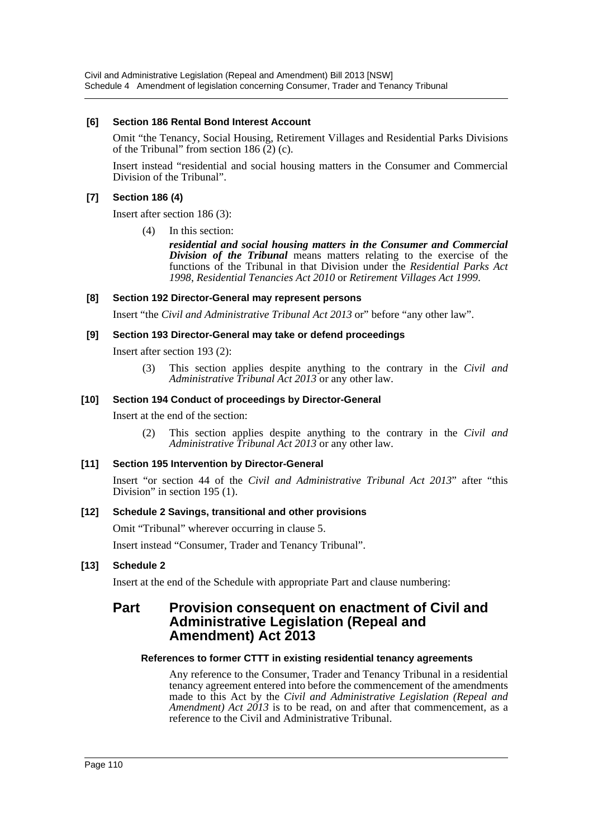Civil and Administrative Legislation (Repeal and Amendment) Bill 2013 [NSW] Schedule 4 Amendment of legislation concerning Consumer, Trader and Tenancy Tribunal

#### **[6] Section 186 Rental Bond Interest Account**

Omit "the Tenancy, Social Housing, Retirement Villages and Residential Parks Divisions of the Tribunal" from section  $186(2)(c)$ .

Insert instead "residential and social housing matters in the Consumer and Commercial Division of the Tribunal".

#### **[7] Section 186 (4)**

Insert after section 186 (3):

(4) In this section:

*residential and social housing matters in the Consumer and Commercial Division of the Tribunal* means matters relating to the exercise of the functions of the Tribunal in that Division under the *Residential Parks Act 1998*, *Residential Tenancies Act 2010* or *Retirement Villages Act 1999*.

#### **[8] Section 192 Director-General may represent persons**

Insert "the *Civil and Administrative Tribunal Act 2013* or" before "any other law".

#### **[9] Section 193 Director-General may take or defend proceedings**

Insert after section 193 (2):

(3) This section applies despite anything to the contrary in the *Civil and Administrative Tribunal Act 2013* or any other law.

#### **[10] Section 194 Conduct of proceedings by Director-General**

Insert at the end of the section:

(2) This section applies despite anything to the contrary in the *Civil and Administrative Tribunal Act 2013* or any other law.

#### **[11] Section 195 Intervention by Director-General**

Insert "or section 44 of the *Civil and Administrative Tribunal Act 2013*" after "this Division" in section 195 (1).

#### **[12] Schedule 2 Savings, transitional and other provisions**

Omit "Tribunal" wherever occurring in clause 5.

Insert instead "Consumer, Trader and Tenancy Tribunal".

#### **[13] Schedule 2**

Insert at the end of the Schedule with appropriate Part and clause numbering:

# **Part Provision consequent on enactment of Civil and Administrative Legislation (Repeal and Amendment) Act 2013**

#### **References to former CTTT in existing residential tenancy agreements**

Any reference to the Consumer, Trader and Tenancy Tribunal in a residential tenancy agreement entered into before the commencement of the amendments made to this Act by the *Civil and Administrative Legislation (Repeal and Amendment) Act 2013* is to be read, on and after that commencement, as a reference to the Civil and Administrative Tribunal.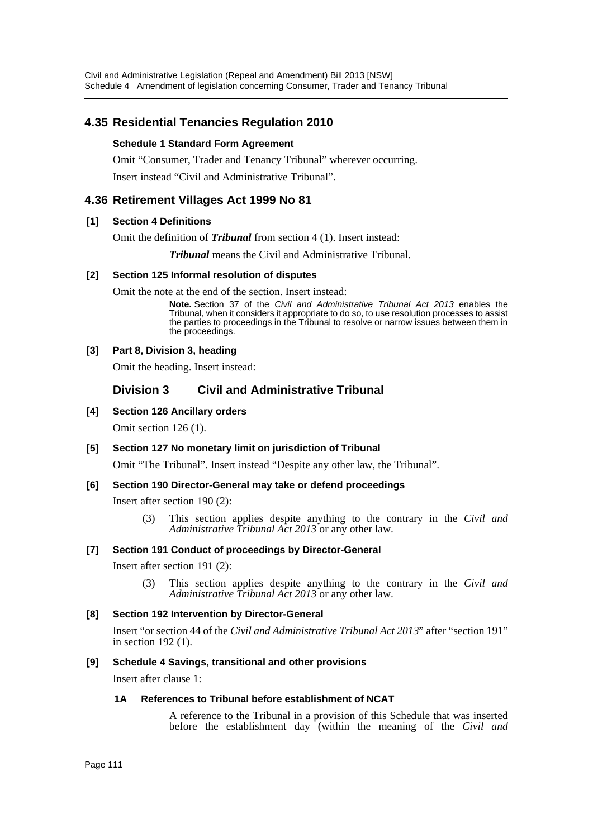# **4.35 Residential Tenancies Regulation 2010**

### **Schedule 1 Standard Form Agreement**

Omit "Consumer, Trader and Tenancy Tribunal" wherever occurring. Insert instead "Civil and Administrative Tribunal".

# **4.36 Retirement Villages Act 1999 No 81**

#### **[1] Section 4 Definitions**

Omit the definition of *Tribunal* from section 4 (1). Insert instead:

*Tribunal* means the Civil and Administrative Tribunal.

### **[2] Section 125 Informal resolution of disputes**

Omit the note at the end of the section. Insert instead:

**Note.** Section 37 of the *Civil and Administrative Tribunal Act 2013* enables the Tribunal, when it considers it appropriate to do so, to use resolution processes to assist the parties to proceedings in the Tribunal to resolve or narrow issues between them in the proceedings.

### **[3] Part 8, Division 3, heading**

Omit the heading. Insert instead:

# **Division 3 Civil and Administrative Tribunal**

**[4] Section 126 Ancillary orders**

Omit section 126 (1).

**[5] Section 127 No monetary limit on jurisdiction of Tribunal** Omit "The Tribunal". Insert instead "Despite any other law, the Tribunal".

### **[6] Section 190 Director-General may take or defend proceedings**

Insert after section 190 (2):

(3) This section applies despite anything to the contrary in the *Civil and Administrative Tribunal Act 2013* or any other law.

#### **[7] Section 191 Conduct of proceedings by Director-General**

Insert after section 191 (2):

(3) This section applies despite anything to the contrary in the *Civil and Administrative Tribunal Act 2013* or any other law.

#### **[8] Section 192 Intervention by Director-General**

Insert "or section 44 of the *Civil and Administrative Tribunal Act 2013*" after "section 191" in section 192 (1).

#### **[9] Schedule 4 Savings, transitional and other provisions**

Insert after clause 1:

#### **1A References to Tribunal before establishment of NCAT**

A reference to the Tribunal in a provision of this Schedule that was inserted before the establishment day (within the meaning of the *Civil and*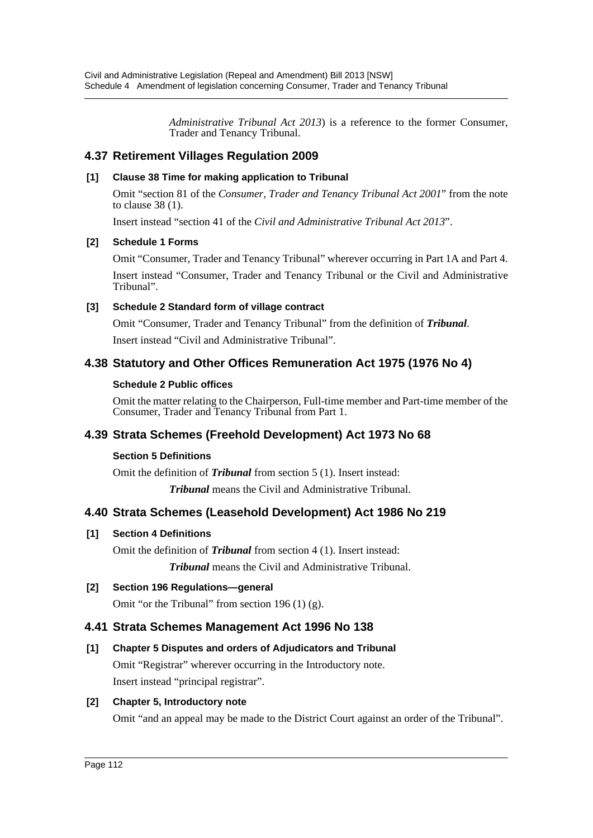*Administrative Tribunal Act 2013*) is a reference to the former Consumer, Trader and Tenancy Tribunal.

# **4.37 Retirement Villages Regulation 2009**

### **[1] Clause 38 Time for making application to Tribunal**

Omit "section 81 of the *Consumer, Trader and Tenancy Tribunal Act 2001*" from the note to clause 38 (1).

Insert instead "section 41 of the *Civil and Administrative Tribunal Act 2013*".

### **[2] Schedule 1 Forms**

Omit "Consumer, Trader and Tenancy Tribunal" wherever occurring in Part 1A and Part 4. Insert instead "Consumer, Trader and Tenancy Tribunal or the Civil and Administrative Tribunal".

### **[3] Schedule 2 Standard form of village contract**

Omit "Consumer, Trader and Tenancy Tribunal" from the definition of *Tribunal*. Insert instead "Civil and Administrative Tribunal".

# **4.38 Statutory and Other Offices Remuneration Act 1975 (1976 No 4)**

### **Schedule 2 Public offices**

Omit the matter relating to the Chairperson, Full-time member and Part-time member of the Consumer, Trader and Tenancy Tribunal from Part 1.

# **4.39 Strata Schemes (Freehold Development) Act 1973 No 68**

### **Section 5 Definitions**

Omit the definition of *Tribunal* from section 5 (1). Insert instead:

*Tribunal* means the Civil and Administrative Tribunal.

# **4.40 Strata Schemes (Leasehold Development) Act 1986 No 219**

### **[1] Section 4 Definitions**

Omit the definition of *Tribunal* from section 4 (1). Insert instead:

*Tribunal* means the Civil and Administrative Tribunal.

### **[2] Section 196 Regulations—general**

Omit "or the Tribunal" from section 196 (1) (g).

### **4.41 Strata Schemes Management Act 1996 No 138**

### **[1] Chapter 5 Disputes and orders of Adjudicators and Tribunal**

Omit "Registrar" wherever occurring in the Introductory note. Insert instead "principal registrar".

### **[2] Chapter 5, Introductory note**

Omit "and an appeal may be made to the District Court against an order of the Tribunal".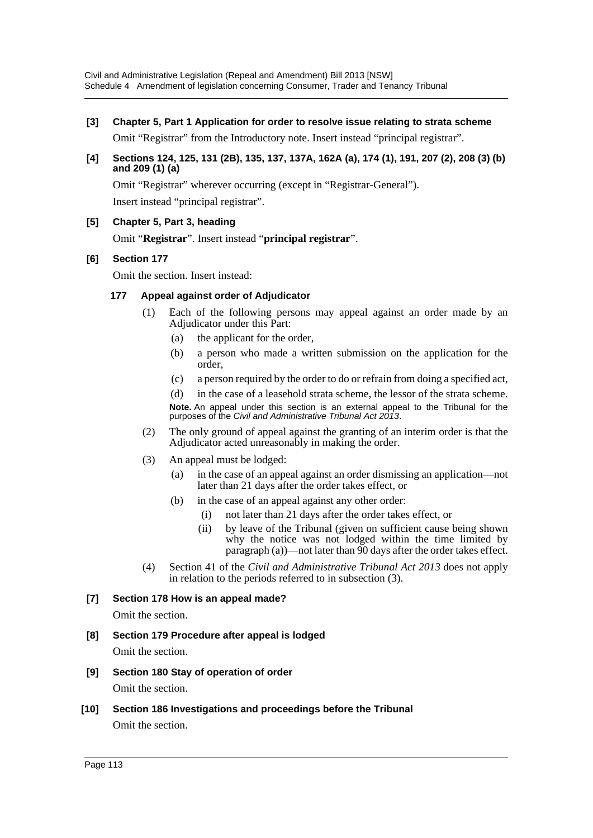**[3] Chapter 5, Part 1 Application for order to resolve issue relating to strata scheme**

Omit "Registrar" from the Introductory note. Insert instead "principal registrar".

**[4] Sections 124, 125, 131 (2B), 135, 137, 137A, 162A (a), 174 (1), 191, 207 (2), 208 (3) (b) and 209 (1) (a)**

Omit "Registrar" wherever occurring (except in "Registrar-General"). Insert instead "principal registrar".

**[5] Chapter 5, Part 3, heading**

Omit "**Registrar**". Insert instead "**principal registrar**".

### **[6] Section 177**

Omit the section. Insert instead:

### **177 Appeal against order of Adjudicator**

- (1) Each of the following persons may appeal against an order made by an Adjudicator under this Part:
	- (a) the applicant for the order,
	- (b) a person who made a written submission on the application for the order,
	- (c) a person required by the order to do or refrain from doing a specified act,

(d) in the case of a leasehold strata scheme, the lessor of the strata scheme. **Note.** An appeal under this section is an external appeal to the Tribunal for the purposes of the *Civil and Administrative Tribunal Act 2013*.

- (2) The only ground of appeal against the granting of an interim order is that the Adjudicator acted unreasonably in making the order.
- (3) An appeal must be lodged:
	- (a) in the case of an appeal against an order dismissing an application—not later than 21 days after the order takes effect, or
	- (b) in the case of an appeal against any other order:
		- (i) not later than 21 days after the order takes effect, or
		- (ii) by leave of the Tribunal (given on sufficient cause being shown why the notice was not lodged within the time limited by paragraph (a))—not later than 90 days after the order takes effect.
- (4) Section 41 of the *Civil and Administrative Tribunal Act 2013* does not apply in relation to the periods referred to in subsection (3).

### **[7] Section 178 How is an appeal made?**

Omit the section.

- **[8] Section 179 Procedure after appeal is lodged** Omit the section.
- **[9] Section 180 Stay of operation of order**

Omit the section.

**[10] Section 186 Investigations and proceedings before the Tribunal** Omit the section.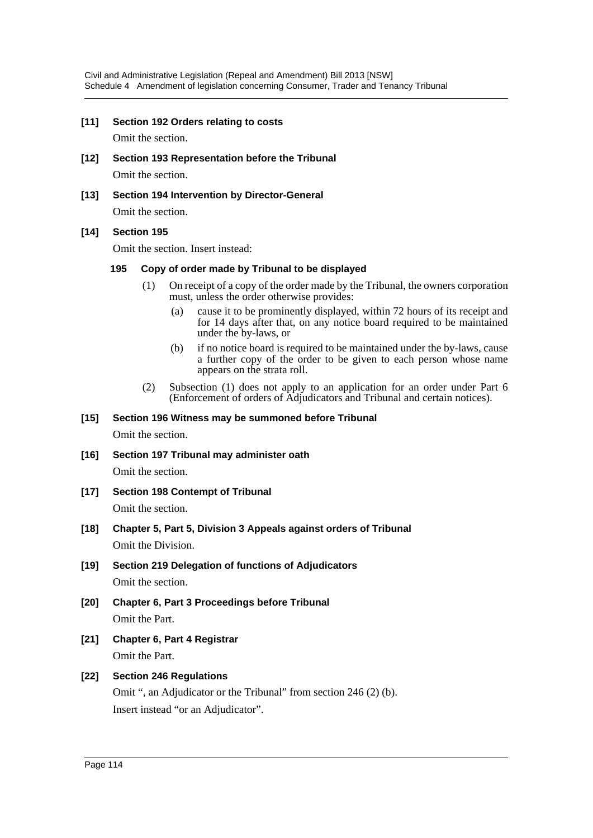#### **[11] Section 192 Orders relating to costs**

Omit the section.

- **[12] Section 193 Representation before the Tribunal** Omit the section.
- **[13] Section 194 Intervention by Director-General**

Omit the section.

#### **[14] Section 195**

Omit the section. Insert instead:

#### **195 Copy of order made by Tribunal to be displayed**

- (1) On receipt of a copy of the order made by the Tribunal, the owners corporation must, unless the order otherwise provides:
	- (a) cause it to be prominently displayed, within 72 hours of its receipt and for 14 days after that, on any notice board required to be maintained under the by-laws, or
	- (b) if no notice board is required to be maintained under the by-laws, cause a further copy of the order to be given to each person whose name appears on the strata roll.
- (2) Subsection (1) does not apply to an application for an order under Part 6 (Enforcement of orders of Adjudicators and Tribunal and certain notices).

#### **[15] Section 196 Witness may be summoned before Tribunal**

Omit the section.

- **[16] Section 197 Tribunal may administer oath** Omit the section.
- **[17] Section 198 Contempt of Tribunal** Omit the section.
- **[18] Chapter 5, Part 5, Division 3 Appeals against orders of Tribunal** Omit the Division.
- **[19] Section 219 Delegation of functions of Adjudicators** Omit the section.
- **[20] Chapter 6, Part 3 Proceedings before Tribunal** Omit the Part.
- **[21] Chapter 6, Part 4 Registrar** Omit the Part.

# **[22] Section 246 Regulations** Omit ", an Adjudicator or the Tribunal" from section 246 (2) (b). Insert instead "or an Adjudicator".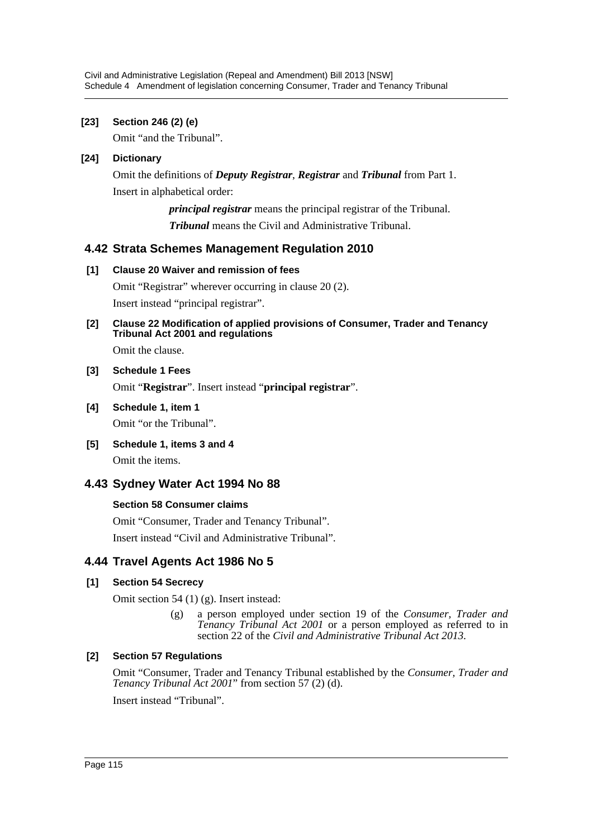# **[23] Section 246 (2) (e)**

Omit "and the Tribunal".

# **[24] Dictionary**

Omit the definitions of *Deputy Registrar*, *Registrar* and *Tribunal* from Part 1. Insert in alphabetical order:

> *principal registrar* means the principal registrar of the Tribunal. *Tribunal* means the Civil and Administrative Tribunal.

# **4.42 Strata Schemes Management Regulation 2010**

# **[1] Clause 20 Waiver and remission of fees**

Omit "Registrar" wherever occurring in clause 20 (2). Insert instead "principal registrar".

# **[2] Clause 22 Modification of applied provisions of Consumer, Trader and Tenancy Tribunal Act 2001 and regulations**

Omit the clause.

# **[3] Schedule 1 Fees**

Omit "**Registrar**". Insert instead "**principal registrar**".

- **[4] Schedule 1, item 1** Omit "or the Tribunal".
- **[5] Schedule 1, items 3 and 4** Omit the items.

# **4.43 Sydney Water Act 1994 No 88**

# **Section 58 Consumer claims**

Omit "Consumer, Trader and Tenancy Tribunal".

Insert instead "Civil and Administrative Tribunal".

# **4.44 Travel Agents Act 1986 No 5**

# **[1] Section 54 Secrecy**

Omit section 54 (1) (g). Insert instead:

(g) a person employed under section 19 of the *Consumer, Trader and Tenancy Tribunal Act 2001* or a person employed as referred to in section 22 of the *Civil and Administrative Tribunal Act 2013*.

# **[2] Section 57 Regulations**

Omit "Consumer, Trader and Tenancy Tribunal established by the *Consumer, Trader and Tenancy Tribunal Act 2001*" from section 57 (2) (d).

Insert instead "Tribunal".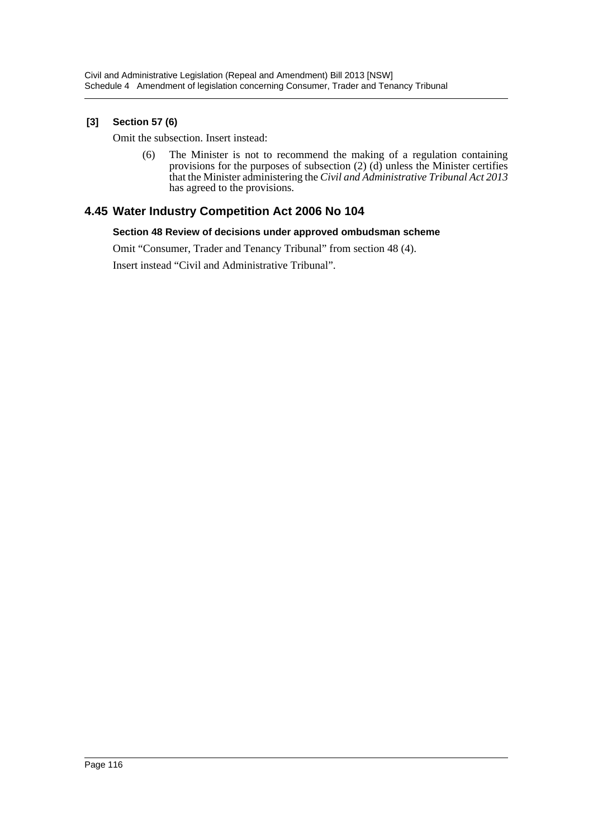# **[3] Section 57 (6)**

Omit the subsection. Insert instead:

(6) The Minister is not to recommend the making of a regulation containing provisions for the purposes of subsection  $(2)$  (d) unless the Minister certifies that the Minister administering the *Civil and Administrative Tribunal Act 2013* has agreed to the provisions.

# **4.45 Water Industry Competition Act 2006 No 104**

#### **Section 48 Review of decisions under approved ombudsman scheme**

Omit "Consumer, Trader and Tenancy Tribunal" from section 48 (4).

Insert instead "Civil and Administrative Tribunal".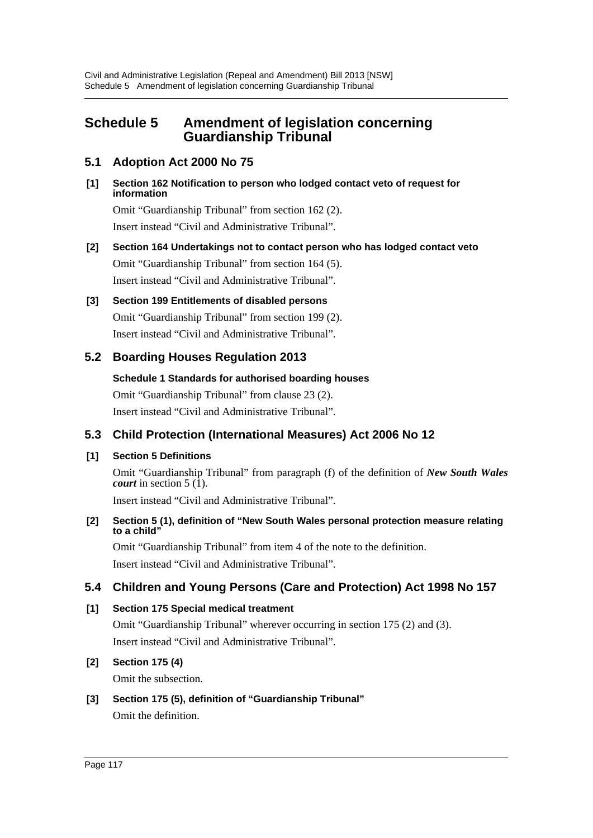# **Schedule 5 Amendment of legislation concerning Guardianship Tribunal**

# **5.1 Adoption Act 2000 No 75**

**[1] Section 162 Notification to person who lodged contact veto of request for information**

Omit "Guardianship Tribunal" from section 162 (2). Insert instead "Civil and Administrative Tribunal".

**[2] Section 164 Undertakings not to contact person who has lodged contact veto** Omit "Guardianship Tribunal" from section 164 (5). Insert instead "Civil and Administrative Tribunal".

# **[3] Section 199 Entitlements of disabled persons** Omit "Guardianship Tribunal" from section 199 (2).

Insert instead "Civil and Administrative Tribunal".

# **5.2 Boarding Houses Regulation 2013**

# **Schedule 1 Standards for authorised boarding houses**

Omit "Guardianship Tribunal" from clause 23 (2).

Insert instead "Civil and Administrative Tribunal".

# **5.3 Child Protection (International Measures) Act 2006 No 12**

# **[1] Section 5 Definitions**

Omit "Guardianship Tribunal" from paragraph (f) of the definition of *New South Wales court* in section  $5(\overline{1})$ .

Insert instead "Civil and Administrative Tribunal".

### **[2] Section 5 (1), definition of "New South Wales personal protection measure relating to a child"**

Omit "Guardianship Tribunal" from item 4 of the note to the definition. Insert instead "Civil and Administrative Tribunal".

# **5.4 Children and Young Persons (Care and Protection) Act 1998 No 157**

# **[1] Section 175 Special medical treatment**

Omit "Guardianship Tribunal" wherever occurring in section 175 (2) and (3). Insert instead "Civil and Administrative Tribunal".

# **[2] Section 175 (4)**

Omit the subsection.

# **[3] Section 175 (5), definition of "Guardianship Tribunal"**

Omit the definition.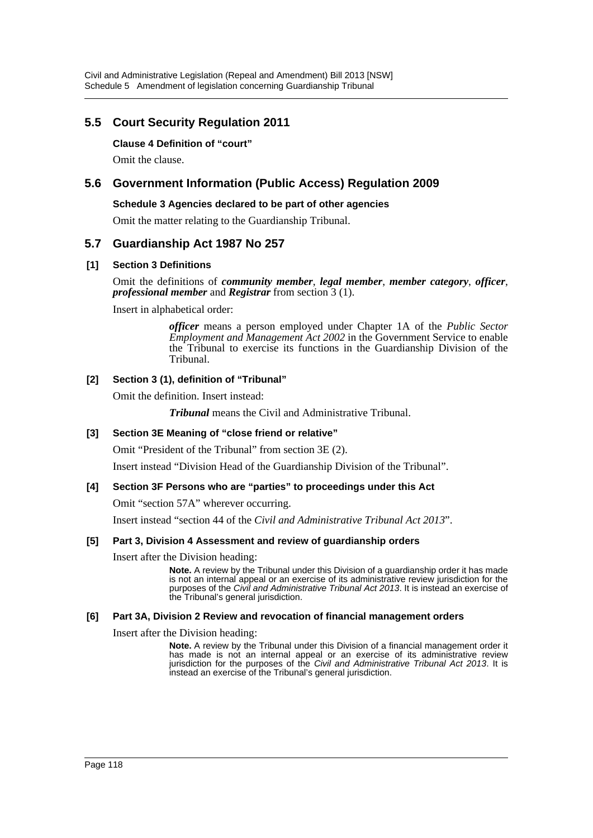# **5.5 Court Security Regulation 2011**

### **Clause 4 Definition of "court"**

Omit the clause.

# **5.6 Government Information (Public Access) Regulation 2009**

#### **Schedule 3 Agencies declared to be part of other agencies**

Omit the matter relating to the Guardianship Tribunal.

### **5.7 Guardianship Act 1987 No 257**

### **[1] Section 3 Definitions**

Omit the definitions of *community member*, *legal member*, *member category*, *officer*, *professional member* and *Registrar* from section 3 (1).

Insert in alphabetical order:

*officer* means a person employed under Chapter 1A of the *Public Sector Employment and Management Act 2002* in the Government Service to enable the Tribunal to exercise its functions in the Guardianship Division of the Tribunal.

### **[2] Section 3 (1), definition of "Tribunal"**

Omit the definition. Insert instead:

*Tribunal* means the Civil and Administrative Tribunal.

#### **[3] Section 3E Meaning of "close friend or relative"**

Omit "President of the Tribunal" from section 3E (2).

Insert instead "Division Head of the Guardianship Division of the Tribunal".

#### **[4] Section 3F Persons who are "parties" to proceedings under this Act**

Omit "section 57A" wherever occurring.

Insert instead "section 44 of the *Civil and Administrative Tribunal Act 2013*".

#### **[5] Part 3, Division 4 Assessment and review of guardianship orders**

Insert after the Division heading:

**Note.** A review by the Tribunal under this Division of a guardianship order it has made is not an internal appeal or an exercise of its administrative review jurisdiction for the purposes of the *Civil and Administrative Tribunal Act 2013*. It is instead an exercise of the Tribunal's general jurisdiction.

#### **[6] Part 3A, Division 2 Review and revocation of financial management orders**

Insert after the Division heading:

**Note.** A review by the Tribunal under this Division of a financial management order it has made is not an internal appeal or an exercise of its administrative review jurisdiction for the purposes of the *Civil and Administrative Tribunal Act 2013*. It is instead an exercise of the Tribunal's general jurisdiction.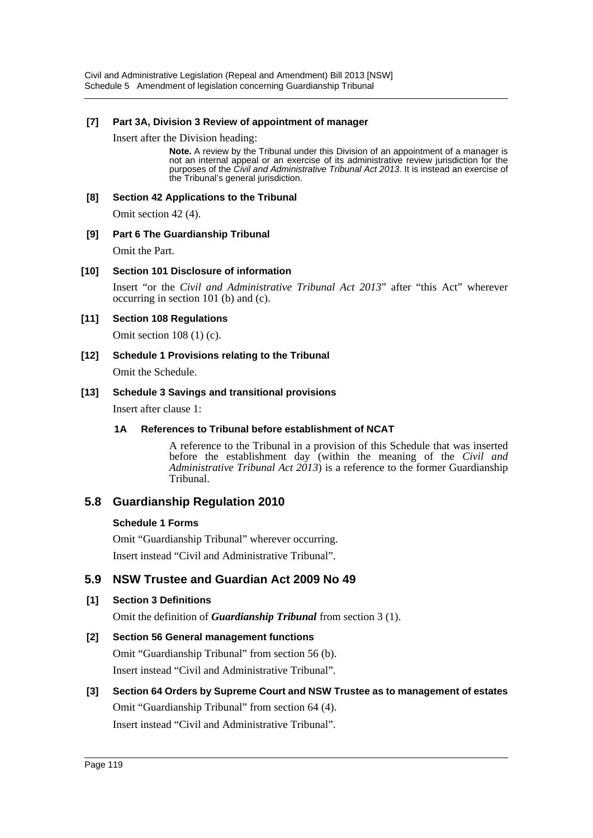Civil and Administrative Legislation (Repeal and Amendment) Bill 2013 [NSW] Schedule 5 Amendment of legislation concerning Guardianship Tribunal

#### **[7] Part 3A, Division 3 Review of appointment of manager**

Insert after the Division heading:

**Note.** A review by the Tribunal under this Division of an appointment of a manager is not an internal appeal or an exercise of its administrative review jurisdiction for the purposes of the *Civil and Administrative Tribunal Act 2013*. It is instead an exercise of the Tribunal's general jurisdiction.

#### **[8] Section 42 Applications to the Tribunal**

Omit section 42 (4).

#### **[9] Part 6 The Guardianship Tribunal**

Omit the Part.

#### **[10] Section 101 Disclosure of information**

Insert "or the *Civil and Administrative Tribunal Act 2013*" after "this Act" wherever occurring in section 101 (b) and (c).

#### **[11] Section 108 Regulations**

Omit section 108 (1) (c).

**[12] Schedule 1 Provisions relating to the Tribunal** Omit the Schedule.

#### **[13] Schedule 3 Savings and transitional provisions**

Insert after clause 1:

#### **1A References to Tribunal before establishment of NCAT**

A reference to the Tribunal in a provision of this Schedule that was inserted before the establishment day (within the meaning of the *Civil and Administrative Tribunal Act 2013*) is a reference to the former Guardianship Tribunal.

# **5.8 Guardianship Regulation 2010**

#### **Schedule 1 Forms**

Omit "Guardianship Tribunal" wherever occurring.

Insert instead "Civil and Administrative Tribunal".

### **5.9 NSW Trustee and Guardian Act 2009 No 49**

#### **[1] Section 3 Definitions**

Omit the definition of *Guardianship Tribunal* from section 3 (1).

#### **[2] Section 56 General management functions**

Omit "Guardianship Tribunal" from section 56 (b). Insert instead "Civil and Administrative Tribunal".

# **[3] Section 64 Orders by Supreme Court and NSW Trustee as to management of estates** Omit "Guardianship Tribunal" from section 64 (4). Insert instead "Civil and Administrative Tribunal".

Page 119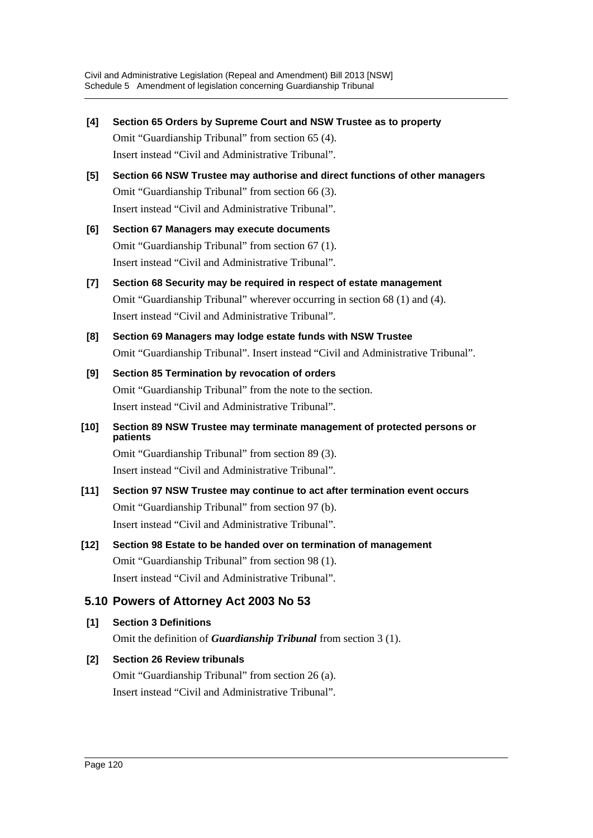- **[4] Section 65 Orders by Supreme Court and NSW Trustee as to property** Omit "Guardianship Tribunal" from section 65 (4). Insert instead "Civil and Administrative Tribunal".
- **[5] Section 66 NSW Trustee may authorise and direct functions of other managers** Omit "Guardianship Tribunal" from section 66 (3). Insert instead "Civil and Administrative Tribunal".
- **[6] Section 67 Managers may execute documents** Omit "Guardianship Tribunal" from section 67 (1). Insert instead "Civil and Administrative Tribunal".
- **[7] Section 68 Security may be required in respect of estate management** Omit "Guardianship Tribunal" wherever occurring in section 68 (1) and (4). Insert instead "Civil and Administrative Tribunal".
- **[8] Section 69 Managers may lodge estate funds with NSW Trustee** Omit "Guardianship Tribunal". Insert instead "Civil and Administrative Tribunal".
- **[9] Section 85 Termination by revocation of orders** Omit "Guardianship Tribunal" from the note to the section. Insert instead "Civil and Administrative Tribunal".
- **[10] Section 89 NSW Trustee may terminate management of protected persons or patients**

Omit "Guardianship Tribunal" from section 89 (3). Insert instead "Civil and Administrative Tribunal".

- **[11] Section 97 NSW Trustee may continue to act after termination event occurs** Omit "Guardianship Tribunal" from section 97 (b). Insert instead "Civil and Administrative Tribunal".
- **[12] Section 98 Estate to be handed over on termination of management** Omit "Guardianship Tribunal" from section 98 (1). Insert instead "Civil and Administrative Tribunal".

# **5.10 Powers of Attorney Act 2003 No 53**

- **[1] Section 3 Definitions** Omit the definition of *Guardianship Tribunal* from section 3 (1).
- **[2] Section 26 Review tribunals** Omit "Guardianship Tribunal" from section 26 (a). Insert instead "Civil and Administrative Tribunal".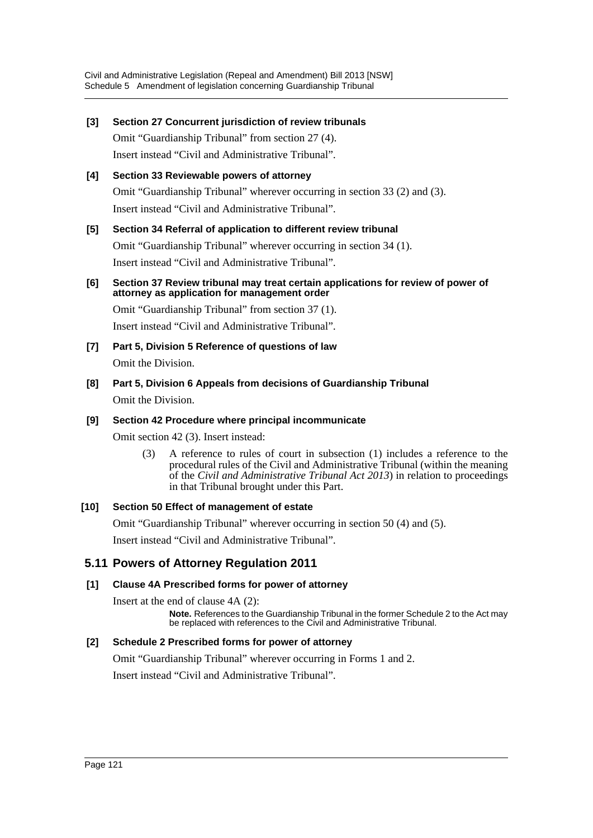### **[3] Section 27 Concurrent jurisdiction of review tribunals**

Omit "Guardianship Tribunal" from section 27 (4). Insert instead "Civil and Administrative Tribunal".

# **[4] Section 33 Reviewable powers of attorney** Omit "Guardianship Tribunal" wherever occurring in section 33 (2) and (3). Insert instead "Civil and Administrative Tribunal".

### **[5] Section 34 Referral of application to different review tribunal**

Omit "Guardianship Tribunal" wherever occurring in section 34 (1). Insert instead "Civil and Administrative Tribunal".

### **[6] Section 37 Review tribunal may treat certain applications for review of power of attorney as application for management order**

Omit "Guardianship Tribunal" from section 37 (1). Insert instead "Civil and Administrative Tribunal".

- **[7] Part 5, Division 5 Reference of questions of law** Omit the Division.
- **[8] Part 5, Division 6 Appeals from decisions of Guardianship Tribunal** Omit the Division.

# **[9] Section 42 Procedure where principal incommunicate**

Omit section 42 (3). Insert instead:

(3) A reference to rules of court in subsection (1) includes a reference to the procedural rules of the Civil and Administrative Tribunal (within the meaning of the *Civil and Administrative Tribunal Act 2013*) in relation to proceedings in that Tribunal brought under this Part.

# **[10] Section 50 Effect of management of estate**

Omit "Guardianship Tribunal" wherever occurring in section 50 (4) and (5).

Insert instead "Civil and Administrative Tribunal".

# **5.11 Powers of Attorney Regulation 2011**

# **[1] Clause 4A Prescribed forms for power of attorney**

Insert at the end of clause 4A (2):

**Note.** References to the Guardianship Tribunal in the former Schedule 2 to the Act may be replaced with references to the Civil and Administrative Tribunal.

### **[2] Schedule 2 Prescribed forms for power of attorney**

Omit "Guardianship Tribunal" wherever occurring in Forms 1 and 2.

Insert instead "Civil and Administrative Tribunal".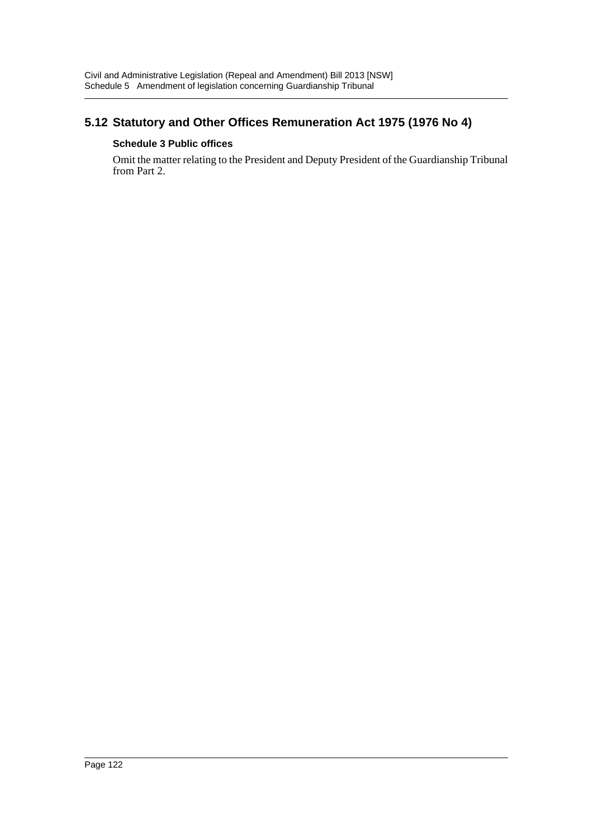# **5.12 Statutory and Other Offices Remuneration Act 1975 (1976 No 4)**

# **Schedule 3 Public offices**

Omit the matter relating to the President and Deputy President of the Guardianship Tribunal from Part 2.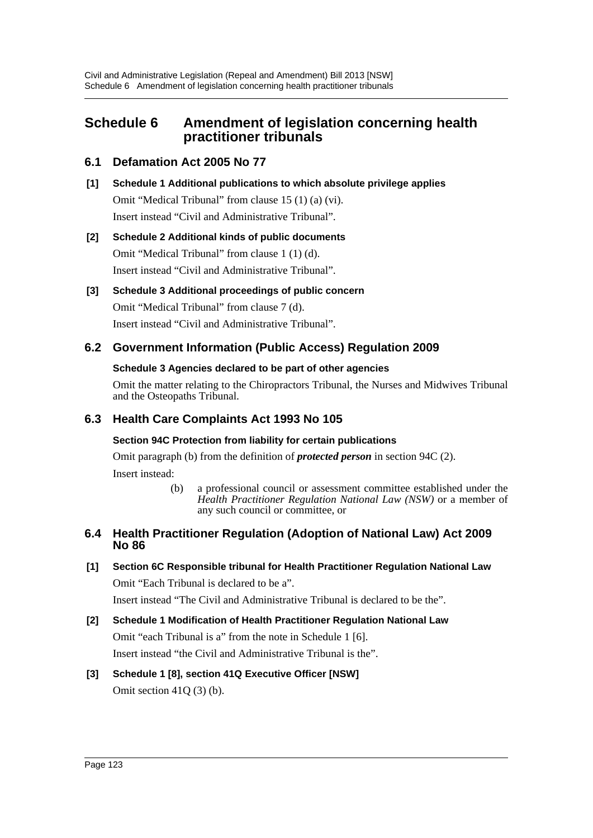# **Schedule 6 Amendment of legislation concerning health practitioner tribunals**

# **6.1 Defamation Act 2005 No 77**

**[1] Schedule 1 Additional publications to which absolute privilege applies** Omit "Medical Tribunal" from clause 15 (1) (a) (vi). Insert instead "Civil and Administrative Tribunal".

# **[2] Schedule 2 Additional kinds of public documents**

Omit "Medical Tribunal" from clause 1 (1) (d). Insert instead "Civil and Administrative Tribunal".

### **[3] Schedule 3 Additional proceedings of public concern**

Omit "Medical Tribunal" from clause 7 (d). Insert instead "Civil and Administrative Tribunal".

# **6.2 Government Information (Public Access) Regulation 2009**

### **Schedule 3 Agencies declared to be part of other agencies**

Omit the matter relating to the Chiropractors Tribunal, the Nurses and Midwives Tribunal and the Osteopaths Tribunal.

# **6.3 Health Care Complaints Act 1993 No 105**

### **Section 94C Protection from liability for certain publications**

Omit paragraph (b) from the definition of *protected person* in section 94C (2). Insert instead:

> (b) a professional council or assessment committee established under the *Health Practitioner Regulation National Law (NSW)* or a member of any such council or committee, or

# **6.4 Health Practitioner Regulation (Adoption of National Law) Act 2009 No 86**

**[1] Section 6C Responsible tribunal for Health Practitioner Regulation National Law** Omit "Each Tribunal is declared to be a".

Insert instead "The Civil and Administrative Tribunal is declared to be the".

**[2] Schedule 1 Modification of Health Practitioner Regulation National Law** Omit "each Tribunal is a" from the note in Schedule 1 [6]. Insert instead "the Civil and Administrative Tribunal is the".

# **[3] Schedule 1 [8], section 41Q Executive Officer [NSW]** Omit section 41Q (3) (b).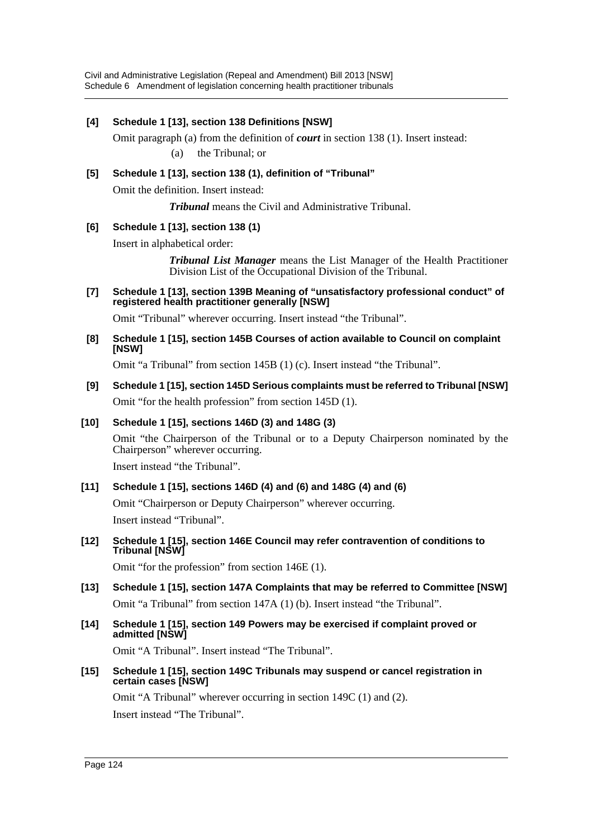Civil and Administrative Legislation (Repeal and Amendment) Bill 2013 [NSW] Schedule 6 Amendment of legislation concerning health practitioner tribunals

# **[4] Schedule 1 [13], section 138 Definitions [NSW]** Omit paragraph (a) from the definition of *court* in section 138 (1). Insert instead: (a) the Tribunal; or **[5] Schedule 1 [13], section 138 (1), definition of "Tribunal"** Omit the definition. Insert instead: *Tribunal* means the Civil and Administrative Tribunal. **[6] Schedule 1 [13], section 138 (1)** Insert in alphabetical order: *Tribunal List Manager* means the List Manager of the Health Practitioner Division List of the Occupational Division of the Tribunal. **[7] Schedule 1 [13], section 139B Meaning of "unsatisfactory professional conduct" of registered health practitioner generally [NSW]** Omit "Tribunal" wherever occurring. Insert instead "the Tribunal". **[8] Schedule 1 [15], section 145B Courses of action available to Council on complaint [NSW]** Omit "a Tribunal" from section 145B (1) (c). Insert instead "the Tribunal". **[9] Schedule 1 [15], section 145D Serious complaints must be referred to Tribunal [NSW]** Omit "for the health profession" from section 145D (1). **[10] Schedule 1 [15], sections 146D (3) and 148G (3)** Omit "the Chairperson of the Tribunal or to a Deputy Chairperson nominated by the Chairperson" wherever occurring. Insert instead "the Tribunal". **[11] Schedule 1 [15], sections 146D (4) and (6) and 148G (4) and (6)** Omit "Chairperson or Deputy Chairperson" wherever occurring. Insert instead "Tribunal". **[12] Schedule 1 [15], section 146E Council may refer contravention of conditions to Tribunal [NSW]** Omit "for the profession" from section 146E (1). **[13] Schedule 1 [15], section 147A Complaints that may be referred to Committee [NSW]** Omit "a Tribunal" from section 147A (1) (b). Insert instead "the Tribunal". **[14] Schedule 1 [15], section 149 Powers may be exercised if complaint proved or admitted [NSW]**

Omit "A Tribunal". Insert instead "The Tribunal".

**[15] Schedule 1 [15], section 149C Tribunals may suspend or cancel registration in certain cases [NSW]**

Omit "A Tribunal" wherever occurring in section 149C (1) and (2). Insert instead "The Tribunal".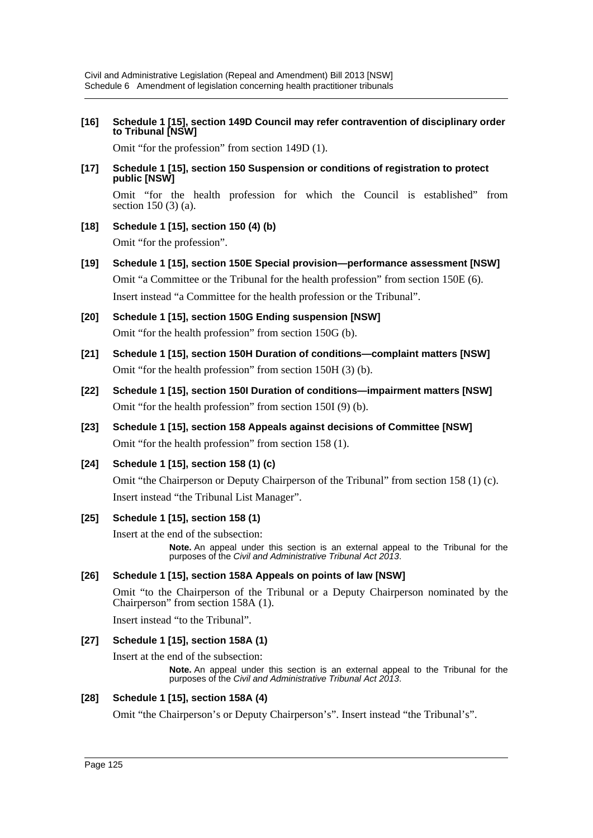**[16] Schedule 1 [15], section 149D Council may refer contravention of disciplinary order to Tribunal [NSW]**

Omit "for the profession" from section 149D (1).

**[17] Schedule 1 [15], section 150 Suspension or conditions of registration to protect public [NSW]**

Omit "for the health profession for which the Council is established" from section 150 (3) (a).

- **[18] Schedule 1 [15], section 150 (4) (b)** Omit "for the profession".
- **[19] Schedule 1 [15], section 150E Special provision—performance assessment [NSW]** Omit "a Committee or the Tribunal for the health profession" from section 150E (6). Insert instead "a Committee for the health profession or the Tribunal".
- **[20] Schedule 1 [15], section 150G Ending suspension [NSW]** Omit "for the health profession" from section 150G (b).
- **[21] Schedule 1 [15], section 150H Duration of conditions—complaint matters [NSW]** Omit "for the health profession" from section 150H (3) (b).
- **[22] Schedule 1 [15], section 150I Duration of conditions—impairment matters [NSW]** Omit "for the health profession" from section 150I (9) (b).
- **[23] Schedule 1 [15], section 158 Appeals against decisions of Committee [NSW]** Omit "for the health profession" from section 158 (1).
- **[24] Schedule 1 [15], section 158 (1) (c)**

Omit "the Chairperson or Deputy Chairperson of the Tribunal" from section 158 (1) (c). Insert instead "the Tribunal List Manager".

#### **[25] Schedule 1 [15], section 158 (1)**

Insert at the end of the subsection:

**Note.** An appeal under this section is an external appeal to the Tribunal for the purposes of the *Civil and Administrative Tribunal Act 2013*.

#### **[26] Schedule 1 [15], section 158A Appeals on points of law [NSW]**

Omit "to the Chairperson of the Tribunal or a Deputy Chairperson nominated by the Chairperson" from section 158A (1).

Insert instead "to the Tribunal".

#### **[27] Schedule 1 [15], section 158A (1)**

Insert at the end of the subsection:

**Note.** An appeal under this section is an external appeal to the Tribunal for the purposes of the *Civil and Administrative Tribunal Act 2013*.

#### **[28] Schedule 1 [15], section 158A (4)**

Omit "the Chairperson's or Deputy Chairperson's". Insert instead "the Tribunal's".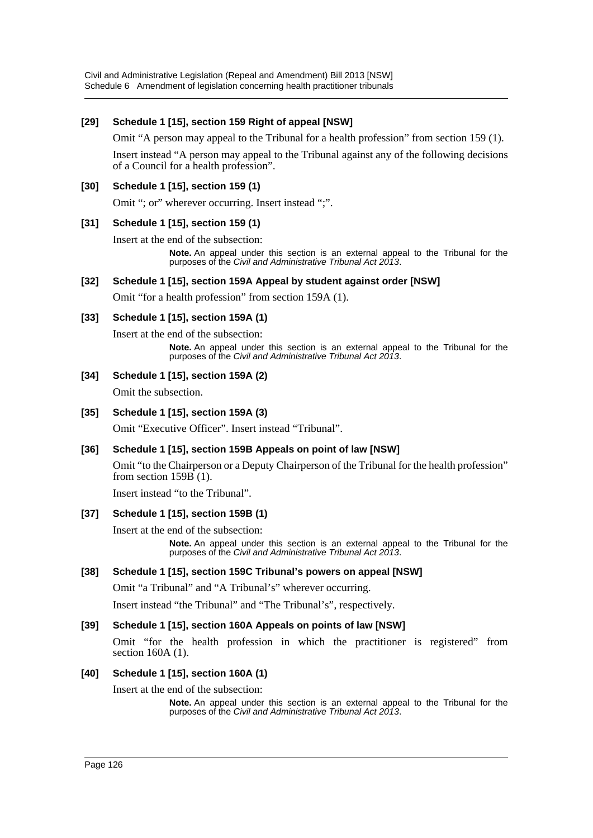Civil and Administrative Legislation (Repeal and Amendment) Bill 2013 [NSW] Schedule 6 Amendment of legislation concerning health practitioner tribunals

### **[29] Schedule 1 [15], section 159 Right of appeal [NSW]**

Omit "A person may appeal to the Tribunal for a health profession" from section 159 (1).

Insert instead "A person may appeal to the Tribunal against any of the following decisions of a Council for a health profession".

#### **[30] Schedule 1 [15], section 159 (1)**

Omit "; or" wherever occurring. Insert instead ";".

#### **[31] Schedule 1 [15], section 159 (1)**

Insert at the end of the subsection:

**Note.** An appeal under this section is an external appeal to the Tribunal for the purposes of the *Civil and Administrative Tribunal Act 2013*.

#### **[32] Schedule 1 [15], section 159A Appeal by student against order [NSW]**

Omit "for a health profession" from section 159A (1).

#### **[33] Schedule 1 [15], section 159A (1)**

Insert at the end of the subsection:

**Note.** An appeal under this section is an external appeal to the Tribunal for the purposes of the *Civil and Administrative Tribunal Act 2013*.

#### **[34] Schedule 1 [15], section 159A (2)**

Omit the subsection.

#### **[35] Schedule 1 [15], section 159A (3)**

Omit "Executive Officer". Insert instead "Tribunal".

#### **[36] Schedule 1 [15], section 159B Appeals on point of law [NSW]**

Omit "to the Chairperson or a Deputy Chairperson of the Tribunal for the health profession" from section  $159B(1)$ .

Insert instead "to the Tribunal".

#### **[37] Schedule 1 [15], section 159B (1)**

Insert at the end of the subsection:

**Note.** An appeal under this section is an external appeal to the Tribunal for the purposes of the *Civil and Administrative Tribunal Act 2013*.

#### **[38] Schedule 1 [15], section 159C Tribunal's powers on appeal [NSW]**

Omit "a Tribunal" and "A Tribunal's" wherever occurring.

Insert instead "the Tribunal" and "The Tribunal's", respectively.

#### **[39] Schedule 1 [15], section 160A Appeals on points of law [NSW]**

Omit "for the health profession in which the practitioner is registered" from section 160A (1).

#### **[40] Schedule 1 [15], section 160A (1)**

Insert at the end of the subsection:

**Note.** An appeal under this section is an external appeal to the Tribunal for the purposes of the *Civil and Administrative Tribunal Act 2013*.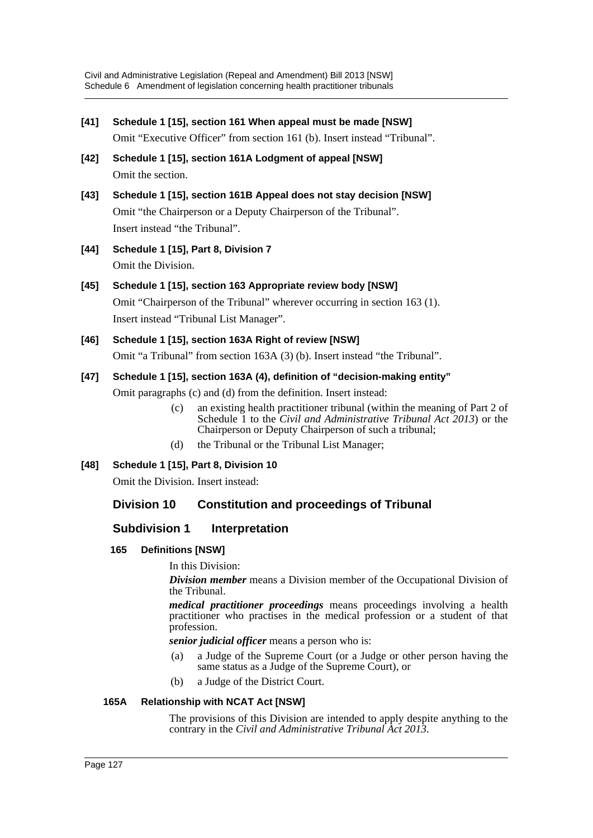- **[41] Schedule 1 [15], section 161 When appeal must be made [NSW]** Omit "Executive Officer" from section 161 (b). Insert instead "Tribunal".
- **[42] Schedule 1 [15], section 161A Lodgment of appeal [NSW]** Omit the section.
- **[43] Schedule 1 [15], section 161B Appeal does not stay decision [NSW]** Omit "the Chairperson or a Deputy Chairperson of the Tribunal". Insert instead "the Tribunal".
- **[44] Schedule 1 [15], Part 8, Division 7** Omit the Division.
- **[45] Schedule 1 [15], section 163 Appropriate review body [NSW]** Omit "Chairperson of the Tribunal" wherever occurring in section 163 (1). Insert instead "Tribunal List Manager".
- **[46] Schedule 1 [15], section 163A Right of review [NSW]** Omit "a Tribunal" from section 163A (3) (b). Insert instead "the Tribunal".

# **[47] Schedule 1 [15], section 163A (4), definition of "decision-making entity"**

Omit paragraphs (c) and (d) from the definition. Insert instead:

- (c) an existing health practitioner tribunal (within the meaning of Part 2 of Schedule 1 to the *Civil and Administrative Tribunal Act 2013*) or the Chairperson or Deputy Chairperson of such a tribunal;
- (d) the Tribunal or the Tribunal List Manager;
- **[48] Schedule 1 [15], Part 8, Division 10**

Omit the Division. Insert instead:

# **Division 10 Constitution and proceedings of Tribunal**

# **Subdivision 1 Interpretation**

**165 Definitions [NSW]**

In this Division:

*Division member* means a Division member of the Occupational Division of the Tribunal.

*medical practitioner proceedings* means proceedings involving a health practitioner who practises in the medical profession or a student of that profession.

*senior judicial officer* means a person who is:

- (a) a Judge of the Supreme Court (or a Judge or other person having the same status as a Judge of the Supreme Court), or
- (b) a Judge of the District Court.

# **165A Relationship with NCAT Act [NSW]**

The provisions of this Division are intended to apply despite anything to the contrary in the *Civil and Administrative Tribunal Act 2013*.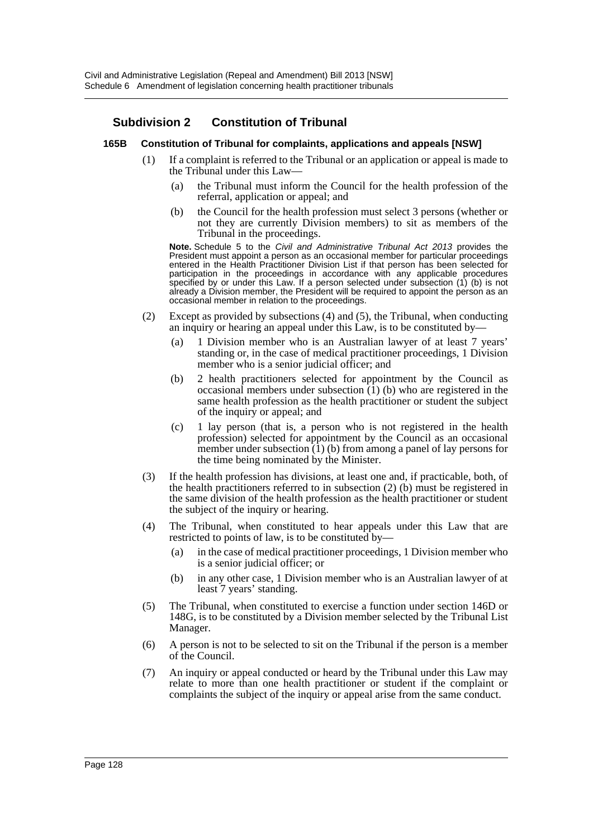# **Subdivision 2 Constitution of Tribunal**

#### **165B Constitution of Tribunal for complaints, applications and appeals [NSW]**

- (1) If a complaint is referred to the Tribunal or an application or appeal is made to the Tribunal under this Law—
	- (a) the Tribunal must inform the Council for the health profession of the referral, application or appeal; and
	- (b) the Council for the health profession must select 3 persons (whether or not they are currently Division members) to sit as members of the Tribunal in the proceedings.

**Note.** Schedule 5 to the *Civil and Administrative Tribunal Act 2013* provides the President must appoint a person as an occasional member for particular proceedings entered in the Health Practitioner Division List if that person has been selected for participation in the proceedings in accordance with any applicable procedures specified by or under this Law. If a person selected under subsection (1) (b) is not already a Division member, the President will be required to appoint the person as an occasional member in relation to the proceedings.

- (2) Except as provided by subsections (4) and (5), the Tribunal, when conducting an inquiry or hearing an appeal under this Law, is to be constituted by—
	- (a) 1 Division member who is an Australian lawyer of at least 7 years' standing or, in the case of medical practitioner proceedings, 1 Division member who is a senior judicial officer; and
	- (b) 2 health practitioners selected for appointment by the Council as occasional members under subsection  $(1)$  (b) who are registered in the same health profession as the health practitioner or student the subject of the inquiry or appeal; and
	- (c) 1 lay person (that is, a person who is not registered in the health profession) selected for appointment by the Council as an occasional member under subsection (1) (b) from among a panel of lay persons for the time being nominated by the Minister.
- (3) If the health profession has divisions, at least one and, if practicable, both, of the health practitioners referred to in subsection (2) (b) must be registered in the same division of the health profession as the health practitioner or student the subject of the inquiry or hearing.
- (4) The Tribunal, when constituted to hear appeals under this Law that are restricted to points of law, is to be constituted by—
	- (a) in the case of medical practitioner proceedings, 1 Division member who is a senior judicial officer; or
	- (b) in any other case, 1 Division member who is an Australian lawyer of at least 7 years' standing.
- (5) The Tribunal, when constituted to exercise a function under section 146D or 148G, is to be constituted by a Division member selected by the Tribunal List Manager.
- (6) A person is not to be selected to sit on the Tribunal if the person is a member of the Council.
- (7) An inquiry or appeal conducted or heard by the Tribunal under this Law may relate to more than one health practitioner or student if the complaint or complaints the subject of the inquiry or appeal arise from the same conduct.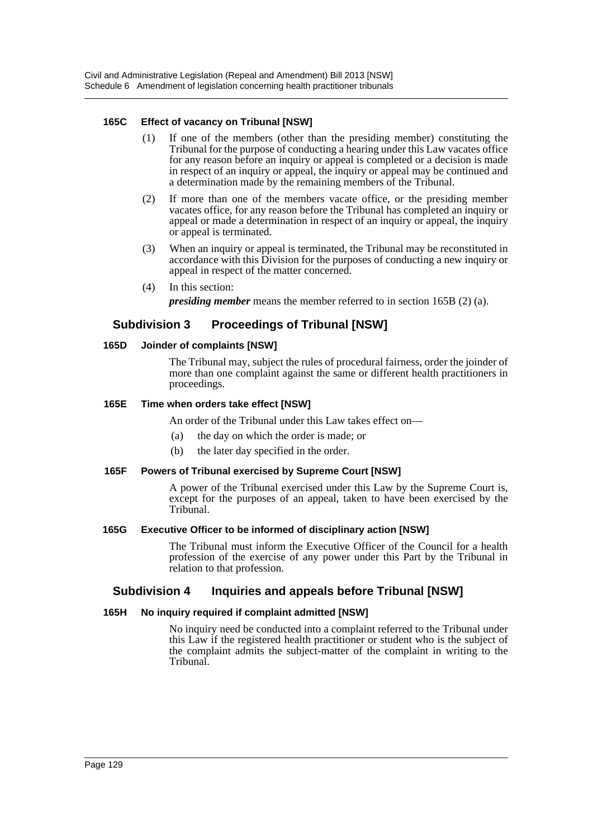### **165C Effect of vacancy on Tribunal [NSW]**

- (1) If one of the members (other than the presiding member) constituting the Tribunal for the purpose of conducting a hearing under this Law vacates office for any reason before an inquiry or appeal is completed or a decision is made in respect of an inquiry or appeal, the inquiry or appeal may be continued and a determination made by the remaining members of the Tribunal.
- (2) If more than one of the members vacate office, or the presiding member vacates office, for any reason before the Tribunal has completed an inquiry or appeal or made a determination in respect of an inquiry or appeal, the inquiry or appeal is terminated.
- (3) When an inquiry or appeal is terminated, the Tribunal may be reconstituted in accordance with this Division for the purposes of conducting a new inquiry or appeal in respect of the matter concerned.
- (4) In this section:

*presiding member* means the member referred to in section 165B (2) (a).

# **Subdivision 3 Proceedings of Tribunal [NSW]**

#### **165D Joinder of complaints [NSW]**

The Tribunal may, subject the rules of procedural fairness, order the joinder of more than one complaint against the same or different health practitioners in proceedings.

#### **165E Time when orders take effect [NSW]**

An order of the Tribunal under this Law takes effect on—

- (a) the day on which the order is made; or
- (b) the later day specified in the order.

#### **165F Powers of Tribunal exercised by Supreme Court [NSW]**

A power of the Tribunal exercised under this Law by the Supreme Court is, except for the purposes of an appeal, taken to have been exercised by the Tribunal

#### **165G Executive Officer to be informed of disciplinary action [NSW]**

The Tribunal must inform the Executive Officer of the Council for a health profession of the exercise of any power under this Part by the Tribunal in relation to that profession.

### **Subdivision 4 Inquiries and appeals before Tribunal [NSW]**

#### **165H No inquiry required if complaint admitted [NSW]**

No inquiry need be conducted into a complaint referred to the Tribunal under this Law if the registered health practitioner or student who is the subject of the complaint admits the subject-matter of the complaint in writing to the Tribunal.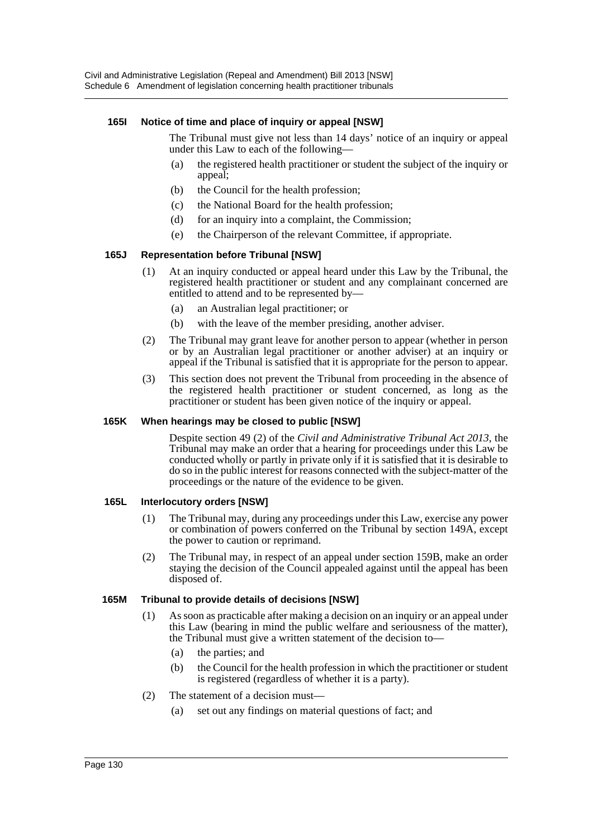#### **165I Notice of time and place of inquiry or appeal [NSW]**

The Tribunal must give not less than 14 days' notice of an inquiry or appeal under this Law to each of the following—

- (a) the registered health practitioner or student the subject of the inquiry or appeal;
- (b) the Council for the health profession;
- (c) the National Board for the health profession;
- (d) for an inquiry into a complaint, the Commission;
- (e) the Chairperson of the relevant Committee, if appropriate.

#### **165J Representation before Tribunal [NSW]**

- (1) At an inquiry conducted or appeal heard under this Law by the Tribunal, the registered health practitioner or student and any complainant concerned are entitled to attend and to be represented by—
	- (a) an Australian legal practitioner; or
	- (b) with the leave of the member presiding, another adviser.
- (2) The Tribunal may grant leave for another person to appear (whether in person or by an Australian legal practitioner or another adviser) at an inquiry or appeal if the Tribunal is satisfied that it is appropriate for the person to appear.
- (3) This section does not prevent the Tribunal from proceeding in the absence of the registered health practitioner or student concerned, as long as the practitioner or student has been given notice of the inquiry or appeal.

#### **165K When hearings may be closed to public [NSW]**

Despite section 49 (2) of the *Civil and Administrative Tribunal Act 2013*, the Tribunal may make an order that a hearing for proceedings under this Law be conducted wholly or partly in private only if it is satisfied that it is desirable to do so in the public interest for reasons connected with the subject-matter of the proceedings or the nature of the evidence to be given.

#### **165L Interlocutory orders [NSW]**

- (1) The Tribunal may, during any proceedings under this Law, exercise any power or combination of powers conferred on the Tribunal by section 149A, except the power to caution or reprimand.
- (2) The Tribunal may, in respect of an appeal under section 159B, make an order staying the decision of the Council appealed against until the appeal has been disposed of.

#### **165M Tribunal to provide details of decisions [NSW]**

- (1) As soon as practicable after making a decision on an inquiry or an appeal under this Law (bearing in mind the public welfare and seriousness of the matter), the Tribunal must give a written statement of the decision to—
	- (a) the parties; and
	- (b) the Council for the health profession in which the practitioner or student is registered (regardless of whether it is a party).
- (2) The statement of a decision must—
	- (a) set out any findings on material questions of fact; and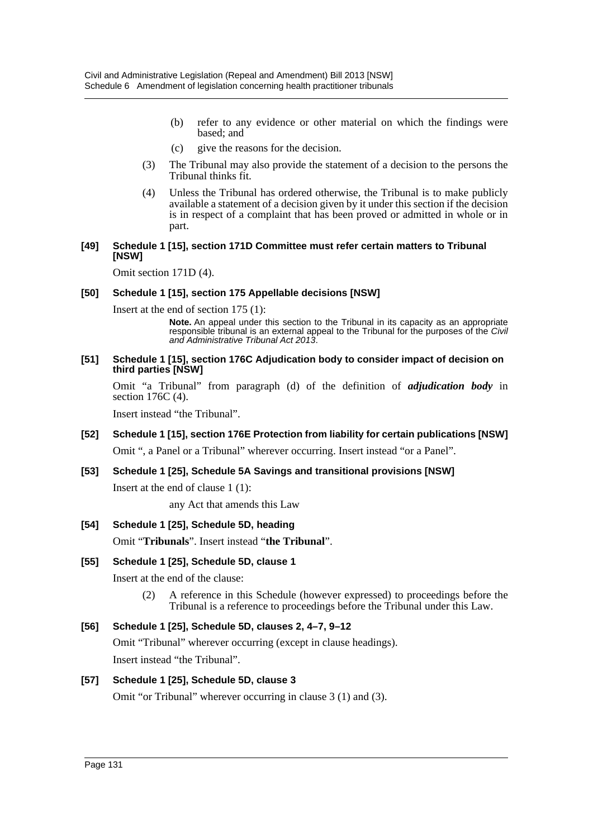- (b) refer to any evidence or other material on which the findings were based; and
- (c) give the reasons for the decision.
- (3) The Tribunal may also provide the statement of a decision to the persons the Tribunal thinks fit.
- (4) Unless the Tribunal has ordered otherwise, the Tribunal is to make publicly available a statement of a decision given by it under this section if the decision is in respect of a complaint that has been proved or admitted in whole or in part.

#### **[49] Schedule 1 [15], section 171D Committee must refer certain matters to Tribunal [NSW]**

Omit section 171D (4).

#### **[50] Schedule 1 [15], section 175 Appellable decisions [NSW]**

Insert at the end of section 175 (1):

**Note.** An appeal under this section to the Tribunal in its capacity as an appropriate responsible tribunal is an external appeal to the Tribunal for the purposes of the *Civil and Administrative Tribunal Act 2013*.

#### **[51] Schedule 1 [15], section 176C Adjudication body to consider impact of decision on third parties [NSW]**

Omit "a Tribunal" from paragraph (d) of the definition of *adjudication body* in section 176C (4).

Insert instead "the Tribunal".

### **[52] Schedule 1 [15], section 176E Protection from liability for certain publications [NSW]**

Omit ", a Panel or a Tribunal" wherever occurring. Insert instead "or a Panel".

#### **[53] Schedule 1 [25], Schedule 5A Savings and transitional provisions [NSW]**

Insert at the end of clause 1 (1):

any Act that amends this Law

#### **[54] Schedule 1 [25], Schedule 5D, heading**

Omit "**Tribunals**". Insert instead "**the Tribunal**".

#### **[55] Schedule 1 [25], Schedule 5D, clause 1**

Insert at the end of the clause:

(2) A reference in this Schedule (however expressed) to proceedings before the Tribunal is a reference to proceedings before the Tribunal under this Law.

#### **[56] Schedule 1 [25], Schedule 5D, clauses 2, 4–7, 9–12**

Omit "Tribunal" wherever occurring (except in clause headings). Insert instead "the Tribunal".

#### **[57] Schedule 1 [25], Schedule 5D, clause 3**

Omit "or Tribunal" wherever occurring in clause 3 (1) and (3).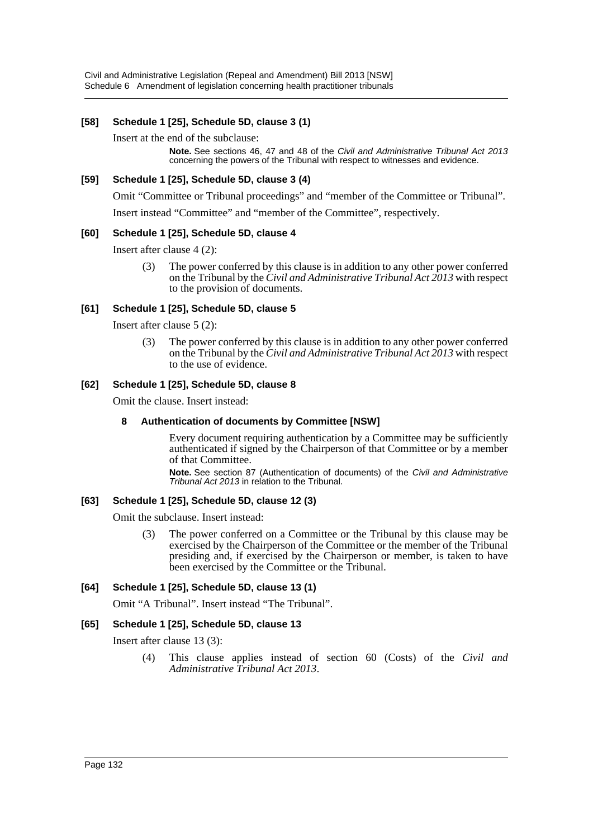### **[58] Schedule 1 [25], Schedule 5D, clause 3 (1)**

Insert at the end of the subclause:

**Note.** See sections 46, 47 and 48 of the *Civil and Administrative Tribunal Act 2013* concerning the powers of the Tribunal with respect to witnesses and evidence.

#### **[59] Schedule 1 [25], Schedule 5D, clause 3 (4)**

Omit "Committee or Tribunal proceedings" and "member of the Committee or Tribunal".

Insert instead "Committee" and "member of the Committee", respectively.

#### **[60] Schedule 1 [25], Schedule 5D, clause 4**

Insert after clause 4 (2):

(3) The power conferred by this clause is in addition to any other power conferred on the Tribunal by the *Civil and Administrative Tribunal Act 2013* with respect to the provision of documents.

#### **[61] Schedule 1 [25], Schedule 5D, clause 5**

Insert after clause 5 (2):

(3) The power conferred by this clause is in addition to any other power conferred on the Tribunal by the *Civil and Administrative Tribunal Act 2013* with respect to the use of evidence.

#### **[62] Schedule 1 [25], Schedule 5D, clause 8**

Omit the clause. Insert instead:

#### **8 Authentication of documents by Committee [NSW]**

Every document requiring authentication by a Committee may be sufficiently authenticated if signed by the Chairperson of that Committee or by a member of that Committee.

**Note.** See section 87 (Authentication of documents) of the *Civil and Administrative Tribunal Act 2013* in relation to the Tribunal.

#### **[63] Schedule 1 [25], Schedule 5D, clause 12 (3)**

Omit the subclause. Insert instead:

(3) The power conferred on a Committee or the Tribunal by this clause may be exercised by the Chairperson of the Committee or the member of the Tribunal presiding and, if exercised by the Chairperson or member, is taken to have been exercised by the Committee or the Tribunal.

#### **[64] Schedule 1 [25], Schedule 5D, clause 13 (1)**

Omit "A Tribunal". Insert instead "The Tribunal".

#### **[65] Schedule 1 [25], Schedule 5D, clause 13**

Insert after clause 13 (3):

(4) This clause applies instead of section 60 (Costs) of the *Civil and Administrative Tribunal Act 2013*.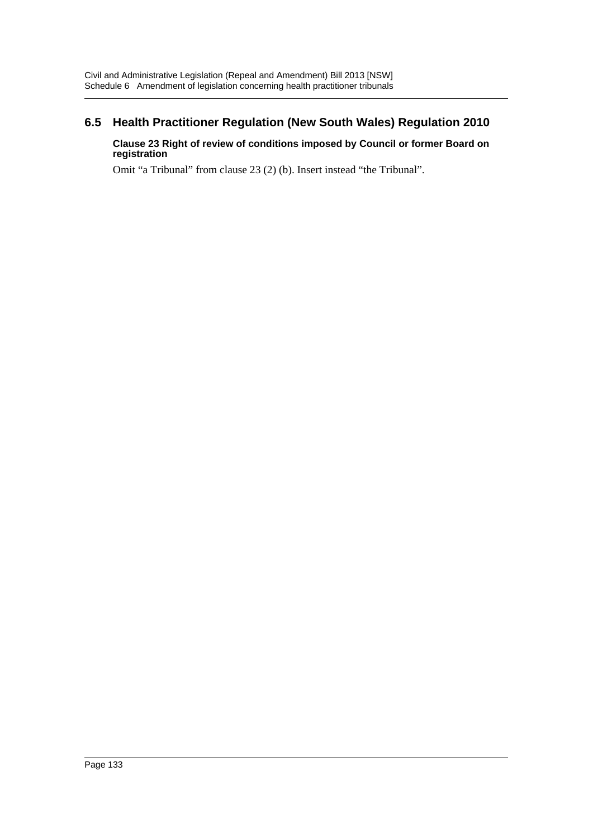# **6.5 Health Practitioner Regulation (New South Wales) Regulation 2010**

### **Clause 23 Right of review of conditions imposed by Council or former Board on registration**

Omit "a Tribunal" from clause 23 (2) (b). Insert instead "the Tribunal".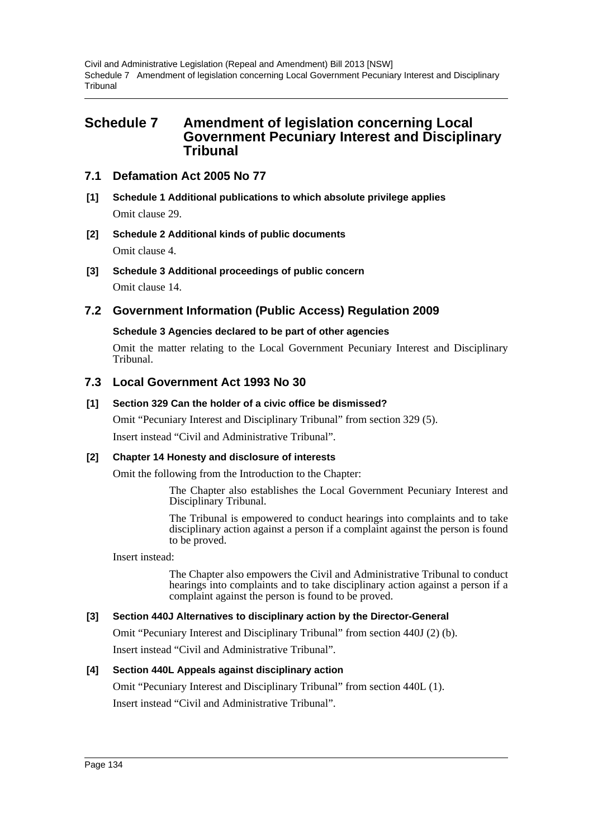# **Schedule 7 Amendment of legislation concerning Local Government Pecuniary Interest and Disciplinary Tribunal**

# **7.1 Defamation Act 2005 No 77**

- **[1] Schedule 1 Additional publications to which absolute privilege applies** Omit clause 29.
- **[2] Schedule 2 Additional kinds of public documents** Omit clause 4.
- **[3] Schedule 3 Additional proceedings of public concern** Omit clause 14.

# **7.2 Government Information (Public Access) Regulation 2009**

### **Schedule 3 Agencies declared to be part of other agencies**

Omit the matter relating to the Local Government Pecuniary Interest and Disciplinary Tribunal.

### **7.3 Local Government Act 1993 No 30**

### **[1] Section 329 Can the holder of a civic office be dismissed?**

Omit "Pecuniary Interest and Disciplinary Tribunal" from section 329 (5).

Insert instead "Civil and Administrative Tribunal".

### **[2] Chapter 14 Honesty and disclosure of interests**

Omit the following from the Introduction to the Chapter:

The Chapter also establishes the Local Government Pecuniary Interest and Disciplinary Tribunal.

The Tribunal is empowered to conduct hearings into complaints and to take disciplinary action against a person if a complaint against the person is found to be proved.

Insert instead:

The Chapter also empowers the Civil and Administrative Tribunal to conduct hearings into complaints and to take disciplinary action against a person if a complaint against the person is found to be proved.

#### **[3] Section 440J Alternatives to disciplinary action by the Director-General**

Omit "Pecuniary Interest and Disciplinary Tribunal" from section 440J (2) (b).

Insert instead "Civil and Administrative Tribunal".

### **[4] Section 440L Appeals against disciplinary action**

Omit "Pecuniary Interest and Disciplinary Tribunal" from section 440L (1). Insert instead "Civil and Administrative Tribunal".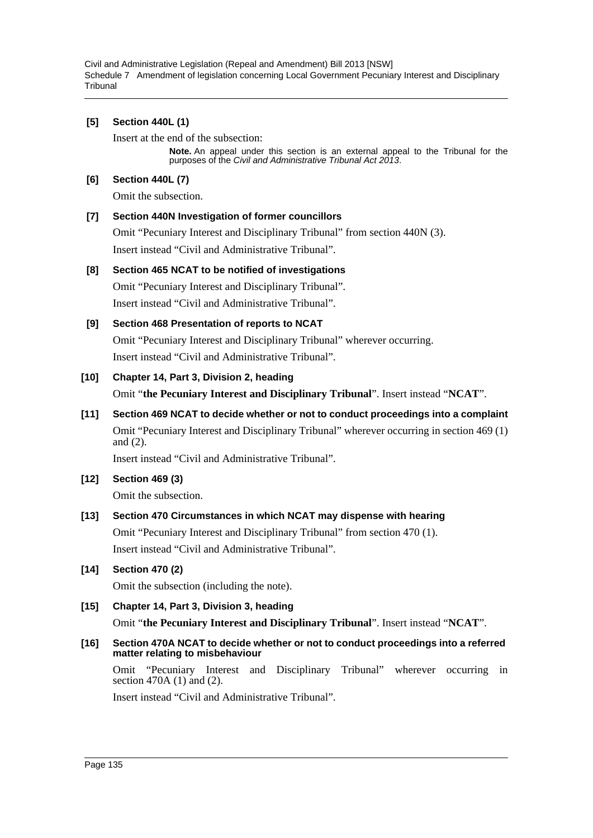# **[5] Section 440L (1)**

Insert at the end of the subsection:

**Note.** An appeal under this section is an external appeal to the Tribunal for the purposes of the *Civil and Administrative Tribunal Act 2013*.

### **[6] Section 440L (7)**

Omit the subsection.

# **[7] Section 440N Investigation of former councillors**

Omit "Pecuniary Interest and Disciplinary Tribunal" from section 440N (3). Insert instead "Civil and Administrative Tribunal".

### **[8] Section 465 NCAT to be notified of investigations**

Omit "Pecuniary Interest and Disciplinary Tribunal". Insert instead "Civil and Administrative Tribunal".

### **[9] Section 468 Presentation of reports to NCAT**

Omit "Pecuniary Interest and Disciplinary Tribunal" wherever occurring. Insert instead "Civil and Administrative Tribunal".

# **[10] Chapter 14, Part 3, Division 2, heading**

Omit "**the Pecuniary Interest and Disciplinary Tribunal**". Insert instead "**NCAT**".

# **[11] Section 469 NCAT to decide whether or not to conduct proceedings into a complaint**

Omit "Pecuniary Interest and Disciplinary Tribunal" wherever occurring in section 469 (1) and (2).

Insert instead "Civil and Administrative Tribunal".

### **[12] Section 469 (3)**

Omit the subsection.

# **[13] Section 470 Circumstances in which NCAT may dispense with hearing**

Omit "Pecuniary Interest and Disciplinary Tribunal" from section 470 (1). Insert instead "Civil and Administrative Tribunal".

### **[14] Section 470 (2)**

Omit the subsection (including the note).

### **[15] Chapter 14, Part 3, Division 3, heading**

Omit "**the Pecuniary Interest and Disciplinary Tribunal**". Insert instead "**NCAT**".

#### **[16] Section 470A NCAT to decide whether or not to conduct proceedings into a referred matter relating to misbehaviour**

Omit "Pecuniary Interest and Disciplinary Tribunal" wherever occurring in section 470A (1) and (2).

Insert instead "Civil and Administrative Tribunal".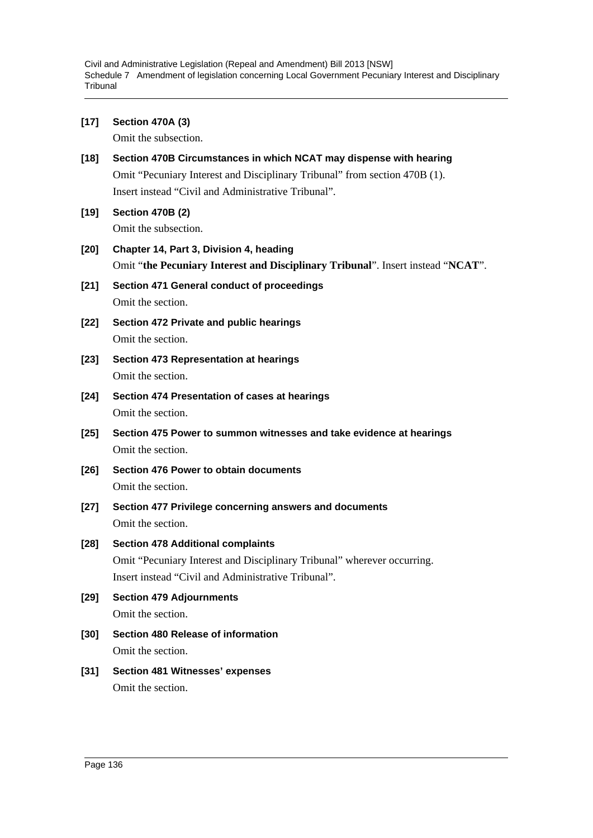| [17]   | <b>Section 470A (3)</b><br>Omit the subsection.                                                                                                                            |
|--------|----------------------------------------------------------------------------------------------------------------------------------------------------------------------------|
| $[18]$ | Section 470B Circumstances in which NCAT may dispense with hearing<br>Omit "Pecuniary Interest and Disciplinary Tribunal" from section 470B (1).                           |
|        | Insert instead "Civil and Administrative Tribunal".                                                                                                                        |
| [19]   | <b>Section 470B (2)</b><br>Omit the subsection.                                                                                                                            |
| [20]   | Chapter 14, Part 3, Division 4, heading<br>Omit "the Pecuniary Interest and Disciplinary Tribunal". Insert instead "NCAT".                                                 |
| $[21]$ | Section 471 General conduct of proceedings<br>Omit the section.                                                                                                            |
| [22]   | Section 472 Private and public hearings<br>Omit the section.                                                                                                               |
| $[23]$ | <b>Section 473 Representation at hearings</b><br>Omit the section.                                                                                                         |
| $[24]$ | Section 474 Presentation of cases at hearings<br>Omit the section.                                                                                                         |
| $[25]$ | Section 475 Power to summon witnesses and take evidence at hearings<br>Omit the section.                                                                                   |
| [26]   | Section 476 Power to obtain documents<br>Omit the section.                                                                                                                 |
| [27]   | Section 477 Privilege concerning answers and documents<br>Omit the section.                                                                                                |
| [28]   | <b>Section 478 Additional complaints</b><br>Omit "Pecuniary Interest and Disciplinary Tribunal" wherever occurring.<br>Insert instead "Civil and Administrative Tribunal". |
| [29]   | <b>Section 479 Adjournments</b><br>Omit the section.                                                                                                                       |
| [30]   | Section 480 Release of information<br>Omit the section.                                                                                                                    |
| $[31]$ | <b>Section 481 Witnesses' expenses</b><br>Omit the section.                                                                                                                |
|        |                                                                                                                                                                            |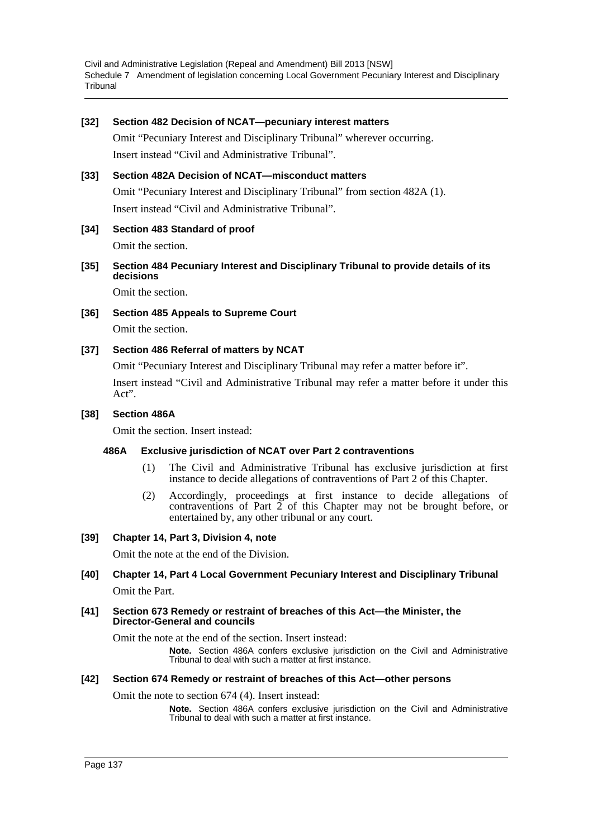#### **[32] Section 482 Decision of NCAT—pecuniary interest matters**

Omit "Pecuniary Interest and Disciplinary Tribunal" wherever occurring. Insert instead "Civil and Administrative Tribunal".

#### **[33] Section 482A Decision of NCAT—misconduct matters**

Omit "Pecuniary Interest and Disciplinary Tribunal" from section 482A (1). Insert instead "Civil and Administrative Tribunal".

#### **[34] Section 483 Standard of proof**

Omit the section.

**[35] Section 484 Pecuniary Interest and Disciplinary Tribunal to provide details of its decisions**

Omit the section.

**[36] Section 485 Appeals to Supreme Court**

Omit the section.

### **[37] Section 486 Referral of matters by NCAT**

Omit "Pecuniary Interest and Disciplinary Tribunal may refer a matter before it".

Insert instead "Civil and Administrative Tribunal may refer a matter before it under this Act".

#### **[38] Section 486A**

Omit the section. Insert instead:

#### **486A Exclusive jurisdiction of NCAT over Part 2 contraventions**

- (1) The Civil and Administrative Tribunal has exclusive jurisdiction at first instance to decide allegations of contraventions of Part 2 of this Chapter.
- (2) Accordingly, proceedings at first instance to decide allegations of contraventions of Part  $\tilde{2}$  of this Chapter may not be brought before, or entertained by, any other tribunal or any court.

#### **[39] Chapter 14, Part 3, Division 4, note**

Omit the note at the end of the Division.

### **[40] Chapter 14, Part 4 Local Government Pecuniary Interest and Disciplinary Tribunal** Omit the Part.

#### **[41] Section 673 Remedy or restraint of breaches of this Act—the Minister, the Director-General and councils**

Omit the note at the end of the section. Insert instead:

**Note.** Section 486A confers exclusive jurisdiction on the Civil and Administrative Tribunal to deal with such a matter at first instance.

#### **[42] Section 674 Remedy or restraint of breaches of this Act—other persons**

Omit the note to section 674 (4). Insert instead:

**Note.** Section 486A confers exclusive jurisdiction on the Civil and Administrative Tribunal to deal with such a matter at first instance.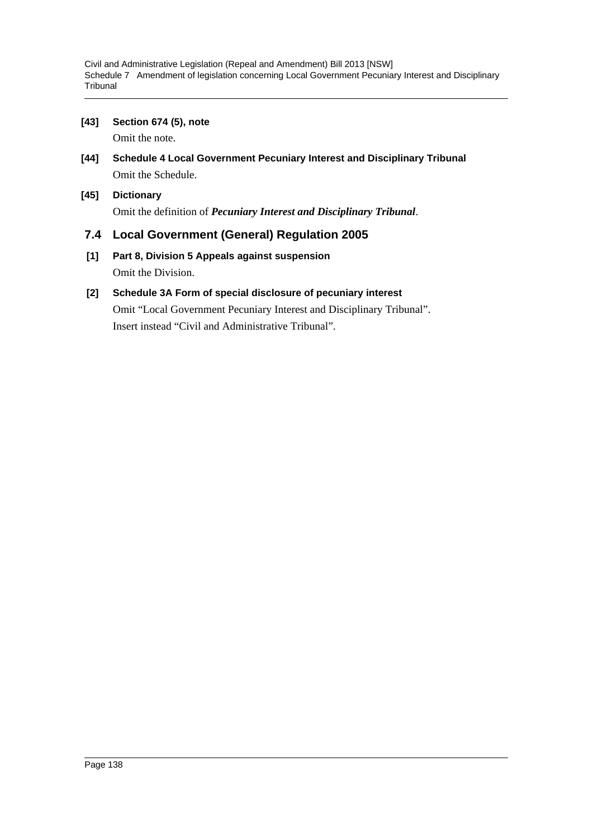**[43] Section 674 (5), note**

Omit the note.

- **[44] Schedule 4 Local Government Pecuniary Interest and Disciplinary Tribunal** Omit the Schedule.
- **[45] Dictionary** Omit the definition of *Pecuniary Interest and Disciplinary Tribunal*.

# **7.4 Local Government (General) Regulation 2005**

**[1] Part 8, Division 5 Appeals against suspension** Omit the Division.

# **[2] Schedule 3A Form of special disclosure of pecuniary interest**

Omit "Local Government Pecuniary Interest and Disciplinary Tribunal". Insert instead "Civil and Administrative Tribunal".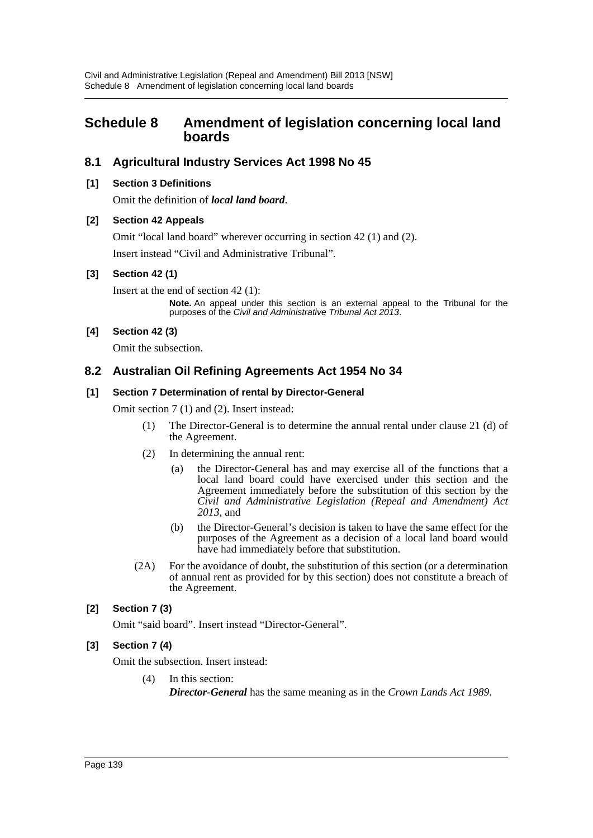# **Schedule 8 Amendment of legislation concerning local land boards**

# **8.1 Agricultural Industry Services Act 1998 No 45**

### **[1] Section 3 Definitions**

Omit the definition of *local land board*.

### **[2] Section 42 Appeals**

Omit "local land board" wherever occurring in section 42 (1) and (2).

Insert instead "Civil and Administrative Tribunal".

### **[3] Section 42 (1)**

Insert at the end of section 42 (1):

**Note.** An appeal under this section is an external appeal to the Tribunal for the purposes of the *Civil and Administrative Tribunal Act 2013*.

### **[4] Section 42 (3)**

Omit the subsection.

# **8.2 Australian Oil Refining Agreements Act 1954 No 34**

#### **[1] Section 7 Determination of rental by Director-General**

Omit section 7 (1) and (2). Insert instead:

- (1) The Director-General is to determine the annual rental under clause 21 (d) of the Agreement.
- (2) In determining the annual rent:
	- (a) the Director-General has and may exercise all of the functions that a local land board could have exercised under this section and the Agreement immediately before the substitution of this section by the *Civil and Administrative Legislation (Repeal and Amendment) Act 2013*, and
	- (b) the Director-General's decision is taken to have the same effect for the purposes of the Agreement as a decision of a local land board would have had immediately before that substitution.
- (2A) For the avoidance of doubt, the substitution of this section (or a determination of annual rent as provided for by this section) does not constitute a breach of the Agreement.

### **[2] Section 7 (3)**

Omit "said board". Insert instead "Director-General".

### **[3] Section 7 (4)**

Omit the subsection. Insert instead:

(4) In this section: *Director-General* has the same meaning as in the *Crown Lands Act 1989*.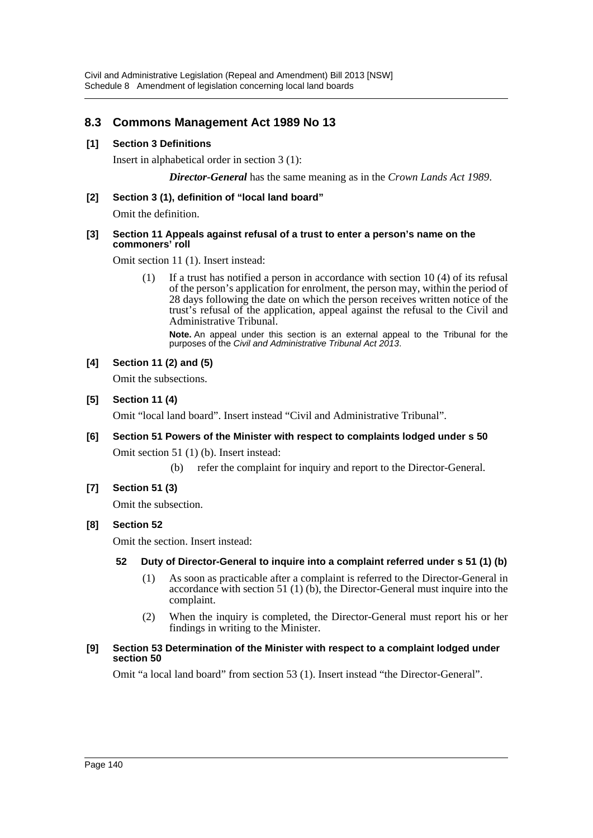# **8.3 Commons Management Act 1989 No 13**

### **[1] Section 3 Definitions**

Insert in alphabetical order in section 3 (1):

*Director-General* has the same meaning as in the *Crown Lands Act 1989*.

### **[2] Section 3 (1), definition of "local land board"**

Omit the definition.

#### **[3] Section 11 Appeals against refusal of a trust to enter a person's name on the commoners' roll**

Omit section 11 (1). Insert instead:

(1) If a trust has notified a person in accordance with section 10 (4) of its refusal of the person's application for enrolment, the person may, within the period of 28 days following the date on which the person receives written notice of the trust's refusal of the application, appeal against the refusal to the Civil and Administrative Tribunal.

**Note.** An appeal under this section is an external appeal to the Tribunal for the purposes of the *Civil and Administrative Tribunal Act 2013*.

### **[4] Section 11 (2) and (5)**

Omit the subsections.

### **[5] Section 11 (4)**

Omit "local land board". Insert instead "Civil and Administrative Tribunal".

# **[6] Section 51 Powers of the Minister with respect to complaints lodged under s 50**

Omit section 51 (1) (b). Insert instead:

(b) refer the complaint for inquiry and report to the Director-General.

### **[7] Section 51 (3)**

Omit the subsection.

### **[8] Section 52**

Omit the section. Insert instead:

#### **52 Duty of Director-General to inquire into a complaint referred under s 51 (1) (b)**

- (1) As soon as practicable after a complaint is referred to the Director-General in accordance with section 51 (1) (b), the Director-General must inquire into the complaint.
- (2) When the inquiry is completed, the Director-General must report his or her findings in writing to the Minister.

#### **[9] Section 53 Determination of the Minister with respect to a complaint lodged under section 50**

Omit "a local land board" from section 53 (1). Insert instead "the Director-General".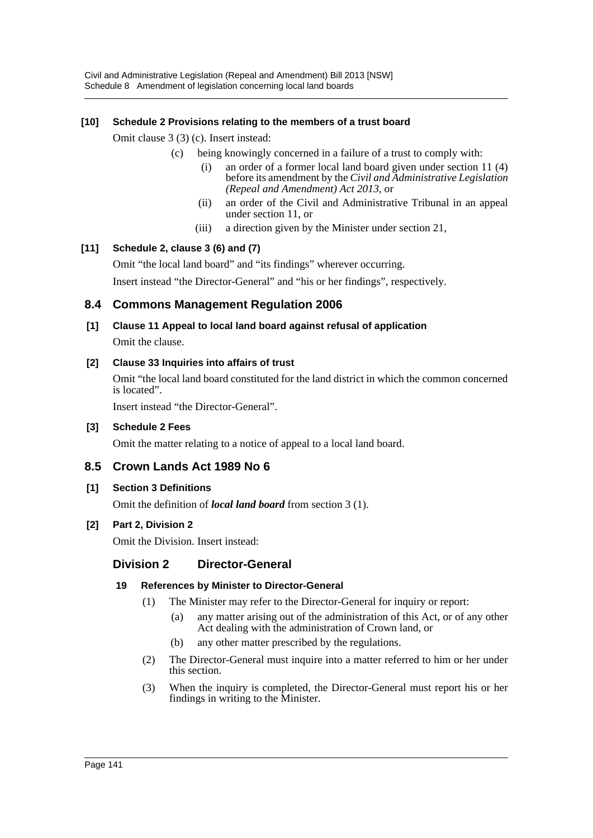# **[10] Schedule 2 Provisions relating to the members of a trust board**

Omit clause 3 (3) (c). Insert instead:

- (c) being knowingly concerned in a failure of a trust to comply with:
	- (i) an order of a former local land board given under section 11 (4) before its amendment by the *Civil and Administrative Legislation (Repeal and Amendment) Act 2013*, or
	- (ii) an order of the Civil and Administrative Tribunal in an appeal under section 11, or
	- (iii) a direction given by the Minister under section 21,

# **[11] Schedule 2, clause 3 (6) and (7)**

Omit "the local land board" and "its findings" wherever occurring.

Insert instead "the Director-General" and "his or her findings", respectively.

# **8.4 Commons Management Regulation 2006**

# **[1] Clause 11 Appeal to local land board against refusal of application** Omit the clause.

# **[2] Clause 33 Inquiries into affairs of trust**

Omit "the local land board constituted for the land district in which the common concerned is located".

Insert instead "the Director-General".

### **[3] Schedule 2 Fees**

Omit the matter relating to a notice of appeal to a local land board.

# **8.5 Crown Lands Act 1989 No 6**

### **[1] Section 3 Definitions**

Omit the definition of *local land board* from section 3 (1).

### **[2] Part 2, Division 2**

Omit the Division. Insert instead:

# **Division 2 Director-General**

### **19 References by Minister to Director-General**

- (1) The Minister may refer to the Director-General for inquiry or report:
	- (a) any matter arising out of the administration of this Act, or of any other Act dealing with the administration of Crown land, or
	- (b) any other matter prescribed by the regulations.
- (2) The Director-General must inquire into a matter referred to him or her under this section.
- (3) When the inquiry is completed, the Director-General must report his or her findings in writing to the Minister.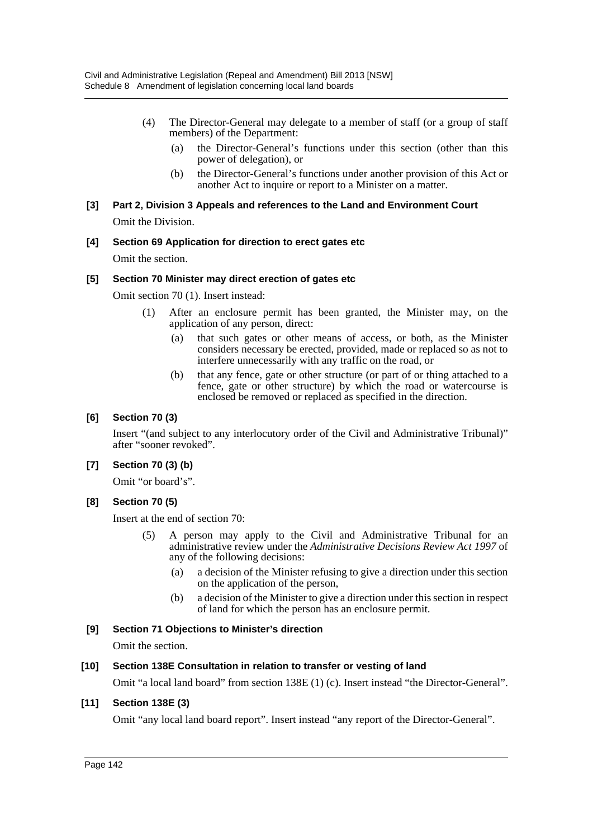- (4) The Director-General may delegate to a member of staff (or a group of staff members) of the Department:
	- (a) the Director-General's functions under this section (other than this power of delegation), or
	- (b) the Director-General's functions under another provision of this Act or another Act to inquire or report to a Minister on a matter.

### **[3] Part 2, Division 3 Appeals and references to the Land and Environment Court** Omit the Division.

# **[4] Section 69 Application for direction to erect gates etc**

Omit the section.

### **[5] Section 70 Minister may direct erection of gates etc**

Omit section 70 (1). Insert instead:

- (1) After an enclosure permit has been granted, the Minister may, on the application of any person, direct:
	- (a) that such gates or other means of access, or both, as the Minister considers necessary be erected, provided, made or replaced so as not to interfere unnecessarily with any traffic on the road, or
	- (b) that any fence, gate or other structure (or part of or thing attached to a fence, gate or other structure) by which the road or watercourse is enclosed be removed or replaced as specified in the direction.

### **[6] Section 70 (3)**

Insert "(and subject to any interlocutory order of the Civil and Administrative Tribunal)" after "sooner revoked".

### **[7] Section 70 (3) (b)**

Omit "or board's".

### **[8] Section 70 (5)**

Insert at the end of section 70:

- (5) A person may apply to the Civil and Administrative Tribunal for an administrative review under the *Administrative Decisions Review Act 1997* of any of the following decisions:
	- (a) a decision of the Minister refusing to give a direction under this section on the application of the person,
	- (b) a decision of the Minister to give a direction under this section in respect of land for which the person has an enclosure permit.

### **[9] Section 71 Objections to Minister's direction**

Omit the section.

#### **[10] Section 138E Consultation in relation to transfer or vesting of land**

Omit "a local land board" from section 138E (1) (c). Insert instead "the Director-General".

# **[11] Section 138E (3)**

Omit "any local land board report". Insert instead "any report of the Director-General".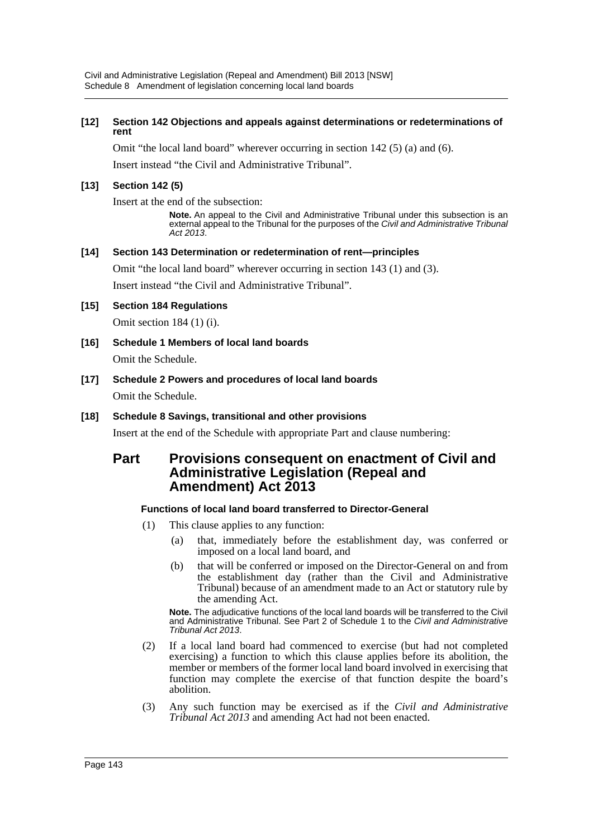#### **[12] Section 142 Objections and appeals against determinations or redeterminations of rent**

Omit "the local land board" wherever occurring in section 142 (5) (a) and (6).

Insert instead "the Civil and Administrative Tribunal".

### **[13] Section 142 (5)**

Insert at the end of the subsection:

**Note.** An appeal to the Civil and Administrative Tribunal under this subsection is an external appeal to the Tribunal for the purposes of the *Civil and Administrative Tribunal Act 2013*.

### **[14] Section 143 Determination or redetermination of rent—principles**

Omit "the local land board" wherever occurring in section 143 (1) and (3).

Insert instead "the Civil and Administrative Tribunal".

### **[15] Section 184 Regulations**

Omit section 184 (1) (i).

- **[16] Schedule 1 Members of local land boards** Omit the Schedule.
- **[17] Schedule 2 Powers and procedures of local land boards** Omit the Schedule.

### **[18] Schedule 8 Savings, transitional and other provisions**

Insert at the end of the Schedule with appropriate Part and clause numbering:

# **Part Provisions consequent on enactment of Civil and Administrative Legislation (Repeal and Amendment) Act 2013**

### **Functions of local land board transferred to Director-General**

- (1) This clause applies to any function:
	- (a) that, immediately before the establishment day, was conferred or imposed on a local land board, and
	- (b) that will be conferred or imposed on the Director-General on and from the establishment day (rather than the Civil and Administrative Tribunal) because of an amendment made to an Act or statutory rule by the amending Act.

**Note.** The adjudicative functions of the local land boards will be transferred to the Civil and Administrative Tribunal. See Part 2 of Schedule 1 to the *Civil and Administrative Tribunal Act 2013*.

- (2) If a local land board had commenced to exercise (but had not completed exercising) a function to which this clause applies before its abolition, the member or members of the former local land board involved in exercising that function may complete the exercise of that function despite the board's abolition.
- (3) Any such function may be exercised as if the *Civil and Administrative Tribunal Act 2013* and amending Act had not been enacted.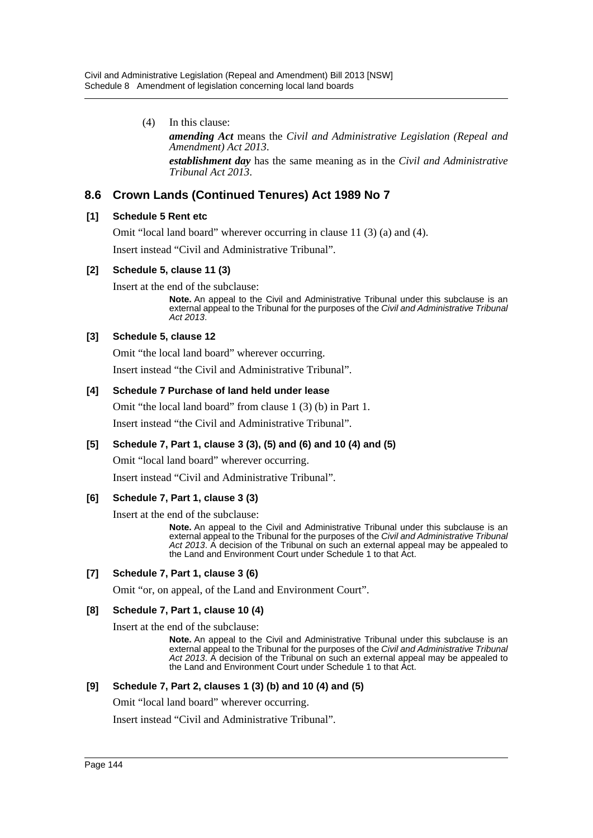(4) In this clause: *amending Act* means the *Civil and Administrative Legislation (Repeal and Amendment) Act 2013*. *establishment day* has the same meaning as in the *Civil and Administrative Tribunal Act 2013*.

# **8.6 Crown Lands (Continued Tenures) Act 1989 No 7**

#### **[1] Schedule 5 Rent etc**

Omit "local land board" wherever occurring in clause 11 (3) (a) and (4).

Insert instead "Civil and Administrative Tribunal".

# **[2] Schedule 5, clause 11 (3)**

Insert at the end of the subclause:

**Note.** An appeal to the Civil and Administrative Tribunal under this subclause is an external appeal to the Tribunal for the purposes of the *Civil and Administrative Tribunal Act 2013*.

# **[3] Schedule 5, clause 12**

Omit "the local land board" wherever occurring.

Insert instead "the Civil and Administrative Tribunal".

# **[4] Schedule 7 Purchase of land held under lease**

Omit "the local land board" from clause 1 (3) (b) in Part 1.

Insert instead "the Civil and Administrative Tribunal".

#### **[5] Schedule 7, Part 1, clause 3 (3), (5) and (6) and 10 (4) and (5)**

Omit "local land board" wherever occurring.

Insert instead "Civil and Administrative Tribunal".

#### **[6] Schedule 7, Part 1, clause 3 (3)**

Insert at the end of the subclause:

**Note.** An appeal to the Civil and Administrative Tribunal under this subclause is an external appeal to the Tribunal for the purposes of the *Civil and Administrative Tribunal Act 2013*. A decision of the Tribunal on such an external appeal may be appealed to the Land and Environment Court under Schedule 1 to that Act.

#### **[7] Schedule 7, Part 1, clause 3 (6)**

Omit "or, on appeal, of the Land and Environment Court".

#### **[8] Schedule 7, Part 1, clause 10 (4)**

Insert at the end of the subclause:

**Note.** An appeal to the Civil and Administrative Tribunal under this subclause is an external appeal to the Tribunal for the purposes of the *Civil and Administrative Tribunal Act 2013*. A decision of the Tribunal on such an external appeal may be appealed to the Land and Environment Court under Schedule 1 to that Act.

#### **[9] Schedule 7, Part 2, clauses 1 (3) (b) and 10 (4) and (5)**

Omit "local land board" wherever occurring.

Insert instead "Civil and Administrative Tribunal".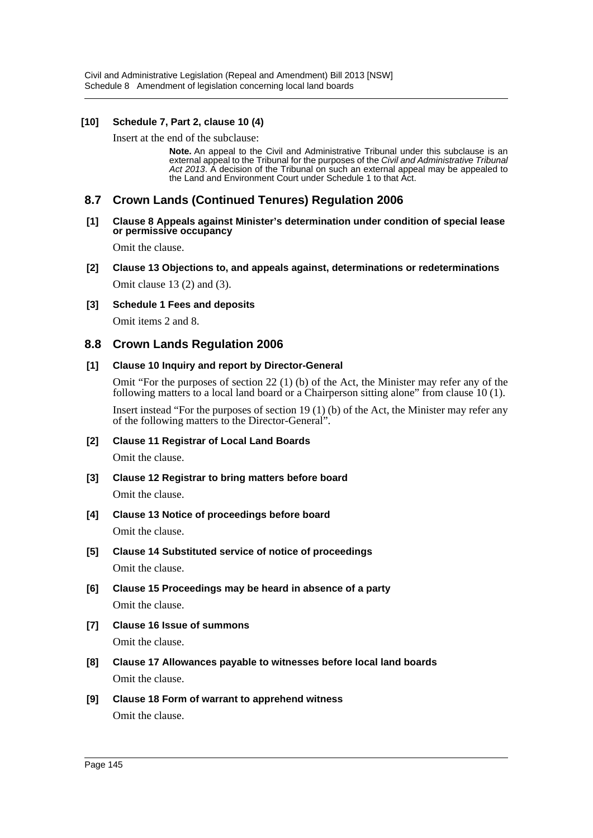#### **[10] Schedule 7, Part 2, clause 10 (4)**

Insert at the end of the subclause:

**Note.** An appeal to the Civil and Administrative Tribunal under this subclause is an external appeal to the Tribunal for the purposes of the *Civil and Administrative Tribunal Act 2013*. A decision of the Tribunal on such an external appeal may be appealed to the Land and Environment Court under Schedule 1 to that Act.

# **8.7 Crown Lands (Continued Tenures) Regulation 2006**

#### **[1] Clause 8 Appeals against Minister's determination under condition of special lease or permissive occupancy**

Omit the clause.

- **[2] Clause 13 Objections to, and appeals against, determinations or redeterminations** Omit clause 13 (2) and (3).
- **[3] Schedule 1 Fees and deposits**

Omit items 2 and 8.

# **8.8 Crown Lands Regulation 2006**

#### **[1] Clause 10 Inquiry and report by Director-General**

Omit "For the purposes of section 22 (1) (b) of the Act, the Minister may refer any of the following matters to a local land board or a Chairperson sitting alone" from clause 10 (1).

Insert instead "For the purposes of section 19 (1) (b) of the Act, the Minister may refer any of the following matters to the Director-General".

#### **[2] Clause 11 Registrar of Local Land Boards**

Omit the clause.

**[3] Clause 12 Registrar to bring matters before board**

Omit the clause.

- **[4] Clause 13 Notice of proceedings before board** Omit the clause.
- **[5] Clause 14 Substituted service of notice of proceedings** Omit the clause.
- **[6] Clause 15 Proceedings may be heard in absence of a party** Omit the clause.
- **[7] Clause 16 Issue of summons** Omit the clause.
- **[8] Clause 17 Allowances payable to witnesses before local land boards** Omit the clause.
- **[9] Clause 18 Form of warrant to apprehend witness** Omit the clause.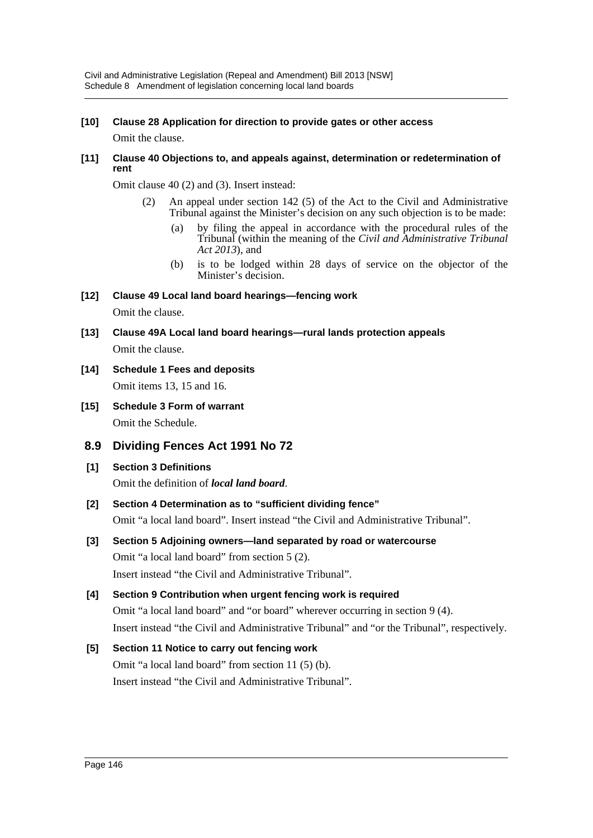# **[10] Clause 28 Application for direction to provide gates or other access**

Omit the clause.

#### **[11] Clause 40 Objections to, and appeals against, determination or redetermination of rent**

Omit clause 40 (2) and (3). Insert instead:

- (2) An appeal under section 142 (5) of the Act to the Civil and Administrative Tribunal against the Minister's decision on any such objection is to be made:
	- (a) by filing the appeal in accordance with the procedural rules of the Tribunal (within the meaning of the *Civil and Administrative Tribunal Act 2013*), and
	- (b) is to be lodged within 28 days of service on the objector of the Minister's decision.
- **[12] Clause 49 Local land board hearings—fencing work** Omit the clause.
- **[13] Clause 49A Local land board hearings—rural lands protection appeals** Omit the clause.
- **[14] Schedule 1 Fees and deposits** Omit items 13, 15 and 16.
- **[15] Schedule 3 Form of warrant** Omit the Schedule.
- **8.9 Dividing Fences Act 1991 No 72**
- **[1] Section 3 Definitions**

Omit the definition of *local land board*.

**[2] Section 4 Determination as to "sufficient dividing fence"**

Omit "a local land board". Insert instead "the Civil and Administrative Tribunal".

**[3] Section 5 Adjoining owners—land separated by road or watercourse** Omit "a local land board" from section 5 (2).

Insert instead "the Civil and Administrative Tribunal".

# **[4] Section 9 Contribution when urgent fencing work is required**

Omit "a local land board" and "or board" wherever occurring in section 9 (4). Insert instead "the Civil and Administrative Tribunal" and "or the Tribunal", respectively.

# **[5] Section 11 Notice to carry out fencing work**

Omit "a local land board" from section 11 (5) (b). Insert instead "the Civil and Administrative Tribunal".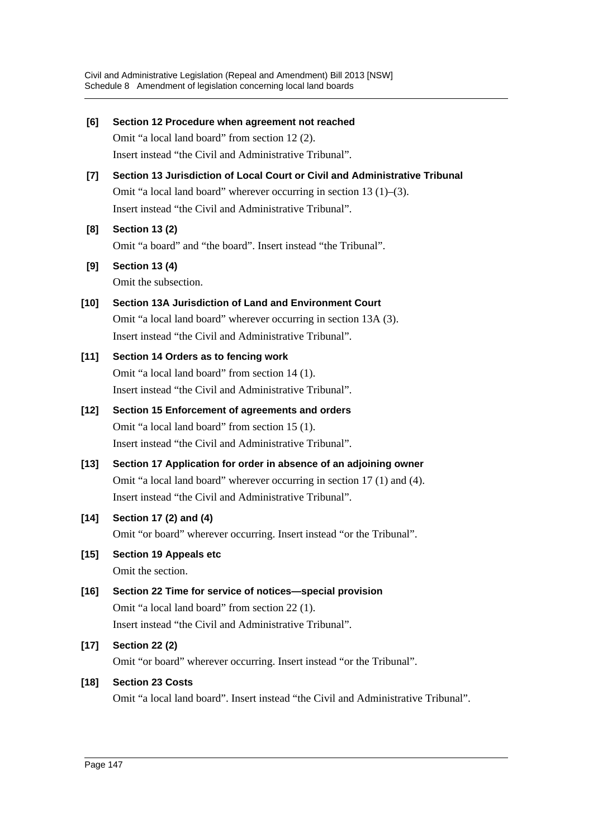**[6] Section 12 Procedure when agreement not reached** Omit "a local land board" from section 12 (2). Insert instead "the Civil and Administrative Tribunal". **[7] Section 13 Jurisdiction of Local Court or Civil and Administrative Tribunal** Omit "a local land board" wherever occurring in section 13 (1)–(3). Insert instead "the Civil and Administrative Tribunal". **[8] Section 13 (2)** Omit "a board" and "the board". Insert instead "the Tribunal". **[9] Section 13 (4)** Omit the subsection. **[10] Section 13A Jurisdiction of Land and Environment Court** Omit "a local land board" wherever occurring in section 13A (3). Insert instead "the Civil and Administrative Tribunal". **[11] Section 14 Orders as to fencing work** Omit "a local land board" from section 14 (1). Insert instead "the Civil and Administrative Tribunal". **[12] Section 15 Enforcement of agreements and orders** Omit "a local land board" from section 15 (1). Insert instead "the Civil and Administrative Tribunal". **[13] Section 17 Application for order in absence of an adjoining owner** Omit "a local land board" wherever occurring in section 17 (1) and (4). Insert instead "the Civil and Administrative Tribunal". **[14] Section 17 (2) and (4)** Omit "or board" wherever occurring. Insert instead "or the Tribunal". **[15] Section 19 Appeals etc** Omit the section. **[16] Section 22 Time for service of notices—special provision** Omit "a local land board" from section 22 (1). Insert instead "the Civil and Administrative Tribunal". **[17] Section 22 (2)** Omit "or board" wherever occurring. Insert instead "or the Tribunal". **[18] Section 23 Costs** Omit "a local land board". Insert instead "the Civil and Administrative Tribunal".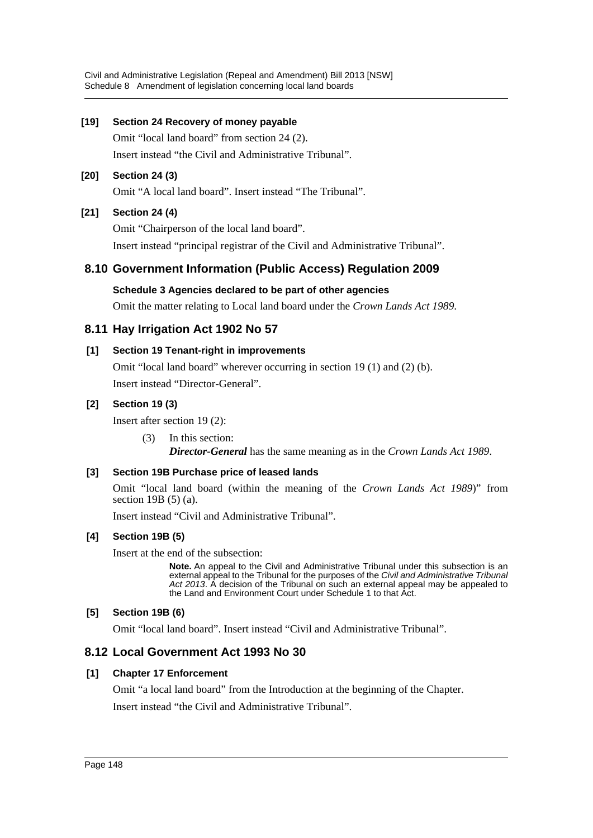Civil and Administrative Legislation (Repeal and Amendment) Bill 2013 [NSW] Schedule 8 Amendment of legislation concerning local land boards

#### **[19] Section 24 Recovery of money payable**

Omit "local land board" from section 24 (2). Insert instead "the Civil and Administrative Tribunal".

#### **[20] Section 24 (3)**

Omit "A local land board". Insert instead "The Tribunal".

#### **[21] Section 24 (4)**

Omit "Chairperson of the local land board".

Insert instead "principal registrar of the Civil and Administrative Tribunal".

# **8.10 Government Information (Public Access) Regulation 2009**

#### **Schedule 3 Agencies declared to be part of other agencies**

Omit the matter relating to Local land board under the *Crown Lands Act 1989*.

# **8.11 Hay Irrigation Act 1902 No 57**

#### **[1] Section 19 Tenant-right in improvements**

Omit "local land board" wherever occurring in section 19 (1) and (2) (b). Insert instead "Director-General".

#### **[2] Section 19 (3)**

Insert after section 19 (2):

(3) In this section:

*Director-General* has the same meaning as in the *Crown Lands Act 1989*.

#### **[3] Section 19B Purchase price of leased lands**

Omit "local land board (within the meaning of the *Crown Lands Act 1989*)" from section 19B (5) (a).

Insert instead "Civil and Administrative Tribunal".

#### **[4] Section 19B (5)**

Insert at the end of the subsection:

**Note.** An appeal to the Civil and Administrative Tribunal under this subsection is an external appeal to the Tribunal for the purposes of the *Civil and Administrative Tribunal Act 2013*. A decision of the Tribunal on such an external appeal may be appealed to the Land and Environment Court under Schedule 1 to that Act.

#### **[5] Section 19B (6)**

Omit "local land board". Insert instead "Civil and Administrative Tribunal".

#### **8.12 Local Government Act 1993 No 30**

#### **[1] Chapter 17 Enforcement**

Omit "a local land board" from the Introduction at the beginning of the Chapter.

Insert instead "the Civil and Administrative Tribunal".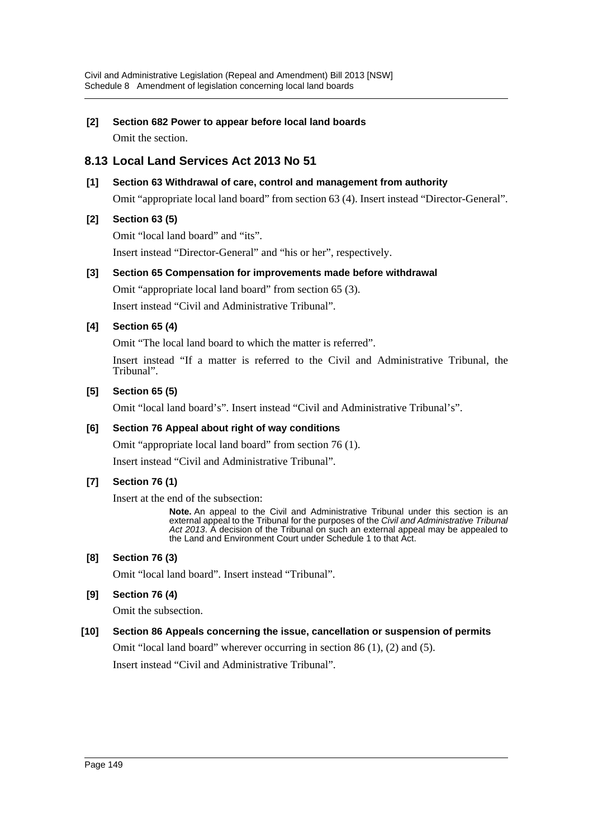# **[2] Section 682 Power to appear before local land boards**

Omit the section.

# **8.13 Local Land Services Act 2013 No 51**

# **[1] Section 63 Withdrawal of care, control and management from authority**

Omit "appropriate local land board" from section 63 (4). Insert instead "Director-General".

# **[2] Section 63 (5)**

Omit "local land board" and "its". Insert instead "Director-General" and "his or her", respectively.

# **[3] Section 65 Compensation for improvements made before withdrawal**

Omit "appropriate local land board" from section 65 (3). Insert instead "Civil and Administrative Tribunal".

# **[4] Section 65 (4)**

Omit "The local land board to which the matter is referred".

Insert instead "If a matter is referred to the Civil and Administrative Tribunal, the Tribunal".

#### **[5] Section 65 (5)**

Omit "local land board's". Insert instead "Civil and Administrative Tribunal's".

#### **[6] Section 76 Appeal about right of way conditions**

Omit "appropriate local land board" from section 76 (1).

Insert instead "Civil and Administrative Tribunal".

#### **[7] Section 76 (1)**

Insert at the end of the subsection:

**Note.** An appeal to the Civil and Administrative Tribunal under this section is an external appeal to the Tribunal for the purposes of the *Civil and Administrative Tribunal Act 2013*. A decision of the Tribunal on such an external appeal may be appealed to the Land and Environment Court under Schedule 1 to that Act.

#### **[8] Section 76 (3)**

Omit "local land board". Insert instead "Tribunal".

#### **[9] Section 76 (4)**

Omit the subsection.

# **[10] Section 86 Appeals concerning the issue, cancellation or suspension of permits** Omit "local land board" wherever occurring in section 86 (1), (2) and (5).

Insert instead "Civil and Administrative Tribunal".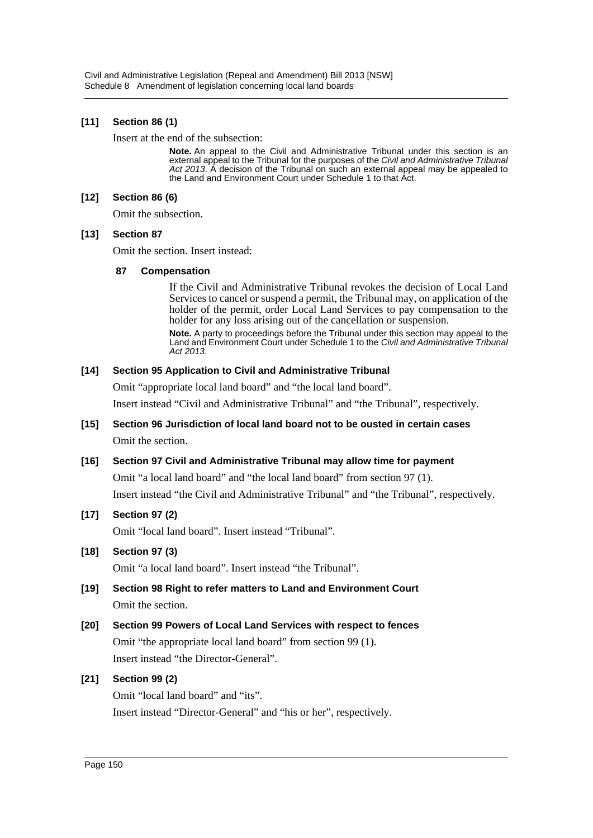#### **[11] Section 86 (1)**

Insert at the end of the subsection:

**Note.** An appeal to the Civil and Administrative Tribunal under this section is an external appeal to the Tribunal for the purposes of the *Civil and Administrative Tribunal Act 2013*. A decision of the Tribunal on such an external appeal may be appealed to the Land and Environment Court under Schedule 1 to that Act.

#### **[12] Section 86 (6)**

Omit the subsection.

#### **[13] Section 87**

Omit the section. Insert instead:

#### **87 Compensation**

If the Civil and Administrative Tribunal revokes the decision of Local Land Services to cancel or suspend a permit, the Tribunal may, on application of the holder of the permit, order Local Land Services to pay compensation to the holder for any loss arising out of the cancellation or suspension.

**Note.** A party to proceedings before the Tribunal under this section may appeal to the Land and Environment Court under Schedule 1 to the *Civil and Administrative Tribunal Act 2013*.

#### **[14] Section 95 Application to Civil and Administrative Tribunal**

Omit "appropriate local land board" and "the local land board".

Insert instead "Civil and Administrative Tribunal" and "the Tribunal", respectively.

# **[15] Section 96 Jurisdiction of local land board not to be ousted in certain cases** Omit the section.

#### **[16] Section 97 Civil and Administrative Tribunal may allow time for payment**

Omit "a local land board" and "the local land board" from section 97 (1). Insert instead "the Civil and Administrative Tribunal" and "the Tribunal", respectively.

#### **[17] Section 97 (2)**

Omit "local land board". Insert instead "Tribunal".

#### **[18] Section 97 (3)**

Omit "a local land board". Insert instead "the Tribunal".

# **[19] Section 98 Right to refer matters to Land and Environment Court** Omit the section.

**[20] Section 99 Powers of Local Land Services with respect to fences** Omit "the appropriate local land board" from section 99 (1). Insert instead "the Director-General".

#### **[21] Section 99 (2)**

Omit "local land board" and "its". Insert instead "Director-General" and "his or her", respectively.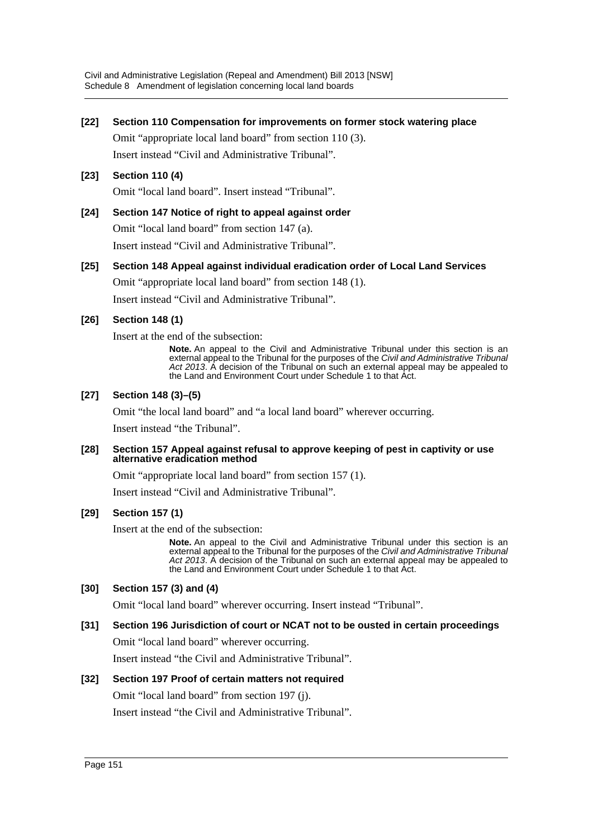#### **[22] Section 110 Compensation for improvements on former stock watering place**

Omit "appropriate local land board" from section 110 (3). Insert instead "Civil and Administrative Tribunal".

#### **[23] Section 110 (4)**

Omit "local land board". Insert instead "Tribunal".

#### **[24] Section 147 Notice of right to appeal against order** Omit "local land board" from section 147 (a).

Insert instead "Civil and Administrative Tribunal".

# **[25] Section 148 Appeal against individual eradication order of Local Land Services** Omit "appropriate local land board" from section 148 (1).

Insert instead "Civil and Administrative Tribunal".

#### **[26] Section 148 (1)**

Insert at the end of the subsection:

**Note.** An appeal to the Civil and Administrative Tribunal under this section is an external appeal to the Tribunal for the purposes of the *Civil and Administrative Tribunal Act 2013*. A decision of the Tribunal on such an external appeal may be appealed to the Land and Environment Court under Schedule 1 to that Act.

#### **[27] Section 148 (3)–(5)**

Omit "the local land board" and "a local land board" wherever occurring.

Insert instead "the Tribunal".

#### **[28] Section 157 Appeal against refusal to approve keeping of pest in captivity or use alternative eradication method**

Omit "appropriate local land board" from section 157 (1).

Insert instead "Civil and Administrative Tribunal".

#### **[29] Section 157 (1)**

Insert at the end of the subsection:

**Note.** An appeal to the Civil and Administrative Tribunal under this section is an external appeal to the Tribunal for the purposes of the *Civil and Administrative Tribunal Act 2013*. A decision of the Tribunal on such an external appeal may be appealed to the Land and Environment Court under Schedule 1 to that Act.

#### **[30] Section 157 (3) and (4)**

Omit "local land board" wherever occurring. Insert instead "Tribunal".

#### **[31] Section 196 Jurisdiction of court or NCAT not to be ousted in certain proceedings**

Omit "local land board" wherever occurring.

Insert instead "the Civil and Administrative Tribunal".

#### **[32] Section 197 Proof of certain matters not required**

Omit "local land board" from section 197 (j).

Insert instead "the Civil and Administrative Tribunal".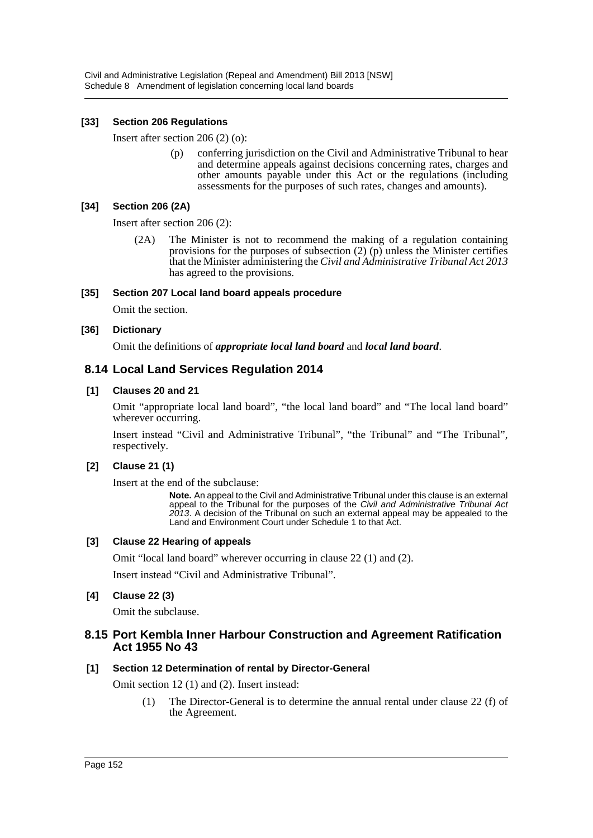#### **[33] Section 206 Regulations**

Insert after section 206 (2) (o):

(p) conferring jurisdiction on the Civil and Administrative Tribunal to hear and determine appeals against decisions concerning rates, charges and other amounts payable under this Act or the regulations (including assessments for the purposes of such rates, changes and amounts).

#### **[34] Section 206 (2A)**

Insert after section 206 (2):

(2A) The Minister is not to recommend the making of a regulation containing provisions for the purposes of subsection (2) (p) unless the Minister certifies that the Minister administering the *Civil and Administrative Tribunal Act 2013* has agreed to the provisions.

#### **[35] Section 207 Local land board appeals procedure**

Omit the section.

#### **[36] Dictionary**

Omit the definitions of *appropriate local land board* and *local land board*.

# **8.14 Local Land Services Regulation 2014**

#### **[1] Clauses 20 and 21**

Omit "appropriate local land board", "the local land board" and "The local land board" wherever occurring.

Insert instead "Civil and Administrative Tribunal", "the Tribunal" and "The Tribunal", respectively.

#### **[2] Clause 21 (1)**

Insert at the end of the subclause:

**Note.** An appeal to the Civil and Administrative Tribunal under this clause is an external appeal to the Tribunal for the purposes of the *Civil and Administrative Tribunal Act 2013*. A decision of the Tribunal on such an external appeal may be appealed to the Land and Environment Court under Schedule 1 to that Act.

#### **[3] Clause 22 Hearing of appeals**

Omit "local land board" wherever occurring in clause 22 (1) and (2).

Insert instead "Civil and Administrative Tribunal".

#### **[4] Clause 22 (3)**

Omit the subclause.

#### **8.15 Port Kembla Inner Harbour Construction and Agreement Ratification Act 1955 No 43**

#### **[1] Section 12 Determination of rental by Director-General**

Omit section 12 (1) and (2). Insert instead:

(1) The Director-General is to determine the annual rental under clause 22 (f) of the Agreement.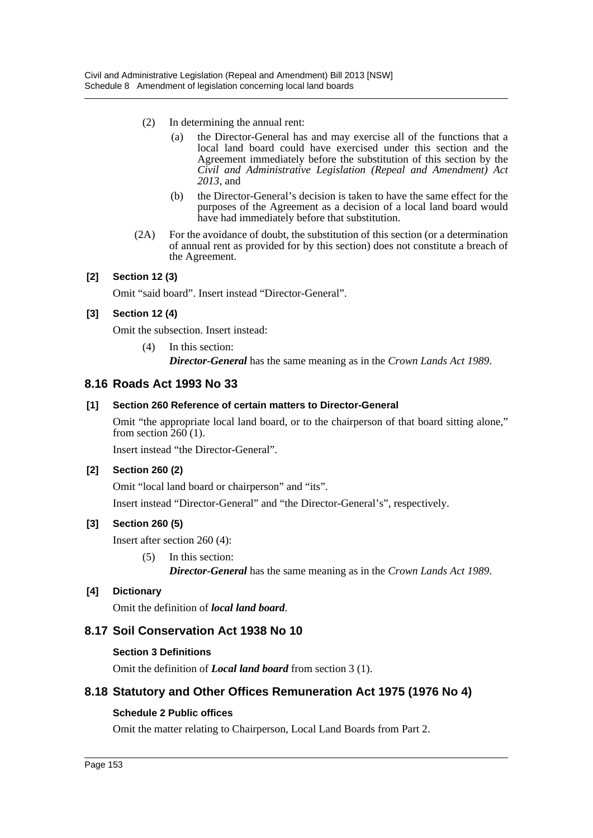- (2) In determining the annual rent:
	- (a) the Director-General has and may exercise all of the functions that a local land board could have exercised under this section and the Agreement immediately before the substitution of this section by the *Civil and Administrative Legislation (Repeal and Amendment) Act 2013*, and
	- (b) the Director-General's decision is taken to have the same effect for the purposes of the Agreement as a decision of a local land board would have had immediately before that substitution.
- (2A) For the avoidance of doubt, the substitution of this section (or a determination of annual rent as provided for by this section) does not constitute a breach of the Agreement.

#### **[2] Section 12 (3)**

Omit "said board". Insert instead "Director-General".

#### **[3] Section 12 (4)**

Omit the subsection. Insert instead:

(4) In this section: *Director-General* has the same meaning as in the *Crown Lands Act 1989*.

# **8.16 Roads Act 1993 No 33**

#### **[1] Section 260 Reference of certain matters to Director-General**

Omit "the appropriate local land board, or to the chairperson of that board sitting alone," from section  $260(1)$ .

Insert instead "the Director-General".

#### **[2] Section 260 (2)**

Omit "local land board or chairperson" and "its". Insert instead "Director-General" and "the Director-General's", respectively.

#### **[3] Section 260 (5)**

Insert after section 260 (4):

(5) In this section: *Director-General* has the same meaning as in the *Crown Lands Act 1989*.

#### **[4] Dictionary**

Omit the definition of *local land board*.

# **8.17 Soil Conservation Act 1938 No 10**

#### **Section 3 Definitions**

Omit the definition of *Local land board* from section 3 (1).

# **8.18 Statutory and Other Offices Remuneration Act 1975 (1976 No 4)**

#### **Schedule 2 Public offices**

Omit the matter relating to Chairperson, Local Land Boards from Part 2.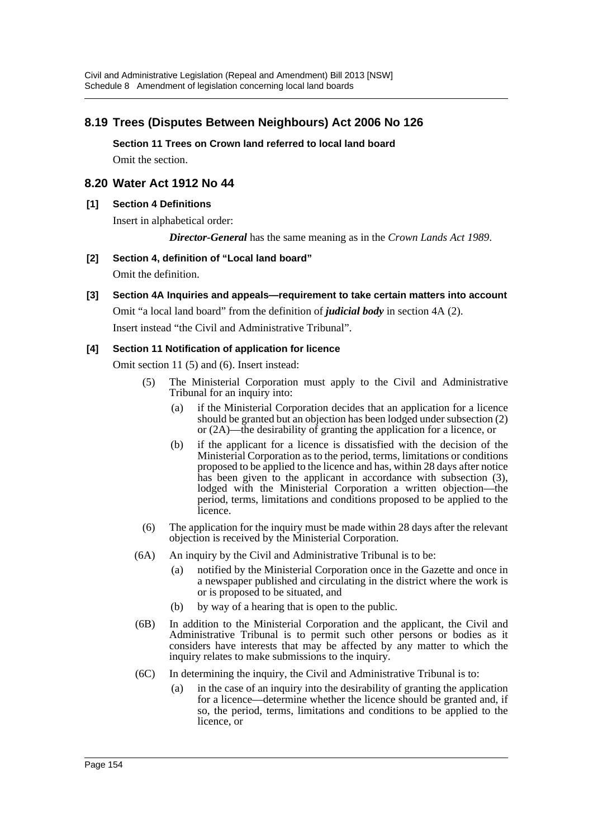# **8.19 Trees (Disputes Between Neighbours) Act 2006 No 126**

**Section 11 Trees on Crown land referred to local land board** Omit the section.

# **8.20 Water Act 1912 No 44**

#### **[1] Section 4 Definitions**

Insert in alphabetical order:

*Director-General* has the same meaning as in the *Crown Lands Act 1989*.

#### **[2] Section 4, definition of "Local land board"**

Omit the definition.

#### **[3] Section 4A Inquiries and appeals—requirement to take certain matters into account**

Omit "a local land board" from the definition of *judicial body* in section 4A (2).

Insert instead "the Civil and Administrative Tribunal".

#### **[4] Section 11 Notification of application for licence**

Omit section 11 (5) and (6). Insert instead:

- (5) The Ministerial Corporation must apply to the Civil and Administrative Tribunal for an inquiry into:
	- (a) if the Ministerial Corporation decides that an application for a licence should be granted but an objection has been lodged under subsection (2) or (2A)—the desirability of granting the application for a licence, or
	- (b) if the applicant for a licence is dissatisfied with the decision of the Ministerial Corporation as to the period, terms, limitations or conditions proposed to be applied to the licence and has, within 28 days after notice has been given to the applicant in accordance with subsection (3), lodged with the Ministerial Corporation a written objection—the period, terms, limitations and conditions proposed to be applied to the licence.
- (6) The application for the inquiry must be made within 28 days after the relevant objection is received by the Ministerial Corporation.
- (6A) An inquiry by the Civil and Administrative Tribunal is to be:
	- (a) notified by the Ministerial Corporation once in the Gazette and once in a newspaper published and circulating in the district where the work is or is proposed to be situated, and
	- (b) by way of a hearing that is open to the public.
- (6B) In addition to the Ministerial Corporation and the applicant, the Civil and Administrative Tribunal is to permit such other persons or bodies as it considers have interests that may be affected by any matter to which the inquiry relates to make submissions to the inquiry.
- (6C) In determining the inquiry, the Civil and Administrative Tribunal is to:
	- (a) in the case of an inquiry into the desirability of granting the application for a licence—determine whether the licence should be granted and, if so, the period, terms, limitations and conditions to be applied to the licence, or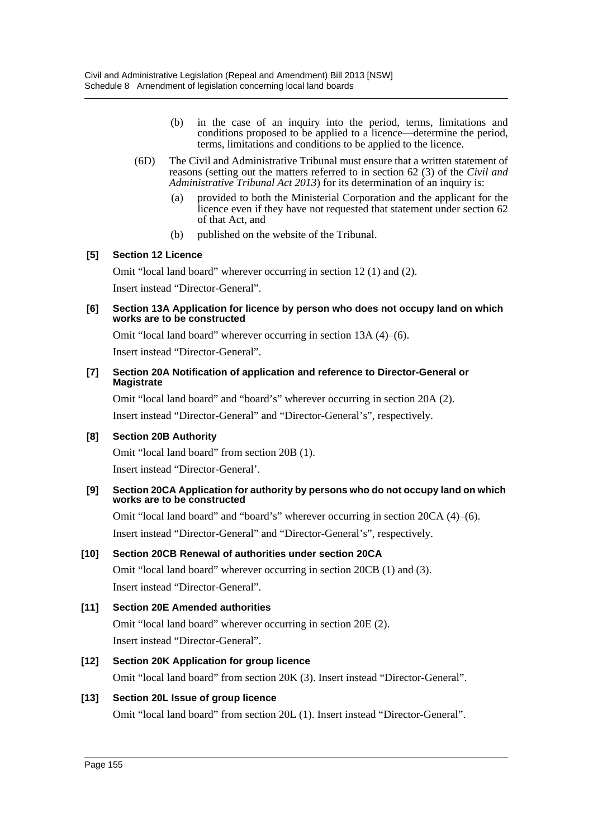- (b) in the case of an inquiry into the period, terms, limitations and conditions proposed to be applied to a licence—determine the period, terms, limitations and conditions to be applied to the licence.
- (6D) The Civil and Administrative Tribunal must ensure that a written statement of reasons (setting out the matters referred to in section 62 (3) of the *Civil and Administrative Tribunal Act 2013*) for its determination of an inquiry is:
	- (a) provided to both the Ministerial Corporation and the applicant for the licence even if they have not requested that statement under section 62 of that Act, and
	- (b) published on the website of the Tribunal.

#### **[5] Section 12 Licence**

Omit "local land board" wherever occurring in section 12 (1) and (2).

Insert instead "Director-General".

#### **[6] Section 13A Application for licence by person who does not occupy land on which works are to be constructed**

Omit "local land board" wherever occurring in section 13A (4)–(6).

Insert instead "Director-General".

#### **[7] Section 20A Notification of application and reference to Director-General or Magistrate**

Omit "local land board" and "board's" wherever occurring in section 20A (2).

Insert instead "Director-General" and "Director-General's", respectively.

#### **[8] Section 20B Authority**

Omit "local land board" from section 20B (1).

Insert instead "Director-General'.

#### **[9] Section 20CA Application for authority by persons who do not occupy land on which works are to be constructed**

Omit "local land board" and "board's" wherever occurring in section 20CA (4)–(6). Insert instead "Director-General" and "Director-General's", respectively.

#### **[10] Section 20CB Renewal of authorities under section 20CA**

Omit "local land board" wherever occurring in section 20CB (1) and (3). Insert instead "Director-General".

#### **[11] Section 20E Amended authorities**

Omit "local land board" wherever occurring in section 20E (2). Insert instead "Director-General".

# **[12] Section 20K Application for group licence**

Omit "local land board" from section 20K (3). Insert instead "Director-General".

#### **[13] Section 20L Issue of group licence**

Omit "local land board" from section 20L (1). Insert instead "Director-General".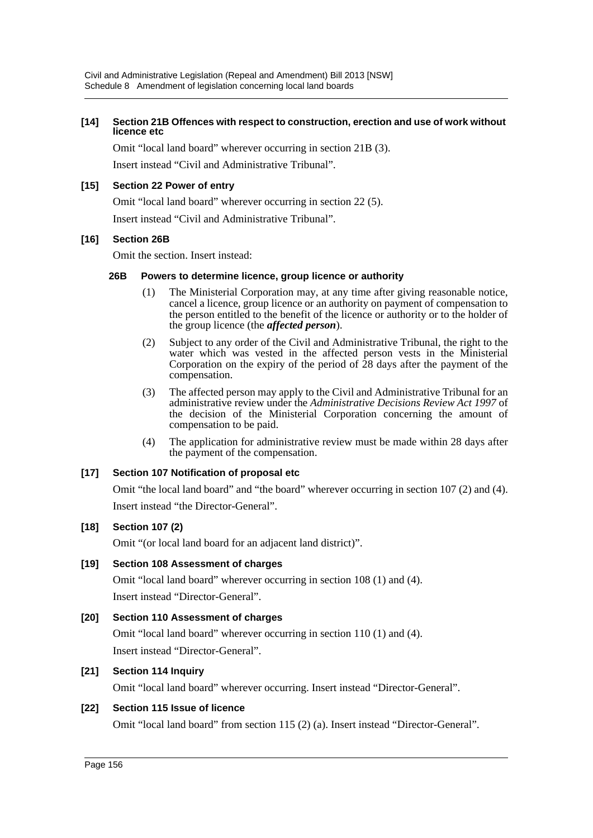#### **[14] Section 21B Offences with respect to construction, erection and use of work without licence etc**

Omit "local land board" wherever occurring in section 21B (3).

Insert instead "Civil and Administrative Tribunal".

#### **[15] Section 22 Power of entry**

Omit "local land board" wherever occurring in section 22 (5).

Insert instead "Civil and Administrative Tribunal".

#### **[16] Section 26B**

Omit the section. Insert instead:

#### **26B Powers to determine licence, group licence or authority**

- (1) The Ministerial Corporation may, at any time after giving reasonable notice, cancel a licence, group licence or an authority on payment of compensation to the person entitled to the benefit of the licence or authority or to the holder of the group licence (the *affected person*).
- (2) Subject to any order of the Civil and Administrative Tribunal, the right to the water which was vested in the affected person vests in the Ministerial Corporation on the expiry of the period of  $\hat{2}8$  days after the payment of the compensation.
- (3) The affected person may apply to the Civil and Administrative Tribunal for an administrative review under the *Administrative Decisions Review Act 1997* of the decision of the Ministerial Corporation concerning the amount of compensation to be paid.
- (4) The application for administrative review must be made within 28 days after the payment of the compensation.

#### **[17] Section 107 Notification of proposal etc**

Omit "the local land board" and "the board" wherever occurring in section 107 (2) and (4). Insert instead "the Director-General".

#### **[18] Section 107 (2)**

Omit "(or local land board for an adjacent land district)".

#### **[19] Section 108 Assessment of charges**

Omit "local land board" wherever occurring in section 108 (1) and (4). Insert instead "Director-General".

#### **[20] Section 110 Assessment of charges**

Omit "local land board" wherever occurring in section 110 (1) and (4). Insert instead "Director-General".

#### **[21] Section 114 Inquiry**

Omit "local land board" wherever occurring. Insert instead "Director-General".

#### **[22] Section 115 Issue of licence**

Omit "local land board" from section 115 (2) (a). Insert instead "Director-General".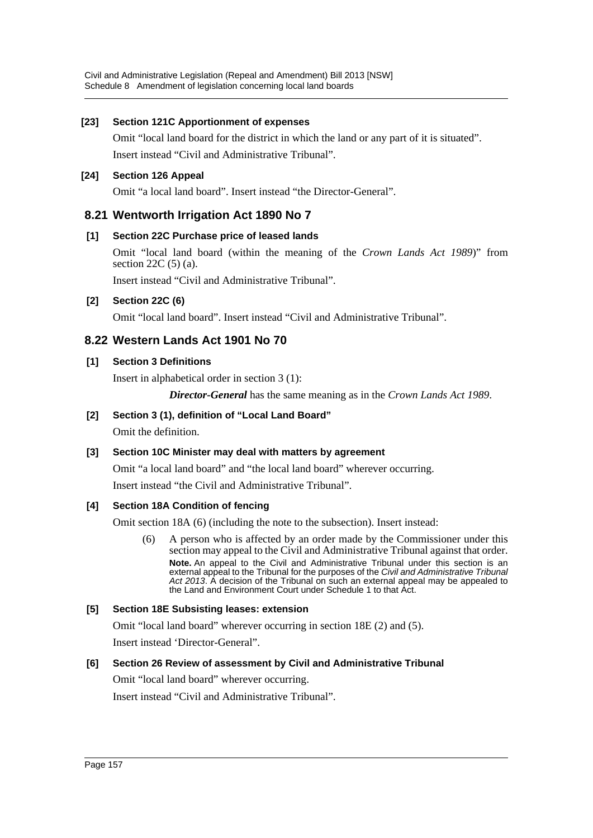#### **[23] Section 121C Apportionment of expenses**

Omit "local land board for the district in which the land or any part of it is situated". Insert instead "Civil and Administrative Tribunal".

# **[24] Section 126 Appeal**

Omit "a local land board". Insert instead "the Director-General".

# **8.21 Wentworth Irrigation Act 1890 No 7**

# **[1] Section 22C Purchase price of leased lands**

Omit "local land board (within the meaning of the *Crown Lands Act 1989*)" from section  $22C(5)$  (a).

Insert instead "Civil and Administrative Tribunal".

# **[2] Section 22C (6)**

Omit "local land board". Insert instead "Civil and Administrative Tribunal".

# **8.22 Western Lands Act 1901 No 70**

# **[1] Section 3 Definitions**

Insert in alphabetical order in section 3 (1):

*Director-General* has the same meaning as in the *Crown Lands Act 1989*.

# **[2] Section 3 (1), definition of "Local Land Board"**

Omit the definition.

#### **[3] Section 10C Minister may deal with matters by agreement**

Omit "a local land board" and "the local land board" wherever occurring. Insert instead "the Civil and Administrative Tribunal".

#### **[4] Section 18A Condition of fencing**

Omit section 18A (6) (including the note to the subsection). Insert instead:

(6) A person who is affected by an order made by the Commissioner under this section may appeal to the Civil and Administrative Tribunal against that order. **Note.** An appeal to the Civil and Administrative Tribunal under this section is an external appeal to the Tribunal for the purposes of the *Civil and Administrative Tribunal Act 2013*. A decision of the Tribunal on such an external appeal may be appealed to the Land and Environment Court under Schedule 1 to that Act.

#### **[5] Section 18E Subsisting leases: extension**

Omit "local land board" wherever occurring in section 18E (2) and (5).

Insert instead 'Director-General".

#### **[6] Section 26 Review of assessment by Civil and Administrative Tribunal**

Omit "local land board" wherever occurring.

Insert instead "Civil and Administrative Tribunal".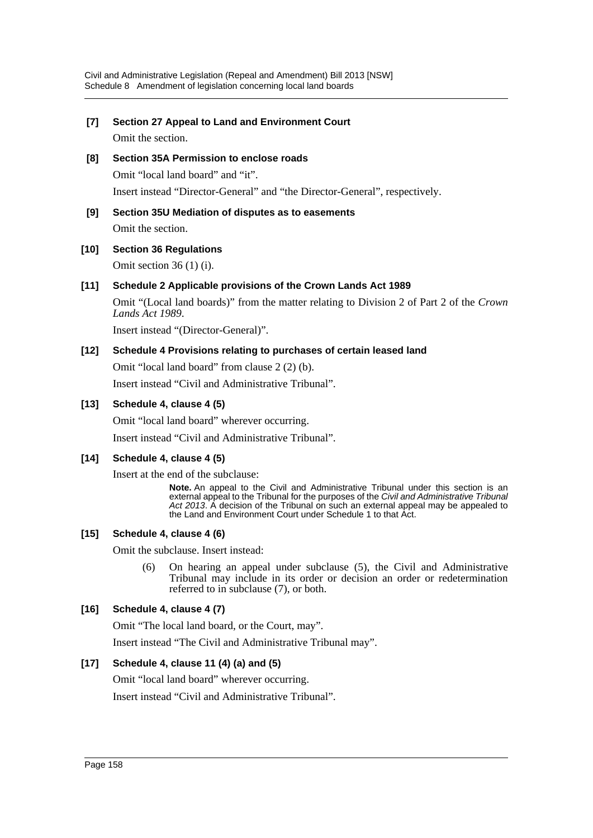# **[7] Section 27 Appeal to Land and Environment Court**

Omit the section.

- **[8] Section 35A Permission to enclose roads** Omit "local land board" and "it". Insert instead "Director-General" and "the Director-General", respectively.
- **[9] Section 35U Mediation of disputes as to easements** Omit the section.

# **[10] Section 36 Regulations**

Omit section 36 (1) (i).

# **[11] Schedule 2 Applicable provisions of the Crown Lands Act 1989**

Omit "(Local land boards)" from the matter relating to Division 2 of Part 2 of the *Crown Lands Act 1989*.

Insert instead "(Director-General)".

#### **[12] Schedule 4 Provisions relating to purchases of certain leased land**

Omit "local land board" from clause 2 (2) (b). Insert instead "Civil and Administrative Tribunal".

# **[13] Schedule 4, clause 4 (5)**

Omit "local land board" wherever occurring.

Insert instead "Civil and Administrative Tribunal".

#### **[14] Schedule 4, clause 4 (5)**

Insert at the end of the subclause:

**Note.** An appeal to the Civil and Administrative Tribunal under this section is an external appeal to the Tribunal for the purposes of the *Civil and Administrative Tribunal Act 2013*. A decision of the Tribunal on such an external appeal may be appealed to the Land and Environment Court under Schedule 1 to that Act.

#### **[15] Schedule 4, clause 4 (6)**

Omit the subclause. Insert instead:

(6) On hearing an appeal under subclause (5), the Civil and Administrative Tribunal may include in its order or decision an order or redetermination referred to in subclause (7), or both.

# **[16] Schedule 4, clause 4 (7)**

Omit "The local land board, or the Court, may".

Insert instead "The Civil and Administrative Tribunal may".

# **[17] Schedule 4, clause 11 (4) (a) and (5)**

Omit "local land board" wherever occurring. Insert instead "Civil and Administrative Tribunal".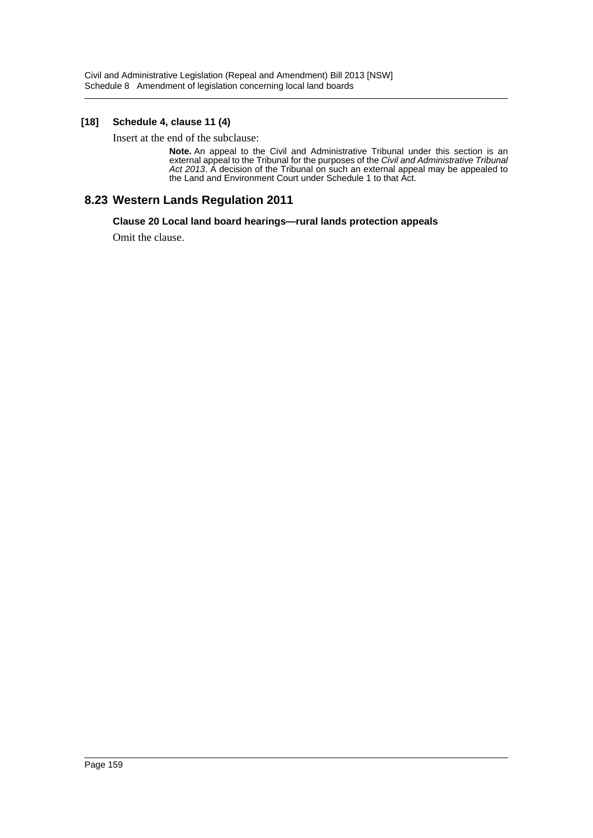#### **[18] Schedule 4, clause 11 (4)**

Insert at the end of the subclause:

**Note.** An appeal to the Civil and Administrative Tribunal under this section is an external appeal to the Tribunal for the purposes of the *Civil and Administrative Tribunal Act 2013*. A decision of the Tribunal on such an external appeal may be appealed to the Land and Environment Court under Schedule 1 to that Act.

# **8.23 Western Lands Regulation 2011**

#### **Clause 20 Local land board hearings—rural lands protection appeals**

Omit the clause.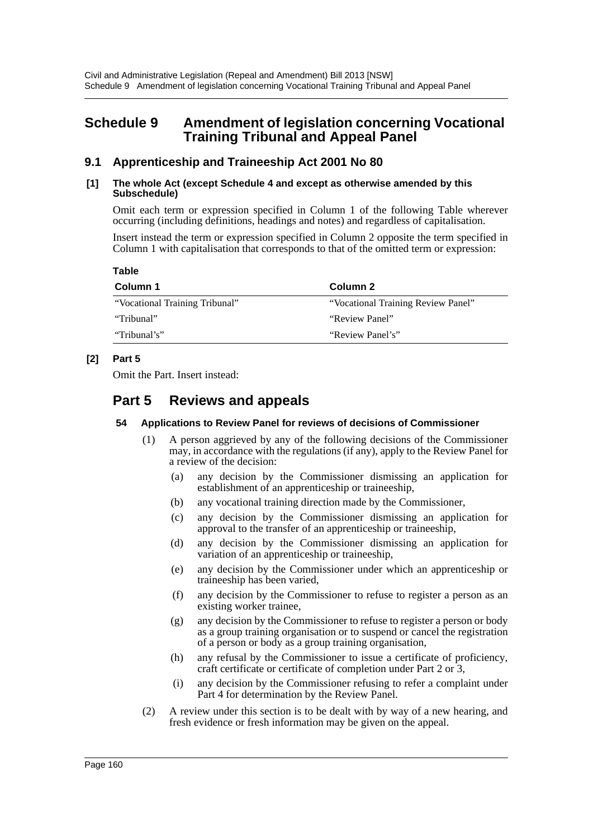# **Schedule 9 Amendment of legislation concerning Vocational Training Tribunal and Appeal Panel**

# **9.1 Apprenticeship and Traineeship Act 2001 No 80**

#### **[1] The whole Act (except Schedule 4 and except as otherwise amended by this Subschedule)**

Omit each term or expression specified in Column 1 of the following Table wherever occurring (including definitions, headings and notes) and regardless of capitalisation.

Insert instead the term or expression specified in Column 2 opposite the term specified in Column 1 with capitalisation that corresponds to that of the omitted term or expression:

**Table**

| Column 1                       | Column 2                           |
|--------------------------------|------------------------------------|
| "Vocational Training Tribunal" | "Vocational Training Review Panel" |
| "Tribunal"                     | "Review Panel"                     |
| "Tribunal's"                   | "Review Panel's"                   |

# **[2] Part 5**

Omit the Part. Insert instead:

# **Part 5 Reviews and appeals**

#### **54 Applications to Review Panel for reviews of decisions of Commissioner**

- (1) A person aggrieved by any of the following decisions of the Commissioner may, in accordance with the regulations (if any), apply to the Review Panel for a review of the decision:
	- (a) any decision by the Commissioner dismissing an application for establishment of an apprenticeship or traineeship,
	- (b) any vocational training direction made by the Commissioner,
	- (c) any decision by the Commissioner dismissing an application for approval to the transfer of an apprenticeship or traineeship,
	- (d) any decision by the Commissioner dismissing an application for variation of an apprenticeship or traineeship,
	- (e) any decision by the Commissioner under which an apprenticeship or traineeship has been varied,
	- (f) any decision by the Commissioner to refuse to register a person as an existing worker trainee,
	- (g) any decision by the Commissioner to refuse to register a person or body as a group training organisation or to suspend or cancel the registration of a person or body as a group training organisation,
	- (h) any refusal by the Commissioner to issue a certificate of proficiency, craft certificate or certificate of completion under Part 2 or 3,
	- (i) any decision by the Commissioner refusing to refer a complaint under Part 4 for determination by the Review Panel.
- (2) A review under this section is to be dealt with by way of a new hearing, and fresh evidence or fresh information may be given on the appeal.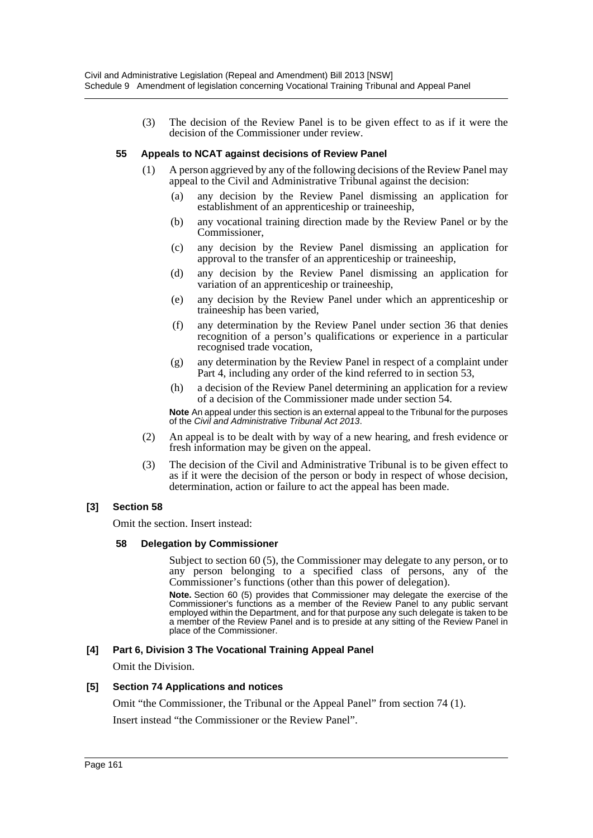(3) The decision of the Review Panel is to be given effect to as if it were the decision of the Commissioner under review.

#### **55 Appeals to NCAT against decisions of Review Panel**

- (1) A person aggrieved by any of the following decisions of the Review Panel may appeal to the Civil and Administrative Tribunal against the decision:
	- (a) any decision by the Review Panel dismissing an application for establishment of an apprenticeship or traineeship,
	- (b) any vocational training direction made by the Review Panel or by the Commissioner,
	- (c) any decision by the Review Panel dismissing an application for approval to the transfer of an apprenticeship or traineeship,
	- (d) any decision by the Review Panel dismissing an application for variation of an apprenticeship or traineeship,
	- (e) any decision by the Review Panel under which an apprenticeship or traineeship has been varied,
	- (f) any determination by the Review Panel under section 36 that denies recognition of a person's qualifications or experience in a particular recognised trade vocation,
	- (g) any determination by the Review Panel in respect of a complaint under Part 4, including any order of the kind referred to in section 53,
	- (h) a decision of the Review Panel determining an application for a review of a decision of the Commissioner made under section 54.

**Note** An appeal under this section is an external appeal to the Tribunal for the purposes of the *Civil and Administrative Tribunal Act 2013*.

- (2) An appeal is to be dealt with by way of a new hearing, and fresh evidence or fresh information may be given on the appeal.
- (3) The decision of the Civil and Administrative Tribunal is to be given effect to as if it were the decision of the person or body in respect of whose decision, determination, action or failure to act the appeal has been made.

#### **[3] Section 58**

Omit the section. Insert instead:

#### **58 Delegation by Commissioner**

Subject to section 60 (5), the Commissioner may delegate to any person, or to any person belonging to a specified class of persons, any of the Commissioner's functions (other than this power of delegation).

**Note.** Section 60 (5) provides that Commissioner may delegate the exercise of the Commissioner's functions as a member of the Review Panel to any public servant employed within the Department, and for that purpose any such delegate is taken to be a member of the Review Panel and is to preside at any sitting of the Review Panel in place of the Commissioner.

#### **[4] Part 6, Division 3 The Vocational Training Appeal Panel**

Omit the Division.

#### **[5] Section 74 Applications and notices**

Omit "the Commissioner, the Tribunal or the Appeal Panel" from section 74 (1).

Insert instead "the Commissioner or the Review Panel".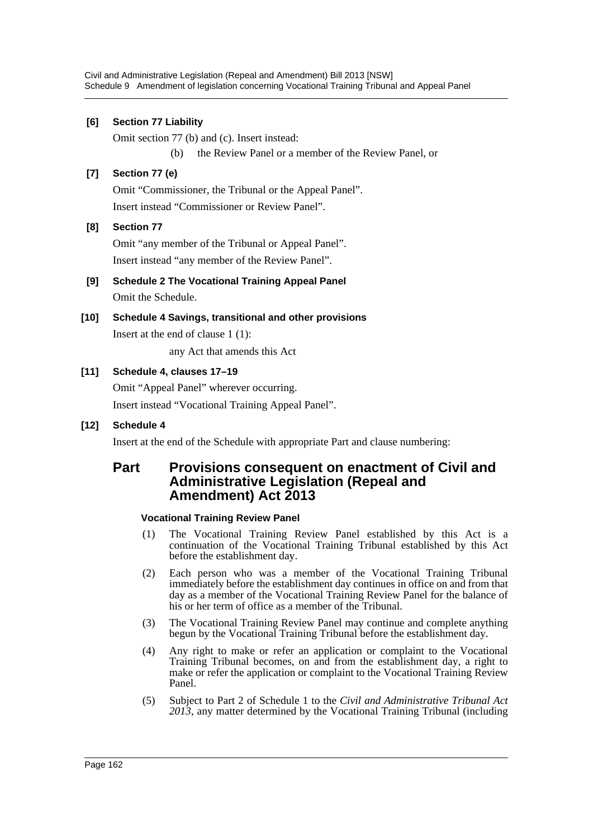#### **[6] Section 77 Liability**

Omit section 77 (b) and (c). Insert instead: (b) the Review Panel or a member of the Review Panel, or

#### **[7] Section 77 (e)**

Omit "Commissioner, the Tribunal or the Appeal Panel". Insert instead "Commissioner or Review Panel".

#### **[8] Section 77**

Omit "any member of the Tribunal or Appeal Panel". Insert instead "any member of the Review Panel".

- **[9] Schedule 2 The Vocational Training Appeal Panel** Omit the Schedule.
- **[10] Schedule 4 Savings, transitional and other provisions** Insert at the end of clause 1 (1):

any Act that amends this Act

#### **[11] Schedule 4, clauses 17–19**

Omit "Appeal Panel" wherever occurring. Insert instead "Vocational Training Appeal Panel".

#### **[12] Schedule 4**

Insert at the end of the Schedule with appropriate Part and clause numbering:

# **Part Provisions consequent on enactment of Civil and Administrative Legislation (Repeal and Amendment) Act 2013**

#### **Vocational Training Review Panel**

- (1) The Vocational Training Review Panel established by this Act is a continuation of the Vocational Training Tribunal established by this Act before the establishment day.
- (2) Each person who was a member of the Vocational Training Tribunal immediately before the establishment day continues in office on and from that day as a member of the Vocational Training Review Panel for the balance of his or her term of office as a member of the Tribunal.
- (3) The Vocational Training Review Panel may continue and complete anything begun by the Vocational Training Tribunal before the establishment day.
- (4) Any right to make or refer an application or complaint to the Vocational Training Tribunal becomes, on and from the establishment day, a right to make or refer the application or complaint to the Vocational Training Review Panel.
- (5) Subject to Part 2 of Schedule 1 to the *Civil and Administrative Tribunal Act 2013*, any matter determined by the Vocational Training Tribunal (including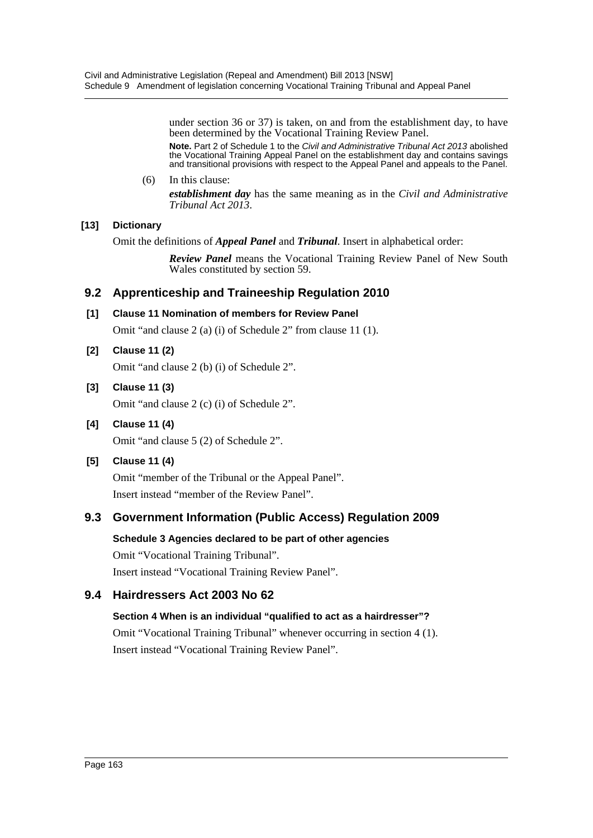under section 36 or 37) is taken, on and from the establishment day, to have been determined by the Vocational Training Review Panel.

**Note.** Part 2 of Schedule 1 to the *Civil and Administrative Tribunal Act 2013* abolished the Vocational Training Appeal Panel on the establishment day and contains savings and transitional provisions with respect to the Appeal Panel and appeals to the Panel.

#### (6) In this clause: *establishment day* has the same meaning as in the *Civil and Administrative Tribunal Act 2013*.

# **[13] Dictionary**

Omit the definitions of *Appeal Panel* and *Tribunal*. Insert in alphabetical order:

*Review Panel* means the Vocational Training Review Panel of New South Wales constituted by section 59.

# **9.2 Apprenticeship and Traineeship Regulation 2010**

# **[1] Clause 11 Nomination of members for Review Panel**

Omit "and clause 2 (a) (i) of Schedule 2" from clause 11 (1).

# **[2] Clause 11 (2)**

Omit "and clause 2 (b) (i) of Schedule 2".

# **[3] Clause 11 (3)**

Omit "and clause 2 (c) (i) of Schedule 2".

**[4] Clause 11 (4)** Omit "and clause 5 (2) of Schedule 2".

# **[5] Clause 11 (4)**

Omit "member of the Tribunal or the Appeal Panel". Insert instead "member of the Review Panel".

# **9.3 Government Information (Public Access) Regulation 2009**

# **Schedule 3 Agencies declared to be part of other agencies**

Omit "Vocational Training Tribunal". Insert instead "Vocational Training Review Panel".

# **9.4 Hairdressers Act 2003 No 62**

# **Section 4 When is an individual "qualified to act as a hairdresser"?**

Omit "Vocational Training Tribunal" whenever occurring in section 4 (1). Insert instead "Vocational Training Review Panel".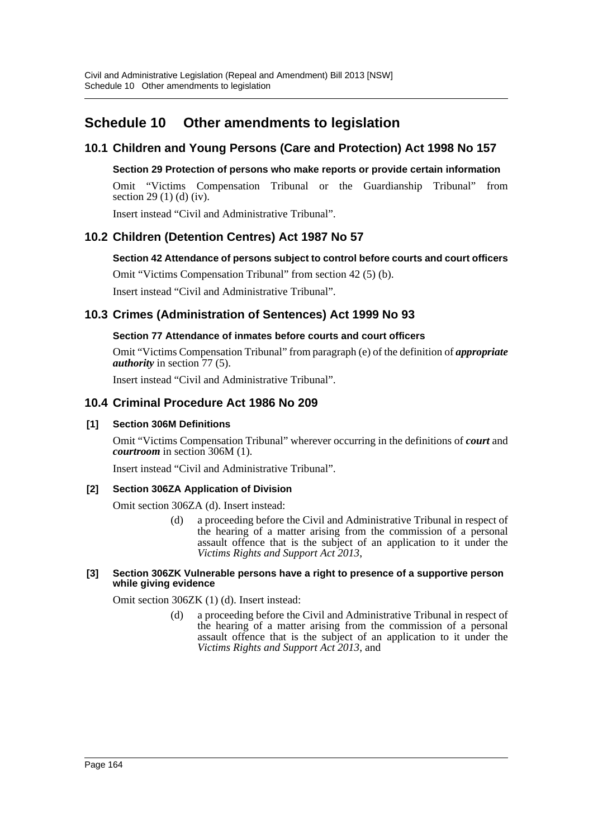# **Schedule 10 Other amendments to legislation**

# **10.1 Children and Young Persons (Care and Protection) Act 1998 No 157**

#### **Section 29 Protection of persons who make reports or provide certain information**

Omit "Victims Compensation Tribunal or the Guardianship Tribunal" from section 29 (1) (d) (iv).

Insert instead "Civil and Administrative Tribunal".

# **10.2 Children (Detention Centres) Act 1987 No 57**

# **Section 42 Attendance of persons subject to control before courts and court officers**

Omit "Victims Compensation Tribunal" from section 42 (5) (b).

Insert instead "Civil and Administrative Tribunal".

# **10.3 Crimes (Administration of Sentences) Act 1999 No 93**

# **Section 77 Attendance of inmates before courts and court officers**

Omit "Victims Compensation Tribunal" from paragraph (e) of the definition of *appropriate authority* in section 77 (5).

Insert instead "Civil and Administrative Tribunal".

# **10.4 Criminal Procedure Act 1986 No 209**

#### **[1] Section 306M Definitions**

Omit "Victims Compensation Tribunal" wherever occurring in the definitions of *court* and *courtroom* in section 306M (1).

Insert instead "Civil and Administrative Tribunal".

#### **[2] Section 306ZA Application of Division**

Omit section 306ZA (d). Insert instead:

(d) a proceeding before the Civil and Administrative Tribunal in respect of the hearing of a matter arising from the commission of a personal assault offence that is the subject of an application to it under the *Victims Rights and Support Act 2013*,

#### **[3] Section 306ZK Vulnerable persons have a right to presence of a supportive person while giving evidence**

Omit section 306ZK (1) (d). Insert instead:

(d) a proceeding before the Civil and Administrative Tribunal in respect of the hearing of a matter arising from the commission of a personal assault offence that is the subject of an application to it under the *Victims Rights and Support Act 2013*, and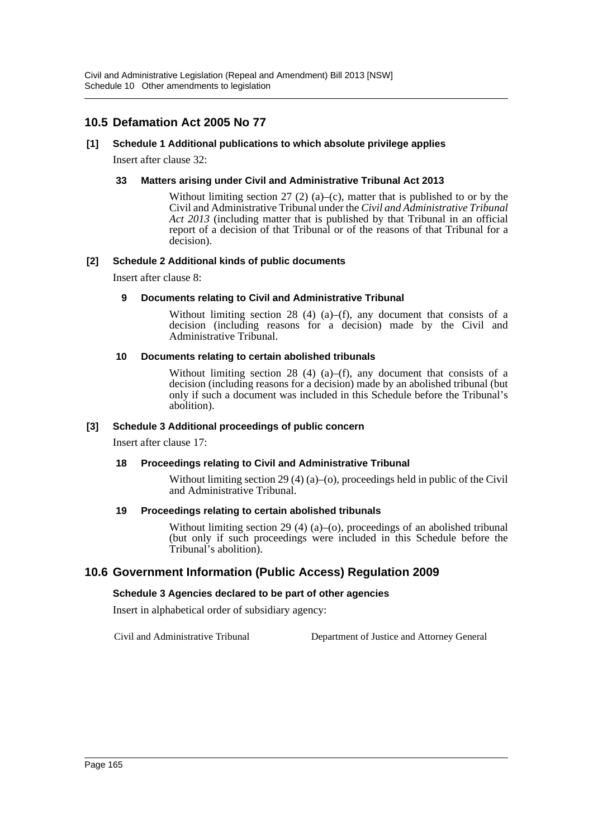Civil and Administrative Legislation (Repeal and Amendment) Bill 2013 [NSW] Schedule 10 Other amendments to legislation

# **10.5 Defamation Act 2005 No 77**

#### **[1] Schedule 1 Additional publications to which absolute privilege applies**

Insert after clause 32:

#### **33 Matters arising under Civil and Administrative Tribunal Act 2013**

Without limiting section 27 (2) (a)–(c), matter that is published to or by the Civil and Administrative Tribunal under the *Civil and Administrative Tribunal Act 2013* (including matter that is published by that Tribunal in an official report of a decision of that Tribunal or of the reasons of that Tribunal for a decision).

#### **[2] Schedule 2 Additional kinds of public documents**

Insert after clause 8:

#### **9 Documents relating to Civil and Administrative Tribunal**

Without limiting section 28 (4) (a)–(f), any document that consists of a decision (including reasons for a decision) made by the Civil and Administrative Tribunal.

#### **10 Documents relating to certain abolished tribunals**

Without limiting section 28 (4) (a)–(f), any document that consists of a decision (including reasons for a decision) made by an abolished tribunal (but only if such a document was included in this Schedule before the Tribunal's abolition).

#### **[3] Schedule 3 Additional proceedings of public concern**

Insert after clause 17:

#### **18 Proceedings relating to Civil and Administrative Tribunal**

Without limiting section 29 (4) (a)–(o), proceedings held in public of the Civil and Administrative Tribunal.

#### **19 Proceedings relating to certain abolished tribunals**

Without limiting section 29 (4) (a)–(o), proceedings of an abolished tribunal (but only if such proceedings were included in this Schedule before the Tribunal's abolition).

# **10.6 Government Information (Public Access) Regulation 2009**

#### **Schedule 3 Agencies declared to be part of other agencies**

Insert in alphabetical order of subsidiary agency:

Civil and Administrative Tribunal Department of Justice and Attorney General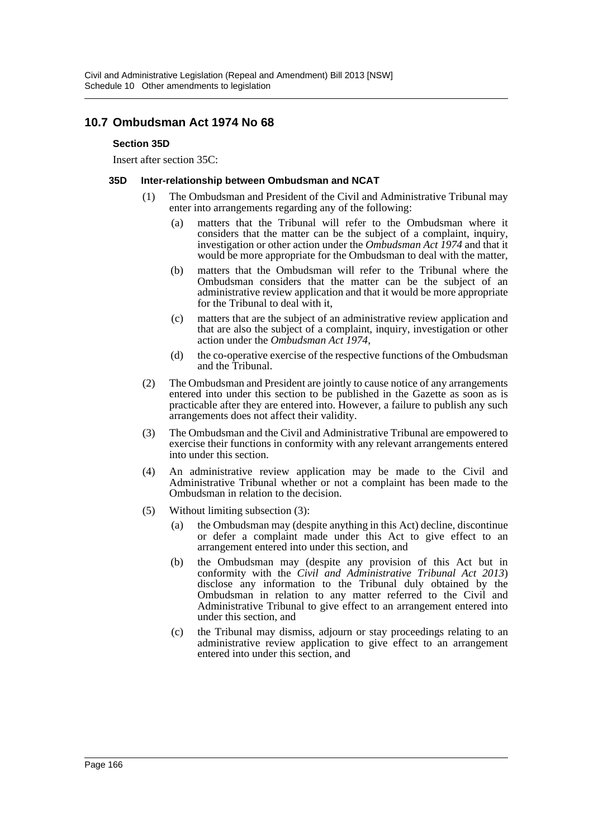# **10.7 Ombudsman Act 1974 No 68**

#### **Section 35D**

Insert after section 35C:

#### **35D Inter-relationship between Ombudsman and NCAT**

- (1) The Ombudsman and President of the Civil and Administrative Tribunal may enter into arrangements regarding any of the following:
	- (a) matters that the Tribunal will refer to the Ombudsman where it considers that the matter can be the subject of a complaint, inquiry, investigation or other action under the *Ombudsman Act 1974* and that it would be more appropriate for the Ombudsman to deal with the matter,
	- (b) matters that the Ombudsman will refer to the Tribunal where the Ombudsman considers that the matter can be the subject of an administrative review application and that it would be more appropriate for the Tribunal to deal with it,
	- (c) matters that are the subject of an administrative review application and that are also the subject of a complaint, inquiry, investigation or other action under the *Ombudsman Act 1974*,
	- (d) the co-operative exercise of the respective functions of the Ombudsman and the Tribunal.
- (2) The Ombudsman and President are jointly to cause notice of any arrangements entered into under this section to be published in the Gazette as soon as is practicable after they are entered into. However, a failure to publish any such arrangements does not affect their validity.
- (3) The Ombudsman and the Civil and Administrative Tribunal are empowered to exercise their functions in conformity with any relevant arrangements entered into under this section.
- (4) An administrative review application may be made to the Civil and Administrative Tribunal whether or not a complaint has been made to the Ombudsman in relation to the decision.
- (5) Without limiting subsection (3):
	- (a) the Ombudsman may (despite anything in this Act) decline, discontinue or defer a complaint made under this Act to give effect to an arrangement entered into under this section, and
	- (b) the Ombudsman may (despite any provision of this Act but in conformity with the *Civil and Administrative Tribunal Act 2013*) disclose any information to the Tribunal duly obtained by the Ombudsman in relation to any matter referred to the Civil and Administrative Tribunal to give effect to an arrangement entered into under this section, and
	- (c) the Tribunal may dismiss, adjourn or stay proceedings relating to an administrative review application to give effect to an arrangement entered into under this section, and